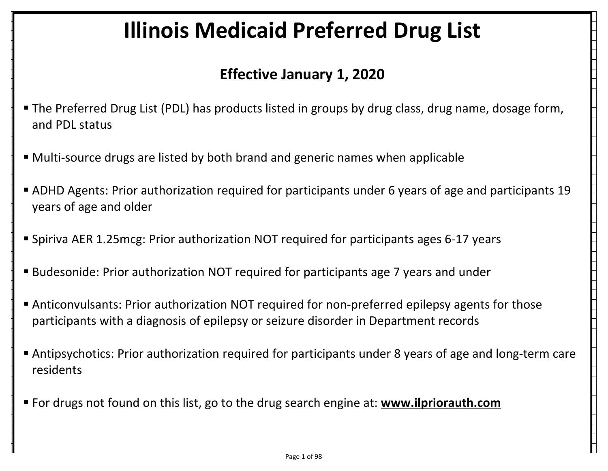## Illinois Medicaid Preferred Drug List

## Effective January 1, 2020

- The Preferred Drug List (PDL) has products listed in groups by drug class, drug name, dosage form, and PDL status
- Multi-source drugs are listed by both brand and generic names when applicable
- ADHD Agents: Prior authorization required for participants under 6 years of age and participants 19 years of age and older
- Spiriva AER 1.25mcg: Prior authorization NOT required for participants ages 6-17 years
- Budesonide: Prior authorization NOT required for participants age 7 years and under
- Anticonvulsants: Prior authorization NOT required for non-preferred epilepsy agents for those participants with a diagnosis of epilepsy or seizure disorder in Department records
- Antipsychotics: Prior authorization required for participants under 8 years of age and long-term care residents
- For drugs not found on this list, go to the drug search engine at: www.ilpriorauth.com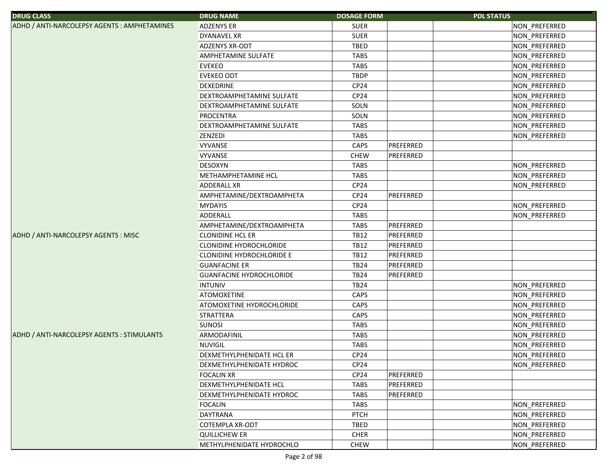| <b>DRUG CLASS</b>                            | <b>DRUG NAME</b>                 | <b>DOSAGE FORM</b> |           | <b>PDL STATUS</b>    |
|----------------------------------------------|----------------------------------|--------------------|-----------|----------------------|
| ADHD / ANTI-NARCOLEPSY AGENTS : AMPHETAMINES | ADZENYS ER                       | <b>SUER</b>        |           | NON_PREFERRED        |
|                                              | DYANAVEL XR                      | <b>SUER</b>        |           | NON_PREFERRED        |
|                                              | ADZENYS XR-ODT                   | <b>TBED</b>        |           | NON_PREFERRED        |
|                                              | AMPHETAMINE SULFATE              | <b>TABS</b>        |           | NON PREFERRED        |
|                                              | <b>EVEKEO</b>                    | <b>TABS</b>        |           | NON_PREFERRED        |
|                                              | <b>EVEKEO ODT</b>                | <b>TBDP</b>        |           | NON_PREFERRED        |
|                                              | DEXEDRINE                        | CP24               |           | NON_PREFERRED        |
|                                              | DEXTROAMPHETAMINE SULFATE        | CP <sub>24</sub>   |           | NON_PREFERRED        |
|                                              | DEXTROAMPHETAMINE SULFATE        | SOLN               |           | NON_PREFERRED        |
|                                              | <b>PROCENTRA</b>                 | SOLN               |           | NON_PREFERRED        |
|                                              | DEXTROAMPHETAMINE SULFATE        | <b>TABS</b>        |           | NON_PREFERRED        |
|                                              | ZENZEDI                          | TABS               |           | NON_PREFERRED        |
|                                              | <b>VYVANSE</b>                   | CAPS               | PREFERRED |                      |
|                                              | VYVANSE                          | <b>CHEW</b>        | PREFERRED |                      |
|                                              | <b>DESOXYN</b>                   | <b>TABS</b>        |           | NON_PREFERRED        |
|                                              | METHAMPHETAMINE HCL              | <b>TABS</b>        |           | NON_PREFERRED        |
|                                              | ADDERALL XR                      | CP24               |           | NON_PREFERRED        |
|                                              | AMPHETAMINE/DEXTROAMPHETA        | CP <sub>24</sub>   | PREFERRED |                      |
|                                              | <b>MYDAYIS</b>                   | CP24               |           | NON_PREFERRED        |
|                                              | ADDERALL                         | <b>TABS</b>        |           | NON_PREFERRED        |
|                                              | AMPHETAMINE/DEXTROAMPHETA        | <b>TABS</b>        | PREFERRED |                      |
| ADHD / ANTI-NARCOLEPSY AGENTS : MISC         | <b>CLONIDINE HCL ER</b>          | <b>TB12</b>        | PREFERRED |                      |
|                                              | CLONIDINE HYDROCHLORIDE          | <b>TB12</b>        | PREFERRED |                      |
|                                              | <b>CLONIDINE HYDROCHLORIDE E</b> | <b>TB12</b>        | PREFERRED |                      |
|                                              | <b>GUANFACINE ER</b>             | <b>TB24</b>        | PREFERRED |                      |
|                                              | <b>GUANFACINE HYDROCHLORIDE</b>  | <b>TB24</b>        | PREFERRED |                      |
|                                              | <b>INTUNIV</b>                   | <b>TB24</b>        |           | NON_PREFERRED        |
|                                              | <b>ATOMOXETINE</b>               | CAPS               |           | NON_PREFERRED        |
|                                              | ATOMOXETINE HYDROCHLORIDE        | CAPS               |           | NON_PREFERRED        |
|                                              | STRATTERA                        | CAPS               |           | NON_PREFERRED        |
|                                              | <b>SUNOSI</b>                    | <b>TABS</b>        |           | NON_PREFERRED        |
| ADHD / ANTI-NARCOLEPSY AGENTS : STIMULANTS   | ARMODAFINIL                      | <b>TABS</b>        |           | NON_PREFERRED        |
|                                              | <b>NUVIGIL</b>                   | <b>TABS</b>        |           | NON_PREFERRED        |
|                                              | DEXMETHYLPHENIDATE HCL ER        | CP <sub>24</sub>   |           | NON PREFERRED        |
|                                              | DEXMETHYLPHENIDATE HYDROC        | CP24               |           | NON PREFERRED        |
|                                              | <b>FOCALIN XR</b>                | CP24               | PREFERRED |                      |
|                                              | DEXMETHYLPHENIDATE HCL           | TABS               | PREFERRED |                      |
|                                              | DEXMETHYLPHENIDATE HYDROC        | <b>TABS</b>        | PREFERRED |                      |
|                                              | <b>FOCALIN</b>                   | TABS               |           | NON_PREFERRED        |
|                                              | <b>DAYTRANA</b>                  | <b>PTCH</b>        |           | NON PREFERRED        |
|                                              | <b>COTEMPLA XR-ODT</b>           | <b>TBED</b>        |           | <b>NON PREFERRED</b> |
|                                              | <b>QUILLICHEW ER</b>             | <b>CHER</b>        |           | NON PREFERRED        |
|                                              | METHYLPHENIDATE HYDROCHLO        | <b>CHEW</b>        |           | NON_PREFERRED        |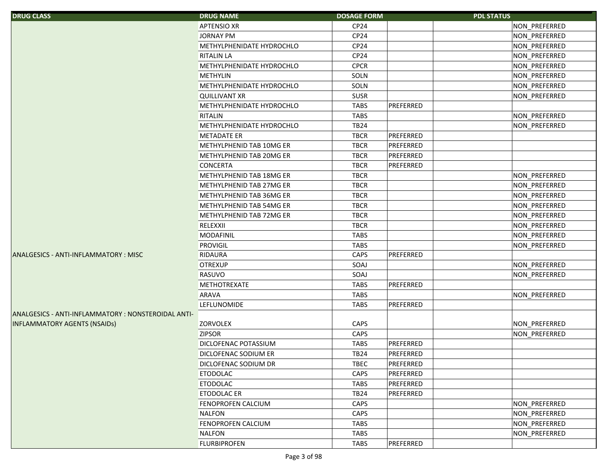| <b>DRUG CLASS</b>                                   | <b>DRUG NAME</b>            | <b>DOSAGE FORM</b> | <b>PDL STATUS</b> |               |
|-----------------------------------------------------|-----------------------------|--------------------|-------------------|---------------|
|                                                     | <b>APTENSIO XR</b>          | CP24               |                   | NON_PREFERRED |
|                                                     | <b>JORNAY PM</b>            | CP24               |                   | NON_PREFERRED |
|                                                     | METHYLPHENIDATE HYDROCHLO   | CP24               |                   | NON_PREFERRED |
|                                                     | <b>RITALIN LA</b>           | CP24               |                   | NON_PREFERRED |
|                                                     | METHYLPHENIDATE HYDROCHLO   | <b>CPCR</b>        |                   | NON_PREFERRED |
|                                                     | <b>METHYLIN</b>             | SOLN               |                   | NON_PREFERRED |
|                                                     | METHYLPHENIDATE HYDROCHLO   | SOLN               |                   | NON_PREFERRED |
|                                                     | <b>QUILLIVANT XR</b>        | <b>SUSR</b>        |                   | NON_PREFERRED |
|                                                     | METHYLPHENIDATE HYDROCHLO   | <b>TABS</b>        | PREFERRED         |               |
|                                                     | RITALIN                     | <b>TABS</b>        |                   | NON PREFERRED |
|                                                     | METHYLPHENIDATE HYDROCHLO   | <b>TB24</b>        |                   | NON_PREFERRED |
|                                                     | <b>METADATE ER</b>          | <b>TBCR</b>        | PREFERRED         |               |
|                                                     | METHYLPHENID TAB 10MG ER    | <b>TBCR</b>        | PREFERRED         |               |
|                                                     | METHYLPHENID TAB 20MG ER    | <b>TBCR</b>        | PREFERRED         |               |
|                                                     | <b>CONCERTA</b>             | <b>TBCR</b>        | PREFERRED         |               |
|                                                     | METHYLPHENID TAB 18MG ER    | <b>TBCR</b>        |                   | NON_PREFERRED |
|                                                     | METHYLPHENID TAB 27MG ER    | <b>TBCR</b>        |                   | NON_PREFERRED |
|                                                     | METHYLPHENID TAB 36MG ER    | <b>TBCR</b>        |                   | NON_PREFERRED |
|                                                     | METHYLPHENID TAB 54MG ER    | <b>TBCR</b>        |                   | NON_PREFERRED |
|                                                     | METHYLPHENID TAB 72MG ER    | <b>TBCR</b>        |                   | NON_PREFERRED |
|                                                     | RELEXXII                    | <b>TBCR</b>        |                   | NON_PREFERRED |
|                                                     | <b>MODAFINIL</b>            | <b>TABS</b>        |                   | NON_PREFERRED |
|                                                     | <b>PROVIGIL</b>             | <b>TABS</b>        |                   | NON_PREFERRED |
| ANALGESICS - ANTI-INFLAMMATORY: MISC                | <b>RIDAURA</b>              | CAPS               | PREFERRED         |               |
|                                                     | <b>OTREXUP</b>              | SOAJ               |                   | NON_PREFERRED |
|                                                     | RASUVO                      | SOAJ               |                   | NON_PREFERRED |
|                                                     | <b>METHOTREXATE</b>         | <b>TABS</b>        | PREFERRED         |               |
|                                                     | ARAVA                       | <b>TABS</b>        |                   | NON_PREFERRED |
|                                                     | <b>LEFLUNOMIDE</b>          | <b>TABS</b>        | PREFERRED         |               |
| ANALGESICS - ANTI-INFLAMMATORY : NONSTEROIDAL ANTI- |                             |                    |                   |               |
| <b>INFLAMMATORY AGENTS (NSAIDs)</b>                 | <b>ZORVOLEX</b>             | CAPS               |                   | NON_PREFERRED |
|                                                     | <b>ZIPSOR</b>               | CAPS               |                   | NON_PREFERRED |
|                                                     | <b>DICLOFENAC POTASSIUM</b> | <b>TABS</b>        | PREFERRED         |               |
|                                                     | <b>DICLOFENAC SODIUM ER</b> | <b>TB24</b>        | PREFERRED         |               |
|                                                     | <b>DICLOFENAC SODIUM DR</b> | <b>TBEC</b>        | PREFERRED         |               |
|                                                     | <b>ETODOLAC</b>             | CAPS               | PREFERRED         |               |
|                                                     | <b>ETODOLAC</b>             | <b>TABS</b>        | PREFERRED         |               |
|                                                     | <b>ETODOLAC ER</b>          | <b>TB24</b>        | PREFERRED         |               |
|                                                     | <b>FENOPROFEN CALCIUM</b>   | CAPS               |                   | NON_PREFERRED |
|                                                     | <b>NALFON</b>               | CAPS               |                   | NON_PREFERRED |
|                                                     | FENOPROFEN CALCIUM          | <b>TABS</b>        |                   | NON_PREFERRED |
|                                                     | <b>NALFON</b>               | <b>TABS</b>        |                   | NON PREFERRED |
|                                                     |                             |                    |                   |               |
|                                                     | <b>FLURBIPROFEN</b>         | <b>TABS</b>        | PREFERRED         |               |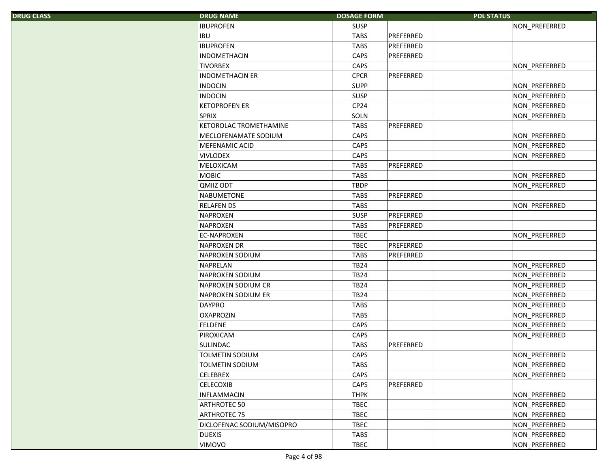|  |  |  | <b>DRUG CLASS</b> |  |
|--|--|--|-------------------|--|
|  |  |  |                   |  |
|  |  |  |                   |  |
|  |  |  |                   |  |

| S. | <b>DRUG NAME</b>          | <b>DOSAGE FORM</b> |           | <b>PDL STATUS</b> |
|----|---------------------------|--------------------|-----------|-------------------|
|    | <b>IBUPROFEN</b>          | <b>SUSP</b>        |           | NON_PREFERRED     |
|    | <b>IBU</b>                | <b>TABS</b>        | PREFERRED |                   |
|    | <b>IBUPROFEN</b>          | <b>TABS</b>        | PREFERRED |                   |
|    | <b>INDOMETHACIN</b>       | CAPS               | PREFERRED |                   |
|    | <b>TIVORBEX</b>           | <b>CAPS</b>        |           | NON_PREFERRED     |
|    | <b>INDOMETHACIN ER</b>    | <b>CPCR</b>        | PREFERRED |                   |
|    | <b>INDOCIN</b>            | <b>SUPP</b>        |           | NON_PREFERRED     |
|    | <b>INDOCIN</b>            | <b>SUSP</b>        |           | NON_PREFERRED     |
|    | <b>KETOPROFEN ER</b>      | CP24               |           | NON_PREFERRED     |
|    | <b>SPRIX</b>              | SOLN               |           | NON_PREFERRED     |
|    | KETOROLAC TROMETHAMINE    | <b>TABS</b>        | PREFERRED |                   |
|    | MECLOFENAMATE SODIUM      | CAPS               |           | NON_PREFERRED     |
|    | MEFENAMIC ACID            | CAPS               |           | NON_PREFERRED     |
|    | <b>VIVLODEX</b>           | CAPS               |           | NON_PREFERRED     |
|    | MELOXICAM                 | <b>TABS</b>        | PREFERRED |                   |
|    | <b>MOBIC</b>              | <b>TABS</b>        |           | NON_PREFERRED     |
|    | QMIIZ ODT                 | <b>TBDP</b>        |           | NON_PREFERRED     |
|    | NABUMETONE                | <b>TABS</b>        | PREFERRED |                   |
|    | <b>RELAFEN DS</b>         | <b>TABS</b>        |           | NON_PREFERRED     |
|    | <b>NAPROXEN</b>           | <b>SUSP</b>        | PREFERRED |                   |
|    | <b>NAPROXEN</b>           | <b>TABS</b>        | PREFERRED |                   |
|    | <b>EC-NAPROXEN</b>        | <b>TBEC</b>        |           | NON_PREFERRED     |
|    | <b>NAPROXEN DR</b>        | <b>TBEC</b>        | PREFERRED |                   |
|    | NAPROXEN SODIUM           | <b>TABS</b>        | PREFERRED |                   |
|    | <b>NAPRELAN</b>           | <b>TB24</b>        |           | NON_PREFERRED     |
|    | NAPROXEN SODIUM           | <b>TB24</b>        |           | NON_PREFERRED     |
|    | NAPROXEN SODIUM CR        | <b>TB24</b>        |           | NON_PREFERRED     |
|    | NAPROXEN SODIUM ER        | <b>TB24</b>        |           | NON_PREFERRED     |
|    | <b>DAYPRO</b>             | <b>TABS</b>        |           | NON_PREFERRED     |
|    | <b>OXAPROZIN</b>          | <b>TABS</b>        |           | NON_PREFERRED     |
|    | <b>FELDENE</b>            | CAPS               |           | NON_PREFERRED     |
|    | PIROXICAM                 | CAPS               |           | NON_PREFERRED     |
|    | SULINDAC                  | <b>TABS</b>        | PREFERRED |                   |
|    | <b>TOLMETIN SODIUM</b>    | CAPS               |           | NON_PREFERRED     |
|    | <b>TOLMETIN SODIUM</b>    | <b>TABS</b>        |           | NON_PREFERRED     |
|    | <b>CELEBREX</b>           | CAPS               |           | NON_PREFERRED     |
|    | <b>CELECOXIB</b>          | CAPS               | PREFERRED |                   |
|    | <b>INFLAMMACIN</b>        | <b>THPK</b>        |           | NON_PREFERRED     |
|    | ARTHROTEC 50              | <b>TBEC</b>        |           | NON_PREFERRED     |
|    | <b>ARTHROTEC 75</b>       | <b>TBEC</b>        |           | NON PREFERRED     |
|    | DICLOFENAC SODIUM/MISOPRO | <b>TBEC</b>        |           | NON_PREFERRED     |
|    | <b>DUEXIS</b>             | <b>TABS</b>        |           | NON_PREFERRED     |
|    | VIMOVO                    | TBEC               |           | NON PREFERRED     |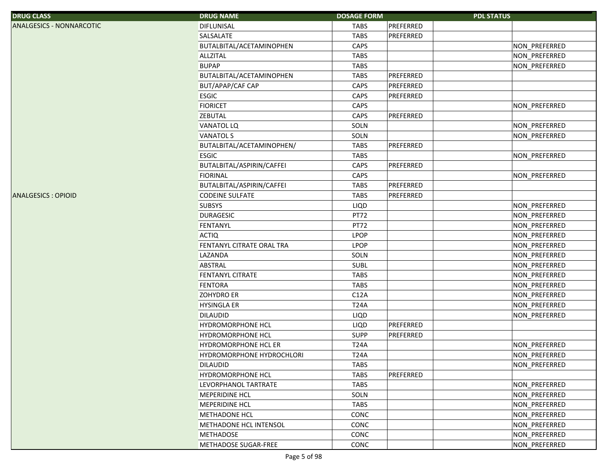| <b>DRUG CLASS</b>               | <b>DRUG NAME</b>          | <b>DOSAGE FORM</b> | <b>PDL STATUS</b> |               |
|---------------------------------|---------------------------|--------------------|-------------------|---------------|
| <b>ANALGESICS - NONNARCOTIC</b> | <b>DIFLUNISAL</b>         | <b>TABS</b>        | PREFERRED         |               |
|                                 | SALSALATE                 | <b>TABS</b>        | PREFERRED         |               |
|                                 | BUTALBITAL/ACETAMINOPHEN  | CAPS               |                   | NON_PREFERRED |
|                                 | <b>ALLZITAL</b>           | <b>TABS</b>        |                   | NON_PREFERRED |
|                                 | <b>BUPAP</b>              | <b>TABS</b>        |                   | NON PREFERRED |
|                                 | BUTALBITAL/ACETAMINOPHEN  | <b>TABS</b>        | PREFERRED         |               |
|                                 | BUT/APAP/CAF CAP          | CAPS               | PREFERRED         |               |
|                                 | <b>ESGIC</b>              | CAPS               | PREFERRED         |               |
|                                 | <b>FIORICET</b>           | CAPS               |                   | NON_PREFERRED |
|                                 | <b>ZEBUTAL</b>            | CAPS               | PREFERRED         |               |
|                                 | <b>VANATOL LQ</b>         | SOLN               |                   | NON_PREFERRED |
|                                 | <b>VANATOL S</b>          | SOLN               |                   | NON_PREFERRED |
|                                 | BUTALBITAL/ACETAMINOPHEN/ | <b>TABS</b>        | PREFERRED         |               |
|                                 | <b>ESGIC</b>              | <b>TABS</b>        |                   | NON_PREFERRED |
|                                 | BUTALBITAL/ASPIRIN/CAFFEI | CAPS               | PREFERRED         |               |
|                                 | <b>FIORINAL</b>           | CAPS               |                   | NON PREFERRED |
|                                 | BUTALBITAL/ASPIRIN/CAFFEI | <b>TABS</b>        | PREFERRED         |               |
| <b>ANALGESICS: OPIOID</b>       | <b>CODEINE SULFATE</b>    | <b>TABS</b>        | PREFERRED         |               |
|                                 | <b>SUBSYS</b>             | LIQD               |                   | NON_PREFERRED |
|                                 | <b>DURAGESIC</b>          | PT72               |                   | NON_PREFERRED |
|                                 | <b>FENTANYL</b>           | PT72               |                   | NON_PREFERRED |
|                                 | <b>ACTIQ</b>              | <b>LPOP</b>        |                   | NON_PREFERRED |
|                                 | FENTANYL CITRATE ORAL TRA | <b>LPOP</b>        |                   | NON_PREFERRED |
|                                 | LAZANDA                   | SOLN               |                   | NON_PREFERRED |
|                                 | ABSTRAL                   | <b>SUBL</b>        |                   | NON_PREFERRED |
|                                 | <b>FENTANYL CITRATE</b>   | <b>TABS</b>        |                   | NON_PREFERRED |
|                                 | <b>FENTORA</b>            | <b>TABS</b>        |                   | NON_PREFERRED |
|                                 | <b>ZOHYDRO ER</b>         | C12A               |                   | NON_PREFERRED |
|                                 | <b>HYSINGLA ER</b>        | <b>T24A</b>        |                   | NON_PREFERRED |
|                                 | <b>DILAUDID</b>           | LIQD               |                   | NON PREFERRED |
|                                 | <b>HYDROMORPHONE HCL</b>  | LIQD               | PREFERRED         |               |
|                                 | HYDROMORPHONE HCL         | <b>SUPP</b>        | PREFERRED         |               |
|                                 | HYDROMORPHONE HCL ER      | <b>T24A</b>        |                   | NON_PREFERRED |
|                                 | HYDROMORPHONE HYDROCHLORI | <b>T24A</b>        |                   | NON_PREFERRED |
|                                 | <b>DILAUDID</b>           | <b>TABS</b>        |                   | NON PREFERRED |
|                                 | <b>HYDROMORPHONE HCL</b>  | <b>TABS</b>        | PREFERRED         |               |
|                                 | LEVORPHANOL TARTRATE      | <b>TABS</b>        |                   | NON_PREFERRED |
|                                 | <b>MEPERIDINE HCL</b>     | SOLN               |                   | NON PREFERRED |
|                                 | <b>MEPERIDINE HCL</b>     | <b>TABS</b>        |                   | NON PREFERRED |
|                                 | <b>METHADONE HCL</b>      | CONC               |                   | NON PREFERRED |
|                                 | METHADONE HCL INTENSOL    | CONC               |                   | NON_PREFERRED |
|                                 | <b>METHADOSE</b>          | CONC               |                   | NON PREFERRED |
|                                 | METHADOSE SUGAR-FREE      | CONC               |                   | NON_PREFERRED |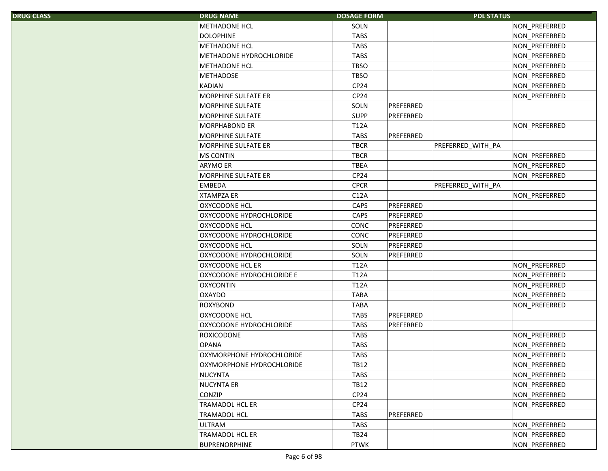| <b>DRUG CLASS</b> |  |  |  |
|-------------------|--|--|--|
|-------------------|--|--|--|

| S. | <b>DRUG NAME</b>           | <b>DOSAGE FORM</b> |           | <b>PDL STATUS</b> |               |
|----|----------------------------|--------------------|-----------|-------------------|---------------|
|    | <b>METHADONE HCL</b>       | SOLN               |           |                   | NON_PREFERRED |
|    | <b>DOLOPHINE</b>           | <b>TABS</b>        |           |                   | NON_PREFERRED |
|    | <b>METHADONE HCL</b>       | <b>TABS</b>        |           |                   | NON_PREFERRED |
|    | METHADONE HYDROCHLORIDE    | <b>TABS</b>        |           |                   | NON_PREFERRED |
|    | <b>METHADONE HCL</b>       | <b>TBSO</b>        |           |                   | NON_PREFERRED |
|    | <b>METHADOSE</b>           | <b>TBSO</b>        |           |                   | NON_PREFERRED |
|    | <b>KADIAN</b>              | CP <sub>24</sub>   |           |                   | NON_PREFERRED |
|    | <b>MORPHINE SULFATE ER</b> | CP24               |           |                   | NON_PREFERRED |
|    | MORPHINE SULFATE           | SOLN               | PREFERRED |                   |               |
|    | <b>MORPHINE SULFATE</b>    | <b>SUPP</b>        | PREFERRED |                   |               |
|    | <b>MORPHABOND ER</b>       | <b>T12A</b>        |           |                   | NON_PREFERRED |
|    | MORPHINE SULFATE           | <b>TABS</b>        | PREFERRED |                   |               |
|    | MORPHINE SULFATE ER        | <b>TBCR</b>        |           | PREFERRED_WITH_PA |               |
|    | <b>MS CONTIN</b>           | <b>TBCR</b>        |           |                   | NON_PREFERRED |
|    | ARYMO ER                   | <b>TBEA</b>        |           |                   | NON_PREFERRED |
|    | <b>MORPHINE SULFATE ER</b> | CP <sub>24</sub>   |           |                   | NON_PREFERRED |
|    | EMBEDA                     | <b>CPCR</b>        |           | PREFERRED_WITH_PA |               |
|    | <b>XTAMPZA ER</b>          | C12A               |           |                   | NON_PREFERRED |
|    | <b>OXYCODONE HCL</b>       | CAPS               | PREFERRED |                   |               |
|    | OXYCODONE HYDROCHLORIDE    | CAPS               | PREFERRED |                   |               |
|    | <b>OXYCODONE HCL</b>       | CONC               | PREFERRED |                   |               |
|    | OXYCODONE HYDROCHLORIDE    | CONC               | PREFERRED |                   |               |
|    | OXYCODONE HCL              | SOLN               | PREFERRED |                   |               |
|    | OXYCODONE HYDROCHLORIDE    | SOLN               | PREFERRED |                   |               |
|    | OXYCODONE HCL ER           | <b>T12A</b>        |           |                   | NON_PREFERRED |
|    | OXYCODONE HYDROCHLORIDE E  | <b>T12A</b>        |           |                   | NON_PREFERRED |
|    | <b>OXYCONTIN</b>           | <b>T12A</b>        |           |                   | NON_PREFERRED |
|    | OXAYDO                     | <b>TABA</b>        |           |                   | NON_PREFERRED |
|    | <b>ROXYBOND</b>            | <b>TABA</b>        |           |                   | NON_PREFERRED |
|    | <b>OXYCODONE HCL</b>       | <b>TABS</b>        | PREFERRED |                   |               |
|    | OXYCODONE HYDROCHLORIDE    | <b>TABS</b>        | PREFERRED |                   |               |
|    | ROXICODONE                 | <b>TABS</b>        |           |                   | NON_PREFERRED |
|    | <b>OPANA</b>               | <b>TABS</b>        |           |                   | NON_PREFERRED |
|    | OXYMORPHONE HYDROCHLORIDE  | <b>TABS</b>        |           |                   | NON_PREFERRED |
|    | OXYMORPHONE HYDROCHLORIDE  | TB12               |           |                   | NON PREFERRED |
|    | <b>NUCYNTA</b>             | <b>TABS</b>        |           |                   | NON_PREFERRED |
|    | <b>NUCYNTA ER</b>          | <b>TB12</b>        |           |                   | NON_PREFERRED |
|    | <b>CONZIP</b>              | CP <sub>24</sub>   |           |                   | NON_PREFERRED |
|    | <b>TRAMADOL HCL ER</b>     | CP <sub>24</sub>   |           |                   | NON_PREFERRED |
|    | <b>TRAMADOL HCL</b>        | <b>TABS</b>        | PREFERRED |                   |               |
|    | <b>ULTRAM</b>              | <b>TABS</b>        |           |                   | NON_PREFERRED |
|    | <b>TRAMADOL HCL ER</b>     | <b>TB24</b>        |           |                   | NON_PREFERRED |
|    | BUPRENORPHINE              | <b>PTWK</b>        |           |                   | NON PREFERRED |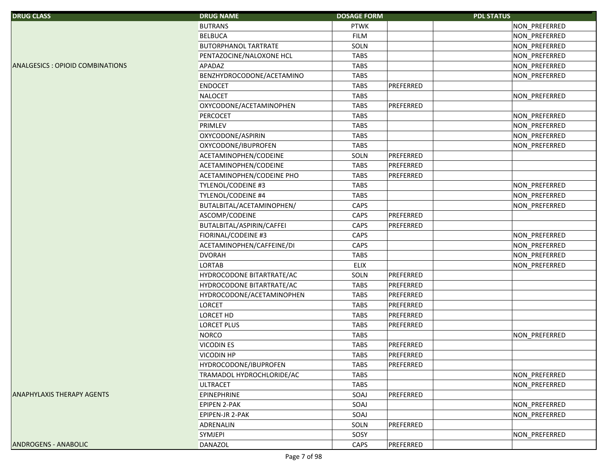| <b>DRUG CLASS</b>                 | <b>DRUG NAME</b>            | <b>DOSAGE FORM</b> |           | <b>PDL STATUS</b> |
|-----------------------------------|-----------------------------|--------------------|-----------|-------------------|
|                                   | <b>BUTRANS</b>              | <b>PTWK</b>        |           | NON_PREFERRED     |
|                                   | <b>BELBUCA</b>              | <b>FILM</b>        |           | NON_PREFERRED     |
|                                   | <b>BUTORPHANOL TARTRATE</b> | SOLN               |           | NON_PREFERRED     |
|                                   | PENTAZOCINE/NALOXONE HCL    | <b>TABS</b>        |           | NON_PREFERRED     |
| ANALGESICS : OPIOID COMBINATIONS  | APADAZ                      | <b>TABS</b>        |           | NON PREFERRED     |
|                                   | BENZHYDROCODONE/ACETAMINO   | TABS               |           | NON_PREFERRED     |
|                                   | <b>ENDOCET</b>              | <b>TABS</b>        | PREFERRED |                   |
|                                   | <b>NALOCET</b>              | <b>TABS</b>        |           | NON PREFERRED     |
|                                   | OXYCODONE/ACETAMINOPHEN     | <b>TABS</b>        | PREFERRED |                   |
|                                   | <b>PERCOCET</b>             | <b>TABS</b>        |           | NON_PREFERRED     |
|                                   | PRIMLEV                     | <b>TABS</b>        |           | NON_PREFERRED     |
|                                   | OXYCODONE/ASPIRIN           | <b>TABS</b>        |           | NON_PREFERRED     |
|                                   | OXYCODONE/IBUPROFEN         | <b>TABS</b>        |           | NON_PREFERRED     |
|                                   | ACETAMINOPHEN/CODEINE       | SOLN               | PREFERRED |                   |
|                                   | ACETAMINOPHEN/CODEINE       | <b>TABS</b>        | PREFERRED |                   |
|                                   | ACETAMINOPHEN/CODEINE PHO   | <b>TABS</b>        | PREFERRED |                   |
|                                   | TYLENOL/CODEINE #3          | <b>TABS</b>        |           | NON PREFERRED     |
|                                   | <b>TYLENOL/CODEINE #4</b>   | <b>TABS</b>        |           | NON_PREFERRED     |
|                                   | BUTALBITAL/ACETAMINOPHEN/   | CAPS               |           | NON_PREFERRED     |
|                                   | ASCOMP/CODEINE              | CAPS               | PREFERRED |                   |
|                                   | BUTALBITAL/ASPIRIN/CAFFEI   | CAPS               | PREFERRED |                   |
|                                   | FIORINAL/CODEINE #3         | CAPS               |           | NON_PREFERRED     |
|                                   | ACETAMINOPHEN/CAFFEINE/DI   | CAPS               |           | NON_PREFERRED     |
|                                   | <b>DVORAH</b>               | <b>TABS</b>        |           | NON_PREFERRED     |
|                                   | <b>LORTAB</b>               | <b>ELIX</b>        |           | NON_PREFERRED     |
|                                   | HYDROCODONE BITARTRATE/AC   | SOLN               | PREFERRED |                   |
|                                   | HYDROCODONE BITARTRATE/AC   | <b>TABS</b>        | PREFERRED |                   |
|                                   | HYDROCODONE/ACETAMINOPHEN   | TABS               | PREFERRED |                   |
|                                   | <b>LORCET</b>               | <b>TABS</b>        | PREFERRED |                   |
|                                   | <b>LORCET HD</b>            | <b>TABS</b>        | PREFERRED |                   |
|                                   | <b>LORCET PLUS</b>          | <b>TABS</b>        | PREFERRED |                   |
|                                   | <b>NORCO</b>                | <b>TABS</b>        |           | NON_PREFERRED     |
|                                   | <b>VICODIN ES</b>           | <b>TABS</b>        | PREFERRED |                   |
|                                   | VICODIN HP                  | TABS               | PREFERRED |                   |
|                                   | HYDROCODONE/IBUPROFEN       | <b>TABS</b>        | PREFERRED |                   |
|                                   | TRAMADOL HYDROCHLORIDE/AC   | <b>TABS</b>        |           | NON PREFERRED     |
|                                   | <b>ULTRACET</b>             | <b>TABS</b>        |           | NON_PREFERRED     |
| <b>ANAPHYLAXIS THERAPY AGENTS</b> | <b>EPINEPHRINE</b>          | SOAJ               | PREFERRED |                   |
|                                   | <b>EPIPEN 2-PAK</b>         | SOAJ               |           | NON_PREFERRED     |
|                                   | EPIPEN-JR 2-PAK             | SOAJ               |           | NON_PREFERRED     |
|                                   | ADRENALIN                   | SOLN               | PREFERRED |                   |
|                                   | <b>SYMJEPI</b>              | SOSY               |           | NON_PREFERRED     |
| <b>ANDROGENS - ANABOLIC</b>       | DANAZOL                     | CAPS               | PREFERRED |                   |
|                                   |                             |                    |           |                   |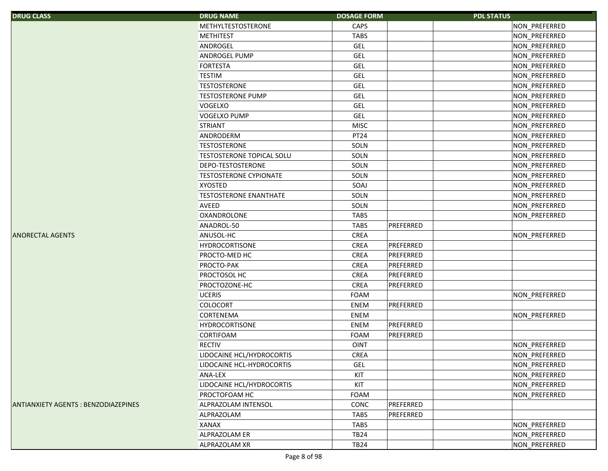| <b>DRUG CLASS</b>                          | <b>DRUG NAME</b>                 | <b>DOSAGE FORM</b> |           | <b>PDL STATUS</b> |
|--------------------------------------------|----------------------------------|--------------------|-----------|-------------------|
|                                            | <b>METHYLTESTOSTERONE</b>        | CAPS               |           | NON_PREFERRED     |
|                                            | <b>METHITEST</b>                 | <b>TABS</b>        |           | NON_PREFERRED     |
|                                            | ANDROGEL                         | <b>GEL</b>         |           | NON_PREFERRED     |
|                                            | ANDROGEL PUMP                    | <b>GEL</b>         |           | NON_PREFERRED     |
|                                            | <b>FORTESTA</b>                  | GEL                |           | NON_PREFERRED     |
|                                            | <b>TESTIM</b>                    | <b>GEL</b>         |           | NON_PREFERRED     |
|                                            | <b>TESTOSTERONE</b>              | <b>GEL</b>         |           | NON_PREFERRED     |
|                                            | <b>TESTOSTERONE PUMP</b>         | GEL                |           | NON_PREFERRED     |
|                                            | <b>VOGELXO</b>                   | <b>GEL</b>         |           | NON_PREFERRED     |
|                                            | <b>VOGELXO PUMP</b>              | <b>GEL</b>         |           | NON_PREFERRED     |
|                                            | <b>STRIANT</b>                   | <b>MISC</b>        |           | NON_PREFERRED     |
|                                            | ANDRODERM                        | PT24               |           | NON_PREFERRED     |
|                                            | <b>TESTOSTERONE</b>              | SOLN               |           | NON_PREFERRED     |
|                                            | <b>TESTOSTERONE TOPICAL SOLU</b> | SOLN               |           | NON_PREFERRED     |
|                                            | DEPO-TESTOSTERONE                | SOLN               |           | NON_PREFERRED     |
|                                            | <b>TESTOSTERONE CYPIONATE</b>    | SOLN               |           | NON_PREFERRED     |
|                                            | <b>XYOSTED</b>                   | SOAJ               |           | NON_PREFERRED     |
|                                            | <b>TESTOSTERONE ENANTHATE</b>    | SOLN               |           | NON PREFERRED     |
|                                            | <b>AVEED</b>                     | SOLN               |           | NON_PREFERRED     |
|                                            | <b>OXANDROLONE</b>               | <b>TABS</b>        |           | NON_PREFERRED     |
|                                            | ANADROL-50                       | <b>TABS</b>        | PREFERRED |                   |
| <b>ANORECTAL AGENTS</b>                    | ANUSOL-HC                        | CREA               |           | NON_PREFERRED     |
|                                            | <b>HYDROCORTISONE</b>            | <b>CREA</b>        | PREFERRED |                   |
|                                            | PROCTO-MED HC                    | CREA               | PREFERRED |                   |
|                                            | PROCTO-PAK                       | CREA               | PREFERRED |                   |
|                                            | PROCTOSOL HC                     | CREA               | PREFERRED |                   |
|                                            | PROCTOZONE-HC                    | CREA               | PREFERRED |                   |
|                                            | <b>UCERIS</b>                    | <b>FOAM</b>        |           | NON_PREFERRED     |
|                                            | <b>COLOCORT</b>                  | ENEM               | PREFERRED |                   |
|                                            | <b>CORTENEMA</b>                 | ENEM               |           | NON_PREFERRED     |
|                                            | <b>HYDROCORTISONE</b>            | ENEM               | PREFERRED |                   |
|                                            | <b>CORTIFOAM</b>                 | FOAM               | PREFERRED |                   |
|                                            | <b>RECTIV</b>                    | <b>OINT</b>        |           | NON_PREFERRED     |
|                                            | LIDOCAINE HCL/HYDROCORTIS        | <b>CREA</b>        |           | NON PREFERRED     |
|                                            | LIDOCAINE HCL-HYDROCORTIS        | <b>GEL</b>         |           | NON_PREFERRED     |
|                                            | ANA-LEX                          | KIT                |           | NON_PREFERRED     |
|                                            | LIDOCAINE HCL/HYDROCORTIS        | KIT                |           | NON PREFERRED     |
|                                            | PROCTOFOAM HC                    | FOAM               |           | NON_PREFERRED     |
| <b>ANTIANXIETY AGENTS: BENZODIAZEPINES</b> | ALPRAZOLAM INTENSOL              | CONC               | PREFERRED |                   |
|                                            | ALPRAZOLAM                       | <b>TABS</b>        | PREFERRED |                   |
|                                            | <b>XANAX</b>                     | <b>TABS</b>        |           | NON_PREFERRED     |
|                                            | ALPRAZOLAM ER                    | <b>TB24</b>        |           | NON PREFERRED     |
|                                            | ALPRAZOLAM XR                    | <b>TB24</b>        |           | NON PREFERRED     |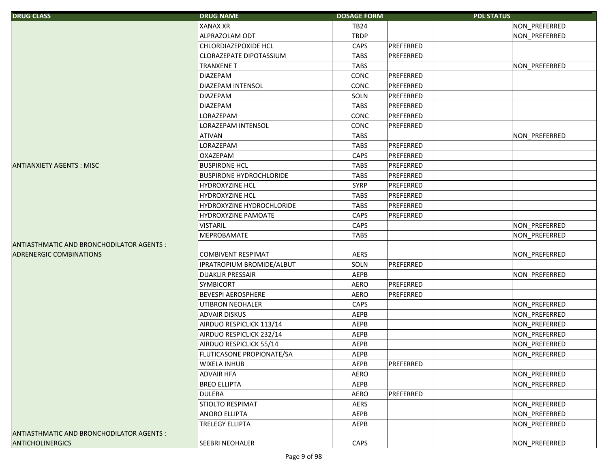| <b>DRUG CLASS</b>                         | <b>DRUG NAME</b>               | <b>DOSAGE FORM</b> |           | <b>PDL STATUS</b> |               |
|-------------------------------------------|--------------------------------|--------------------|-----------|-------------------|---------------|
|                                           | <b>XANAX XR</b>                | <b>TB24</b>        |           |                   | NON_PREFERRED |
|                                           | ALPRAZOLAM ODT                 | <b>TBDP</b>        |           |                   | NON_PREFERRED |
|                                           | CHLORDIAZEPOXIDE HCL           | CAPS               | PREFERRED |                   |               |
|                                           | CLORAZEPATE DIPOTASSIUM        | <b>TABS</b>        | PREFERRED |                   |               |
|                                           | <b>TRANXENE T</b>              | <b>TABS</b>        |           |                   | NON_PREFERRED |
|                                           | <b>DIAZEPAM</b>                | CONC               | PREFERRED |                   |               |
|                                           | DIAZEPAM INTENSOL              | CONC               | PREFERRED |                   |               |
|                                           | <b>DIAZEPAM</b>                | SOLN               | PREFERRED |                   |               |
|                                           | <b>DIAZEPAM</b>                | <b>TABS</b>        | PREFERRED |                   |               |
|                                           | LORAZEPAM                      | CONC               | PREFERRED |                   |               |
|                                           | LORAZEPAM INTENSOL             | CONC               | PREFERRED |                   |               |
|                                           | <b>ATIVAN</b>                  | <b>TABS</b>        |           |                   | NON_PREFERRED |
|                                           | LORAZEPAM                      | <b>TABS</b>        | PREFERRED |                   |               |
|                                           | <b>OXAZEPAM</b>                | CAPS               | PREFERRED |                   |               |
| <b>ANTIANXIETY AGENTS: MISC</b>           | <b>BUSPIRONE HCL</b>           | <b>TABS</b>        | PREFERRED |                   |               |
|                                           | <b>BUSPIRONE HYDROCHLORIDE</b> | <b>TABS</b>        | PREFERRED |                   |               |
|                                           | <b>HYDROXYZINE HCL</b>         | <b>SYRP</b>        | PREFERRED |                   |               |
|                                           | <b>HYDROXYZINE HCL</b>         | <b>TABS</b>        | PREFERRED |                   |               |
|                                           | HYDROXYZINE HYDROCHLORIDE      | <b>TABS</b>        | PREFERRED |                   |               |
|                                           | <b>HYDROXYZINE PAMOATE</b>     | CAPS               | PREFERRED |                   |               |
|                                           | <b>VISTARIL</b>                | CAPS               |           |                   | NON_PREFERRED |
|                                           | MEPROBAMATE                    | TABS               |           |                   | NON_PREFERRED |
| ANTIASTHMATIC AND BRONCHODILATOR AGENTS : |                                |                    |           |                   |               |
| <b>ADRENERGIC COMBINATIONS</b>            | <b>COMBIVENT RESPIMAT</b>      | AERS               |           |                   | NON_PREFERRED |
|                                           | IPRATROPIUM BROMIDE/ALBUT      | SOLN               | PREFERRED |                   |               |
|                                           | <b>DUAKLIR PRESSAIR</b>        | AEPB               |           |                   | NON_PREFERRED |
|                                           | SYMBICORT                      | <b>AERO</b>        | PREFERRED |                   |               |
|                                           | <b>BEVESPI AEROSPHERE</b>      | AERO               | PREFERRED |                   |               |
|                                           | <b>UTIBRON NEOHALER</b>        | CAPS               |           |                   | NON_PREFERRED |
|                                           | <b>ADVAIR DISKUS</b>           | AEPB               |           |                   | NON PREFERRED |
|                                           | AIRDUO RESPICLICK 113/14       | AEPB               |           |                   | NON_PREFERRED |
|                                           | AIRDUO RESPICLICK 232/14       | AEPB               |           |                   | NON_PREFERRED |
|                                           | AIRDUO RESPICLICK 55/14        | AEPB               |           |                   | NON_PREFERRED |
|                                           | FLUTICASONE PROPIONATE/SA      | AEPB               |           |                   | NON PREFERRED |
|                                           | <b>WIXELA INHUB</b>            | AEPB               | PREFERRED |                   |               |
|                                           | <b>ADVAIR HFA</b>              | AERO               |           |                   | NON_PREFERRED |
|                                           | <b>BREO ELLIPTA</b>            | AEPB               |           |                   | NON_PREFERRED |
|                                           | <b>DULERA</b>                  | <b>AERO</b>        | PREFERRED |                   |               |
|                                           | STIOLTO RESPIMAT               | AERS               |           |                   | NON PREFERRED |
|                                           | <b>ANORO ELLIPTA</b>           | AEPB               |           |                   | NON_PREFERRED |
|                                           | <b>TRELEGY ELLIPTA</b>         | AEPB               |           |                   | NON_PREFERRED |
| ANTIASTHMATIC AND BRONCHODILATOR AGENTS : |                                |                    |           |                   |               |
| <b>ANTICHOLINERGICS</b>                   | <b>SEEBRI NEOHALER</b>         | CAPS               |           |                   | NON_PREFERRED |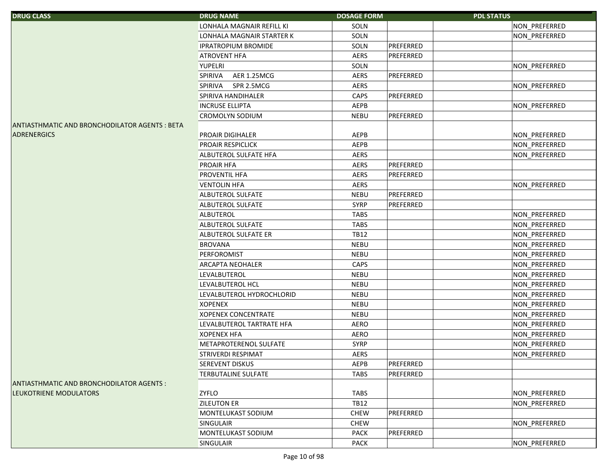| <b>DRUG CLASS</b>                              | <b>DRUG NAME</b>              | <b>DOSAGE FORM</b> |           | <b>PDL STATUS</b> |               |
|------------------------------------------------|-------------------------------|--------------------|-----------|-------------------|---------------|
|                                                | LONHALA MAGNAIR REFILL KI     | SOLN               |           |                   | NON_PREFERRED |
|                                                | LONHALA MAGNAIR STARTER K     | SOLN               |           |                   | NON_PREFERRED |
|                                                | <b>IPRATROPIUM BROMIDE</b>    | SOLN               | PREFERRED |                   |               |
|                                                | <b>ATROVENT HFA</b>           | <b>AERS</b>        | PREFERRED |                   |               |
|                                                | <b>YUPELRI</b>                | SOLN               |           |                   | NON_PREFERRED |
|                                                | AER 1.25MCG<br><b>SPIRIVA</b> | <b>AERS</b>        | PREFERRED |                   |               |
|                                                | SPIRIVA<br>SPR 2.5MCG         | <b>AERS</b>        |           |                   | NON_PREFERRED |
|                                                | SPIRIVA HANDIHALER            | CAPS               | PREFERRED |                   |               |
|                                                | <b>INCRUSE ELLIPTA</b>        | AEPB               |           |                   | NON_PREFERRED |
|                                                | <b>CROMOLYN SODIUM</b>        | <b>NEBU</b>        | PREFERRED |                   |               |
| ANTIASTHMATIC AND BRONCHODILATOR AGENTS : BETA |                               |                    |           |                   |               |
| <b>ADRENERGICS</b>                             | PROAIR DIGIHALER              | AEPB               |           |                   | NON_PREFERRED |
|                                                | PROAIR RESPICLICK             | AEPB               |           |                   | NON_PREFERRED |
|                                                | ALBUTEROL SULFATE HFA         | AERS               |           |                   | NON_PREFERRED |
|                                                | PROAIR HFA                    | AERS               | PREFERRED |                   |               |
|                                                | PROVENTIL HFA                 | AERS               | PREFERRED |                   |               |
|                                                | <b>VENTOLIN HFA</b>           | AERS               |           |                   | NON_PREFERRED |
|                                                | ALBUTEROL SULFATE             | <b>NEBU</b>        | PREFERRED |                   |               |
|                                                | ALBUTEROL SULFATE             | <b>SYRP</b>        | PREFERRED |                   |               |
|                                                | <b>ALBUTEROL</b>              | <b>TABS</b>        |           |                   | NON_PREFERRED |
|                                                | ALBUTEROL SULFATE             | <b>TABS</b>        |           |                   | NON PREFERRED |
|                                                | ALBUTEROL SULFATE ER          | <b>TB12</b>        |           |                   | NON_PREFERRED |
|                                                | <b>BROVANA</b>                | <b>NEBU</b>        |           |                   | NON_PREFERRED |
|                                                | PERFOROMIST                   | <b>NEBU</b>        |           |                   | NON_PREFERRED |
|                                                | ARCAPTA NEOHALER              | CAPS               |           |                   | NON_PREFERRED |
|                                                | LEVALBUTEROL                  | <b>NEBU</b>        |           |                   | NON_PREFERRED |
|                                                | LEVALBUTEROL HCL              | <b>NEBU</b>        |           |                   | NON_PREFERRED |
|                                                | LEVALBUTEROL HYDROCHLORID     | <b>NEBU</b>        |           |                   | NON_PREFERRED |
|                                                | <b>XOPENEX</b>                | <b>NEBU</b>        |           |                   | NON_PREFERRED |
|                                                | <b>XOPENEX CONCENTRATE</b>    | <b>NEBU</b>        |           |                   | NON_PREFERRED |
|                                                | LEVALBUTEROL TARTRATE HFA     | AERO               |           |                   | NON_PREFERRED |
|                                                | <b>XOPENEX HFA</b>            | AERO               |           |                   | NON_PREFERRED |
|                                                | METAPROTERENOL SULFATE        | <b>SYRP</b>        |           |                   | NON_PREFERRED |
|                                                | STRIVERDI RESPIMAT            | AERS               |           |                   | NON_PREFERRED |
|                                                | <b>SEREVENT DISKUS</b>        | AEPB               | PREFERRED |                   |               |
|                                                | <b>TERBUTALINE SULFATE</b>    | <b>TABS</b>        | PREFERRED |                   |               |
| ANTIASTHMATIC AND BRONCHODILATOR AGENTS :      |                               |                    |           |                   |               |
| <b>LEUKOTRIENE MODULATORS</b>                  | <b>ZYFLO</b>                  | <b>TABS</b>        |           |                   | NON_PREFERRED |
|                                                | <b>ZILEUTON ER</b>            | <b>TB12</b>        |           |                   | NON PREFERRED |
|                                                | MONTELUKAST SODIUM            | <b>CHEW</b>        | PREFERRED |                   |               |
|                                                | <b>SINGULAIR</b>              | <b>CHEW</b>        |           |                   | NON_PREFERRED |
|                                                | MONTELUKAST SODIUM            | <b>PACK</b>        | PREFERRED |                   |               |
|                                                | <b>SINGULAIR</b>              | <b>PACK</b>        |           |                   | NON PREFERRED |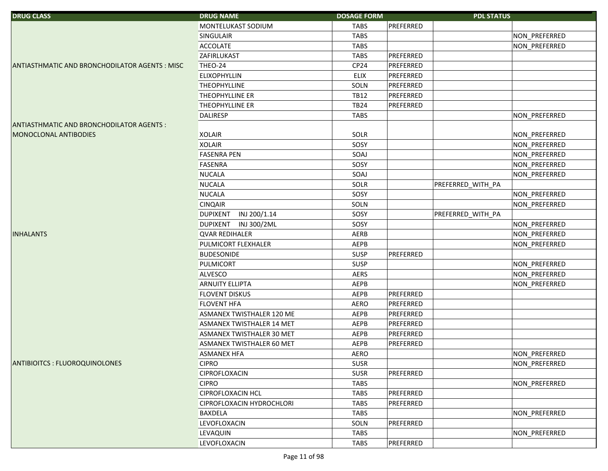| <b>DRUG CLASS</b>                                    | <b>DRUG NAME</b>                | <b>DOSAGE FORM</b> | <b>PDL STATUS</b> |               |
|------------------------------------------------------|---------------------------------|--------------------|-------------------|---------------|
|                                                      | MONTELUKAST SODIUM              | <b>TABS</b>        | PREFERRED         |               |
|                                                      | <b>SINGULAIR</b>                | <b>TABS</b>        |                   | NON PREFERRED |
|                                                      | <b>ACCOLATE</b>                 | <b>TABS</b>        |                   | NON_PREFERRED |
|                                                      | ZAFIRLUKAST                     | <b>TABS</b>        | PREFERRED         |               |
| <b>ANTIASTHMATIC AND BRONCHODILATOR AGENTS: MISC</b> | THEO-24                         | CP <sub>24</sub>   | PREFERRED         |               |
|                                                      | <b>ELIXOPHYLLIN</b>             | <b>ELIX</b>        | PREFERRED         |               |
|                                                      | <b>THEOPHYLLINE</b>             | SOLN               | PREFERRED         |               |
|                                                      | <b>THEOPHYLLINE ER</b>          | <b>TB12</b>        | PREFERRED         |               |
|                                                      | <b>THEOPHYLLINE ER</b>          | <b>TB24</b>        | PREFERRED         |               |
|                                                      | <b>DALIRESP</b>                 | <b>TABS</b>        |                   | NON_PREFERRED |
| ANTIASTHMATIC AND BRONCHODILATOR AGENTS :            |                                 |                    |                   |               |
| MONOCLONAL ANTIBODIES                                | <b>XOLAIR</b>                   | SOLR               |                   | NON_PREFERRED |
|                                                      | <b>XOLAIR</b>                   | SOSY               |                   | NON_PREFERRED |
|                                                      | <b>FASENRA PEN</b>              | SOAJ               |                   | NON_PREFERRED |
|                                                      | <b>FASENRA</b>                  | SOSY               |                   | NON_PREFERRED |
|                                                      | <b>NUCALA</b>                   | SOAJ               |                   | NON_PREFERRED |
|                                                      | <b>NUCALA</b>                   | SOLR               | PREFERRED_WITH_PA |               |
|                                                      | <b>NUCALA</b>                   | SOSY               |                   | NON_PREFERRED |
|                                                      | <b>CINQAIR</b>                  | SOLN               |                   | NON_PREFERRED |
|                                                      | INJ 200/1.14<br><b>DUPIXENT</b> | SOSY               | PREFERRED WITH PA |               |
|                                                      | <b>DUPIXENT</b><br>INJ 300/2ML  | SOSY               |                   | NON_PREFERRED |
| <b>INHALANTS</b>                                     | <b>QVAR REDIHALER</b>           | AERB               |                   | NON_PREFERRED |
|                                                      | PULMICORT FLEXHALER             | AEPB               |                   | NON_PREFERRED |
|                                                      | <b>BUDESONIDE</b>               | <b>SUSP</b>        | PREFERRED         |               |
|                                                      | PULMICORT                       | <b>SUSP</b>        |                   | NON_PREFERRED |
|                                                      | <b>ALVESCO</b>                  | <b>AERS</b>        |                   | NON_PREFERRED |
|                                                      | <b>ARNUITY ELLIPTA</b>          | AEPB               |                   | NON_PREFERRED |
|                                                      | <b>FLOVENT DISKUS</b>           | AEPB               | PREFERRED         |               |
|                                                      | <b>FLOVENT HFA</b>              | <b>AERO</b>        | PREFERRED         |               |
|                                                      | ASMANEX TWISTHALER 120 ME       | AEPB               | PREFERRED         |               |
|                                                      | ASMANEX TWISTHALER 14 MET       | AEPB               | PREFERRED         |               |
|                                                      | ASMANEX TWISTHALER 30 MET       | AEPB               | PREFERRED         |               |
|                                                      | ASMANEX TWISTHALER 60 MET       | AEPB               | PREFERRED         |               |
|                                                      | <b>ASMANEX HFA</b>              | AERO               |                   | NON_PREFERRED |
| <b>ANTIBIOITCS: FLUOROQUINOLONES</b>                 | <b>CIPRO</b>                    | <b>SUSR</b>        |                   | NON_PREFERRED |
|                                                      | CIPROFLOXACIN                   | <b>SUSR</b>        | PREFERRED         |               |
|                                                      | <b>CIPRO</b>                    | <b>TABS</b>        |                   | NON PREFERRED |
|                                                      | CIPROFLOXACIN HCL               | <b>TABS</b>        | PREFERRED         |               |
|                                                      | CIPROFLOXACIN HYDROCHLORI       | <b>TABS</b>        | PREFERRED         |               |
|                                                      | BAXDELA                         | <b>TABS</b>        |                   | NON_PREFERRED |
|                                                      | LEVOFLOXACIN                    | SOLN               | PREFERRED         |               |
|                                                      | <b>LEVAQUIN</b>                 | <b>TABS</b>        |                   | NON_PREFERRED |
|                                                      | LEVOFLOXACIN                    | <b>TABS</b>        | PREFERRED         |               |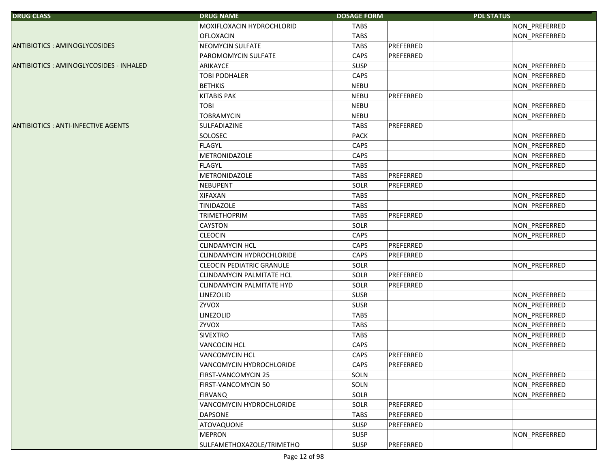| <b>DRUG CLASS</b>                         | <b>DRUG NAME</b>                 | <b>DOSAGE FORM</b>       | <b>PDL STATUS</b> |
|-------------------------------------------|----------------------------------|--------------------------|-------------------|
|                                           | MOXIFLOXACIN HYDROCHLORID        | <b>TABS</b>              | NON_PREFERRED     |
|                                           | <b>OFLOXACIN</b>                 | <b>TABS</b>              | NON_PREFERRED     |
| <b>ANTIBIOTICS: AMINOGLYCOSIDES</b>       | NEOMYCIN SULFATE                 | PREFERRED<br><b>TABS</b> |                   |
|                                           | PAROMOMYCIN SULFATE              | CAPS<br>PREFERRED        |                   |
| ANTIBIOTICS: AMINOGLYCOSIDES - INHALED    | ARIKAYCE                         | <b>SUSP</b>              | NON_PREFERRED     |
|                                           | <b>TOBI PODHALER</b>             | CAPS                     | NON_PREFERRED     |
|                                           | <b>BETHKIS</b>                   | <b>NEBU</b>              | NON_PREFERRED     |
|                                           | <b>KITABIS PAK</b>               | PREFERRED<br><b>NEBU</b> |                   |
|                                           | <b>TOBI</b>                      | <b>NEBU</b>              | NON PREFERRED     |
|                                           | <b>TOBRAMYCIN</b>                | <b>NEBU</b>              | NON_PREFERRED     |
| <b>ANTIBIOTICS: ANTI-INFECTIVE AGENTS</b> | SULFADIAZINE                     | PREFERRED<br><b>TABS</b> |                   |
|                                           | SOLOSEC                          | PACK                     | NON_PREFERRED     |
|                                           | <b>FLAGYL</b>                    | CAPS                     | NON_PREFERRED     |
|                                           | METRONIDAZOLE                    | CAPS                     | NON_PREFERRED     |
|                                           | <b>FLAGYL</b>                    | <b>TABS</b>              | NON_PREFERRED     |
|                                           | METRONIDAZOLE                    | PREFERRED<br><b>TABS</b> |                   |
|                                           | <b>NEBUPENT</b>                  | PREFERRED<br>SOLR        |                   |
|                                           | <b>XIFAXAN</b>                   | <b>TABS</b>              | NON_PREFERRED     |
|                                           | <b>TINIDAZOLE</b>                | <b>TABS</b>              | NON_PREFERRED     |
|                                           | <b>TRIMETHOPRIM</b>              | PREFERRED<br><b>TABS</b> |                   |
|                                           | CAYSTON                          | SOLR                     | NON_PREFERRED     |
|                                           | <b>CLEOCIN</b>                   | CAPS                     | NON_PREFERRED     |
|                                           | <b>CLINDAMYCIN HCL</b>           | PREFERRED<br>CAPS        |                   |
|                                           | CLINDAMYCIN HYDROCHLORIDE        | CAPS<br>PREFERRED        |                   |
|                                           | <b>CLEOCIN PEDIATRIC GRANULE</b> | SOLR                     | NON_PREFERRED     |
|                                           | CLINDAMYCIN PALMITATE HCL        | PREFERRED<br>SOLR        |                   |
|                                           | <b>CLINDAMYCIN PALMITATE HYD</b> | SOLR<br>PREFERRED        |                   |
|                                           | LINEZOLID                        | <b>SUSR</b>              | NON_PREFERRED     |
|                                           | ZYVOX                            | <b>SUSR</b>              | NON_PREFERRED     |
|                                           | LINEZOLID                        | <b>TABS</b>              | NON_PREFERRED     |
|                                           | ZYVOX                            | <b>TABS</b>              | NON PREFERRED     |
|                                           | <b>SIVEXTRO</b>                  | <b>TABS</b>              | NON_PREFERRED     |
|                                           | VANCOCIN HCL                     | CAPS                     | NON_PREFERRED     |
|                                           | VANCOMYCIN HCL                   | CAPS<br>PREFERRED        |                   |
|                                           | VANCOMYCIN HYDROCHLORIDE         | CAPS<br>PREFERRED        |                   |
|                                           | FIRST-VANCOMYCIN 25              | SOLN                     | NON_PREFERRED     |
|                                           | FIRST-VANCOMYCIN 50              | SOLN                     | NON PREFERRED     |
|                                           | <b>FIRVANQ</b>                   | SOLR                     | NON PREFERRED     |
|                                           | VANCOMYCIN HYDROCHLORIDE         | PREFERRED<br>SOLR        |                   |
|                                           | <b>DAPSONE</b>                   | <b>TABS</b><br>PREFERRED |                   |
|                                           | ATOVAQUONE                       | <b>SUSP</b><br>PREFERRED |                   |
|                                           | <b>MEPRON</b>                    | SUSP                     | NON PREFERRED     |
|                                           | SULFAMETHOXAZOLE/TRIMETHO        | SUSP<br>PREFERRED        |                   |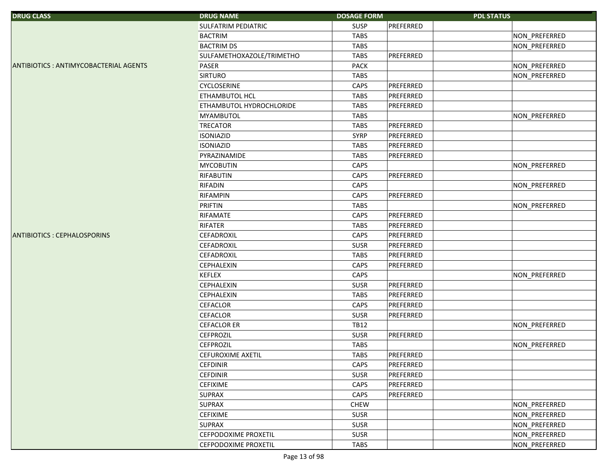| <b>DRUG CLASS</b>                     | <b>DRUG NAME</b>          | <b>DOSAGE FORM</b> | <b>PDL STATUS</b> |               |
|---------------------------------------|---------------------------|--------------------|-------------------|---------------|
|                                       | SULFATRIM PEDIATRIC       | <b>SUSP</b>        | PREFERRED         |               |
|                                       | <b>BACTRIM</b>            | <b>TABS</b>        |                   | NON_PREFERRED |
|                                       | <b>BACTRIM DS</b>         | <b>TABS</b>        |                   | NON_PREFERRED |
|                                       | SULFAMETHOXAZOLE/TRIMETHO | <b>TABS</b>        | PREFERRED         |               |
| ANTIBIOTICS: ANTIMYCOBACTERIAL AGENTS | PASER                     | <b>PACK</b>        |                   | NON_PREFERRED |
|                                       | <b>SIRTURO</b>            | <b>TABS</b>        |                   | NON_PREFERRED |
|                                       | CYCLOSERINE               | CAPS               | PREFERRED         |               |
|                                       | ETHAMBUTOL HCL            | <b>TABS</b>        | PREFERRED         |               |
|                                       | ETHAMBUTOL HYDROCHLORIDE  | <b>TABS</b>        | PREFERRED         |               |
|                                       | MYAMBUTOL                 | <b>TABS</b>        |                   | NON_PREFERRED |
|                                       | <b>TRECATOR</b>           | <b>TABS</b>        | PREFERRED         |               |
|                                       | <b>ISONIAZID</b>          | <b>SYRP</b>        | PREFERRED         |               |
|                                       | <b>ISONIAZID</b>          | <b>TABS</b>        | PREFERRED         |               |
|                                       | PYRAZINAMIDE              | <b>TABS</b>        | PREFERRED         |               |
|                                       | <b>MYCOBUTIN</b>          | CAPS               |                   | NON_PREFERRED |
|                                       | RIFABUTIN                 | CAPS               | PREFERRED         |               |
|                                       | <b>RIFADIN</b>            | CAPS               |                   | NON_PREFERRED |
|                                       | RIFAMPIN                  | CAPS               | PREFERRED         |               |
|                                       | <b>PRIFTIN</b>            | <b>TABS</b>        |                   | NON_PREFERRED |
|                                       | RIFAMATE                  | CAPS               | PREFERRED         |               |
|                                       | <b>RIFATER</b>            | <b>TABS</b>        | PREFERRED         |               |
| ANTIBIOTICS : CEPHALOSPORINS          | CEFADROXIL                | CAPS               | PREFERRED         |               |
|                                       | CEFADROXIL                | <b>SUSR</b>        | PREFERRED         |               |
|                                       | CEFADROXIL                | <b>TABS</b>        | PREFERRED         |               |
|                                       | CEPHALEXIN                | CAPS               | PREFERRED         |               |
|                                       | <b>KEFLEX</b>             | CAPS               |                   | NON_PREFERRED |
|                                       | CEPHALEXIN                | <b>SUSR</b>        | PREFERRED         |               |
|                                       | CEPHALEXIN                | <b>TABS</b>        | PREFERRED         |               |
|                                       | <b>CEFACLOR</b>           | <b>CAPS</b>        | PREFERRED         |               |
|                                       | <b>CEFACLOR</b>           | <b>SUSR</b>        | PREFERRED         |               |
|                                       | <b>CEFACLOR ER</b>        | <b>TB12</b>        |                   | NON_PREFERRED |
|                                       | <b>CEFPROZIL</b>          | <b>SUSR</b>        | PREFERRED         |               |
|                                       | <b>CEFPROZIL</b>          | <b>TABS</b>        |                   | NON_PREFERRED |
|                                       | CEFUROXIME AXETIL         | TABS               | PREFERRED         |               |
|                                       | <b>CEFDINIR</b>           | CAPS               | PREFERRED         |               |
|                                       | <b>CEFDINIR</b>           | <b>SUSR</b>        | PREFERRED         |               |
|                                       | <b>CEFIXIME</b>           | CAPS               | PREFERRED         |               |
|                                       | <b>SUPRAX</b>             | CAPS               | PREFERRED         |               |
|                                       | <b>SUPRAX</b>             | <b>CHEW</b>        |                   | NON_PREFERRED |
|                                       | <b>CEFIXIME</b>           | SUSR               |                   | NON PREFERRED |
|                                       | <b>SUPRAX</b>             | SUSR               |                   | NON_PREFERRED |
|                                       | CEFPODOXIME PROXETIL      | <b>SUSR</b>        |                   | NON_PREFERRED |
|                                       | CEFPODOXIME PROXETIL      | <b>TABS</b>        |                   | NON_PREFERRED |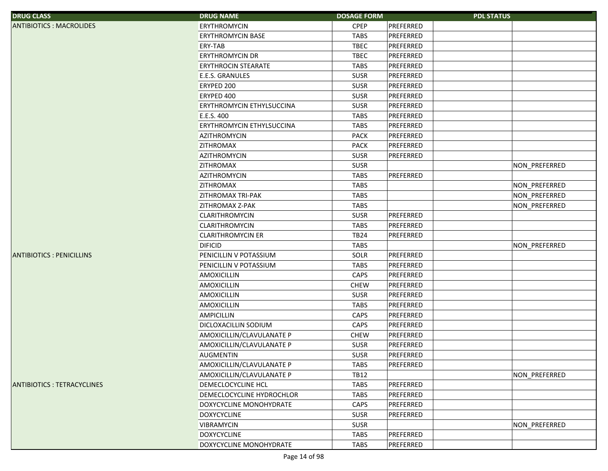| <b>DRUG CLASS</b>                 | <b>DRUG NAME</b>                 | <b>DOSAGE FORM</b> | <b>PDL STATUS</b> |               |
|-----------------------------------|----------------------------------|--------------------|-------------------|---------------|
| <b>ANTIBIOTICS: MACROLIDES</b>    | <b>ERYTHROMYCIN</b>              | <b>CPEP</b>        | PREFERRED         |               |
|                                   | <b>ERYTHROMYCIN BASE</b>         | <b>TABS</b>        | PREFERRED         |               |
|                                   | <b>ERY-TAB</b>                   | <b>TBEC</b>        | PREFERRED         |               |
|                                   | <b>ERYTHROMYCIN DR</b>           | <b>TBEC</b>        | PREFERRED         |               |
|                                   | <b>ERYTHROCIN STEARATE</b>       | <b>TABS</b>        | PREFERRED         |               |
|                                   | E.E.S. GRANULES                  | <b>SUSR</b>        | PREFERRED         |               |
|                                   | ERYPED 200                       | <b>SUSR</b>        | PREFERRED         |               |
|                                   | ERYPED 400                       | <b>SUSR</b>        | PREFERRED         |               |
|                                   | <b>ERYTHROMYCIN ETHYLSUCCINA</b> | <b>SUSR</b>        | PREFERRED         |               |
|                                   | E.E.S. 400                       | <b>TABS</b>        | PREFERRED         |               |
|                                   | ERYTHROMYCIN ETHYLSUCCINA        | <b>TABS</b>        | PREFERRED         |               |
|                                   | <b>AZITHROMYCIN</b>              | <b>PACK</b>        | PREFERRED         |               |
|                                   | ZITHROMAX                        | <b>PACK</b>        | PREFERRED         |               |
|                                   | <b>AZITHROMYCIN</b>              | <b>SUSR</b>        | PREFERRED         |               |
|                                   | ZITHROMAX                        | <b>SUSR</b>        |                   | NON_PREFERRED |
|                                   | <b>AZITHROMYCIN</b>              | <b>TABS</b>        | PREFERRED         |               |
|                                   | ZITHROMAX                        | <b>TABS</b>        |                   | NON_PREFERRED |
|                                   | <b>ZITHROMAX TRI-PAK</b>         | <b>TABS</b>        |                   | NON_PREFERRED |
|                                   | ZITHROMAX Z-PAK                  | <b>TABS</b>        |                   | NON_PREFERRED |
|                                   | CLARITHROMYCIN                   | <b>SUSR</b>        | PREFERRED         |               |
|                                   | <b>CLARITHROMYCIN</b>            | TABS               | PREFERRED         |               |
|                                   | <b>CLARITHROMYCIN ER</b>         | <b>TB24</b>        | PREFERRED         |               |
|                                   | <b>DIFICID</b>                   | <b>TABS</b>        |                   | NON_PREFERRED |
| <b>ANTIBIOTICS: PENICILLINS</b>   | PENICILLIN V POTASSIUM           | SOLR               | PREFERRED         |               |
|                                   | PENICILLIN V POTASSIUM           | <b>TABS</b>        | PREFERRED         |               |
|                                   | AMOXICILLIN                      | CAPS               | PREFERRED         |               |
|                                   | AMOXICILLIN                      | <b>CHEW</b>        | PREFERRED         |               |
|                                   | AMOXICILLIN                      | <b>SUSR</b>        | PREFERRED         |               |
|                                   | AMOXICILLIN                      | <b>TABS</b>        | PREFERRED         |               |
|                                   | <b>AMPICILLIN</b>                | CAPS               | PREFERRED         |               |
|                                   | DICLOXACILLIN SODIUM             | CAPS               | PREFERRED         |               |
|                                   | AMOXICILLIN/CLAVULANATE P        | <b>CHEW</b>        | PREFERRED         |               |
|                                   | AMOXICILLIN/CLAVULANATE P        | <b>SUSR</b>        | PREFERRED         |               |
|                                   | <b>AUGMENTIN</b>                 | <b>SUSR</b>        | PREFERRED         |               |
|                                   | AMOXICILLIN/CLAVULANATE P        | TABS               | PREFERRED         |               |
|                                   | AMOXICILLIN/CLAVULANATE P        | <b>TB12</b>        |                   | NON_PREFERRED |
| <b>ANTIBIOTICS: TETRACYCLINES</b> | DEMECLOCYCLINE HCL               | <b>TABS</b>        | PREFERRED         |               |
|                                   | DEMECLOCYCLINE HYDROCHLOR        | TABS               | PREFERRED         |               |
|                                   | DOXYCYCLINE MONOHYDRATE          | CAPS               | PREFERRED         |               |
|                                   | <b>DOXYCYCLINE</b>               | <b>SUSR</b>        | PREFERRED         |               |
|                                   | <b>VIBRAMYCIN</b>                | <b>SUSR</b>        |                   | NON_PREFERRED |
|                                   | <b>DOXYCYCLINE</b>               | <b>TABS</b>        | PREFERRED         |               |
|                                   | DOXYCYCLINE MONOHYDRATE          | TABS               | PREFERRED         |               |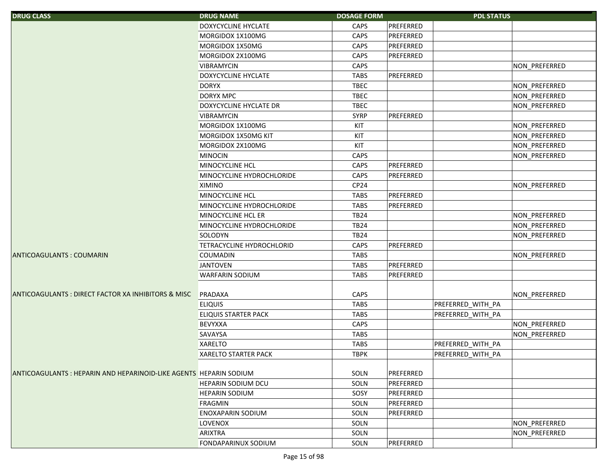| <b>DRUG CLASS</b>                                                  | <b>DRUG NAME</b>                 | <b>DOSAGE FORM</b> |           | <b>PDL STATUS</b> |               |
|--------------------------------------------------------------------|----------------------------------|--------------------|-----------|-------------------|---------------|
|                                                                    | DOXYCYCLINE HYCLATE              | <b>CAPS</b>        | PREFERRED |                   |               |
|                                                                    | MORGIDOX 1X100MG                 | CAPS               | PREFERRED |                   |               |
|                                                                    | MORGIDOX 1X50MG                  | CAPS               | PREFERRED |                   |               |
|                                                                    | MORGIDOX 2X100MG                 | CAPS               | PREFERRED |                   |               |
|                                                                    | <b>VIBRAMYCIN</b>                | CAPS               |           |                   | NON_PREFERRED |
|                                                                    | <b>DOXYCYCLINE HYCLATE</b>       | <b>TABS</b>        | PREFERRED |                   |               |
|                                                                    | <b>DORYX</b>                     | <b>TBEC</b>        |           |                   | NON_PREFERRED |
|                                                                    | <b>DORYX MPC</b>                 | <b>TBEC</b>        |           |                   | NON_PREFERRED |
|                                                                    | DOXYCYCLINE HYCLATE DR           | <b>TBEC</b>        |           |                   | NON_PREFERRED |
|                                                                    | <b>VIBRAMYCIN</b>                | <b>SYRP</b>        | PREFERRED |                   |               |
|                                                                    | MORGIDOX 1X100MG                 | KIT                |           |                   | NON_PREFERRED |
|                                                                    | MORGIDOX 1X50MG KIT              | KIT                |           |                   | NON_PREFERRED |
|                                                                    | MORGIDOX 2X100MG                 | KIT                |           |                   | NON_PREFERRED |
|                                                                    | <b>MINOCIN</b>                   | CAPS               |           |                   | NON_PREFERRED |
|                                                                    | MINOCYCLINE HCL                  | CAPS               | PREFERRED |                   |               |
|                                                                    | MINOCYCLINE HYDROCHLORIDE        | CAPS               | PREFERRED |                   |               |
|                                                                    | <b>XIMINO</b>                    | CP <sub>24</sub>   |           |                   | NON_PREFERRED |
|                                                                    | MINOCYCLINE HCL                  | <b>TABS</b>        | PREFERRED |                   |               |
|                                                                    | MINOCYCLINE HYDROCHLORIDE        | <b>TABS</b>        | PREFERRED |                   |               |
|                                                                    | MINOCYCLINE HCL ER               | <b>TB24</b>        |           |                   | NON_PREFERRED |
|                                                                    | MINOCYCLINE HYDROCHLORIDE        | <b>TB24</b>        |           |                   | NON_PREFERRED |
|                                                                    | <b>SOLODYN</b>                   | <b>TB24</b>        |           |                   | NON_PREFERRED |
|                                                                    | <b>TETRACYCLINE HYDROCHLORID</b> | CAPS               | PREFERRED |                   |               |
| <b>ANTICOAGULANTS: COUMARIN</b>                                    | <b>COUMADIN</b>                  | <b>TABS</b>        |           |                   | NON_PREFERRED |
|                                                                    | <b>JANTOVEN</b>                  | <b>TABS</b>        | PREFERRED |                   |               |
|                                                                    | <b>WARFARIN SODIUM</b>           | <b>TABS</b>        | PREFERRED |                   |               |
|                                                                    |                                  |                    |           |                   |               |
| <b>ANTICOAGULANTS: DIRECT FACTOR XA INHIBITORS &amp; MISC</b>      | PRADAXA                          | CAPS               |           |                   | NON_PREFERRED |
|                                                                    | <b>ELIQUIS</b>                   | <b>TABS</b>        |           | PREFERRED_WITH_PA |               |
|                                                                    | <b>ELIQUIS STARTER PACK</b>      | <b>TABS</b>        |           | PREFERRED_WITH_PA |               |
|                                                                    | <b>BEVYXXA</b>                   | CAPS               |           |                   | NON PREFERRED |
|                                                                    | SAVAYSA                          | <b>TABS</b>        |           |                   | NON PREFERRED |
|                                                                    | <b>XARELTO</b>                   | <b>TABS</b>        |           | PREFERRED_WITH_PA |               |
|                                                                    | <b>XARELTO STARTER PACK</b>      | <b>TBPK</b>        |           | PREFERRED WITH PA |               |
|                                                                    |                                  |                    |           |                   |               |
| ANTICOAGULANTS : HEPARIN AND HEPARINOID-LIKE AGENTS HEPARIN SODIUM |                                  | SOLN               | PREFERRED |                   |               |
|                                                                    | <b>HEPARIN SODIUM DCU</b>        | SOLN               | PREFERRED |                   |               |
|                                                                    | <b>HEPARIN SODIUM</b>            | SOSY               | PREFERRED |                   |               |
|                                                                    | <b>FRAGMIN</b>                   | SOLN               | PREFERRED |                   |               |
|                                                                    | <b>ENOXAPARIN SODIUM</b>         | SOLN               | PREFERRED |                   |               |
|                                                                    | <b>LOVENOX</b>                   | SOLN               |           |                   | NON PREFERRED |
|                                                                    | <b>ARIXTRA</b>                   | SOLN               |           |                   | NON PREFERRED |
|                                                                    | <b>FONDAPARINUX SODIUM</b>       | SOLN               | PREFERRED |                   |               |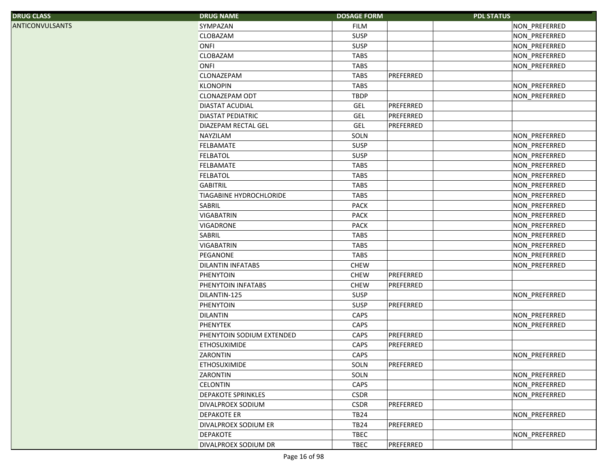| SYMPAZAN<br>NON_PREFERRED<br><b>FILM</b><br>SUSP<br><b>CLOBAZAM</b><br>NON PREFERRED<br>ONFI<br><b>SUSP</b><br>NON_PREFERRED<br>CLOBAZAM<br><b>TABS</b><br>NON_PREFERRED<br>ONFI<br><b>TABS</b><br>NON_PREFERRED<br>CLONAZEPAM<br>PREFERRED<br><b>TABS</b><br><b>KLONOPIN</b><br><b>TABS</b><br>NON_PREFERRED<br>CLONAZEPAM ODT<br><b>TBDP</b><br>NON PREFERRED<br>PREFERRED<br>DIASTAT ACUDIAL<br>GEL<br>GEL<br>PREFERRED<br><b>DIASTAT PEDIATRIC</b><br>GEL<br>PREFERRED<br>DIAZEPAM RECTAL GEL<br>NAYZILAM<br>SOLN<br>NON_PREFERRED<br><b>FELBAMATE</b><br><b>SUSP</b><br>NON_PREFERRED<br><b>FELBATOL</b><br><b>SUSP</b><br>NON_PREFERRED<br>FELBAMATE<br><b>TABS</b><br>NON_PREFERRED<br><b>FELBATOL</b><br><b>TABS</b><br>NON_PREFERRED<br><b>TABS</b><br><b>GABITRIL</b><br>NON_PREFERRED<br><b>TIAGABINE HYDROCHLORIDE</b><br><b>TABS</b><br>NON_PREFERRED<br>SABRIL<br><b>PACK</b><br>NON_PREFERRED<br><b>VIGABATRIN</b><br><b>PACK</b><br>NON_PREFERRED<br><b>VIGADRONE</b><br><b>PACK</b><br>NON_PREFERRED<br>SABRIL<br><b>TABS</b><br>NON_PREFERRED<br><b>TABS</b><br><b>VIGABATRIN</b><br>NON_PREFERRED<br>PEGANONE<br><b>TABS</b><br>NON_PREFERRED<br><b>CHEW</b><br><b>DILANTIN INFATABS</b><br>NON PREFERRED<br>PHENYTOIN<br><b>CHEW</b><br>PREFERRED<br>PHENYTOIN INFATABS<br><b>CHEW</b><br>PREFERRED<br>DILANTIN-125<br><b>SUSP</b><br><b>NON PREFERRED</b><br><b>SUSP</b><br>PHENYTOIN<br>PREFERRED<br><b>DILANTIN</b><br>CAPS<br>NON PREFERRED<br>CAPS<br><b>PHENYTEK</b><br>NON_PREFERRED<br>CAPS<br>PREFERRED<br>PHENYTOIN SODIUM EXTENDED<br><b>ETHOSUXIMIDE</b><br>CAPS<br>PREFERRED<br>ZARONTIN<br>CAPS<br>NON_PREFERRED<br>PREFERRED<br><b>ETHOSUXIMIDE</b><br>SOLN<br>SOLN<br>NON_PREFERRED<br><b>ZARONTIN</b><br><b>CELONTIN</b><br>CAPS<br>NON_PREFERRED<br>DEPAKOTE SPRINKLES<br><b>CSDR</b><br>NON_PREFERRED<br>PREFERRED<br><b>CSDR</b><br>DIVALPROEX SODIUM<br><b>TB24</b><br><b>DEPAKOTE ER</b><br>NON_PREFERRED<br><b>TB24</b><br>PREFERRED<br>DIVALPROEX SODIUM ER | <b>DRUG CLASS</b> | <b>DRUG NAME</b> | <b>DOSAGE FORM</b> | <b>PDL STATUS</b> |
|---------------------------------------------------------------------------------------------------------------------------------------------------------------------------------------------------------------------------------------------------------------------------------------------------------------------------------------------------------------------------------------------------------------------------------------------------------------------------------------------------------------------------------------------------------------------------------------------------------------------------------------------------------------------------------------------------------------------------------------------------------------------------------------------------------------------------------------------------------------------------------------------------------------------------------------------------------------------------------------------------------------------------------------------------------------------------------------------------------------------------------------------------------------------------------------------------------------------------------------------------------------------------------------------------------------------------------------------------------------------------------------------------------------------------------------------------------------------------------------------------------------------------------------------------------------------------------------------------------------------------------------------------------------------------------------------------------------------------------------------------------------------------------------------------------------------------------------------------------------------------------------------------------------------------------------------------------------------------------------------------------|-------------------|------------------|--------------------|-------------------|
|                                                                                                                                                                                                                                                                                                                                                                                                                                                                                                                                                                                                                                                                                                                                                                                                                                                                                                                                                                                                                                                                                                                                                                                                                                                                                                                                                                                                                                                                                                                                                                                                                                                                                                                                                                                                                                                                                                                                                                                                         | ANTICONVULSANTS   |                  |                    |                   |
|                                                                                                                                                                                                                                                                                                                                                                                                                                                                                                                                                                                                                                                                                                                                                                                                                                                                                                                                                                                                                                                                                                                                                                                                                                                                                                                                                                                                                                                                                                                                                                                                                                                                                                                                                                                                                                                                                                                                                                                                         |                   |                  |                    |                   |
|                                                                                                                                                                                                                                                                                                                                                                                                                                                                                                                                                                                                                                                                                                                                                                                                                                                                                                                                                                                                                                                                                                                                                                                                                                                                                                                                                                                                                                                                                                                                                                                                                                                                                                                                                                                                                                                                                                                                                                                                         |                   |                  |                    |                   |
|                                                                                                                                                                                                                                                                                                                                                                                                                                                                                                                                                                                                                                                                                                                                                                                                                                                                                                                                                                                                                                                                                                                                                                                                                                                                                                                                                                                                                                                                                                                                                                                                                                                                                                                                                                                                                                                                                                                                                                                                         |                   |                  |                    |                   |
|                                                                                                                                                                                                                                                                                                                                                                                                                                                                                                                                                                                                                                                                                                                                                                                                                                                                                                                                                                                                                                                                                                                                                                                                                                                                                                                                                                                                                                                                                                                                                                                                                                                                                                                                                                                                                                                                                                                                                                                                         |                   |                  |                    |                   |
|                                                                                                                                                                                                                                                                                                                                                                                                                                                                                                                                                                                                                                                                                                                                                                                                                                                                                                                                                                                                                                                                                                                                                                                                                                                                                                                                                                                                                                                                                                                                                                                                                                                                                                                                                                                                                                                                                                                                                                                                         |                   |                  |                    |                   |
|                                                                                                                                                                                                                                                                                                                                                                                                                                                                                                                                                                                                                                                                                                                                                                                                                                                                                                                                                                                                                                                                                                                                                                                                                                                                                                                                                                                                                                                                                                                                                                                                                                                                                                                                                                                                                                                                                                                                                                                                         |                   |                  |                    |                   |
|                                                                                                                                                                                                                                                                                                                                                                                                                                                                                                                                                                                                                                                                                                                                                                                                                                                                                                                                                                                                                                                                                                                                                                                                                                                                                                                                                                                                                                                                                                                                                                                                                                                                                                                                                                                                                                                                                                                                                                                                         |                   |                  |                    |                   |
|                                                                                                                                                                                                                                                                                                                                                                                                                                                                                                                                                                                                                                                                                                                                                                                                                                                                                                                                                                                                                                                                                                                                                                                                                                                                                                                                                                                                                                                                                                                                                                                                                                                                                                                                                                                                                                                                                                                                                                                                         |                   |                  |                    |                   |
|                                                                                                                                                                                                                                                                                                                                                                                                                                                                                                                                                                                                                                                                                                                                                                                                                                                                                                                                                                                                                                                                                                                                                                                                                                                                                                                                                                                                                                                                                                                                                                                                                                                                                                                                                                                                                                                                                                                                                                                                         |                   |                  |                    |                   |
|                                                                                                                                                                                                                                                                                                                                                                                                                                                                                                                                                                                                                                                                                                                                                                                                                                                                                                                                                                                                                                                                                                                                                                                                                                                                                                                                                                                                                                                                                                                                                                                                                                                                                                                                                                                                                                                                                                                                                                                                         |                   |                  |                    |                   |
|                                                                                                                                                                                                                                                                                                                                                                                                                                                                                                                                                                                                                                                                                                                                                                                                                                                                                                                                                                                                                                                                                                                                                                                                                                                                                                                                                                                                                                                                                                                                                                                                                                                                                                                                                                                                                                                                                                                                                                                                         |                   |                  |                    |                   |
|                                                                                                                                                                                                                                                                                                                                                                                                                                                                                                                                                                                                                                                                                                                                                                                                                                                                                                                                                                                                                                                                                                                                                                                                                                                                                                                                                                                                                                                                                                                                                                                                                                                                                                                                                                                                                                                                                                                                                                                                         |                   |                  |                    |                   |
|                                                                                                                                                                                                                                                                                                                                                                                                                                                                                                                                                                                                                                                                                                                                                                                                                                                                                                                                                                                                                                                                                                                                                                                                                                                                                                                                                                                                                                                                                                                                                                                                                                                                                                                                                                                                                                                                                                                                                                                                         |                   |                  |                    |                   |
|                                                                                                                                                                                                                                                                                                                                                                                                                                                                                                                                                                                                                                                                                                                                                                                                                                                                                                                                                                                                                                                                                                                                                                                                                                                                                                                                                                                                                                                                                                                                                                                                                                                                                                                                                                                                                                                                                                                                                                                                         |                   |                  |                    |                   |
|                                                                                                                                                                                                                                                                                                                                                                                                                                                                                                                                                                                                                                                                                                                                                                                                                                                                                                                                                                                                                                                                                                                                                                                                                                                                                                                                                                                                                                                                                                                                                                                                                                                                                                                                                                                                                                                                                                                                                                                                         |                   |                  |                    |                   |
|                                                                                                                                                                                                                                                                                                                                                                                                                                                                                                                                                                                                                                                                                                                                                                                                                                                                                                                                                                                                                                                                                                                                                                                                                                                                                                                                                                                                                                                                                                                                                                                                                                                                                                                                                                                                                                                                                                                                                                                                         |                   |                  |                    |                   |
|                                                                                                                                                                                                                                                                                                                                                                                                                                                                                                                                                                                                                                                                                                                                                                                                                                                                                                                                                                                                                                                                                                                                                                                                                                                                                                                                                                                                                                                                                                                                                                                                                                                                                                                                                                                                                                                                                                                                                                                                         |                   |                  |                    |                   |
|                                                                                                                                                                                                                                                                                                                                                                                                                                                                                                                                                                                                                                                                                                                                                                                                                                                                                                                                                                                                                                                                                                                                                                                                                                                                                                                                                                                                                                                                                                                                                                                                                                                                                                                                                                                                                                                                                                                                                                                                         |                   |                  |                    |                   |
|                                                                                                                                                                                                                                                                                                                                                                                                                                                                                                                                                                                                                                                                                                                                                                                                                                                                                                                                                                                                                                                                                                                                                                                                                                                                                                                                                                                                                                                                                                                                                                                                                                                                                                                                                                                                                                                                                                                                                                                                         |                   |                  |                    |                   |
|                                                                                                                                                                                                                                                                                                                                                                                                                                                                                                                                                                                                                                                                                                                                                                                                                                                                                                                                                                                                                                                                                                                                                                                                                                                                                                                                                                                                                                                                                                                                                                                                                                                                                                                                                                                                                                                                                                                                                                                                         |                   |                  |                    |                   |
|                                                                                                                                                                                                                                                                                                                                                                                                                                                                                                                                                                                                                                                                                                                                                                                                                                                                                                                                                                                                                                                                                                                                                                                                                                                                                                                                                                                                                                                                                                                                                                                                                                                                                                                                                                                                                                                                                                                                                                                                         |                   |                  |                    |                   |
|                                                                                                                                                                                                                                                                                                                                                                                                                                                                                                                                                                                                                                                                                                                                                                                                                                                                                                                                                                                                                                                                                                                                                                                                                                                                                                                                                                                                                                                                                                                                                                                                                                                                                                                                                                                                                                                                                                                                                                                                         |                   |                  |                    |                   |
|                                                                                                                                                                                                                                                                                                                                                                                                                                                                                                                                                                                                                                                                                                                                                                                                                                                                                                                                                                                                                                                                                                                                                                                                                                                                                                                                                                                                                                                                                                                                                                                                                                                                                                                                                                                                                                                                                                                                                                                                         |                   |                  |                    |                   |
|                                                                                                                                                                                                                                                                                                                                                                                                                                                                                                                                                                                                                                                                                                                                                                                                                                                                                                                                                                                                                                                                                                                                                                                                                                                                                                                                                                                                                                                                                                                                                                                                                                                                                                                                                                                                                                                                                                                                                                                                         |                   |                  |                    |                   |
|                                                                                                                                                                                                                                                                                                                                                                                                                                                                                                                                                                                                                                                                                                                                                                                                                                                                                                                                                                                                                                                                                                                                                                                                                                                                                                                                                                                                                                                                                                                                                                                                                                                                                                                                                                                                                                                                                                                                                                                                         |                   |                  |                    |                   |
|                                                                                                                                                                                                                                                                                                                                                                                                                                                                                                                                                                                                                                                                                                                                                                                                                                                                                                                                                                                                                                                                                                                                                                                                                                                                                                                                                                                                                                                                                                                                                                                                                                                                                                                                                                                                                                                                                                                                                                                                         |                   |                  |                    |                   |
|                                                                                                                                                                                                                                                                                                                                                                                                                                                                                                                                                                                                                                                                                                                                                                                                                                                                                                                                                                                                                                                                                                                                                                                                                                                                                                                                                                                                                                                                                                                                                                                                                                                                                                                                                                                                                                                                                                                                                                                                         |                   |                  |                    |                   |
|                                                                                                                                                                                                                                                                                                                                                                                                                                                                                                                                                                                                                                                                                                                                                                                                                                                                                                                                                                                                                                                                                                                                                                                                                                                                                                                                                                                                                                                                                                                                                                                                                                                                                                                                                                                                                                                                                                                                                                                                         |                   |                  |                    |                   |
|                                                                                                                                                                                                                                                                                                                                                                                                                                                                                                                                                                                                                                                                                                                                                                                                                                                                                                                                                                                                                                                                                                                                                                                                                                                                                                                                                                                                                                                                                                                                                                                                                                                                                                                                                                                                                                                                                                                                                                                                         |                   |                  |                    |                   |
|                                                                                                                                                                                                                                                                                                                                                                                                                                                                                                                                                                                                                                                                                                                                                                                                                                                                                                                                                                                                                                                                                                                                                                                                                                                                                                                                                                                                                                                                                                                                                                                                                                                                                                                                                                                                                                                                                                                                                                                                         |                   |                  |                    |                   |
|                                                                                                                                                                                                                                                                                                                                                                                                                                                                                                                                                                                                                                                                                                                                                                                                                                                                                                                                                                                                                                                                                                                                                                                                                                                                                                                                                                                                                                                                                                                                                                                                                                                                                                                                                                                                                                                                                                                                                                                                         |                   |                  |                    |                   |
|                                                                                                                                                                                                                                                                                                                                                                                                                                                                                                                                                                                                                                                                                                                                                                                                                                                                                                                                                                                                                                                                                                                                                                                                                                                                                                                                                                                                                                                                                                                                                                                                                                                                                                                                                                                                                                                                                                                                                                                                         |                   |                  |                    |                   |
|                                                                                                                                                                                                                                                                                                                                                                                                                                                                                                                                                                                                                                                                                                                                                                                                                                                                                                                                                                                                                                                                                                                                                                                                                                                                                                                                                                                                                                                                                                                                                                                                                                                                                                                                                                                                                                                                                                                                                                                                         |                   |                  |                    |                   |
|                                                                                                                                                                                                                                                                                                                                                                                                                                                                                                                                                                                                                                                                                                                                                                                                                                                                                                                                                                                                                                                                                                                                                                                                                                                                                                                                                                                                                                                                                                                                                                                                                                                                                                                                                                                                                                                                                                                                                                                                         |                   |                  |                    |                   |
|                                                                                                                                                                                                                                                                                                                                                                                                                                                                                                                                                                                                                                                                                                                                                                                                                                                                                                                                                                                                                                                                                                                                                                                                                                                                                                                                                                                                                                                                                                                                                                                                                                                                                                                                                                                                                                                                                                                                                                                                         |                   |                  |                    |                   |
|                                                                                                                                                                                                                                                                                                                                                                                                                                                                                                                                                                                                                                                                                                                                                                                                                                                                                                                                                                                                                                                                                                                                                                                                                                                                                                                                                                                                                                                                                                                                                                                                                                                                                                                                                                                                                                                                                                                                                                                                         |                   |                  |                    |                   |
|                                                                                                                                                                                                                                                                                                                                                                                                                                                                                                                                                                                                                                                                                                                                                                                                                                                                                                                                                                                                                                                                                                                                                                                                                                                                                                                                                                                                                                                                                                                                                                                                                                                                                                                                                                                                                                                                                                                                                                                                         |                   |                  |                    |                   |
|                                                                                                                                                                                                                                                                                                                                                                                                                                                                                                                                                                                                                                                                                                                                                                                                                                                                                                                                                                                                                                                                                                                                                                                                                                                                                                                                                                                                                                                                                                                                                                                                                                                                                                                                                                                                                                                                                                                                                                                                         |                   |                  |                    |                   |
|                                                                                                                                                                                                                                                                                                                                                                                                                                                                                                                                                                                                                                                                                                                                                                                                                                                                                                                                                                                                                                                                                                                                                                                                                                                                                                                                                                                                                                                                                                                                                                                                                                                                                                                                                                                                                                                                                                                                                                                                         |                   |                  |                    |                   |
|                                                                                                                                                                                                                                                                                                                                                                                                                                                                                                                                                                                                                                                                                                                                                                                                                                                                                                                                                                                                                                                                                                                                                                                                                                                                                                                                                                                                                                                                                                                                                                                                                                                                                                                                                                                                                                                                                                                                                                                                         |                   |                  |                    |                   |
| <b>DEPAKOTE</b><br><b>TBEC</b><br>NON_PREFERRED                                                                                                                                                                                                                                                                                                                                                                                                                                                                                                                                                                                                                                                                                                                                                                                                                                                                                                                                                                                                                                                                                                                                                                                                                                                                                                                                                                                                                                                                                                                                                                                                                                                                                                                                                                                                                                                                                                                                                         |                   |                  |                    |                   |
| DIVALPROEX SODIUM DR<br><b>TBEC</b><br>PREFERRED                                                                                                                                                                                                                                                                                                                                                                                                                                                                                                                                                                                                                                                                                                                                                                                                                                                                                                                                                                                                                                                                                                                                                                                                                                                                                                                                                                                                                                                                                                                                                                                                                                                                                                                                                                                                                                                                                                                                                        |                   |                  |                    |                   |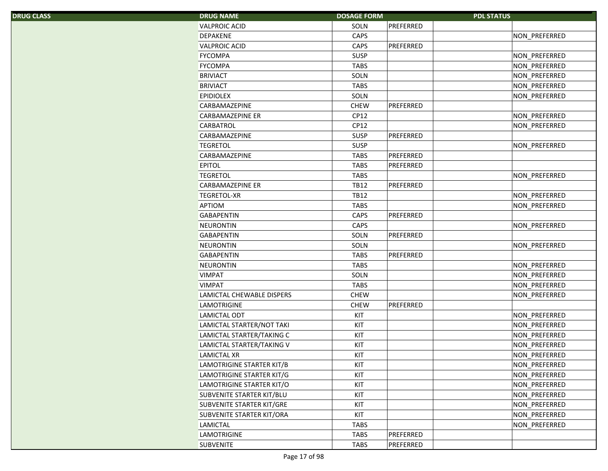| S. | <b>DRUG NAME</b>          | <b>DOSAGE FORM</b> |           | <b>PDL STATUS</b>    |
|----|---------------------------|--------------------|-----------|----------------------|
|    | <b>VALPROIC ACID</b>      | SOLN               | PREFERRED |                      |
|    | <b>DEPAKENE</b>           | CAPS               |           | NON_PREFERRED        |
|    | <b>VALPROIC ACID</b>      | CAPS               | PREFERRED |                      |
|    | <b>FYCOMPA</b>            | <b>SUSP</b>        |           | NON_PREFERRED        |
|    | <b>FYCOMPA</b>            | <b>TABS</b>        |           | NON_PREFERRED        |
|    | <b>BRIVIACT</b>           | SOLN               |           | NON_PREFERRED        |
|    | <b>BRIVIACT</b>           | <b>TABS</b>        |           | NON_PREFERRED        |
|    | <b>EPIDIOLEX</b>          | SOLN               |           | NON PREFERRED        |
|    | CARBAMAZEPINE             | <b>CHEW</b>        | PREFERRED |                      |
|    | CARBAMAZEPINE ER          | CP12               |           | NON_PREFERRED        |
|    | CARBATROL                 | CP12               |           | NON_PREFERRED        |
|    | CARBAMAZEPINE             | <b>SUSP</b>        | PREFERRED |                      |
|    | <b>TEGRETOL</b>           | <b>SUSP</b>        |           | NON_PREFERRED        |
|    | CARBAMAZEPINE             | <b>TABS</b>        | PREFERRED |                      |
|    | <b>EPITOL</b>             | <b>TABS</b>        | PREFERRED |                      |
|    | <b>TEGRETOL</b>           | <b>TABS</b>        |           | NON PREFERRED        |
|    | <b>CARBAMAZEPINE ER</b>   | <b>TB12</b>        | PREFERRED |                      |
|    | <b>TEGRETOL-XR</b>        | <b>TB12</b>        |           | NON_PREFERRED        |
|    | APTIOM                    | <b>TABS</b>        |           | NON_PREFERRED        |
|    | <b>GABAPENTIN</b>         | CAPS               | PREFERRED |                      |
|    | <b>NEURONTIN</b>          | CAPS               |           | NON_PREFERRED        |
|    | <b>GABAPENTIN</b>         | SOLN               | PREFERRED |                      |
|    | <b>NEURONTIN</b>          | SOLN               |           | NON_PREFERRED        |
|    | <b>GABAPENTIN</b>         | <b>TABS</b>        | PREFERRED |                      |
|    | <b>NEURONTIN</b>          | <b>TABS</b>        |           | NON_PREFERRED        |
|    | <b>VIMPAT</b>             | SOLN               |           | NON_PREFERRED        |
|    | <b>VIMPAT</b>             | <b>TABS</b>        |           | NON_PREFERRED        |
|    | LAMICTAL CHEWABLE DISPERS | <b>CHEW</b>        |           | <b>NON PREFERRED</b> |
|    | <b>LAMOTRIGINE</b>        | <b>CHEW</b>        | PREFERRED |                      |
|    | LAMICTAL ODT              | KIT                |           | NON_PREFERRED        |
|    | LAMICTAL STARTER/NOT TAKI | KIT                |           | NON PREFERRED        |
|    | LAMICTAL STARTER/TAKING C | KIT                |           | NON PREFERRED        |
|    | LAMICTAL STARTER/TAKING V | KIT                |           | NON PREFERRED        |
|    | LAMICTAL XR               | KIT                |           | NON_PREFERRED        |
|    | LAMOTRIGINE STARTER KIT/B | KIT                |           | NON_PREFERRED        |
|    | LAMOTRIGINE STARTER KIT/G | KIT                |           | NON_PREFERRED        |
|    | LAMOTRIGINE STARTER KIT/O | KIT                |           | NON_PREFERRED        |
|    | SUBVENITE STARTER KIT/BLU | KIT                |           | NON_PREFERRED        |
|    | SUBVENITE STARTER KIT/GRE | KIT                |           | NON_PREFERRED        |
|    | SUBVENITE STARTER KIT/ORA | KIT                |           | NON_PREFERRED        |
|    | LAMICTAL                  | <b>TABS</b>        |           | NON PREFERRED        |
|    | <b>LAMOTRIGINE</b>        | <b>TABS</b>        | PREFERRED |                      |
|    | <b>SUBVENITE</b>          | <b>TABS</b>        | PREFERRED |                      |
|    |                           |                    |           |                      |

DRUG CLASS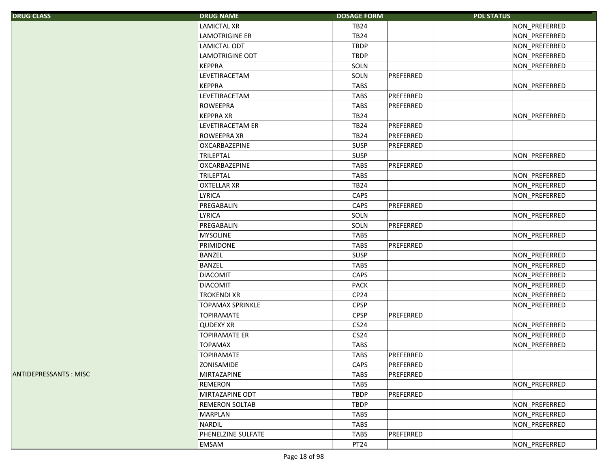| <b>DRUG CLASS</b> |  |  |
|-------------------|--|--|
|                   |  |  |

| S.                  | <b>DRUG NAME</b>        | <b>DOSAGE FORM</b> |           | <b>PDL STATUS</b> |
|---------------------|-------------------------|--------------------|-----------|-------------------|
|                     | <b>LAMICTAL XR</b>      | <b>TB24</b>        |           | NON PREFERRED     |
|                     | <b>LAMOTRIGINE ER</b>   | <b>TB24</b>        |           | NON PREFERRED     |
|                     | LAMICTAL ODT            | <b>TBDP</b>        |           | NON_PREFERRED     |
|                     | LAMOTRIGINE ODT         | <b>TBDP</b>        |           | NON PREFERRED     |
|                     | <b>KEPPRA</b>           | SOLN               |           | NON_PREFERRED     |
|                     | LEVETIRACETAM           | SOLN               | PREFERRED |                   |
|                     | <b>KEPPRA</b>           | <b>TABS</b>        |           | NON_PREFERRED     |
|                     | LEVETIRACETAM           | <b>TABS</b>        | PREFERRED |                   |
|                     | <b>ROWEEPRA</b>         | <b>TABS</b>        | PREFERRED |                   |
|                     | <b>KEPPRA XR</b>        | <b>TB24</b>        |           | NON PREFERRED     |
|                     | LEVETIRACETAM ER        | <b>TB24</b>        | PREFERRED |                   |
|                     | ROWEEPRA XR             | <b>TB24</b>        | PREFERRED |                   |
|                     | OXCARBAZEPINE           | <b>SUSP</b>        | PREFERRED |                   |
|                     | <b>TRILEPTAL</b>        | <b>SUSP</b>        |           | NON PREFERRED     |
|                     | OXCARBAZEPINE           | <b>TABS</b>        | PREFERRED |                   |
|                     | <b>TRILEPTAL</b>        | <b>TABS</b>        |           | NON_PREFERRED     |
|                     | <b>OXTELLAR XR</b>      | <b>TB24</b>        |           | NON_PREFERRED     |
|                     | <b>LYRICA</b>           | CAPS               |           | NON PREFERRED     |
|                     | PREGABALIN              | CAPS               | PREFERRED |                   |
|                     | LYRICA                  | SOLN               |           | NON PREFERRED     |
|                     | PREGABALIN              | SOLN               | PREFERRED |                   |
|                     | <b>MYSOLINE</b>         | <b>TABS</b>        |           | NON_PREFERRED     |
|                     | PRIMIDONE               | <b>TABS</b>        | PREFERRED |                   |
|                     | BANZEL                  | <b>SUSP</b>        |           | NON_PREFERRED     |
|                     | BANZEL                  | <b>TABS</b>        |           | NON_PREFERRED     |
|                     | <b>DIACOMIT</b>         | CAPS               |           | NON_PREFERRED     |
|                     | <b>DIACOMIT</b>         | <b>PACK</b>        |           | NON_PREFERRED     |
|                     | <b>TROKENDI XR</b>      | CP <sub>24</sub>   |           | NON_PREFERRED     |
|                     | <b>TOPAMAX SPRINKLE</b> | <b>CPSP</b>        |           | NON PREFERRED     |
|                     | <b>TOPIRAMATE</b>       | <b>CPSP</b>        | PREFERRED |                   |
|                     | <b>QUDEXY XR</b>        | CS24               |           | NON PREFERRED     |
|                     | <b>TOPIRAMATE ER</b>    | CS24               |           | NON_PREFERRED     |
|                     | <b>TOPAMAX</b>          | <b>TABS</b>        |           | NON_PREFERRED     |
|                     | <b>TOPIRAMATE</b>       | <b>TABS</b>        | PREFERRED |                   |
|                     | ZONISAMIDE              | CAPS               | PREFERRED |                   |
| <b>SSANTS: MISC</b> | MIRTAZAPINE             | <b>TABS</b>        | PREFERRED |                   |
|                     | <b>REMERON</b>          | <b>TABS</b>        |           | NON_PREFERRED     |
|                     | MIRTAZAPINE ODT         | <b>TBDP</b>        | PREFERRED |                   |
|                     | <b>REMERON SOLTAB</b>   | <b>TBDP</b>        |           | NON_PREFERRED     |
|                     | MARPLAN                 | <b>TABS</b>        |           | NON_PREFERRED     |
|                     | NARDIL                  | TABS               |           | NON_PREFERRED     |
|                     | PHENELZINE SULFATE      | <b>TABS</b>        | PREFERRED |                   |
|                     | EMSAM                   | PT24               |           | NON PREFERRED     |

**ANTIDEPRESSANTS : MISC**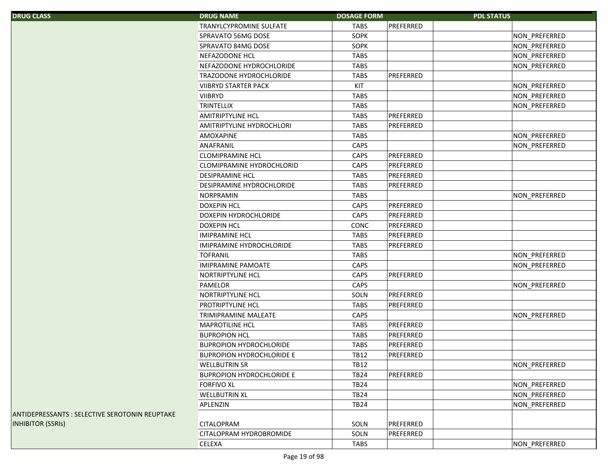| <b>DRUG CLASS</b>                              | <b>DRUG NAME</b>                 | <b>DOSAGE FORM</b> |           | <b>PDL STATUS</b> |                      |
|------------------------------------------------|----------------------------------|--------------------|-----------|-------------------|----------------------|
|                                                | TRANYLCYPROMINE SULFATE          | TABS               | PREFERRED |                   |                      |
|                                                | SPRAVATO 56MG DOSE               | SOPK               |           |                   | NON PREFERRED        |
|                                                | <b>SPRAVATO 84MG DOSE</b>        | SOPK               |           |                   | NON_PREFERRED        |
|                                                | NEFAZODONE HCL                   | <b>TABS</b>        |           |                   | NON_PREFERRED        |
|                                                | NEFAZODONE HYDROCHLORIDE         | <b>TABS</b>        |           |                   | NON PREFERRED        |
|                                                | <b>TRAZODONE HYDROCHLORIDE</b>   | <b>TABS</b>        | PREFERRED |                   |                      |
|                                                | <b>VIIBRYD STARTER PACK</b>      | KIT                |           |                   | NON_PREFERRED        |
|                                                | <b>VIIBRYD</b>                   | <b>TABS</b>        |           |                   | NON PREFERRED        |
|                                                | <b>TRINTELLIX</b>                | <b>TABS</b>        |           |                   | NON_PREFERRED        |
|                                                | <b>AMITRIPTYLINE HCL</b>         | <b>TABS</b>        | PREFERRED |                   |                      |
|                                                | AMITRIPTYLINE HYDROCHLORI        | <b>TABS</b>        | PREFERRED |                   |                      |
|                                                | <b>AMOXAPINE</b>                 | <b>TABS</b>        |           |                   | NON_PREFERRED        |
|                                                | ANAFRANIL                        | CAPS               |           |                   | NON PREFERRED        |
|                                                | <b>CLOMIPRAMINE HCL</b>          | CAPS               | PREFERRED |                   |                      |
|                                                | <b>CLOMIPRAMINE HYDROCHLORID</b> | CAPS               | PREFERRED |                   |                      |
|                                                | <b>DESIPRAMINE HCL</b>           | <b>TABS</b>        | PREFERRED |                   |                      |
|                                                | DESIPRAMINE HYDROCHLORIDE        | <b>TABS</b>        | PREFERRED |                   |                      |
|                                                | <b>NORPRAMIN</b>                 | <b>TABS</b>        |           |                   | <b>NON PREFERRED</b> |
|                                                | <b>DOXEPIN HCL</b>               | CAPS               | PREFERRED |                   |                      |
|                                                | DOXEPIN HYDROCHLORIDE            | CAPS               | PREFERRED |                   |                      |
|                                                | <b>DOXEPIN HCL</b>               | <b>CONC</b>        | PREFERRED |                   |                      |
|                                                | <b>IMIPRAMINE HCL</b>            | <b>TABS</b>        | PREFERRED |                   |                      |
|                                                | IMIPRAMINE HYDROCHLORIDE         | <b>TABS</b>        | PREFERRED |                   |                      |
|                                                | <b>TOFRANIL</b>                  | TABS               |           |                   | NON_PREFERRED        |
|                                                | <b>IMIPRAMINE PAMOATE</b>        | CAPS               |           |                   | NON PREFERRED        |
|                                                | NORTRIPTYLINE HCL                | CAPS               | PREFERRED |                   |                      |
|                                                | PAMELOR                          | CAPS               |           |                   | NON PREFERRED        |
|                                                | <b>NORTRIPTYLINE HCL</b>         | SOLN               | PREFERRED |                   |                      |
|                                                | PROTRIPTYLINE HCL                | <b>TABS</b>        | PREFERRED |                   |                      |
|                                                | <b>TRIMIPRAMINE MALEATE</b>      | CAPS               |           |                   | NON PREFERRED        |
|                                                | <b>MAPROTILINE HCL</b>           | <b>TABS</b>        | PREFERRED |                   |                      |
|                                                | <b>BUPROPION HCL</b>             | <b>TABS</b>        | PREFERRED |                   |                      |
|                                                | <b>BUPROPION HYDROCHLORIDE</b>   | <b>TABS</b>        | PREFERRED |                   |                      |
|                                                | <b>BUPROPION HYDROCHLORIDE E</b> | <b>TB12</b>        | PREFERRED |                   |                      |
|                                                | <b>WELLBUTRIN SR</b>             | <b>TB12</b>        |           |                   | NON_PREFERRED        |
|                                                | <b>BUPROPION HYDROCHLORIDE E</b> | <b>TB24</b>        | PREFERRED |                   |                      |
|                                                | <b>FORFIVO XL</b>                | <b>TB24</b>        |           |                   | NON_PREFERRED        |
|                                                | <b>WELLBUTRIN XL</b>             | <b>TB24</b>        |           |                   | NON_PREFERRED        |
|                                                | APLENZIN                         | <b>TB24</b>        |           |                   | NON_PREFERRED        |
| ANTIDEPRESSANTS : SELECTIVE SEROTONIN REUPTAKE |                                  |                    |           |                   |                      |
| <b>INHIBITOR (SSRIS)</b>                       | <b>CITALOPRAM</b>                | SOLN               | PREFERRED |                   |                      |
|                                                | <b>CITALOPRAM HYDROBROMIDE</b>   | SOLN               | PREFERRED |                   |                      |
|                                                | CELEXA                           | <b>TABS</b>        |           |                   | NON_PREFERRED        |
|                                                |                                  |                    |           |                   |                      |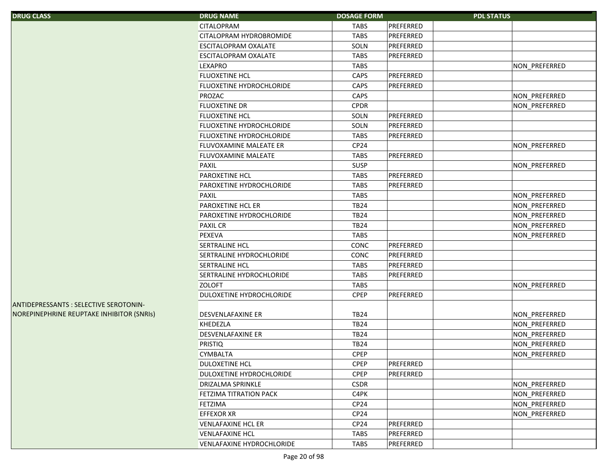| <b>DRUG CLASS</b>                            | <b>DRUG NAME</b>                 | <b>DOSAGE FORM</b> | <b>PDL STATUS</b> |               |
|----------------------------------------------|----------------------------------|--------------------|-------------------|---------------|
|                                              | <b>CITALOPRAM</b>                | <b>TABS</b>        | PREFERRED         |               |
|                                              | CITALOPRAM HYDROBROMIDE          | <b>TABS</b>        | PREFERRED         |               |
|                                              | <b>ESCITALOPRAM OXALATE</b>      | SOLN               | PREFERRED         |               |
|                                              | ESCITALOPRAM OXALATE             | <b>TABS</b>        | PREFERRED         |               |
|                                              | <b>LEXAPRO</b>                   | <b>TABS</b>        |                   | NON_PREFERRED |
|                                              | <b>FLUOXETINE HCL</b>            | CAPS               | PREFERRED         |               |
|                                              | FLUOXETINE HYDROCHLORIDE         | CAPS               | PREFERRED         |               |
|                                              | PROZAC                           | CAPS               |                   | NON_PREFERRED |
|                                              | <b>FLUOXETINE DR</b>             | <b>CPDR</b>        |                   | NON_PREFERRED |
|                                              | FLUOXETINE HCL                   | SOLN               | PREFERRED         |               |
|                                              | FLUOXETINE HYDROCHLORIDE         | SOLN               | PREFERRED         |               |
|                                              | FLUOXETINE HYDROCHLORIDE         | <b>TABS</b>        | PREFERRED         |               |
|                                              | FLUVOXAMINE MALEATE ER           | CP24               |                   | NON_PREFERRED |
|                                              | FLUVOXAMINE MALEATE              | <b>TABS</b>        | PREFERRED         |               |
|                                              | <b>PAXIL</b>                     | <b>SUSP</b>        |                   | NON_PREFERRED |
|                                              | PAROXETINE HCL                   | <b>TABS</b>        | PREFERRED         |               |
|                                              | PAROXETINE HYDROCHLORIDE         | <b>TABS</b>        | PREFERRED         |               |
|                                              | <b>PAXIL</b>                     | <b>TABS</b>        |                   | NON_PREFERRED |
|                                              | PAROXETINE HCL ER                | <b>TB24</b>        |                   | NON_PREFERRED |
|                                              | PAROXETINE HYDROCHLORIDE         | <b>TB24</b>        |                   | NON_PREFERRED |
|                                              | <b>PAXIL CR</b>                  | <b>TB24</b>        |                   | NON_PREFERRED |
|                                              | <b>PEXEVA</b>                    | <b>TABS</b>        |                   | NON_PREFERRED |
|                                              | SERTRALINE HCL                   | CONC               | PREFERRED         |               |
|                                              | SERTRALINE HYDROCHLORIDE         | CONC               | PREFERRED         |               |
|                                              | <b>SERTRALINE HCL</b>            | <b>TABS</b>        | PREFERRED         |               |
|                                              | SERTRALINE HYDROCHLORIDE         | <b>TABS</b>        | PREFERRED         |               |
|                                              | <b>ZOLOFT</b>                    | <b>TABS</b>        |                   | NON_PREFERRED |
|                                              | DULOXETINE HYDROCHLORIDE         | <b>CPEP</b>        | PREFERRED         |               |
| <b>ANTIDEPRESSANTS: SELECTIVE SEROTONIN-</b> |                                  |                    |                   |               |
| NOREPINEPHRINE REUPTAKE INHIBITOR (SNRIS)    | <b>DESVENLAFAXINE ER</b>         | <b>TB24</b>        |                   | NON_PREFERRED |
|                                              | <b>KHEDEZLA</b>                  | <b>TB24</b>        |                   | NON_PREFERRED |
|                                              | <b>DESVENLAFAXINE ER</b>         | <b>TB24</b>        |                   | NON_PREFERRED |
|                                              | <b>PRISTIQ</b>                   | <b>TB24</b>        |                   | NON_PREFERRED |
|                                              | <b>CYMBALTA</b>                  | <b>CPEP</b>        |                   | NON_PREFERRED |
|                                              | DULOXETINE HCL                   | <b>CPEP</b>        | PREFERRED         |               |
|                                              | DULOXETINE HYDROCHLORIDE         | <b>CPEP</b>        | PREFERRED         |               |
|                                              | <b>DRIZALMA SPRINKLE</b>         | <b>CSDR</b>        |                   | NON_PREFERRED |
|                                              | <b>FETZIMA TITRATION PACK</b>    | C4PK               |                   | NON_PREFERRED |
|                                              | <b>FETZIMA</b>                   | CP24               |                   | NON PREFERRED |
|                                              | <b>EFFEXOR XR</b>                | CP24               |                   | NON PREFERRED |
|                                              | <b>VENLAFAXINE HCL ER</b>        | CP <sub>24</sub>   | PREFERRED         |               |
|                                              | <b>VENLAFAXINE HCL</b>           | <b>TABS</b>        | PREFERRED         |               |
|                                              | <b>VENLAFAXINE HYDROCHLORIDE</b> | <b>TABS</b>        | PREFERRED         |               |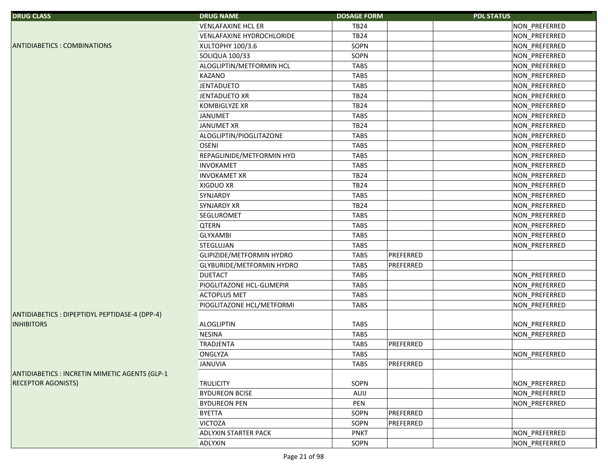| <b>DRUG CLASS</b>                              | <b>DRUG NAME</b>            | <b>DOSAGE FORM</b>       | <b>PDL STATUS</b> |
|------------------------------------------------|-----------------------------|--------------------------|-------------------|
|                                                | <b>VENLAFAXINE HCL ER</b>   | <b>TB24</b>              | NON_PREFERRED     |
|                                                | VENLAFAXINE HYDROCHLORIDE   | <b>TB24</b>              | NON_PREFERRED     |
| <b>ANTIDIABETICS: COMBINATIONS</b>             | XULTOPHY 100/3.6            | SOPN                     | NON_PREFERRED     |
|                                                | SOLIQUA 100/33              | SOPN                     | NON_PREFERRED     |
|                                                | ALOGLIPTIN/METFORMIN HCL    | <b>TABS</b>              | NON_PREFERRED     |
|                                                | KAZANO                      | <b>TABS</b>              | NON_PREFERRED     |
|                                                | <b>JENTADUETO</b>           | <b>TABS</b>              | NON_PREFERRED     |
|                                                | JENTADUETO XR               | <b>TB24</b>              | NON_PREFERRED     |
|                                                | <b>KOMBIGLYZE XR</b>        | <b>TB24</b>              | NON_PREFERRED     |
|                                                | <b>JANUMET</b>              | <b>TABS</b>              | NON_PREFERRED     |
|                                                | <b>JANUMET XR</b>           | <b>TB24</b>              | NON_PREFERRED     |
|                                                | ALOGLIPTIN/PIOGLITAZONE     | <b>TABS</b>              | NON_PREFERRED     |
|                                                | <b>OSENI</b>                | <b>TABS</b>              | NON_PREFERRED     |
|                                                | REPAGLINIDE/METFORMIN HYD   | <b>TABS</b>              | NON_PREFERRED     |
|                                                | <b>INVOKAMET</b>            | <b>TABS</b>              | NON_PREFERRED     |
|                                                | <b>INVOKAMET XR</b>         | <b>TB24</b>              | NON_PREFERRED     |
|                                                | <b>XIGDUO XR</b>            | <b>TB24</b>              | NON_PREFERRED     |
|                                                | SYNJARDY                    | <b>TABS</b>              | NON_PREFERRED     |
|                                                | <b>SYNJARDY XR</b>          | <b>TB24</b>              | NON_PREFERRED     |
|                                                | <b>SEGLUROMET</b>           | <b>TABS</b>              | NON_PREFERRED     |
|                                                | <b>QTERN</b>                | <b>TABS</b>              | NON_PREFERRED     |
|                                                | <b>GLYXAMBI</b>             | <b>TABS</b>              | NON_PREFERRED     |
|                                                | STEGLUJAN                   | <b>TABS</b>              | NON_PREFERRED     |
|                                                | GLIPIZIDE/METFORMIN HYDRO   | PREFERRED<br><b>TABS</b> |                   |
|                                                | GLYBURIDE/METFORMIN HYDRO   | <b>TABS</b><br>PREFERRED |                   |
|                                                | <b>DUETACT</b>              | TABS                     | NON_PREFERRED     |
|                                                | PIOGLITAZONE HCL-GLIMEPIR   | <b>TABS</b>              | NON_PREFERRED     |
|                                                | <b>ACTOPLUS MET</b>         | <b>TABS</b>              | NON_PREFERRED     |
|                                                | PIOGLITAZONE HCL/METFORMI   | <b>TABS</b>              | NON_PREFERRED     |
| ANTIDIABETICS : DIPEPTIDYL PEPTIDASE-4 (DPP-4) |                             |                          |                   |
| <b>INHIBITORS</b>                              | <b>ALOGLIPTIN</b>           | <b>TABS</b>              | NON_PREFERRED     |
|                                                | <b>NESINA</b>               | <b>TABS</b>              | NON_PREFERRED     |
|                                                | TRADJENTA                   | PREFERRED<br><b>TABS</b> |                   |
|                                                | <b>ONGLYZA</b>              | <b>TABS</b>              | NON_PREFERRED     |
|                                                | JANUVIA                     | <b>TABS</b><br>PREFERRED |                   |
| ANTIDIABETICS : INCRETIN MIMETIC AGENTS (GLP-1 |                             |                          |                   |
| <b>RECEPTOR AGONISTS)</b>                      | <b>TRULICITY</b>            | SOPN                     | NON PREFERRED     |
|                                                | <b>BYDUREON BCISE</b>       | AUIJ                     | NON PREFERRED     |
|                                                | <b>BYDUREON PEN</b>         | PEN                      | NON PREFERRED     |
|                                                | <b>BYETTA</b>               | PREFERRED<br>SOPN        |                   |
|                                                | <b>VICTOZA</b>              | PREFERRED<br>SOPN        |                   |
|                                                | <b>ADLYXIN STARTER PACK</b> | <b>PNKT</b>              | NON_PREFERRED     |
|                                                | ADLYXIN                     | SOPN                     | NON_PREFERRED     |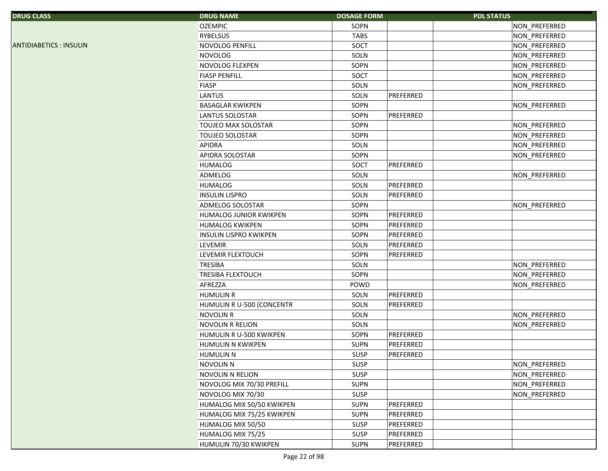| <b>DRUG CLASS</b>             | <b>DRUG NAME</b>              | <b>DOSAGE FORM</b> |           | <b>PDL STATUS</b> |
|-------------------------------|-------------------------------|--------------------|-----------|-------------------|
|                               | <b>OZEMPIC</b>                | SOPN               |           | NON_PREFERRED     |
|                               | <b>RYBELSUS</b>               | <b>TABS</b>        |           | NON_PREFERRED     |
| <b>ANTIDIABETICS: INSULIN</b> | NOVOLOG PENFILL               | SOCT               |           | NON_PREFERRED     |
|                               | <b>NOVOLOG</b>                | SOLN               |           | NON_PREFERRED     |
|                               | NOVOLOG FLEXPEN               | SOPN               |           | NON PREFERRED     |
|                               | <b>FIASP PENFILL</b>          | SOCT               |           | NON_PREFERRED     |
|                               | <b>FIASP</b>                  | SOLN               |           | NON_PREFERRED     |
|                               | <b>LANTUS</b>                 | SOLN               | PREFERRED |                   |
|                               | <b>BASAGLAR KWIKPEN</b>       | SOPN               |           | NON PREFERRED     |
|                               | LANTUS SOLOSTAR               | SOPN               | PREFERRED |                   |
|                               | TOUJEO MAX SOLOSTAR           | SOPN               |           | NON_PREFERRED     |
|                               | <b>TOUJEO SOLOSTAR</b>        | SOPN               |           | NON_PREFERRED     |
|                               | <b>APIDRA</b>                 | SOLN               |           | NON_PREFERRED     |
|                               | APIDRA SOLOSTAR               | SOPN               |           | NON_PREFERRED     |
|                               | <b>HUMALOG</b>                | SOCT               | PREFERRED |                   |
|                               | ADMELOG                       | SOLN               |           | NON PREFERRED     |
|                               | <b>HUMALOG</b>                | SOLN               | PREFERRED |                   |
|                               | <b>INSULIN LISPRO</b>         | SOLN               | PREFERRED |                   |
|                               | ADMELOG SOLOSTAR              | SOPN               |           | NON_PREFERRED     |
|                               | HUMALOG JUNIOR KWIKPEN        | SOPN               | PREFERRED |                   |
|                               | <b>HUMALOG KWIKPEN</b>        | SOPN               | PREFERRED |                   |
|                               | <b>INSULIN LISPRO KWIKPEN</b> | SOPN               | PREFERRED |                   |
|                               | <b>LEVEMIR</b>                | SOLN               | PREFERRED |                   |
|                               | LEVEMIR FLEXTOUCH             | SOPN               | PREFERRED |                   |
|                               | <b>TRESIBA</b>                | SOLN               |           | NON_PREFERRED     |
|                               | <b>TRESIBA FLEXTOUCH</b>      | SOPN               |           | NON_PREFERRED     |
|                               | AFREZZA                       | POWD               |           | NON PREFERRED     |
|                               | <b>HUMULIN R</b>              | SOLN               | PREFERRED |                   |
|                               | HUMULIN R U-500 (CONCENTR     | SOLN               | PREFERRED |                   |
|                               | <b>NOVOLIN R</b>              | SOLN               |           | NON_PREFERRED     |
|                               | <b>NOVOLIN R RELION</b>       | SOLN               |           | NON PREFERRED     |
|                               | HUMULIN R U-500 KWIKPEN       | SOPN               | PREFERRED |                   |
|                               | HUMULIN N KWIKPEN             | <b>SUPN</b>        | PREFERRED |                   |
|                               | <b>HUMULIN N</b>              | SUSP               | PREFERRED |                   |
|                               | <b>NOVOLIN N</b>              | <b>SUSP</b>        |           | NON_PREFERRED     |
|                               | <b>NOVOLIN N RELION</b>       | SUSP               |           | NON_PREFERRED     |
|                               | NOVOLOG MIX 70/30 PREFILL     | <b>SUPN</b>        |           | NON PREFERRED     |
|                               | NOVOLOG MIX 70/30             | SUSP               |           | NON PREFERRED     |
|                               | HUMALOG MIX 50/50 KWIKPEN     | <b>SUPN</b>        | PREFERRED |                   |
|                               | HUMALOG MIX 75/25 KWIKPEN     | <b>SUPN</b>        | PREFERRED |                   |
|                               | HUMALOG MIX 50/50             | <b>SUSP</b>        | PREFERRED |                   |
|                               | HUMALOG MIX 75/25             | SUSP               | PREFERRED |                   |
|                               | HUMULIN 70/30 KWIKPEN         | <b>SUPN</b>        | PREFERRED |                   |
|                               |                               |                    |           |                   |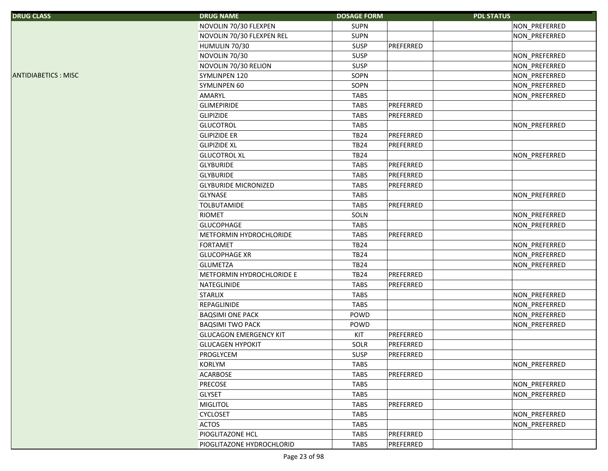| <b>DRUG CLASS</b>          | <b>DRUG NAME</b>              | <b>DOSAGE FORM</b> | <b>PDL STATUS</b> |               |
|----------------------------|-------------------------------|--------------------|-------------------|---------------|
|                            | NOVOLIN 70/30 FLEXPEN         | <b>SUPN</b>        |                   | NON_PREFERRED |
|                            | NOVOLIN 70/30 FLEXPEN REL     | <b>SUPN</b>        |                   | NON PREFERRED |
|                            | HUMULIN 70/30                 | <b>SUSP</b>        | PREFERRED         |               |
|                            | NOVOLIN 70/30                 | <b>SUSP</b>        |                   | NON_PREFERRED |
|                            | NOVOLIN 70/30 RELION          | <b>SUSP</b>        |                   | NON_PREFERRED |
| <b>ANTIDIABETICS: MISC</b> | SYMLINPEN 120                 | SOPN               |                   | NON_PREFERRED |
|                            | <b>SYMLINPEN 60</b>           | SOPN               |                   | NON_PREFERRED |
|                            | AMARYL                        | <b>TABS</b>        |                   | NON_PREFERRED |
|                            | <b>GLIMEPIRIDE</b>            | <b>TABS</b>        | PREFERRED         |               |
|                            | <b>GLIPIZIDE</b>              | <b>TABS</b>        | PREFERRED         |               |
|                            | <b>GLUCOTROL</b>              | <b>TABS</b>        |                   | NON PREFERRED |
|                            | <b>GLIPIZIDE ER</b>           | <b>TB24</b>        | PREFERRED         |               |
|                            | <b>GLIPIZIDE XL</b>           | <b>TB24</b>        | PREFERRED         |               |
|                            | <b>GLUCOTROL XL</b>           | <b>TB24</b>        |                   | NON_PREFERRED |
|                            | <b>GLYBURIDE</b>              | <b>TABS</b>        | PREFERRED         |               |
|                            | <b>GLYBURIDE</b>              | <b>TABS</b>        | PREFERRED         |               |
|                            | <b>GLYBURIDE MICRONIZED</b>   | <b>TABS</b>        | PREFERRED         |               |
|                            | <b>GLYNASE</b>                | <b>TABS</b>        |                   | NON_PREFERRED |
|                            | <b>TOLBUTAMIDE</b>            | <b>TABS</b>        | PREFERRED         |               |
|                            | <b>RIOMET</b>                 | SOLN               |                   | NON_PREFERRED |
|                            | <b>GLUCOPHAGE</b>             | <b>TABS</b>        |                   | NON_PREFERRED |
|                            | METFORMIN HYDROCHLORIDE       | <b>TABS</b>        | PREFERRED         |               |
|                            | <b>FORTAMET</b>               | <b>TB24</b>        |                   | NON_PREFERRED |
|                            | <b>GLUCOPHAGE XR</b>          | <b>TB24</b>        |                   | NON_PREFERRED |
|                            | <b>GLUMETZA</b>               | <b>TB24</b>        |                   | NON_PREFERRED |
|                            | METFORMIN HYDROCHLORIDE E     | <b>TB24</b>        | PREFERRED         |               |
|                            | NATEGLINIDE                   | <b>TABS</b>        | PREFERRED         |               |
|                            | <b>STARLIX</b>                | <b>TABS</b>        |                   | NON_PREFERRED |
|                            | <b>REPAGLINIDE</b>            | <b>TABS</b>        |                   | NON_PREFERRED |
|                            | <b>BAQSIMI ONE PACK</b>       | POWD               |                   | NON_PREFERRED |
|                            | <b>BAQSIMI TWO PACK</b>       | POWD               |                   | NON PREFERRED |
|                            | <b>GLUCAGON EMERGENCY KIT</b> | KIT                | PREFERRED         |               |
|                            | <b>GLUCAGEN HYPOKIT</b>       | SOLR               | PREFERRED         |               |
|                            | PROGLYCEM                     | <b>SUSP</b>        | PREFERRED         |               |
|                            | KORLYM                        | <b>TABS</b>        |                   | NON PREFERRED |
|                            | <b>ACARBOSE</b>               | <b>TABS</b>        | PREFERRED         |               |
|                            | <b>PRECOSE</b>                | <b>TABS</b>        |                   | NON_PREFERRED |
|                            | <b>GLYSET</b>                 | <b>TABS</b>        |                   | NON PREFERRED |
|                            | <b>MIGLITOL</b>               | <b>TABS</b>        | PREFERRED         |               |
|                            | <b>CYCLOSET</b>               | <b>TABS</b>        |                   | NON_PREFERRED |
|                            | <b>ACTOS</b>                  | <b>TABS</b>        |                   | NON PREFERRED |
|                            | PIOGLITAZONE HCL              | <b>TABS</b>        | PREFERRED         |               |
|                            | PIOGLITAZONE HYDROCHLORID     | <b>TABS</b>        | PREFERRED         |               |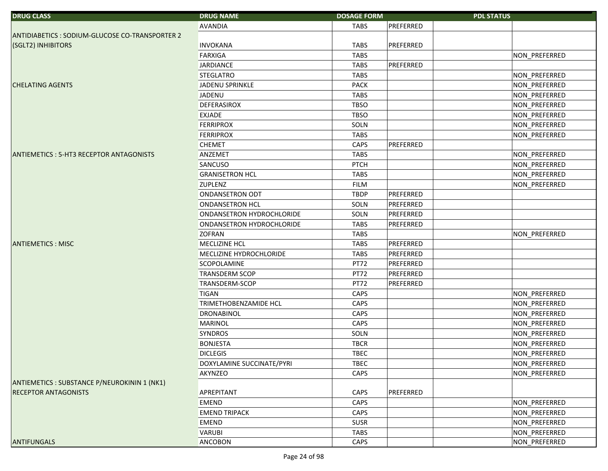| <b>DRUG CLASS</b>                              | <b>DRUG NAME</b>          | <b>DOSAGE FORM</b> |           | <b>PDL STATUS</b> |
|------------------------------------------------|---------------------------|--------------------|-----------|-------------------|
|                                                | <b>AVANDIA</b>            | <b>TABS</b>        | PREFERRED |                   |
| ANTIDIABETICS: SODIUM-GLUCOSE CO-TRANSPORTER 2 |                           |                    |           |                   |
| (SGLT2) INHIBITORS                             | <b>INVOKANA</b>           | <b>TABS</b>        | PREFERRED |                   |
|                                                | <b>FARXIGA</b>            | <b>TABS</b>        |           | NON_PREFERRED     |
|                                                | <b>JARDIANCE</b>          | <b>TABS</b>        | PREFERRED |                   |
|                                                | <b>STEGLATRO</b>          | <b>TABS</b>        |           | NON_PREFERRED     |
| <b>CHELATING AGENTS</b>                        | JADENU SPRINKLE           | <b>PACK</b>        |           | NON_PREFERRED     |
|                                                | JADENU                    | <b>TABS</b>        |           | NON_PREFERRED     |
|                                                | <b>DEFERASIROX</b>        | <b>TBSO</b>        |           | NON_PREFERRED     |
|                                                | <b>EXJADE</b>             | <b>TBSO</b>        |           | NON_PREFERRED     |
|                                                | <b>FERRIPROX</b>          | SOLN               |           | NON_PREFERRED     |
|                                                | <b>FERRIPROX</b>          | <b>TABS</b>        |           | NON_PREFERRED     |
|                                                | <b>CHEMET</b>             | CAPS               | PREFERRED |                   |
| ANTIEMETICS: 5-HT3 RECEPTOR ANTAGONISTS        | ANZEMET                   | <b>TABS</b>        |           | NON_PREFERRED     |
|                                                | <b>SANCUSO</b>            | <b>PTCH</b>        |           | NON_PREFERRED     |
|                                                | <b>GRANISETRON HCL</b>    | <b>TABS</b>        |           | NON_PREFERRED     |
|                                                | <b>ZUPLENZ</b>            | <b>FILM</b>        |           | NON_PREFERRED     |
|                                                | <b>ONDANSETRON ODT</b>    | <b>TBDP</b>        | PREFERRED |                   |
|                                                | <b>ONDANSETRON HCL</b>    | SOLN               | PREFERRED |                   |
|                                                | ONDANSETRON HYDROCHLORIDE | SOLN               | PREFERRED |                   |
|                                                | ONDANSETRON HYDROCHLORIDE | <b>TABS</b>        | PREFERRED |                   |
|                                                | <b>ZOFRAN</b>             | <b>TABS</b>        |           | NON_PREFERRED     |
| <b>ANTIEMETICS: MISC</b>                       | <b>MECLIZINE HCL</b>      | <b>TABS</b>        | PREFERRED |                   |
|                                                | MECLIZINE HYDROCHLORIDE   | <b>TABS</b>        | PREFERRED |                   |
|                                                | SCOPOLAMINE               | PT72               | PREFERRED |                   |
|                                                | <b>TRANSDERM SCOP</b>     | PT72               | PREFERRED |                   |
|                                                | <b>TRANSDERM-SCOP</b>     | PT72               | PREFERRED |                   |
|                                                | <b>TIGAN</b>              | CAPS               |           | NON_PREFERRED     |
|                                                | TRIMETHOBENZAMIDE HCL     | CAPS               |           | NON_PREFERRED     |
|                                                | <b>DRONABINOL</b>         | CAPS               |           | NON_PREFERRED     |
|                                                | <b>MARINOL</b>            | CAPS               |           | NON_PREFERRED     |
|                                                | <b>SYNDROS</b>            | SOLN               |           | NON_PREFERRED     |
|                                                | <b>BONJESTA</b>           | <b>TBCR</b>        |           | NON_PREFERRED     |
|                                                | <b>DICLEGIS</b>           | <b>TBEC</b>        |           | NON_PREFERRED     |
|                                                | DOXYLAMINE SUCCINATE/PYRI | <b>TBEC</b>        |           | NON_PREFERRED     |
|                                                | <b>AKYNZEO</b>            | CAPS               |           | NON PREFERRED     |
| ANTIEMETICS : SUBSTANCE P/NEUROKININ 1 (NK1)   |                           |                    |           |                   |
| <b>RECEPTOR ANTAGONISTS</b>                    | <b>APREPITANT</b>         | CAPS               | PREFERRED |                   |
|                                                | <b>EMEND</b>              | CAPS               |           | NON PREFERRED     |
|                                                | <b>EMEND TRIPACK</b>      | CAPS               |           | NON_PREFERRED     |
|                                                | <b>EMEND</b>              | <b>SUSR</b>        |           | NON_PREFERRED     |
|                                                | <b>VARUBI</b>             | <b>TABS</b>        |           | NON_PREFERRED     |
| <b>ANTIFUNGALS</b>                             | <b>ANCOBON</b>            | CAPS               |           | NON_PREFERRED     |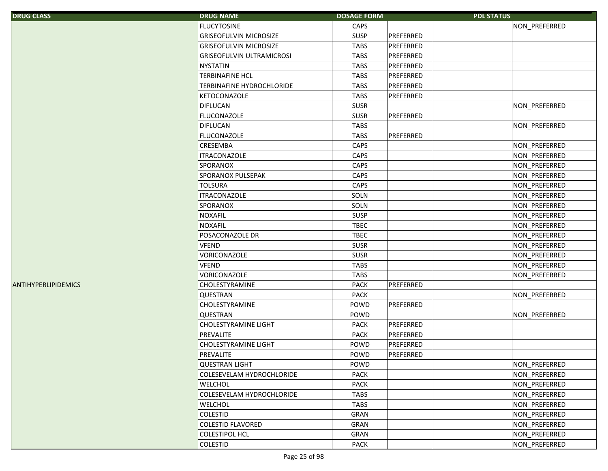| <b>DRUG CLASS</b>   | <b>DRUG NAME</b>                 | <b>DOSAGE FORM</b> |           | <b>PDL STATUS</b> |               |
|---------------------|----------------------------------|--------------------|-----------|-------------------|---------------|
|                     | <b>FLUCYTOSINE</b>               | CAPS               |           |                   | NON_PREFERRED |
|                     | <b>GRISEOFULVIN MICROSIZE</b>    | SUSP               | PREFERRED |                   |               |
|                     | <b>GRISEOFULVIN MICROSIZE</b>    | <b>TABS</b>        | PREFERRED |                   |               |
|                     | <b>GRISEOFULVIN ULTRAMICROSI</b> | <b>TABS</b>        | PREFERRED |                   |               |
|                     | <b>NYSTATIN</b>                  | <b>TABS</b>        | PREFERRED |                   |               |
|                     | <b>TERBINAFINE HCL</b>           | <b>TABS</b>        | PREFERRED |                   |               |
|                     | <b>TERBINAFINE HYDROCHLORIDE</b> | <b>TABS</b>        | PREFERRED |                   |               |
|                     | <b>KETOCONAZOLE</b>              | <b>TABS</b>        | PREFERRED |                   |               |
|                     | <b>DIFLUCAN</b>                  | <b>SUSR</b>        |           |                   | NON_PREFERRED |
|                     | <b>FLUCONAZOLE</b>               | <b>SUSR</b>        | PREFERRED |                   |               |
|                     | <b>DIFLUCAN</b>                  | <b>TABS</b>        |           |                   | NON_PREFERRED |
|                     | <b>FLUCONAZOLE</b>               | <b>TABS</b>        | PREFERRED |                   |               |
|                     | <b>CRESEMBA</b>                  | CAPS               |           |                   | NON_PREFERRED |
|                     | <b>ITRACONAZOLE</b>              | CAPS               |           |                   | NON_PREFERRED |
|                     | SPORANOX                         | CAPS               |           |                   | NON_PREFERRED |
|                     | SPORANOX PULSEPAK                | CAPS               |           |                   | NON_PREFERRED |
|                     | <b>TOLSURA</b>                   | CAPS               |           |                   | NON_PREFERRED |
|                     | <b>ITRACONAZOLE</b>              | SOLN               |           |                   | NON_PREFERRED |
|                     | SPORANOX                         | SOLN               |           |                   | NON_PREFERRED |
|                     | <b>NOXAFIL</b>                   | SUSP               |           |                   | NON_PREFERRED |
|                     | <b>NOXAFIL</b>                   | <b>TBEC</b>        |           |                   | NON_PREFERRED |
|                     | POSACONAZOLE DR                  | <b>TBEC</b>        |           |                   | NON_PREFERRED |
|                     | <b>VFEND</b>                     | <b>SUSR</b>        |           |                   | NON_PREFERRED |
|                     | VORICONAZOLE                     | <b>SUSR</b>        |           |                   | NON_PREFERRED |
|                     | <b>VFEND</b>                     | <b>TABS</b>        |           |                   | NON_PREFERRED |
|                     | VORICONAZOLE                     | <b>TABS</b>        |           |                   | NON_PREFERRED |
| ANTIHYPERLIPIDEMICS | CHOLESTYRAMINE                   | <b>PACK</b>        | PREFERRED |                   |               |
|                     | QUESTRAN                         | <b>PACK</b>        |           |                   | NON_PREFERRED |
|                     | CHOLESTYRAMINE                   | POWD               | PREFERRED |                   |               |
|                     | <b>QUESTRAN</b>                  | POWD               |           |                   | NON_PREFERRED |
|                     | <b>CHOLESTYRAMINE LIGHT</b>      | <b>PACK</b>        | PREFERRED |                   |               |
|                     | PREVALITE                        | <b>PACK</b>        | PREFERRED |                   |               |
|                     | <b>CHOLESTYRAMINE LIGHT</b>      | POWD               | PREFERRED |                   |               |
|                     | <b>PREVALITE</b>                 | POWD               | PREFERRED |                   |               |
|                     | <b>QUESTRAN LIGHT</b>            | POWD               |           |                   | NON PREFERRED |
|                     | COLESEVELAM HYDROCHLORIDE        | PACK               |           |                   | NON_PREFERRED |
|                     | <b>WELCHOL</b>                   | <b>PACK</b>        |           |                   | NON_PREFERRED |
|                     | COLESEVELAM HYDROCHLORIDE        | <b>TABS</b>        |           |                   | NON PREFERRED |
|                     | <b>WELCHOL</b>                   | <b>TABS</b>        |           |                   | NON_PREFERRED |
|                     | <b>COLESTID</b>                  | GRAN               |           |                   | NON_PREFERRED |
|                     | <b>COLESTID FLAVORED</b>         | GRAN               |           |                   | NON PREFERRED |
|                     | <b>COLESTIPOL HCL</b>            | GRAN               |           |                   | NON PREFERRED |
|                     | <b>COLESTID</b>                  | PACK               |           |                   | NON_PREFERRED |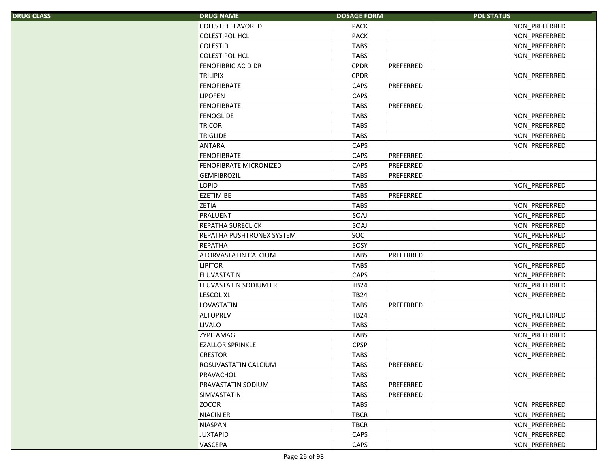| S. | <b>DRUG NAME</b>          | <b>DOSAGE FORM</b> | <b>PDL STATUS</b> |               |
|----|---------------------------|--------------------|-------------------|---------------|
|    | <b>COLESTID FLAVORED</b>  | <b>PACK</b>        |                   | NON PREFERRED |
|    | <b>COLESTIPOL HCL</b>     | <b>PACK</b>        |                   | NON_PREFERRED |
|    | COLESTID                  | <b>TABS</b>        |                   | NON_PREFERRED |
|    | <b>COLESTIPOL HCL</b>     | <b>TABS</b>        |                   | NON_PREFERRED |
|    | FENOFIBRIC ACID DR        | <b>CPDR</b>        | PREFERRED         |               |
|    | <b>TRILIPIX</b>           | <b>CPDR</b>        |                   | NON_PREFERRED |
|    | <b>FENOFIBRATE</b>        | CAPS               | PREFERRED         |               |
|    | <b>LIPOFEN</b>            | CAPS               |                   | NON PREFERRED |
|    | <b>FENOFIBRATE</b>        | <b>TABS</b>        | PREFERRED         |               |
|    | <b>FENOGLIDE</b>          | <b>TABS</b>        |                   | NON_PREFERRED |
|    | <b>TRICOR</b>             | <b>TABS</b>        |                   | NON_PREFERRED |
|    | <b>TRIGLIDE</b>           | <b>TABS</b>        |                   | NON_PREFERRED |
|    | <b>ANTARA</b>             | CAPS               |                   | NON_PREFERRED |
|    | <b>FENOFIBRATE</b>        | CAPS               | PREFERRED         |               |
|    | FENOFIBRATE MICRONIZED    | CAPS               | PREFERRED         |               |
|    | <b>GEMFIBROZIL</b>        | <b>TABS</b>        | PREFERRED         |               |
|    | <b>LOPID</b>              | <b>TABS</b>        |                   | NON PREFERRED |
|    | <b>EZETIMIBE</b>          | <b>TABS</b>        | PREFERRED         |               |
|    | <b>ZETIA</b>              | <b>TABS</b>        |                   | NON_PREFERRED |
|    | PRALUENT                  | SOAJ               |                   | NON_PREFERRED |
|    | <b>REPATHA SURECLICK</b>  | SOAJ               |                   | NON_PREFERRED |
|    | REPATHA PUSHTRONEX SYSTEM | SOCT               |                   | NON_PREFERRED |
|    | REPATHA                   | SOSY               |                   | NON_PREFERRED |
|    | ATORVASTATIN CALCIUM      | <b>TABS</b>        | PREFERRED         |               |
|    | <b>LIPITOR</b>            | <b>TABS</b>        |                   | NON_PREFERRED |
|    | <b>FLUVASTATIN</b>        | CAPS               |                   | NON_PREFERRED |
|    | FLUVASTATIN SODIUM ER     | <b>TB24</b>        |                   | NON_PREFERRED |
|    | <b>LESCOL XL</b>          | <b>TB24</b>        |                   | NON_PREFERRED |
|    | LOVASTATIN                | <b>TABS</b>        | PREFERRED         |               |
|    | <b>ALTOPREV</b>           | <b>TB24</b>        |                   | NON_PREFERRED |
|    | <b>LIVALO</b>             | <b>TABS</b>        |                   | NON_PREFERRED |
|    | <b>ZYPITAMAG</b>          | <b>TABS</b>        |                   | NON_PREFERRED |
|    | <b>EZALLOR SPRINKLE</b>   | <b>CPSP</b>        |                   | NON_PREFERRED |
|    | <b>CRESTOR</b>            | <b>TABS</b>        |                   | NON_PREFERRED |
|    | ROSUVASTATIN CALCIUM      | <b>TABS</b>        | PREFERRED         |               |
|    | PRAVACHOL                 | <b>TABS</b>        |                   | NON PREFERRED |
|    | PRAVASTATIN SODIUM        | <b>TABS</b>        | PREFERRED         |               |
|    | SIMVASTATIN               | <b>TABS</b>        | PREFERRED         |               |
|    | <b>ZOCOR</b>              | <b>TABS</b>        |                   | NON_PREFERRED |
|    | <b>NIACIN ER</b>          | <b>TBCR</b>        |                   | NON_PREFERRED |
|    | <b>NIASPAN</b>            | <b>TBCR</b>        |                   | NON_PREFERRED |
|    | <b>JUXTAPID</b>           | CAPS               |                   | NON_PREFERRED |
|    | <b>VASCEPA</b>            | CAPS               |                   | NON PREFERRED |
|    |                           |                    |                   |               |

DRUG CLASS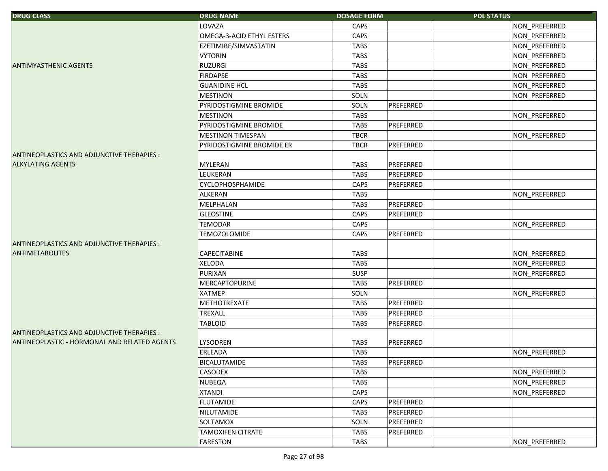| <b>DRUG CLASS</b>                            | <b>DRUG NAME</b>          | <b>DOSAGE FORM</b> |           | <b>PDL STATUS</b> |
|----------------------------------------------|---------------------------|--------------------|-----------|-------------------|
|                                              | <b>LOVAZA</b>             | CAPS               |           | NON_PREFERRED     |
|                                              | OMEGA-3-ACID ETHYL ESTERS | CAPS               |           | NON_PREFERRED     |
|                                              | EZETIMIBE/SIMVASTATIN     | <b>TABS</b>        |           | NON_PREFERRED     |
|                                              | <b>VYTORIN</b>            | <b>TABS</b>        |           | NON_PREFERRED     |
| <b>ANTIMYASTHENIC AGENTS</b>                 | <b>RUZURGI</b>            | <b>TABS</b>        |           | NON_PREFERRED     |
|                                              | <b>FIRDAPSE</b>           | <b>TABS</b>        |           | NON_PREFERRED     |
|                                              | <b>GUANIDINE HCL</b>      | <b>TABS</b>        |           | NON_PREFERRED     |
|                                              | <b>MESTINON</b>           | SOLN               |           | NON_PREFERRED     |
|                                              | PYRIDOSTIGMINE BROMIDE    | SOLN               | PREFERRED |                   |
|                                              | <b>MESTINON</b>           | <b>TABS</b>        |           | NON_PREFERRED     |
|                                              | PYRIDOSTIGMINE BROMIDE    | <b>TABS</b>        | PREFERRED |                   |
|                                              | <b>MESTINON TIMESPAN</b>  | <b>TBCR</b>        |           | NON_PREFERRED     |
|                                              | PYRIDOSTIGMINE BROMIDE ER | <b>TBCR</b>        | PREFERRED |                   |
| ANTINEOPLASTICS AND ADJUNCTIVE THERAPIES :   |                           |                    |           |                   |
| <b>ALKYLATING AGENTS</b>                     | <b>MYLERAN</b>            | <b>TABS</b>        | PREFERRED |                   |
|                                              | <b>LEUKERAN</b>           | <b>TABS</b>        | PREFERRED |                   |
|                                              | CYCLOPHOSPHAMIDE          | CAPS               | PREFERRED |                   |
|                                              | ALKERAN                   | <b>TABS</b>        |           | NON_PREFERRED     |
|                                              | MELPHALAN                 | <b>TABS</b>        | PREFERRED |                   |
|                                              | <b>GLEOSTINE</b>          | CAPS               | PREFERRED |                   |
|                                              | <b>TEMODAR</b>            | CAPS               |           | NON_PREFERRED     |
|                                              | <b>TEMOZOLOMIDE</b>       | CAPS               | PREFERRED |                   |
| ANTINEOPLASTICS AND ADJUNCTIVE THERAPIES :   |                           |                    |           |                   |
| <b>ANTIMETABOLITES</b>                       | <b>CAPECITABINE</b>       | <b>TABS</b>        |           | NON_PREFERRED     |
|                                              | <b>XELODA</b>             | <b>TABS</b>        |           | NON_PREFERRED     |
|                                              | <b>PURIXAN</b>            | <b>SUSP</b>        |           | NON_PREFERRED     |
|                                              | MERCAPTOPURINE            | <b>TABS</b>        | PREFERRED |                   |
|                                              | <b>XATMEP</b>             | SOLN               |           | NON_PREFERRED     |
|                                              | <b>METHOTREXATE</b>       | <b>TABS</b>        | PREFERRED |                   |
|                                              | <b>TREXALL</b>            | <b>TABS</b>        | PREFERRED |                   |
|                                              | <b>TABLOID</b>            | <b>TABS</b>        | PREFERRED |                   |
| ANTINEOPLASTICS AND ADJUNCTIVE THERAPIES :   |                           |                    |           |                   |
| ANTINEOPLASTIC - HORMONAL AND RELATED AGENTS | <b>LYSODREN</b>           | <b>TABS</b>        | PREFERRED |                   |
|                                              | ERLEADA                   | <b>TABS</b>        |           | NON PREFERRED     |
|                                              | <b>BICALUTAMIDE</b>       | <b>TABS</b>        | PREFERRED |                   |
|                                              | <b>CASODEX</b>            | <b>TABS</b>        |           | NON PREFERRED     |
|                                              | <b>NUBEQA</b>             | TABS               |           | NON_PREFERRED     |
|                                              | <b>XTANDI</b>             | CAPS               |           | NON PREFERRED     |
|                                              | <b>FLUTAMIDE</b>          | CAPS               | PREFERRED |                   |
|                                              | NILUTAMIDE                | TABS               | PREFERRED |                   |
|                                              | SOLTAMOX                  | SOLN               | PREFERRED |                   |
|                                              | <b>TAMOXIFEN CITRATE</b>  | <b>TABS</b>        | PREFERRED |                   |
|                                              | <b>FARESTON</b>           | TABS               |           | NON PREFERRED     |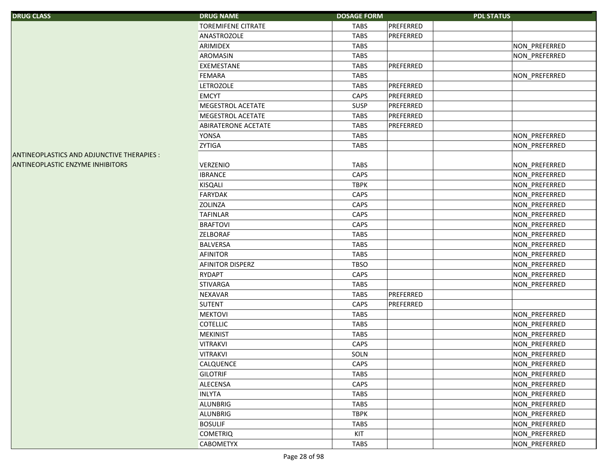| <b>DRUG CLASS</b>                          | <b>DRUG NAME</b>          | <b>DOSAGE FORM</b> |           | <b>PDL STATUS</b> |               |
|--------------------------------------------|---------------------------|--------------------|-----------|-------------------|---------------|
|                                            | <b>TOREMIFENE CITRATE</b> | TABS               | PREFERRED |                   |               |
|                                            | ANASTROZOLE               | <b>TABS</b>        | PREFERRED |                   |               |
|                                            | ARIMIDEX                  | <b>TABS</b>        |           |                   | NON_PREFERRED |
|                                            | AROMASIN                  | <b>TABS</b>        |           |                   | NON_PREFERRED |
|                                            | EXEMESTANE                | <b>TABS</b>        | PREFERRED |                   |               |
|                                            | <b>FEMARA</b>             | <b>TABS</b>        |           |                   | NON_PREFERRED |
|                                            | <b>LETROZOLE</b>          | <b>TABS</b>        | PREFERRED |                   |               |
|                                            | <b>EMCYT</b>              | CAPS               | PREFERRED |                   |               |
|                                            | MEGESTROL ACETATE         | SUSP               | PREFERRED |                   |               |
|                                            | MEGESTROL ACETATE         | <b>TABS</b>        | PREFERRED |                   |               |
|                                            | ABIRATERONE ACETATE       | <b>TABS</b>        | PREFERRED |                   |               |
|                                            | <b>YONSA</b>              | <b>TABS</b>        |           |                   | NON_PREFERRED |
|                                            | <b>ZYTIGA</b>             | <b>TABS</b>        |           |                   | NON_PREFERRED |
| ANTINEOPLASTICS AND ADJUNCTIVE THERAPIES : |                           |                    |           |                   |               |
| <b>ANTINEOPLASTIC ENZYME INHIBITORS</b>    | <b>VERZENIO</b>           | <b>TABS</b>        |           |                   | NON_PREFERRED |
|                                            | <b>IBRANCE</b>            | CAPS               |           |                   | NON_PREFERRED |
|                                            | <b>KISQALI</b>            | <b>TBPK</b>        |           |                   | NON_PREFERRED |
|                                            | <b>FARYDAK</b>            | CAPS               |           |                   | NON_PREFERRED |
|                                            | <b>ZOLINZA</b>            | CAPS               |           |                   | NON_PREFERRED |
|                                            | <b>TAFINLAR</b>           | CAPS               |           |                   | NON_PREFERRED |
|                                            | <b>BRAFTOVI</b>           | CAPS               |           |                   | NON_PREFERRED |
|                                            | <b>ZELBORAF</b>           | <b>TABS</b>        |           |                   | NON_PREFERRED |
|                                            | <b>BALVERSA</b>           | <b>TABS</b>        |           |                   | NON_PREFERRED |
|                                            | AFINITOR                  | <b>TABS</b>        |           |                   | NON_PREFERRED |
|                                            | <b>AFINITOR DISPERZ</b>   | <b>TBSO</b>        |           |                   | NON_PREFERRED |
|                                            | <b>RYDAPT</b>             | CAPS               |           |                   | NON_PREFERRED |
|                                            | <b>STIVARGA</b>           | <b>TABS</b>        |           |                   | NON_PREFERRED |
|                                            | <b>NEXAVAR</b>            | <b>TABS</b>        | PREFERRED |                   |               |
|                                            | <b>SUTENT</b>             | CAPS               | PREFERRED |                   |               |
|                                            | <b>MEKTOVI</b>            | <b>TABS</b>        |           |                   | NON_PREFERRED |
|                                            | <b>COTELLIC</b>           | <b>TABS</b>        |           |                   | NON_PREFERRED |
|                                            | <b>MEKINIST</b>           | <b>TABS</b>        |           |                   | NON_PREFERRED |
|                                            | <b>VITRAKVI</b>           | CAPS               |           |                   | NON_PREFERRED |
|                                            | <b>VITRAKVI</b>           | SOLN               |           |                   | NON PREFERRED |
|                                            | CALQUENCE                 | CAPS               |           |                   | NON_PREFERRED |
|                                            | <b>GILOTRIF</b>           | <b>TABS</b>        |           |                   | NON_PREFERRED |
|                                            | ALECENSA                  | CAPS               |           |                   | NON_PREFERRED |
|                                            | <b>INLYTA</b>             | <b>TABS</b>        |           |                   | NON_PREFERRED |
|                                            | ALUNBRIG                  | <b>TABS</b>        |           |                   | NON_PREFERRED |
|                                            | ALUNBRIG                  | <b>TBPK</b>        |           |                   | NON_PREFERRED |
|                                            | <b>BOSULIF</b>            | <b>TABS</b>        |           |                   | NON_PREFERRED |
|                                            | <b>COMETRIQ</b>           | KIT                |           |                   | NON_PREFERRED |
|                                            | <b>CABOMETYX</b>          | <b>TABS</b>        |           |                   | NON_PREFERRED |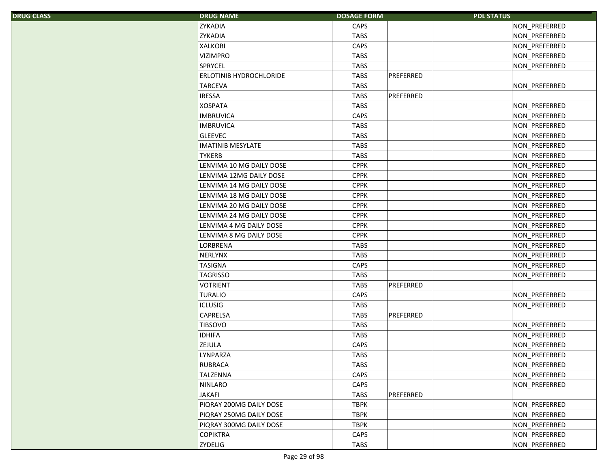| S, | <b>DRUG NAME</b>         | <b>DOSAGE FORM</b> | <b>PDL STATUS</b> |               |
|----|--------------------------|--------------------|-------------------|---------------|
|    | <b>ZYKADIA</b>           | CAPS               |                   | NON_PREFERRED |
|    | <b>ZYKADIA</b>           | <b>TABS</b>        |                   | NON_PREFERRED |
|    | <b>XALKORI</b>           | CAPS               |                   | NON_PREFERRED |
|    | <b>VIZIMPRO</b>          | <b>TABS</b>        |                   | NON_PREFERRED |
|    | <b>SPRYCEL</b>           | <b>TABS</b>        |                   | NON PREFERRED |
|    | ERLOTINIB HYDROCHLORIDE  | <b>TABS</b>        | PREFERRED         |               |
|    | <b>TARCEVA</b>           | <b>TABS</b>        |                   | NON_PREFERRED |
|    | <b>IRESSA</b>            | <b>TABS</b>        | PREFERRED         |               |
|    | <b>XOSPATA</b>           | <b>TABS</b>        |                   | NON_PREFERRED |
|    | <b>IMBRUVICA</b>         | CAPS               |                   | NON_PREFERRED |
|    | <b>IMBRUVICA</b>         | <b>TABS</b>        |                   | NON_PREFERRED |
|    | <b>GLEEVEC</b>           | <b>TABS</b>        |                   | NON_PREFERRED |
|    | <b>IMATINIB MESYLATE</b> | <b>TABS</b>        |                   | NON_PREFERRED |
|    | <b>TYKERB</b>            | <b>TABS</b>        |                   | NON_PREFERRED |
|    | LENVIMA 10 MG DAILY DOSE | <b>CPPK</b>        |                   | NON_PREFERRED |
|    | LENVIMA 12MG DAILY DOSE  | <b>CPPK</b>        |                   | NON_PREFERRED |
|    | LENVIMA 14 MG DAILY DOSE | <b>CPPK</b>        |                   | NON_PREFERRED |
|    | LENVIMA 18 MG DAILY DOSE | <b>CPPK</b>        |                   | NON PREFERRED |
|    | LENVIMA 20 MG DAILY DOSE | <b>CPPK</b>        |                   | NON_PREFERRED |
|    | LENVIMA 24 MG DAILY DOSE | <b>CPPK</b>        |                   | NON_PREFERRED |
|    | LENVIMA 4 MG DAILY DOSE  | <b>CPPK</b>        |                   | NON PREFERRED |
|    | LENVIMA 8 MG DAILY DOSE  | <b>CPPK</b>        |                   | NON_PREFERRED |
|    | LORBRENA                 | <b>TABS</b>        |                   | NON_PREFERRED |
|    | <b>NERLYNX</b>           | <b>TABS</b>        |                   | NON_PREFERRED |
|    | <b>TASIGNA</b>           | CAPS               |                   | NON_PREFERRED |
|    | <b>TAGRISSO</b>          | <b>TABS</b>        |                   | NON_PREFERRED |
|    | <b>VOTRIENT</b>          | <b>TABS</b>        | PREFERRED         |               |
|    | <b>TURALIO</b>           | CAPS               |                   | NON_PREFERRED |
|    | <b>ICLUSIG</b>           | <b>TABS</b>        |                   | NON PREFERRED |
|    | <b>CAPRELSA</b>          | <b>TABS</b>        | PREFERRED         |               |
|    | <b>TIBSOVO</b>           | <b>TABS</b>        |                   | NON_PREFERRED |
|    | <b>IDHIFA</b>            | <b>TABS</b>        |                   | NON_PREFERRED |
|    | <b>ZEJULA</b>            | CAPS               |                   | NON PREFERRED |
|    | LYNPARZA                 | <b>TABS</b>        |                   | NON_PREFERRED |
|    | <b>RUBRACA</b>           | <b>TABS</b>        |                   | NON PREFERRED |
|    | <b>TALZENNA</b>          | CAPS               |                   | NON PREFERRED |
|    | <b>NINLARO</b>           | CAPS               |                   | NON PREFERRED |
|    | <b>JAKAFI</b>            | <b>TABS</b>        | PREFERRED         |               |
|    | PIQRAY 200MG DAILY DOSE  | <b>TBPK</b>        |                   | NON_PREFERRED |
|    | PIQRAY 250MG DAILY DOSE  | <b>TBPK</b>        |                   | NON_PREFERRED |
|    | PIQRAY 300MG DAILY DOSE  | <b>TBPK</b>        |                   | NON_PREFERRED |
|    | <b>COPIKTRA</b>          | CAPS               |                   | NON_PREFERRED |
|    | <b>ZYDELIG</b>           | TABS               |                   | NON PREFERRED |
|    |                          |                    |                   |               |

DRUG CLASS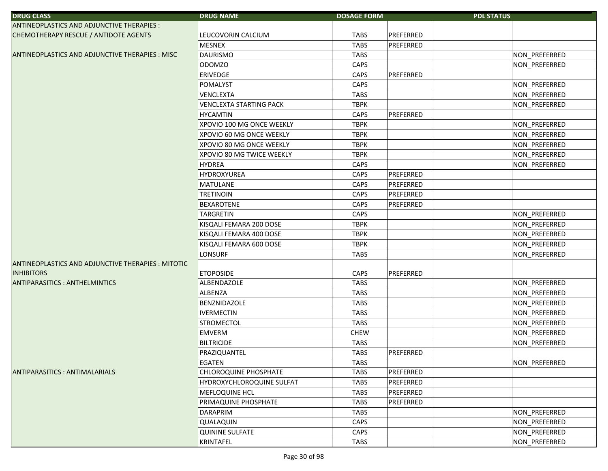| <b>DRUG CLASS</b>                                     | <b>DRUG NAME</b>                 | <b>DOSAGE FORM</b> | <b>PDL STATUS</b> |               |
|-------------------------------------------------------|----------------------------------|--------------------|-------------------|---------------|
| ANTINEOPLASTICS AND ADJUNCTIVE THERAPIES :            |                                  |                    |                   |               |
| CHEMOTHERAPY RESCUE / ANTIDOTE AGENTS                 | LEUCOVORIN CALCIUM               | <b>TABS</b>        | PREFERRED         |               |
|                                                       | <b>MESNEX</b>                    | <b>TABS</b>        | PREFERRED         |               |
| <b>ANTINEOPLASTICS AND ADJUNCTIVE THERAPIES: MISC</b> | <b>DAURISMO</b>                  | <b>TABS</b>        |                   | NON_PREFERRED |
|                                                       | <b>ODOMZO</b>                    | CAPS               |                   | NON_PREFERRED |
|                                                       | <b>ERIVEDGE</b>                  | CAPS               | PREFERRED         |               |
|                                                       | POMALYST                         | CAPS               |                   | NON_PREFERRED |
|                                                       | <b>VENCLEXTA</b>                 | <b>TABS</b>        |                   | NON_PREFERRED |
|                                                       | <b>VENCLEXTA STARTING PACK</b>   | <b>TBPK</b>        |                   | NON PREFERRED |
|                                                       | <b>HYCAMTIN</b>                  | CAPS               | PREFERRED         |               |
|                                                       | XPOVIO 100 MG ONCE WEEKLY        | <b>TBPK</b>        |                   | NON_PREFERRED |
|                                                       | XPOVIO 60 MG ONCE WEEKLY         | <b>TBPK</b>        |                   | NON_PREFERRED |
|                                                       | XPOVIO 80 MG ONCE WEEKLY         | <b>TBPK</b>        |                   | NON_PREFERRED |
|                                                       | XPOVIO 80 MG TWICE WEEKLY        | <b>TBPK</b>        |                   | NON_PREFERRED |
|                                                       | <b>HYDREA</b>                    | CAPS               |                   | NON_PREFERRED |
|                                                       | <b>HYDROXYUREA</b>               | CAPS               | PREFERRED         |               |
|                                                       | <b>MATULANE</b>                  | CAPS               | PREFERRED         |               |
|                                                       | <b>TRETINOIN</b>                 | CAPS               | PREFERRED         |               |
|                                                       | <b>BEXAROTENE</b>                | CAPS               | PREFERRED         |               |
|                                                       | <b>TARGRETIN</b>                 | CAPS               |                   | NON_PREFERRED |
|                                                       | KISQALI FEMARA 200 DOSE          | <b>TBPK</b>        |                   | NON_PREFERRED |
|                                                       | KISQALI FEMARA 400 DOSE          | <b>TBPK</b>        |                   | NON_PREFERRED |
|                                                       | KISQALI FEMARA 600 DOSE          | <b>TBPK</b>        |                   | NON_PREFERRED |
|                                                       | LONSURF                          | <b>TABS</b>        |                   | NON_PREFERRED |
| ANTINEOPLASTICS AND ADJUNCTIVE THERAPIES : MITOTIC    |                                  |                    |                   |               |
| <b>INHIBITORS</b>                                     | <b>ETOPOSIDE</b>                 | CAPS               | PREFERRED         |               |
| <b>ANTIPARASITICS: ANTHELMINTICS</b>                  | ALBENDAZOLE                      | <b>TABS</b>        |                   | NON_PREFERRED |
|                                                       | <b>ALBENZA</b>                   | <b>TABS</b>        |                   | NON_PREFERRED |
|                                                       | <b>BENZNIDAZOLE</b>              | <b>TABS</b>        |                   | NON_PREFERRED |
|                                                       | <b>IVERMECTIN</b>                | <b>TABS</b>        |                   | NON_PREFERRED |
|                                                       | <b>STROMECTOL</b>                | <b>TABS</b>        |                   | NON_PREFERRED |
|                                                       | <b>EMVERM</b>                    | <b>CHEW</b>        |                   | NON_PREFERRED |
|                                                       | <b>BILTRICIDE</b>                | <b>TABS</b>        |                   | NON_PREFERRED |
|                                                       | PRAZIQUANTEL                     | <b>TABS</b>        | PREFERRED         |               |
|                                                       | <b>EGATEN</b>                    | <b>TABS</b>        |                   | NON PREFERRED |
| ANTIPARASITICS: ANTIMALARIALS                         | <b>CHLOROQUINE PHOSPHATE</b>     | <b>TABS</b>        | PREFERRED         |               |
|                                                       | <b>HYDROXYCHLOROQUINE SULFAT</b> | <b>TABS</b>        | PREFERRED         |               |
|                                                       | <b>MEFLOQUINE HCL</b>            | <b>TABS</b>        | PREFERRED         |               |
|                                                       | PRIMAQUINE PHOSPHATE             | <b>TABS</b>        | PREFERRED         |               |
|                                                       | <b>DARAPRIM</b>                  | <b>TABS</b>        |                   | NON_PREFERRED |
|                                                       | QUALAQUIN                        | CAPS               |                   | NON_PREFERRED |
|                                                       | <b>QUININE SULFATE</b>           | CAPS               |                   | NON_PREFERRED |
|                                                       | <b>KRINTAFEL</b>                 | <b>TABS</b>        |                   | NON_PREFERRED |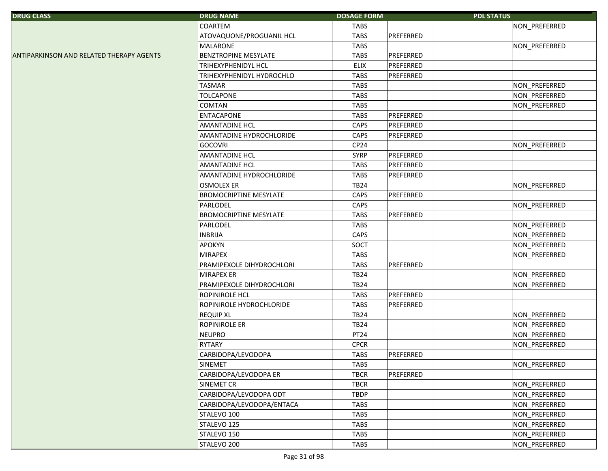| <b>DRUG CLASS</b>                               | <b>DRUG NAME</b>              | <b>DOSAGE FORM</b> | <b>PDL STATUS</b> |
|-------------------------------------------------|-------------------------------|--------------------|-------------------|
|                                                 | COARTEM                       | <b>TABS</b>        | NON_PREFERRED     |
|                                                 | ATOVAQUONE/PROGUANIL HCL      | <b>TABS</b>        | PREFERRED         |
|                                                 | MALARONE                      | <b>TABS</b>        | NON_PREFERRED     |
| <b>ANTIPARKINSON AND RELATED THERAPY AGENTS</b> | BENZTROPINE MESYLATE          | <b>TABS</b>        | PREFERRED         |
|                                                 | TRIHEXYPHENIDYL HCL           | <b>ELIX</b>        | PREFERRED         |
|                                                 | TRIHEXYPHENIDYL HYDROCHLO     | <b>TABS</b>        | PREFERRED         |
|                                                 | <b>TASMAR</b>                 | <b>TABS</b>        | NON_PREFERRED     |
|                                                 | <b>TOLCAPONE</b>              | <b>TABS</b>        | NON_PREFERRED     |
|                                                 | <b>COMTAN</b>                 | <b>TABS</b>        | NON_PREFERRED     |
|                                                 | <b>ENTACAPONE</b>             | <b>TABS</b>        | PREFERRED         |
|                                                 | <b>AMANTADINE HCL</b>         | CAPS               | PREFERRED         |
|                                                 | AMANTADINE HYDROCHLORIDE      | CAPS               | PREFERRED         |
|                                                 | <b>GOCOVRI</b>                | CP <sub>24</sub>   | NON_PREFERRED     |
|                                                 | AMANTADINE HCL                | <b>SYRP</b>        | PREFERRED         |
|                                                 | <b>AMANTADINE HCL</b>         | <b>TABS</b>        | PREFERRED         |
|                                                 | AMANTADINE HYDROCHLORIDE      | <b>TABS</b>        | PREFERRED         |
|                                                 | <b>OSMOLEX ER</b>             | <b>TB24</b>        | NON_PREFERRED     |
|                                                 | <b>BROMOCRIPTINE MESYLATE</b> | CAPS               | PREFERRED         |
|                                                 | PARLODEL                      | CAPS               | NON_PREFERRED     |
|                                                 | <b>BROMOCRIPTINE MESYLATE</b> | <b>TABS</b>        | PREFERRED         |
|                                                 | PARLODEL                      | <b>TABS</b>        | NON_PREFERRED     |
|                                                 | <b>INBRIJA</b>                | CAPS               | NON_PREFERRED     |
|                                                 | <b>APOKYN</b>                 | SOCT               | NON_PREFERRED     |
|                                                 | <b>MIRAPEX</b>                | <b>TABS</b>        | NON_PREFERRED     |
|                                                 | PRAMIPEXOLE DIHYDROCHLORI     | <b>TABS</b>        | PREFERRED         |
|                                                 | <b>MIRAPEX ER</b>             | <b>TB24</b>        | NON_PREFERRED     |
|                                                 | PRAMIPEXOLE DIHYDROCHLORI     | <b>TB24</b>        | NON_PREFERRED     |
|                                                 | <b>ROPINIROLE HCL</b>         | <b>TABS</b>        | PREFERRED         |
|                                                 | ROPINIROLE HYDROCHLORIDE      | <b>TABS</b>        | PREFERRED         |
|                                                 | <b>REQUIP XL</b>              | <b>TB24</b>        | NON_PREFERRED     |
|                                                 | ROPINIROLE ER                 | <b>TB24</b>        | NON_PREFERRED     |
|                                                 | <b>NEUPRO</b>                 | PT24               | NON_PREFERRED     |
|                                                 | RYTARY                        | <b>CPCR</b>        | NON_PREFERRED     |
|                                                 | CARBIDOPA/LEVODOPA            | <b>TABS</b>        | PREFERRED         |
|                                                 | SINEMET                       | <b>TABS</b>        | NON_PREFERRED     |
|                                                 | CARBIDOPA/LEVODOPA ER         | <b>TBCR</b>        | PREFERRED         |
|                                                 | SINEMET CR                    | <b>TBCR</b>        | NON_PREFERRED     |
|                                                 | CARBIDOPA/LEVODOPA ODT        | <b>TBDP</b>        | NON_PREFERRED     |
|                                                 | CARBIDOPA/LEVODOPA/ENTACA     | <b>TABS</b>        | NON_PREFERRED     |
|                                                 | STALEVO 100                   | <b>TABS</b>        | NON_PREFERRED     |
|                                                 | STALEVO 125                   | <b>TABS</b>        | NON_PREFERRED     |
|                                                 | STALEVO 150                   | <b>TABS</b>        | NON PREFERRED     |
|                                                 | STALEVO <sub>200</sub>        | <b>TABS</b>        | NON PREFERRED     |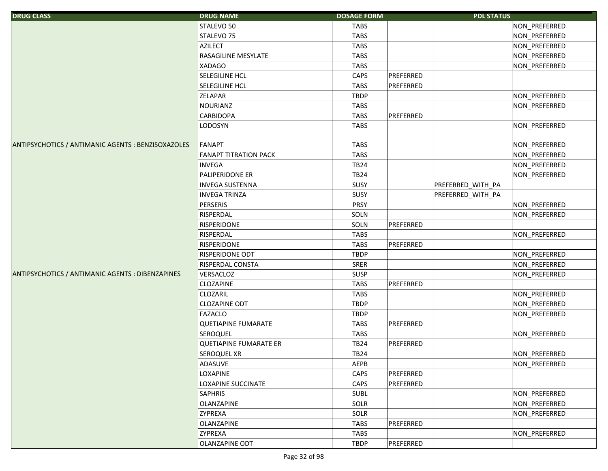| <b>DRUG CLASS</b>                                  | <b>DRUG NAME</b>              | <b>DOSAGE FORM</b> | <b>PDL STATUS</b> |               |
|----------------------------------------------------|-------------------------------|--------------------|-------------------|---------------|
|                                                    | STALEVO 50                    | <b>TABS</b>        |                   | NON_PREFERRED |
|                                                    | STALEVO <sub>75</sub>         | <b>TABS</b>        |                   | NON_PREFERRED |
|                                                    | <b>AZILECT</b>                | <b>TABS</b>        |                   | NON_PREFERRED |
|                                                    | <b>RASAGILINE MESYLATE</b>    | <b>TABS</b>        |                   | NON_PREFERRED |
|                                                    | <b>XADAGO</b>                 | <b>TABS</b>        |                   | NON_PREFERRED |
|                                                    | <b>SELEGILINE HCL</b>         | CAPS               | PREFERRED         |               |
|                                                    | SELEGILINE HCL                | <b>TABS</b>        | PREFERRED         |               |
|                                                    | <b>ZELAPAR</b>                | <b>TBDP</b>        |                   | NON_PREFERRED |
|                                                    | <b>NOURIANZ</b>               | <b>TABS</b>        |                   | NON_PREFERRED |
|                                                    | <b>CARBIDOPA</b>              | <b>TABS</b>        | PREFERRED         |               |
|                                                    | <b>LODOSYN</b>                | <b>TABS</b>        |                   | NON_PREFERRED |
|                                                    |                               |                    |                   |               |
| ANTIPSYCHOTICS / ANTIMANIC AGENTS : BENZISOXAZOLES | FANAPT                        | <b>TABS</b>        |                   | NON_PREFERRED |
|                                                    | <b>FANAPT TITRATION PACK</b>  | <b>TABS</b>        |                   | NON_PREFERRED |
|                                                    | <b>INVEGA</b>                 | <b>TB24</b>        |                   | NON_PREFERRED |
|                                                    | <b>PALIPERIDONE ER</b>        | <b>TB24</b>        |                   | NON_PREFERRED |
|                                                    | <b>INVEGA SUSTENNA</b>        | SUSY               | PREFERRED_WITH_PA |               |
|                                                    | <b>INVEGA TRINZA</b>          | SUSY               | PREFERRED_WITH_PA |               |
|                                                    | PERSERIS                      | <b>PRSY</b>        |                   | NON_PREFERRED |
|                                                    | <b>RISPERDAL</b>              | SOLN               |                   | NON_PREFERRED |
|                                                    | <b>RISPERIDONE</b>            | SOLN               | PREFERRED         |               |
|                                                    | <b>RISPERDAL</b>              | <b>TABS</b>        |                   | NON_PREFERRED |
|                                                    | <b>RISPERIDONE</b>            | <b>TABS</b>        | PREFERRED         |               |
|                                                    | <b>RISPERIDONE ODT</b>        | <b>TBDP</b>        |                   | NON_PREFERRED |
|                                                    | <b>RISPERDAL CONSTA</b>       | <b>SRER</b>        |                   | NON_PREFERRED |
| ANTIPSYCHOTICS / ANTIMANIC AGENTS : DIBENZAPINES   | VERSACLOZ                     | <b>SUSP</b>        |                   | NON_PREFERRED |
|                                                    | CLOZAPINE                     | <b>TABS</b>        | PREFERRED         |               |
|                                                    | CLOZARIL                      | <b>TABS</b>        |                   | NON_PREFERRED |
|                                                    | <b>CLOZAPINE ODT</b>          | <b>TBDP</b>        |                   | NON_PREFERRED |
|                                                    | FAZACLO                       | <b>TBDP</b>        |                   | NON_PREFERRED |
|                                                    | <b>QUETIAPINE FUMARATE</b>    | <b>TABS</b>        | PREFERRED         |               |
|                                                    | <b>SEROQUEL</b>               | <b>TABS</b>        |                   | NON PREFERRED |
|                                                    | <b>QUETIAPINE FUMARATE ER</b> | <b>TB24</b>        | PREFERRED         |               |
|                                                    | <b>SEROQUEL XR</b>            | TB24               |                   | NON_PREFERRED |
|                                                    | ADASUVE                       | AEPB               |                   | NON PREFERRED |
|                                                    | <b>LOXAPINE</b>               | CAPS               | PREFERRED         |               |
|                                                    | <b>LOXAPINE SUCCINATE</b>     | CAPS               | PREFERRED         |               |
|                                                    | <b>SAPHRIS</b>                | <b>SUBL</b>        |                   | NON PREFERRED |
|                                                    | <b>OLANZAPINE</b>             | SOLR               |                   | NON PREFERRED |
|                                                    | <b>ZYPREXA</b>                | SOLR               |                   | NON PREFERRED |
|                                                    | <b>OLANZAPINE</b>             | <b>TABS</b>        | PREFERRED         |               |
|                                                    | <b>ZYPREXA</b>                | <b>TABS</b>        |                   | NON PREFERRED |
|                                                    | <b>OLANZAPINE ODT</b>         | <b>TBDP</b>        | PREFERRED         |               |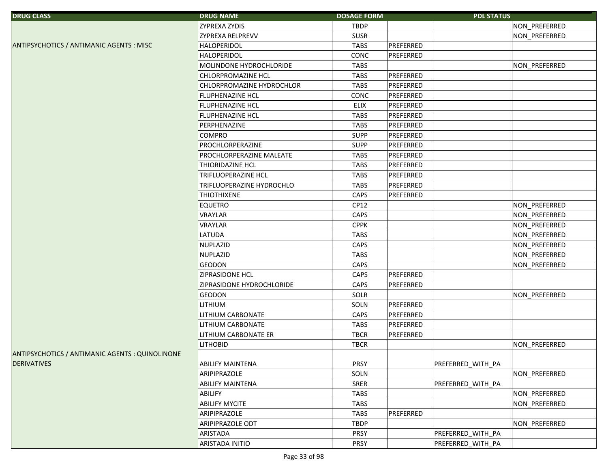| <b>DRUG CLASS</b>                               | <b>DRUG NAME</b>          | <b>DOSAGE FORM</b> |           | <b>PDL STATUS</b> |
|-------------------------------------------------|---------------------------|--------------------|-----------|-------------------|
|                                                 | <b>ZYPREXA ZYDIS</b>      | TBDP               |           | NON PREFERRED     |
|                                                 | ZYPREXA RELPREVV          | <b>SUSR</b>        |           | NON_PREFERRED     |
| ANTIPSYCHOTICS / ANTIMANIC AGENTS : MISC        | <b>HALOPERIDOL</b>        | <b>TABS</b>        | PREFERRED |                   |
|                                                 | <b>HALOPERIDOL</b>        | CONC               | PREFERRED |                   |
|                                                 | MOLINDONE HYDROCHLORIDE   | TABS               |           | NON PREFERRED     |
|                                                 | <b>CHLORPROMAZINE HCL</b> | <b>TABS</b>        | PREFERRED |                   |
|                                                 | CHLORPROMAZINE HYDROCHLOR | <b>TABS</b>        | PREFERRED |                   |
|                                                 | FLUPHENAZINE HCL          | CONC               | PREFERRED |                   |
|                                                 | FLUPHENAZINE HCL          | <b>ELIX</b>        | PREFERRED |                   |
|                                                 | FLUPHENAZINE HCL          | <b>TABS</b>        | PREFERRED |                   |
|                                                 | PERPHENAZINE              | <b>TABS</b>        | PREFERRED |                   |
|                                                 | <b>COMPRO</b>             | <b>SUPP</b>        | PREFERRED |                   |
|                                                 | PROCHLORPERAZINE          | <b>SUPP</b>        | PREFERRED |                   |
|                                                 | PROCHLORPERAZINE MALEATE  | <b>TABS</b>        | PREFERRED |                   |
|                                                 | THIORIDAZINE HCL          | <b>TABS</b>        | PREFERRED |                   |
|                                                 | TRIFLUOPERAZINE HCL       | <b>TABS</b>        | PREFERRED |                   |
|                                                 | TRIFLUOPERAZINE HYDROCHLO | <b>TABS</b>        | PREFERRED |                   |
|                                                 | <b>THIOTHIXENE</b>        | CAPS               | PREFERRED |                   |
|                                                 | <b>EQUETRO</b>            | CP12               |           | NON_PREFERRED     |
|                                                 | <b>VRAYLAR</b>            | CAPS               |           | NON_PREFERRED     |
|                                                 | <b>VRAYLAR</b>            | <b>CPPK</b>        |           | NON_PREFERRED     |
|                                                 | <b>LATUDA</b>             | <b>TABS</b>        |           | NON_PREFERRED     |
|                                                 | <b>NUPLAZID</b>           | CAPS               |           | NON_PREFERRED     |
|                                                 | <b>NUPLAZID</b>           | <b>TABS</b>        |           | NON_PREFERRED     |
|                                                 | <b>GEODON</b>             | CAPS               |           | NON_PREFERRED     |
|                                                 | ZIPRASIDONE HCL           | CAPS               | PREFERRED |                   |
|                                                 | ZIPRASIDONE HYDROCHLORIDE | CAPS               | PREFERRED |                   |
|                                                 | <b>GEODON</b>             | SOLR               |           | NON PREFERRED     |
|                                                 | <b>LITHIUM</b>            | SOLN               | PREFERRED |                   |
|                                                 | LITHIUM CARBONATE         | CAPS               | PREFERRED |                   |
|                                                 | LITHIUM CARBONATE         | <b>TABS</b>        | PREFERRED |                   |
|                                                 | LITHIUM CARBONATE ER      | <b>TBCR</b>        | PREFERRED |                   |
|                                                 | <b>LITHOBID</b>           | <b>TBCR</b>        |           | NON_PREFERRED     |
| ANTIPSYCHOTICS / ANTIMANIC AGENTS : QUINOLINONE |                           |                    |           |                   |
| <b>DERIVATIVES</b>                              | <b>ABILIFY MAINTENA</b>   | <b>PRSY</b>        |           | PREFERRED_WITH_PA |
|                                                 | ARIPIPRAZOLE              | SOLN               |           | NON PREFERRED     |
|                                                 | <b>ABILIFY MAINTENA</b>   | SRER               |           | PREFERRED_WITH_PA |
|                                                 | ABILIFY                   | TABS               |           | NON_PREFERRED     |
|                                                 | <b>ABILIFY MYCITE</b>     | <b>TABS</b>        |           | NON_PREFERRED     |
|                                                 | ARIPIPRAZOLE              | <b>TABS</b>        | PREFERRED |                   |
|                                                 | <b>ARIPIPRAZOLE ODT</b>   | <b>TBDP</b>        |           | NON_PREFERRED     |
|                                                 | ARISTADA                  | PRSY               |           | PREFERRED_WITH_PA |
|                                                 | ARISTADA INITIO           | PRSY               |           | PREFERRED_WITH_PA |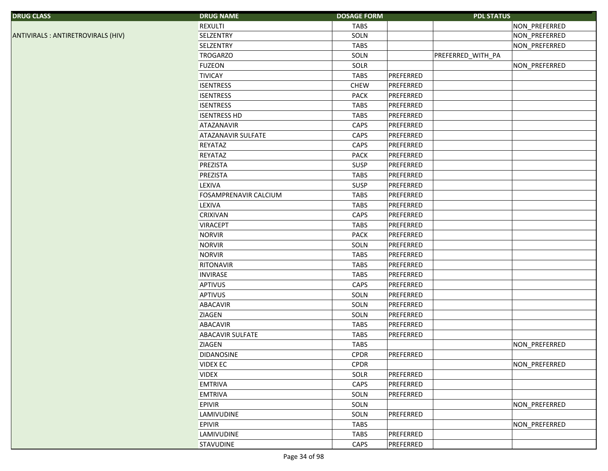| <b>REXULTI</b><br><b>TABS</b><br>NON_PREFERRED<br><b>SELZENTRY</b><br>SOLN<br>NON_PREFERRED<br>ANTIVIRALS : ANTIRETROVIRALS (HIV)<br>NON_PREFERRED<br><b>SELZENTRY</b><br><b>TABS</b><br><b>TROGARZO</b><br>PREFERRED WITH PA<br>SOLN<br>SOLR<br><b>FUZEON</b><br>NON_PREFERRED<br>PREFERRED<br><b>TIVICAY</b><br><b>TABS</b><br>PREFERRED<br><b>ISENTRESS</b><br><b>CHEW</b><br><b>ISENTRESS</b><br><b>PACK</b><br>PREFERRED<br>PREFERRED<br><b>ISENTRESS</b><br><b>TABS</b><br><b>ISENTRESS HD</b><br>PREFERRED<br><b>TABS</b><br>PREFERRED<br>ATAZANAVIR<br>CAPS<br>CAPS<br>PREFERRED<br><b>ATAZANAVIR SULFATE</b><br><b>REYATAZ</b><br>CAPS<br>PREFERRED<br>REYATAZ<br><b>PACK</b><br>PREFERRED<br>PREZISTA<br>PREFERRED<br>SUSP<br>PREZISTA<br>PREFERRED<br><b>TABS</b><br>PREFERRED<br><b>LEXIVA</b><br>SUSP<br>FOSAMPRENAVIR CALCIUM<br><b>TABS</b><br>PREFERRED |
|-------------------------------------------------------------------------------------------------------------------------------------------------------------------------------------------------------------------------------------------------------------------------------------------------------------------------------------------------------------------------------------------------------------------------------------------------------------------------------------------------------------------------------------------------------------------------------------------------------------------------------------------------------------------------------------------------------------------------------------------------------------------------------------------------------------------------------------------------------------------------|
|                                                                                                                                                                                                                                                                                                                                                                                                                                                                                                                                                                                                                                                                                                                                                                                                                                                                         |
|                                                                                                                                                                                                                                                                                                                                                                                                                                                                                                                                                                                                                                                                                                                                                                                                                                                                         |
|                                                                                                                                                                                                                                                                                                                                                                                                                                                                                                                                                                                                                                                                                                                                                                                                                                                                         |
|                                                                                                                                                                                                                                                                                                                                                                                                                                                                                                                                                                                                                                                                                                                                                                                                                                                                         |
|                                                                                                                                                                                                                                                                                                                                                                                                                                                                                                                                                                                                                                                                                                                                                                                                                                                                         |
|                                                                                                                                                                                                                                                                                                                                                                                                                                                                                                                                                                                                                                                                                                                                                                                                                                                                         |
|                                                                                                                                                                                                                                                                                                                                                                                                                                                                                                                                                                                                                                                                                                                                                                                                                                                                         |
|                                                                                                                                                                                                                                                                                                                                                                                                                                                                                                                                                                                                                                                                                                                                                                                                                                                                         |
|                                                                                                                                                                                                                                                                                                                                                                                                                                                                                                                                                                                                                                                                                                                                                                                                                                                                         |
|                                                                                                                                                                                                                                                                                                                                                                                                                                                                                                                                                                                                                                                                                                                                                                                                                                                                         |
|                                                                                                                                                                                                                                                                                                                                                                                                                                                                                                                                                                                                                                                                                                                                                                                                                                                                         |
|                                                                                                                                                                                                                                                                                                                                                                                                                                                                                                                                                                                                                                                                                                                                                                                                                                                                         |
|                                                                                                                                                                                                                                                                                                                                                                                                                                                                                                                                                                                                                                                                                                                                                                                                                                                                         |
|                                                                                                                                                                                                                                                                                                                                                                                                                                                                                                                                                                                                                                                                                                                                                                                                                                                                         |
|                                                                                                                                                                                                                                                                                                                                                                                                                                                                                                                                                                                                                                                                                                                                                                                                                                                                         |
|                                                                                                                                                                                                                                                                                                                                                                                                                                                                                                                                                                                                                                                                                                                                                                                                                                                                         |
|                                                                                                                                                                                                                                                                                                                                                                                                                                                                                                                                                                                                                                                                                                                                                                                                                                                                         |
|                                                                                                                                                                                                                                                                                                                                                                                                                                                                                                                                                                                                                                                                                                                                                                                                                                                                         |
| <b>LEXIVA</b><br><b>TABS</b><br>PREFERRED                                                                                                                                                                                                                                                                                                                                                                                                                                                                                                                                                                                                                                                                                                                                                                                                                               |
| PREFERRED<br><b>CRIXIVAN</b><br>CAPS                                                                                                                                                                                                                                                                                                                                                                                                                                                                                                                                                                                                                                                                                                                                                                                                                                    |
| PREFERRED<br><b>VIRACEPT</b><br><b>TABS</b>                                                                                                                                                                                                                                                                                                                                                                                                                                                                                                                                                                                                                                                                                                                                                                                                                             |
| PREFERRED<br><b>NORVIR</b><br><b>PACK</b>                                                                                                                                                                                                                                                                                                                                                                                                                                                                                                                                                                                                                                                                                                                                                                                                                               |
| PREFERRED<br><b>NORVIR</b><br>SOLN                                                                                                                                                                                                                                                                                                                                                                                                                                                                                                                                                                                                                                                                                                                                                                                                                                      |
| PREFERRED<br><b>NORVIR</b><br><b>TABS</b>                                                                                                                                                                                                                                                                                                                                                                                                                                                                                                                                                                                                                                                                                                                                                                                                                               |
| <b>TABS</b><br>PREFERRED<br>RITONAVIR                                                                                                                                                                                                                                                                                                                                                                                                                                                                                                                                                                                                                                                                                                                                                                                                                                   |
| <b>INVIRASE</b><br><b>TABS</b><br>PREFERRED                                                                                                                                                                                                                                                                                                                                                                                                                                                                                                                                                                                                                                                                                                                                                                                                                             |
| PREFERRED<br><b>APTIVUS</b><br>CAPS                                                                                                                                                                                                                                                                                                                                                                                                                                                                                                                                                                                                                                                                                                                                                                                                                                     |
| APTIVUS<br>PREFERRED<br>SOLN                                                                                                                                                                                                                                                                                                                                                                                                                                                                                                                                                                                                                                                                                                                                                                                                                                            |
| PREFERRED<br><b>ABACAVIR</b><br>SOLN                                                                                                                                                                                                                                                                                                                                                                                                                                                                                                                                                                                                                                                                                                                                                                                                                                    |
| <b>ZIAGEN</b><br>SOLN<br>PREFERRED                                                                                                                                                                                                                                                                                                                                                                                                                                                                                                                                                                                                                                                                                                                                                                                                                                      |
| PREFERRED<br><b>ABACAVIR</b><br><b>TABS</b>                                                                                                                                                                                                                                                                                                                                                                                                                                                                                                                                                                                                                                                                                                                                                                                                                             |
| <b>ABACAVIR SULFATE</b><br><b>TABS</b><br>PREFERRED                                                                                                                                                                                                                                                                                                                                                                                                                                                                                                                                                                                                                                                                                                                                                                                                                     |
| <b>ZIAGEN</b><br><b>TABS</b><br>NON_PREFERRED                                                                                                                                                                                                                                                                                                                                                                                                                                                                                                                                                                                                                                                                                                                                                                                                                           |
| PREFERRED<br>DIDANOSINE<br>CPDR                                                                                                                                                                                                                                                                                                                                                                                                                                                                                                                                                                                                                                                                                                                                                                                                                                         |
| NON_PREFERRED<br><b>VIDEX EC</b><br><b>CPDR</b>                                                                                                                                                                                                                                                                                                                                                                                                                                                                                                                                                                                                                                                                                                                                                                                                                         |
| PREFERRED<br><b>VIDEX</b><br>SOLR                                                                                                                                                                                                                                                                                                                                                                                                                                                                                                                                                                                                                                                                                                                                                                                                                                       |
| CAPS<br><b>EMTRIVA</b><br>PREFERRED                                                                                                                                                                                                                                                                                                                                                                                                                                                                                                                                                                                                                                                                                                                                                                                                                                     |
| <b>EMTRIVA</b><br>SOLN<br>PREFERRED                                                                                                                                                                                                                                                                                                                                                                                                                                                                                                                                                                                                                                                                                                                                                                                                                                     |
| <b>EPIVIR</b><br>SOLN<br>NON_PREFERRED                                                                                                                                                                                                                                                                                                                                                                                                                                                                                                                                                                                                                                                                                                                                                                                                                                  |
| PREFERRED<br><b>LAMIVUDINE</b><br>SOLN                                                                                                                                                                                                                                                                                                                                                                                                                                                                                                                                                                                                                                                                                                                                                                                                                                  |
| NON_PREFERRED<br><b>EPIVIR</b><br><b>TABS</b>                                                                                                                                                                                                                                                                                                                                                                                                                                                                                                                                                                                                                                                                                                                                                                                                                           |
| PREFERRED<br>LAMIVUDINE<br><b>TABS</b>                                                                                                                                                                                                                                                                                                                                                                                                                                                                                                                                                                                                                                                                                                                                                                                                                                  |
| PREFERRED<br><b>STAVUDINE</b><br>CAPS                                                                                                                                                                                                                                                                                                                                                                                                                                                                                                                                                                                                                                                                                                                                                                                                                                   |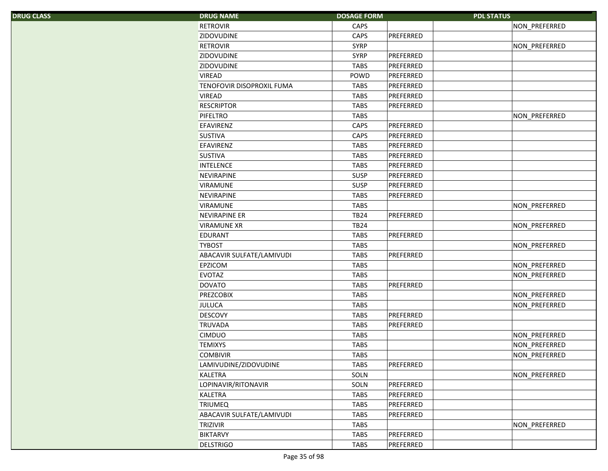| <b>DRUG CLASS</b> | <b>DRUG NAME</b>          | <b>DOSAGE FORM</b> | <b>PDL STATUS</b> |
|-------------------|---------------------------|--------------------|-------------------|
|                   | <b>RETROVIR</b>           | CAPS               | NON_PREFERRED     |
|                   | <b>ZIDOVUDINE</b>         | CAPS               | PREFERRED         |
|                   | <b>RETROVIR</b>           | <b>SYRP</b>        | NON_PREFERRED     |
|                   | ZIDOVUDINE                | <b>SYRP</b>        | PREFERRED         |
|                   | ZIDOVUDINE                | <b>TABS</b>        | PREFERRED         |
|                   | <b>VIREAD</b>             | POWD               | PREFERRED         |
|                   | TENOFOVIR DISOPROXIL FUMA | <b>TABS</b>        | PREFERRED         |
|                   | <b>VIREAD</b>             | <b>TABS</b>        | PREFERRED         |
|                   | <b>RESCRIPTOR</b>         | <b>TABS</b>        | PREFERRED         |
|                   | <b>PIFELTRO</b>           | <b>TABS</b>        | NON_PREFERRED     |
|                   | <b>EFAVIRENZ</b>          | CAPS               | PREFERRED         |
|                   | <b>SUSTIVA</b>            | CAPS               | PREFERRED         |
|                   | EFAVIRENZ                 | <b>TABS</b>        | PREFERRED         |
|                   | <b>SUSTIVA</b>            | <b>TABS</b>        | PREFERRED         |
|                   | <b>INTELENCE</b>          | <b>TABS</b>        | PREFERRED         |
|                   | NEVIRAPINE                | <b>SUSP</b>        | PREFERRED         |
|                   | <b>VIRAMUNE</b>           | <b>SUSP</b>        | PREFERRED         |
|                   | NEVIRAPINE                | <b>TABS</b>        | PREFERRED         |
|                   | <b>VIRAMUNE</b>           | <b>TABS</b>        | NON_PREFERRED     |
|                   | <b>NEVIRAPINE ER</b>      | <b>TB24</b>        | PREFERRED         |
|                   | <b>VIRAMUNE XR</b>        | <b>TB24</b>        | NON_PREFERRED     |
|                   | <b>EDURANT</b>            | TABS               | PREFERRED         |
|                   | <b>TYBOST</b>             | <b>TABS</b>        | NON_PREFERRED     |
|                   | ABACAVIR SULFATE/LAMIVUDI | <b>TABS</b>        | PREFERRED         |
|                   | <b>EPZICOM</b>            | <b>TABS</b>        | NON_PREFERRED     |
|                   | <b>EVOTAZ</b>             | <b>TABS</b>        | NON_PREFERRED     |
|                   | <b>DOVATO</b>             | <b>TABS</b>        | PREFERRED         |
|                   | <b>PREZCOBIX</b>          | <b>TABS</b>        | NON_PREFERRED     |
|                   | <b>JULUCA</b>             | <b>TABS</b>        | NON_PREFERRED     |
|                   | <b>DESCOVY</b>            | <b>TABS</b>        | PREFERRED         |
|                   | <b>TRUVADA</b>            | <b>TABS</b>        | PREFERRED         |
|                   | <b>CIMDUO</b>             | <b>TABS</b>        | NON_PREFERRED     |
|                   | <b>TEMIXYS</b>            | <b>TABS</b>        | NON PREFERRED     |
|                   | <b>COMBIVIR</b>           | <b>TABS</b>        | NON_PREFERRED     |
|                   | LAMIVUDINE/ZIDOVUDINE     | <b>TABS</b>        | PREFERRED         |
|                   | <b>KALETRA</b>            | SOLN               | NON_PREFERRED     |
|                   | LOPINAVIR/RITONAVIR       | SOLN               | PREFERRED         |
|                   | <b>KALETRA</b>            | <b>TABS</b>        | PREFERRED         |
|                   | <b>TRIUMEQ</b>            | <b>TABS</b>        | PREFERRED         |
|                   | ABACAVIR SULFATE/LAMIVUDI | <b>TABS</b>        | PREFERRED         |
|                   | <b>TRIZIVIR</b>           | <b>TABS</b>        | NON_PREFERRED     |
|                   | <b>BIKTARVY</b>           | <b>TABS</b>        | PREFERRED         |
|                   | <b>DELSTRIGO</b>          | <b>TABS</b>        | PREFERRED         |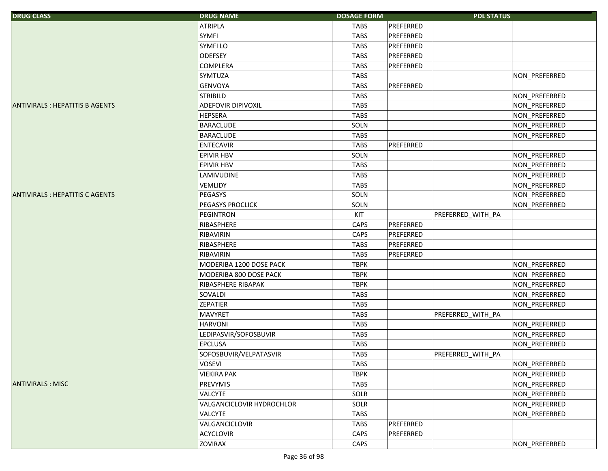| <b>DRUG CLASS</b>                     | <b>DRUG NAME</b>          | <b>DOSAGE FORM</b> | <b>PDL STATUS</b> |               |
|---------------------------------------|---------------------------|--------------------|-------------------|---------------|
|                                       | <b>ATRIPLA</b>            | <b>TABS</b>        | PREFERRED         |               |
|                                       | <b>SYMFI</b>              | <b>TABS</b>        | PREFERRED         |               |
|                                       | <b>SYMFILO</b>            | <b>TABS</b>        | PREFERRED         |               |
|                                       | <b>ODEFSEY</b>            | <b>TABS</b>        | PREFERRED         |               |
|                                       | <b>COMPLERA</b>           | <b>TABS</b>        | PREFERRED         |               |
|                                       | SYMTUZA                   | <b>TABS</b>        |                   | NON_PREFERRED |
|                                       | <b>GENVOYA</b>            | <b>TABS</b>        | PREFERRED         |               |
|                                       | <b>STRIBILD</b>           | <b>TABS</b>        |                   | NON_PREFERRED |
| <b>ANTIVIRALS: HEPATITIS B AGENTS</b> | <b>ADEFOVIR DIPIVOXIL</b> | <b>TABS</b>        |                   | NON PREFERRED |
|                                       | <b>HEPSERA</b>            | <b>TABS</b>        |                   | NON_PREFERRED |
|                                       | BARACLUDE                 | SOLN               |                   | NON_PREFERRED |
|                                       | <b>BARACLUDE</b>          | <b>TABS</b>        |                   | NON_PREFERRED |
|                                       | <b>ENTECAVIR</b>          | <b>TABS</b>        | PREFERRED         |               |
|                                       | <b>EPIVIR HBV</b>         | SOLN               |                   | NON_PREFERRED |
|                                       | <b>EPIVIR HBV</b>         | <b>TABS</b>        |                   | NON_PREFERRED |
|                                       | LAMIVUDINE                | <b>TABS</b>        |                   | NON_PREFERRED |
|                                       | <b>VEMLIDY</b>            | <b>TABS</b>        |                   | NON_PREFERRED |
| <b>ANTIVIRALS: HEPATITIS C AGENTS</b> | <b>PEGASYS</b>            | SOLN               |                   | NON_PREFERRED |
|                                       | PEGASYS PROCLICK          | SOLN               |                   | NON_PREFERRED |
|                                       | <b>PEGINTRON</b>          | KIT                | PREFERRED_WITH_PA |               |
|                                       | RIBASPHERE                | CAPS               | PREFERRED         |               |
|                                       | RIBAVIRIN                 | CAPS               | PREFERRED         |               |
|                                       | RIBASPHERE                | <b>TABS</b>        | PREFERRED         |               |
|                                       | RIBAVIRIN                 | <b>TABS</b>        | PREFERRED         |               |
|                                       | MODERIBA 1200 DOSE PACK   | <b>TBPK</b>        |                   | NON_PREFERRED |
|                                       | MODERIBA 800 DOSE PACK    | <b>TBPK</b>        |                   | NON_PREFERRED |
|                                       | RIBASPHERE RIBAPAK        | <b>TBPK</b>        |                   | NON_PREFERRED |
|                                       | SOVALDI                   | <b>TABS</b>        |                   | NON_PREFERRED |
|                                       | <b>ZEPATIER</b>           | <b>TABS</b>        |                   | NON_PREFERRED |
|                                       | <b>MAVYRET</b>            | <b>TABS</b>        | PREFERRED_WITH_PA |               |
|                                       | <b>HARVONI</b>            | <b>TABS</b>        |                   | NON_PREFERRED |
|                                       | LEDIPASVIR/SOFOSBUVIR     | <b>TABS</b>        |                   | NON_PREFERRED |
|                                       | <b>EPCLUSA</b>            | <b>TABS</b>        |                   | NON_PREFERRED |
|                                       | SOFOSBUVIR/VELPATASVIR    | <b>TABS</b>        | PREFERRED_WITH_PA |               |
|                                       | <b>VOSEVI</b>             | <b>TABS</b>        |                   | NON_PREFERRED |
|                                       | <b>VIEKIRA PAK</b>        | <b>TBPK</b>        |                   | NON_PREFERRED |
| <b>ANTIVIRALS: MISC</b>               | PREVYMIS                  | <b>TABS</b>        |                   | NON PREFERRED |
|                                       | <b>VALCYTE</b>            | SOLR               |                   | NON_PREFERRED |
|                                       | VALGANCICLOVIR HYDROCHLOR | SOLR               |                   | NON_PREFERRED |
|                                       | <b>VALCYTE</b>            | <b>TABS</b>        |                   | NON PREFERRED |
|                                       | VALGANCICLOVIR            | TABS               | PREFERRED         |               |
|                                       | <b>ACYCLOVIR</b>          | CAPS               | PREFERRED         |               |
|                                       | <b>ZOVIRAX</b>            | CAPS               |                   | NON PREFERRED |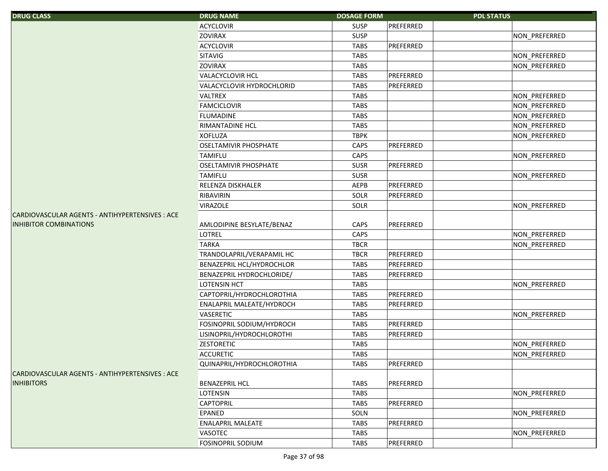| <b>DRUG CLASS</b>                               | <b>DRUG NAME</b>             | <b>DOSAGE FORM</b> |           | <b>PDL STATUS</b> |               |
|-------------------------------------------------|------------------------------|--------------------|-----------|-------------------|---------------|
|                                                 | <b>ACYCLOVIR</b>             | <b>SUSP</b>        | PREFERRED |                   |               |
|                                                 | <b>ZOVIRAX</b>               | <b>SUSP</b>        |           |                   | NON_PREFERRED |
|                                                 | <b>ACYCLOVIR</b>             | <b>TABS</b>        | PREFERRED |                   |               |
|                                                 | SITAVIG                      | <b>TABS</b>        |           |                   | NON_PREFERRED |
|                                                 | <b>ZOVIRAX</b>               | <b>TABS</b>        |           |                   | NON_PREFERRED |
|                                                 | <b>VALACYCLOVIR HCL</b>      | <b>TABS</b>        | PREFERRED |                   |               |
|                                                 | VALACYCLOVIR HYDROCHLORID    | <b>TABS</b>        | PREFERRED |                   |               |
|                                                 | <b>VALTREX</b>               | <b>TABS</b>        |           |                   | NON_PREFERRED |
|                                                 | <b>FAMCICLOVIR</b>           | <b>TABS</b>        |           |                   | NON PREFERRED |
|                                                 | <b>FLUMADINE</b>             | <b>TABS</b>        |           |                   | NON_PREFERRED |
|                                                 | <b>RIMANTADINE HCL</b>       | <b>TABS</b>        |           |                   | NON_PREFERRED |
|                                                 | <b>XOFLUZA</b>               | <b>TBPK</b>        |           |                   | NON_PREFERRED |
|                                                 | <b>OSELTAMIVIR PHOSPHATE</b> | CAPS               | PREFERRED |                   |               |
|                                                 | <b>TAMIFLU</b>               | CAPS               |           |                   | NON_PREFERRED |
|                                                 | <b>OSELTAMIVIR PHOSPHATE</b> | <b>SUSR</b>        | PREFERRED |                   |               |
|                                                 | <b>TAMIFLU</b>               | <b>SUSR</b>        |           |                   | NON_PREFERRED |
|                                                 | RELENZA DISKHALER            | AEPB               | PREFERRED |                   |               |
|                                                 | RIBAVIRIN                    | SOLR               | PREFERRED |                   |               |
|                                                 | <b>VIRAZOLE</b>              | SOLR               |           |                   | NON_PREFERRED |
| CARDIOVASCULAR AGENTS - ANTIHYPERTENSIVES : ACE |                              |                    |           |                   |               |
| <b>INHIBITOR COMBINATIONS</b>                   | AMLODIPINE BESYLATE/BENAZ    | CAPS               | PREFERRED |                   |               |
|                                                 | <b>LOTREL</b>                | CAPS               |           |                   | NON_PREFERRED |
|                                                 | <b>TARKA</b>                 | <b>TBCR</b>        |           |                   | NON_PREFERRED |
|                                                 | TRANDOLAPRIL/VERAPAMIL HC    | <b>TBCR</b>        | PREFERRED |                   |               |
|                                                 | BENAZEPRIL HCL/HYDROCHLOR    | <b>TABS</b>        | PREFERRED |                   |               |
|                                                 | BENAZEPRIL HYDROCHLORIDE/    | <b>TABS</b>        | PREFERRED |                   |               |
|                                                 | <b>LOTENSIN HCT</b>          | <b>TABS</b>        |           |                   | NON_PREFERRED |
|                                                 | CAPTOPRIL/HYDROCHLOROTHIA    | <b>TABS</b>        | PREFERRED |                   |               |
|                                                 | ENALAPRIL MALEATE/HYDROCH    | <b>TABS</b>        | PREFERRED |                   |               |
|                                                 | <b>VASERETIC</b>             | <b>TABS</b>        |           |                   | NON_PREFERRED |
|                                                 | FOSINOPRIL SODIUM/HYDROCH    | <b>TABS</b>        | PREFERRED |                   |               |
|                                                 | LISINOPRIL/HYDROCHLOROTHI    | <b>TABS</b>        | PREFERRED |                   |               |
|                                                 | <b>ZESTORETIC</b>            | <b>TABS</b>        |           |                   | NON PREFERRED |
|                                                 | <b>ACCURETIC</b>             | <b>TABS</b>        |           |                   | NON PREFERRED |
|                                                 | QUINAPRIL/HYDROCHLOROTHIA    | <b>TABS</b>        | PREFERRED |                   |               |
| CARDIOVASCULAR AGENTS - ANTIHYPERTENSIVES : ACE |                              |                    |           |                   |               |
| <b>INHIBITORS</b>                               | <b>BENAZEPRIL HCL</b>        | <b>TABS</b>        | PREFERRED |                   |               |
|                                                 | <b>LOTENSIN</b>              | <b>TABS</b>        |           |                   | NON_PREFERRED |
|                                                 | <b>CAPTOPRIL</b>             | <b>TABS</b>        | PREFERRED |                   |               |
|                                                 | <b>EPANED</b>                | SOLN               |           |                   | NON_PREFERRED |
|                                                 | <b>ENALAPRIL MALEATE</b>     | <b>TABS</b>        | PREFERRED |                   |               |
|                                                 | VASOTEC                      | <b>TABS</b>        |           |                   | NON_PREFERRED |
|                                                 | <b>FOSINOPRIL SODIUM</b>     | <b>TABS</b>        | PREFERRED |                   |               |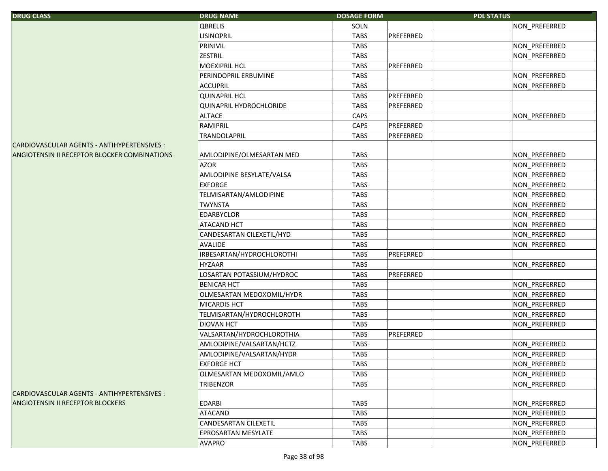| <b>DRUG CLASS</b>                                   | <b>DRUG NAME</b>           | <b>DOSAGE FORM</b> |           | <b>PDL STATUS</b> |                      |
|-----------------------------------------------------|----------------------------|--------------------|-----------|-------------------|----------------------|
|                                                     | QBRELIS                    | SOLN               |           |                   | NON PREFERRED        |
|                                                     | <b>LISINOPRIL</b>          | <b>TABS</b>        | PREFERRED |                   |                      |
|                                                     | PRINIVIL                   | <b>TABS</b>        |           |                   | NON_PREFERRED        |
|                                                     | <b>ZESTRIL</b>             | <b>TABS</b>        |           |                   | NON PREFERRED        |
|                                                     | <b>MOEXIPRIL HCL</b>       | <b>TABS</b>        | PREFERRED |                   |                      |
|                                                     | PERINDOPRIL ERBUMINE       | <b>TABS</b>        |           |                   | NON_PREFERRED        |
|                                                     | <b>ACCUPRIL</b>            | <b>TABS</b>        |           |                   | NON PREFERRED        |
|                                                     | <b>QUINAPRIL HCL</b>       | <b>TABS</b>        | PREFERRED |                   |                      |
|                                                     | QUINAPRIL HYDROCHLORIDE    | <b>TABS</b>        | PREFERRED |                   |                      |
|                                                     | <b>ALTACE</b>              | <b>CAPS</b>        |           |                   | NON_PREFERRED        |
|                                                     | RAMIPRIL                   | CAPS               | PREFERRED |                   |                      |
|                                                     | <b>TRANDOLAPRIL</b>        | <b>TABS</b>        | PREFERRED |                   |                      |
| CARDIOVASCULAR AGENTS - ANTIHYPERTENSIVES :         |                            |                    |           |                   |                      |
| <b>ANGIOTENSIN II RECEPTOR BLOCKER COMBINATIONS</b> | AMLODIPINE/OLMESARTAN MED  | <b>TABS</b>        |           |                   | NON_PREFERRED        |
|                                                     | <b>AZOR</b>                | <b>TABS</b>        |           |                   | NON_PREFERRED        |
|                                                     | AMLODIPINE BESYLATE/VALSA  | <b>TABS</b>        |           |                   | NON_PREFERRED        |
|                                                     | <b>EXFORGE</b>             | <b>TABS</b>        |           |                   | NON_PREFERRED        |
|                                                     | TELMISARTAN/AMLODIPINE     | <b>TABS</b>        |           |                   | NON_PREFERRED        |
|                                                     | <b>TWYNSTA</b>             | <b>TABS</b>        |           |                   | NON_PREFERRED        |
|                                                     | <b>EDARBYCLOR</b>          | <b>TABS</b>        |           |                   | NON_PREFERRED        |
|                                                     | <b>ATACAND HCT</b>         | <b>TABS</b>        |           |                   | NON PREFERRED        |
|                                                     | CANDESARTAN CILEXETIL/HYD  | <b>TABS</b>        |           |                   | <b>NON PREFERRED</b> |
|                                                     | <b>AVALIDE</b>             | <b>TABS</b>        |           |                   | NON_PREFERRED        |
|                                                     | IRBESARTAN/HYDROCHLOROTHI  | <b>TABS</b>        | PREFERRED |                   |                      |
|                                                     | <b>HYZAAR</b>              | <b>TABS</b>        |           |                   | NON_PREFERRED        |
|                                                     | LOSARTAN POTASSIUM/HYDROC  | <b>TABS</b>        | PREFERRED |                   |                      |
|                                                     | <b>BENICAR HCT</b>         | <b>TABS</b>        |           |                   | NON_PREFERRED        |
|                                                     | OLMESARTAN MEDOXOMIL/HYDR  | <b>TABS</b>        |           |                   | NON_PREFERRED        |
|                                                     | <b>MICARDIS HCT</b>        | <b>TABS</b>        |           |                   | NON_PREFERRED        |
|                                                     | TELMISARTAN/HYDROCHLOROTH  | <b>TABS</b>        |           |                   | NON_PREFERRED        |
|                                                     | <b>DIOVAN HCT</b>          | <b>TABS</b>        |           |                   | NON_PREFERRED        |
|                                                     | VALSARTAN/HYDROCHLOROTHIA  | <b>TABS</b>        | PREFERRED |                   |                      |
|                                                     | AMLODIPINE/VALSARTAN/HCTZ  | <b>TABS</b>        |           |                   | NON_PREFERRED        |
|                                                     | AMLODIPINE/VALSARTAN/HYDR  | <b>TABS</b>        |           |                   | <b>NON PREFERRED</b> |
|                                                     | <b>EXFORGE HCT</b>         | <b>TABS</b>        |           |                   | NON_PREFERRED        |
|                                                     | OLMESARTAN MEDOXOMIL/AMLO  | <b>TABS</b>        |           |                   | NON PREFERRED        |
|                                                     | <b>TRIBENZOR</b>           | <b>TABS</b>        |           |                   | <b>NON PREFERRED</b> |
| CARDIOVASCULAR AGENTS - ANTIHYPERTENSIVES :         |                            |                    |           |                   |                      |
| <b>ANGIOTENSIN II RECEPTOR BLOCKERS</b>             | EDARBI                     | <b>TABS</b>        |           |                   | NON PREFERRED        |
|                                                     | <b>ATACAND</b>             | TABS               |           |                   | NON_PREFERRED        |
|                                                     | CANDESARTAN CILEXETIL      | <b>TABS</b>        |           |                   | NON_PREFERRED        |
|                                                     | <b>EPROSARTAN MESYLATE</b> | TABS               |           |                   | NON PREFERRED        |
|                                                     | <b>AVAPRO</b>              | TABS               |           |                   | NON_PREFERRED        |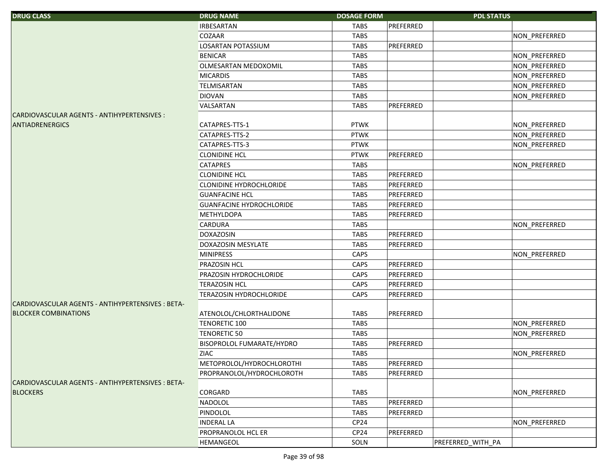| <b>DRUG CLASS</b>                                 | <b>DRUG NAME</b>                | <b>DOSAGE FORM</b> |           | <b>PDL STATUS</b> |                      |
|---------------------------------------------------|---------------------------------|--------------------|-----------|-------------------|----------------------|
|                                                   | <b>IRBESARTAN</b>               | <b>TABS</b>        | PREFERRED |                   |                      |
|                                                   | <b>COZAAR</b>                   | <b>TABS</b>        |           |                   | NON_PREFERRED        |
|                                                   | LOSARTAN POTASSIUM              | <b>TABS</b>        | PREFERRED |                   |                      |
|                                                   | <b>BENICAR</b>                  | <b>TABS</b>        |           |                   | NON_PREFERRED        |
|                                                   | OLMESARTAN MEDOXOMIL            | <b>TABS</b>        |           |                   | NON_PREFERRED        |
|                                                   | <b>MICARDIS</b>                 | <b>TABS</b>        |           |                   | NON_PREFERRED        |
|                                                   | <b>TELMISARTAN</b>              | <b>TABS</b>        |           |                   | NON_PREFERRED        |
|                                                   | <b>DIOVAN</b>                   | <b>TABS</b>        |           |                   | NON_PREFERRED        |
|                                                   | VALSARTAN                       | <b>TABS</b>        | PREFERRED |                   |                      |
| CARDIOVASCULAR AGENTS - ANTIHYPERTENSIVES :       |                                 |                    |           |                   |                      |
| <b>ANTIADRENERGICS</b>                            | CATAPRES-TTS-1                  | <b>PTWK</b>        |           |                   | NON_PREFERRED        |
|                                                   | CATAPRES-TTS-2                  | <b>PTWK</b>        |           |                   | NON_PREFERRED        |
|                                                   | CATAPRES-TTS-3                  | <b>PTWK</b>        |           |                   | NON_PREFERRED        |
|                                                   | <b>CLONIDINE HCL</b>            | <b>PTWK</b>        | PREFERRED |                   |                      |
|                                                   | <b>CATAPRES</b>                 | <b>TABS</b>        |           |                   | NON PREFERRED        |
|                                                   | <b>CLONIDINE HCL</b>            | <b>TABS</b>        | PREFERRED |                   |                      |
|                                                   | <b>CLONIDINE HYDROCHLORIDE</b>  | <b>TABS</b>        | PREFERRED |                   |                      |
|                                                   | <b>GUANFACINE HCL</b>           | <b>TABS</b>        | PREFERRED |                   |                      |
|                                                   | <b>GUANFACINE HYDROCHLORIDE</b> | <b>TABS</b>        | PREFERRED |                   |                      |
|                                                   | <b>METHYLDOPA</b>               | <b>TABS</b>        | PREFERRED |                   |                      |
|                                                   | <b>CARDURA</b>                  | <b>TABS</b>        |           |                   | NON_PREFERRED        |
|                                                   | <b>DOXAZOSIN</b>                | <b>TABS</b>        | PREFERRED |                   |                      |
|                                                   | DOXAZOSIN MESYLATE              | <b>TABS</b>        | PREFERRED |                   |                      |
|                                                   | <b>MINIPRESS</b>                | CAPS               |           |                   | NON_PREFERRED        |
|                                                   | <b>PRAZOSIN HCL</b>             | CAPS               | PREFERRED |                   |                      |
|                                                   | PRAZOSIN HYDROCHLORIDE          | CAPS               | PREFERRED |                   |                      |
|                                                   | <b>TERAZOSIN HCL</b>            | CAPS               | PREFERRED |                   |                      |
|                                                   | <b>TERAZOSIN HYDROCHLORIDE</b>  | CAPS               | PREFERRED |                   |                      |
| CARDIOVASCULAR AGENTS - ANTIHYPERTENSIVES : BETA- |                                 |                    |           |                   |                      |
| <b>BLOCKER COMBINATIONS</b>                       | ATENOLOL/CHLORTHALIDONE         | <b>TABS</b>        | PREFERRED |                   |                      |
|                                                   | <b>TENORETIC 100</b>            | <b>TABS</b>        |           |                   | NON_PREFERRED        |
|                                                   | <b>TENORETIC 50</b>             | <b>TABS</b>        |           |                   | NON_PREFERRED        |
|                                                   | BISOPROLOL FUMARATE/HYDRO       | <b>TABS</b>        | PREFERRED |                   |                      |
|                                                   | <b>ZIAC</b>                     | <b>TABS</b>        |           |                   | <b>NON PREFERRED</b> |
|                                                   | METOPROLOL/HYDROCHLOROTHI       | <b>TABS</b>        | PREFERRED |                   |                      |
|                                                   | PROPRANOLOL/HYDROCHLOROTH       | <b>TABS</b>        | PREFERRED |                   |                      |
| CARDIOVASCULAR AGENTS - ANTIHYPERTENSIVES : BETA- |                                 |                    |           |                   |                      |
| <b>BLOCKERS</b>                                   | <b>CORGARD</b>                  | <b>TABS</b>        |           |                   | NON_PREFERRED        |
|                                                   | NADOLOL                         | <b>TABS</b>        | PREFERRED |                   |                      |
|                                                   | PINDOLOL                        | <b>TABS</b>        | PREFERRED |                   |                      |
|                                                   | <b>INDERAL LA</b>               | CP <sub>24</sub>   |           |                   | NON_PREFERRED        |
|                                                   | PROPRANOLOL HCL ER              | CP <sub>24</sub>   | PREFERRED |                   |                      |
|                                                   | HEMANGEOL                       | SOLN               |           | PREFERRED WITH PA |                      |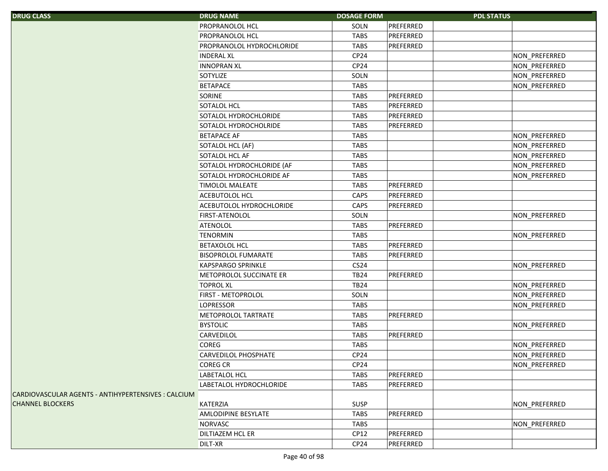| <b>DRUG CLASS</b>                                   | <b>DRUG NAME</b>           | <b>DOSAGE FORM</b> |           | <b>PDL STATUS</b> |               |
|-----------------------------------------------------|----------------------------|--------------------|-----------|-------------------|---------------|
|                                                     | PROPRANOLOL HCL            | SOLN               | PREFERRED |                   |               |
|                                                     | PROPRANOLOL HCL            | <b>TABS</b>        | PREFERRED |                   |               |
|                                                     | PROPRANOLOL HYDROCHLORIDE  | <b>TABS</b>        | PREFERRED |                   |               |
|                                                     | <b>INDERAL XL</b>          | CP24               |           |                   | NON_PREFERRED |
|                                                     | <b>INNOPRAN XL</b>         | CP <sub>24</sub>   |           |                   | NON_PREFERRED |
|                                                     | SOTYLIZE                   | SOLN               |           |                   | NON_PREFERRED |
|                                                     | <b>BETAPACE</b>            | <b>TABS</b>        |           |                   | NON_PREFERRED |
|                                                     | SORINE                     | <b>TABS</b>        | PREFERRED |                   |               |
|                                                     | SOTALOL HCL                | <b>TABS</b>        | PREFERRED |                   |               |
|                                                     | SOTALOL HYDROCHLORIDE      | <b>TABS</b>        | PREFERRED |                   |               |
|                                                     | SOTALOL HYDROCHOLRIDE      | <b>TABS</b>        | PREFERRED |                   |               |
|                                                     | <b>BETAPACE AF</b>         | <b>TABS</b>        |           |                   | NON_PREFERRED |
|                                                     | SOTALOL HCL (AF)           | <b>TABS</b>        |           |                   | NON_PREFERRED |
|                                                     | SOTALOL HCL AF             | <b>TABS</b>        |           |                   | NON_PREFERRED |
|                                                     | SOTALOL HYDROCHLORIDE (AF  | <b>TABS</b>        |           |                   | NON_PREFERRED |
|                                                     | SOTALOL HYDROCHLORIDE AF   | <b>TABS</b>        |           |                   | NON_PREFERRED |
|                                                     | <b>TIMOLOL MALEATE</b>     | <b>TABS</b>        | PREFERRED |                   |               |
|                                                     | ACEBUTOLOL HCL             | CAPS               | PREFERRED |                   |               |
|                                                     | ACEBUTOLOL HYDROCHLORIDE   | CAPS               | PREFERRED |                   |               |
|                                                     | FIRST-ATENOLOL             | SOLN               |           |                   | NON PREFERRED |
|                                                     | ATENOLOL                   | <b>TABS</b>        | PREFERRED |                   |               |
|                                                     | <b>TENORMIN</b>            | <b>TABS</b>        |           |                   | NON_PREFERRED |
|                                                     | BETAXOLOL HCL              | <b>TABS</b>        | PREFERRED |                   |               |
|                                                     | <b>BISOPROLOL FUMARATE</b> | <b>TABS</b>        | PREFERRED |                   |               |
|                                                     | <b>KAPSPARGO SPRINKLE</b>  | CS24               |           |                   | NON_PREFERRED |
|                                                     | METOPROLOL SUCCINATE ER    | <b>TB24</b>        | PREFERRED |                   |               |
|                                                     | <b>TOPROL XL</b>           | <b>TB24</b>        |           |                   | NON_PREFERRED |
|                                                     | FIRST - METOPROLOL         | SOLN               |           |                   | NON_PREFERRED |
|                                                     | <b>LOPRESSOR</b>           | <b>TABS</b>        |           |                   | NON PREFERRED |
|                                                     | METOPROLOL TARTRATE        | <b>TABS</b>        | PREFERRED |                   |               |
|                                                     | <b>BYSTOLIC</b>            | <b>TABS</b>        |           |                   | NON_PREFERRED |
|                                                     | CARVEDILOL                 | <b>TABS</b>        | PREFERRED |                   |               |
|                                                     | <b>COREG</b>               | <b>TABS</b>        |           |                   | NON_PREFERRED |
|                                                     | CARVEDILOL PHOSPHATE       | CP <sub>24</sub>   |           |                   | NON_PREFERRED |
|                                                     | <b>COREG CR</b>            | CP <sub>24</sub>   |           |                   | NON_PREFERRED |
|                                                     | LABETALOL HCL              | <b>TABS</b>        | PREFERRED |                   |               |
|                                                     | LABETALOL HYDROCHLORIDE    | <b>TABS</b>        | PREFERRED |                   |               |
| CARDIOVASCULAR AGENTS - ANTIHYPERTENSIVES : CALCIUM |                            |                    |           |                   |               |
| <b>CHANNEL BLOCKERS</b>                             | KATERZIA                   | <b>SUSP</b>        |           |                   | NON PREFERRED |
|                                                     | AMLODIPINE BESYLATE        | <b>TABS</b>        | PREFERRED |                   |               |
|                                                     | NORVASC                    | <b>TABS</b>        |           |                   | NON_PREFERRED |
|                                                     | DILTIAZEM HCL ER           | CP12               | PREFERRED |                   |               |
|                                                     | DILT-XR                    | CP <sub>24</sub>   | PREFERRED |                   |               |
|                                                     |                            |                    |           |                   |               |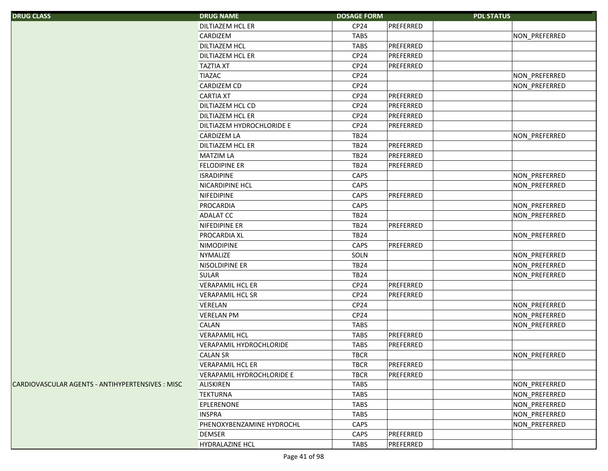| <b>DRUG CLASS</b>                                | <b>DRUG NAME</b>          | <b>DOSAGE FORM</b> |           | <b>PDL STATUS</b> |               |
|--------------------------------------------------|---------------------------|--------------------|-----------|-------------------|---------------|
|                                                  | DILTIAZEM HCL ER          | CP24               | PREFERRED |                   |               |
|                                                  | CARDIZEM                  | <b>TABS</b>        |           |                   | NON_PREFERRED |
|                                                  | <b>DILTIAZEM HCL</b>      | <b>TABS</b>        | PREFERRED |                   |               |
|                                                  | <b>DILTIAZEM HCL ER</b>   | CP24               | PREFERRED |                   |               |
|                                                  | <b>TAZTIA XT</b>          | CP24               | PREFERRED |                   |               |
|                                                  | <b>TIAZAC</b>             | CP <sub>24</sub>   |           |                   | NON_PREFERRED |
|                                                  | CARDIZEM CD               | CP <sub>24</sub>   |           |                   | NON_PREFERRED |
|                                                  | <b>CARTIA XT</b>          | CP24               | PREFERRED |                   |               |
|                                                  | <b>DILTIAZEM HCL CD</b>   | CP24               | PREFERRED |                   |               |
|                                                  | <b>DILTIAZEM HCL ER</b>   | CP <sub>24</sub>   | PREFERRED |                   |               |
|                                                  | DILTIAZEM HYDROCHLORIDE E | CP24               | PREFERRED |                   |               |
|                                                  | <b>CARDIZEM LA</b>        | <b>TB24</b>        |           |                   | NON_PREFERRED |
|                                                  | DILTIAZEM HCL ER          | <b>TB24</b>        | PREFERRED |                   |               |
|                                                  | <b>MATZIM LA</b>          | <b>TB24</b>        | PREFERRED |                   |               |
|                                                  | <b>FELODIPINE ER</b>      | <b>TB24</b>        | PREFERRED |                   |               |
|                                                  | <b>ISRADIPINE</b>         | CAPS               |           |                   | NON_PREFERRED |
|                                                  | <b>NICARDIPINE HCL</b>    | CAPS               |           |                   | NON_PREFERRED |
|                                                  | NIFEDIPINE                | CAPS               | PREFERRED |                   |               |
|                                                  | PROCARDIA                 | CAPS               |           |                   | NON_PREFERRED |
|                                                  | <b>ADALAT CC</b>          | <b>TB24</b>        |           |                   | NON PREFERRED |
|                                                  | NIFEDIPINE ER             | <b>TB24</b>        | PREFERRED |                   |               |
|                                                  | <b>PROCARDIA XL</b>       | <b>TB24</b>        |           |                   | NON_PREFERRED |
|                                                  | <b>NIMODIPINE</b>         | CAPS               | PREFERRED |                   |               |
|                                                  | <b>NYMALIZE</b>           | SOLN               |           |                   | NON_PREFERRED |
|                                                  | NISOLDIPINE ER            | <b>TB24</b>        |           |                   | NON_PREFERRED |
|                                                  | <b>SULAR</b>              | <b>TB24</b>        |           |                   | NON_PREFERRED |
|                                                  | <b>VERAPAMIL HCL ER</b>   | CP24               | PREFERRED |                   |               |
|                                                  | <b>VERAPAMIL HCL SR</b>   | CP <sub>24</sub>   | PREFERRED |                   |               |
|                                                  | VERELAN                   | CP24               |           |                   | NON_PREFERRED |
|                                                  | <b>VERELAN PM</b>         | CP <sub>24</sub>   |           |                   | NON_PREFERRED |
|                                                  | CALAN                     | <b>TABS</b>        |           |                   | NON PREFERRED |
|                                                  | <b>VERAPAMIL HCL</b>      | <b>TABS</b>        | PREFERRED |                   |               |
|                                                  | VERAPAMIL HYDROCHLORIDE   | <b>TABS</b>        | PREFERRED |                   |               |
|                                                  | <b>CALAN SR</b>           | <b>TBCR</b>        |           |                   | NON PREFERRED |
|                                                  | <b>VERAPAMIL HCL ER</b>   | <b>TBCR</b>        | PREFERRED |                   |               |
|                                                  | VERAPAMIL HYDROCHLORIDE E | <b>TBCR</b>        | PREFERRED |                   |               |
| CARDIOVASCULAR AGENTS - ANTIHYPERTENSIVES : MISC | ALISKIREN                 | <b>TABS</b>        |           |                   | NON PREFERRED |
|                                                  | <b>TEKTURNA</b>           | <b>TABS</b>        |           |                   | NON_PREFERRED |
|                                                  | <b>EPLERENONE</b>         | <b>TABS</b>        |           |                   | NON_PREFERRED |
|                                                  | <b>INSPRA</b>             | <b>TABS</b>        |           |                   | NON_PREFERRED |
|                                                  | PHENOXYBENZAMINE HYDROCHL | CAPS               |           |                   | NON_PREFERRED |
|                                                  | <b>DEMSER</b>             | CAPS               | PREFERRED |                   |               |
|                                                  | <b>HYDRALAZINE HCL</b>    | <b>TABS</b>        | PREFERRED |                   |               |
|                                                  |                           |                    |           |                   |               |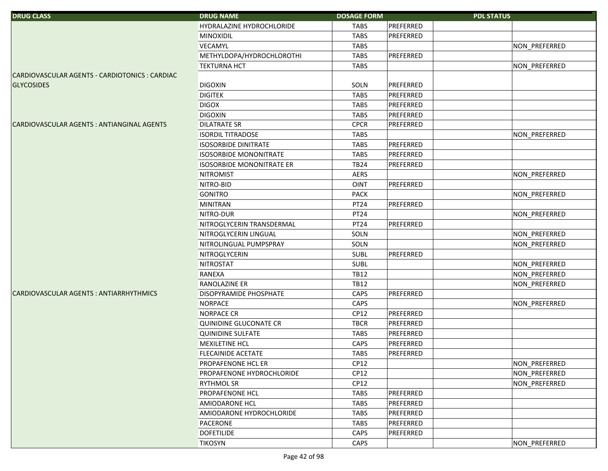| <b>DRUG CLASS</b>                              | <b>DRUG NAME</b>                 | <b>DOSAGE FORM</b> |           | <b>PDL STATUS</b> |               |
|------------------------------------------------|----------------------------------|--------------------|-----------|-------------------|---------------|
|                                                | HYDRALAZINE HYDROCHLORIDE        | <b>TABS</b>        | PREFERRED |                   |               |
|                                                | <b>MINOXIDIL</b>                 | <b>TABS</b>        | PREFERRED |                   |               |
|                                                | VECAMYL                          | <b>TABS</b>        |           |                   | NON_PREFERRED |
|                                                | METHYLDOPA/HYDROCHLOROTHI        | <b>TABS</b>        | PREFERRED |                   |               |
|                                                | <b>TEKTURNA HCT</b>              | <b>TABS</b>        |           |                   | NON_PREFERRED |
| CARDIOVASCULAR AGENTS - CARDIOTONICS : CARDIAC |                                  |                    |           |                   |               |
| <b>GLYCOSIDES</b>                              | <b>DIGOXIN</b>                   | SOLN               | PREFERRED |                   |               |
|                                                | <b>DIGITEK</b>                   | <b>TABS</b>        | PREFERRED |                   |               |
|                                                | <b>DIGOX</b>                     | <b>TABS</b>        | PREFERRED |                   |               |
|                                                | <b>DIGOXIN</b>                   | <b>TABS</b>        | PREFERRED |                   |               |
| CARDIOVASCULAR AGENTS : ANTIANGINAL AGENTS     | <b>DILATRATE SR</b>              | <b>CPCR</b>        | PREFERRED |                   |               |
|                                                | <b>ISORDIL TITRADOSE</b>         | <b>TABS</b>        |           |                   | NON_PREFERRED |
|                                                | <b>ISOSORBIDE DINITRATE</b>      | <b>TABS</b>        | PREFERRED |                   |               |
|                                                | <b>ISOSORBIDE MONONITRATE</b>    | <b>TABS</b>        | PREFERRED |                   |               |
|                                                | <b>ISOSORBIDE MONONITRATE ER</b> | <b>TB24</b>        | PREFERRED |                   |               |
|                                                | <b>NITROMIST</b>                 | <b>AERS</b>        |           |                   | NON PREFERRED |
|                                                | NITRO-BID                        | OINT               | PREFERRED |                   |               |
|                                                | <b>GONITRO</b>                   | <b>PACK</b>        |           |                   | NON_PREFERRED |
|                                                | <b>MINITRAN</b>                  | PT24               | PREFERRED |                   |               |
|                                                | NITRO-DUR                        | PT24               |           |                   | NON_PREFERRED |
|                                                | NITROGLYCERIN TRANSDERMAL        | PT24               | PREFERRED |                   |               |
|                                                | NITROGLYCERIN LINGUAL            | SOLN               |           |                   | NON_PREFERRED |
|                                                | NITROLINGUAL PUMPSPRAY           | SOLN               |           |                   | NON_PREFERRED |
|                                                | NITROGLYCERIN                    | SUBL               | PREFERRED |                   |               |
|                                                | <b>NITROSTAT</b>                 | SUBL               |           |                   | NON_PREFERRED |
|                                                | RANEXA                           | <b>TB12</b>        |           |                   | NON_PREFERRED |
|                                                | RANOLAZINE ER                    | <b>TB12</b>        |           |                   | NON_PREFERRED |
| CARDIOVASCULAR AGENTS: ANTIARRHYTHMICS         | DISOPYRAMIDE PHOSPHATE           | CAPS               | PREFERRED |                   |               |
|                                                | <b>NORPACE</b>                   | CAPS               |           |                   | NON_PREFERRED |
|                                                | <b>NORPACE CR</b>                | CP12               | PREFERRED |                   |               |
|                                                | QUINIDINE GLUCONATE CR           | <b>TBCR</b>        | PREFERRED |                   |               |
|                                                | <b>QUINIDINE SULFATE</b>         | <b>TABS</b>        | PREFERRED |                   |               |
|                                                | MEXILETINE HCL                   | CAPS               | PREFERRED |                   |               |
|                                                | <b>FLECAINIDE ACETATE</b>        | <b>TABS</b>        | PREFERRED |                   |               |
|                                                | PROPAFENONE HCL ER               | CP12               |           |                   | NON_PREFERRED |
|                                                | PROPAFENONE HYDROCHLORIDE        | CP12               |           |                   | NON_PREFERRED |
|                                                | <b>RYTHMOL SR</b>                | CP12               |           |                   | NON PREFERRED |
|                                                | <b>PROPAFENONE HCL</b>           | <b>TABS</b>        | PREFERRED |                   |               |
|                                                | AMIODARONE HCL                   | <b>TABS</b>        | PREFERRED |                   |               |
|                                                | AMIODARONE HYDROCHLORIDE         | <b>TABS</b>        | PREFERRED |                   |               |
|                                                | PACERONE                         | <b>TABS</b>        | PREFERRED |                   |               |
|                                                | <b>DOFETILIDE</b>                | CAPS               | PREFERRED |                   |               |
|                                                | <b>TIKOSYN</b>                   | CAPS               |           |                   | NON_PREFERRED |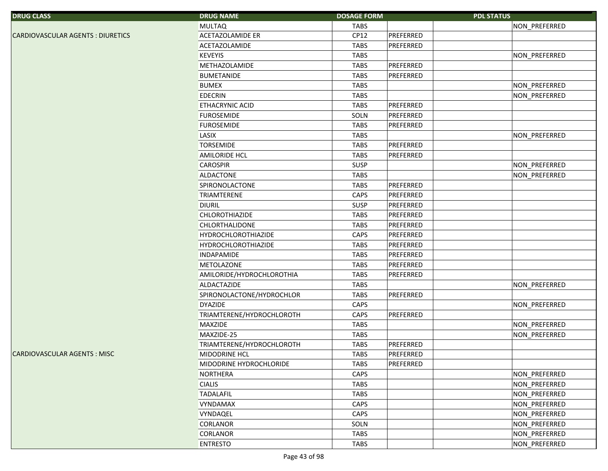| <b>DRUG CLASS</b>                 | <b>DRUG NAME</b>           | <b>DOSAGE FORM</b>       | <b>PDL STATUS</b> |
|-----------------------------------|----------------------------|--------------------------|-------------------|
|                                   | <b>MULTAQ</b>              | TABS                     | NON_PREFERRED     |
| CARDIOVASCULAR AGENTS : DIURETICS | ACETAZOLAMIDE ER           | CP12<br>PREFERRED        |                   |
|                                   | <b>ACETAZOLAMIDE</b>       | <b>TABS</b><br>PREFERRED |                   |
|                                   | <b>KEVEYIS</b>             | <b>TABS</b>              | NON_PREFERRED     |
|                                   | <b>METHAZOLAMIDE</b>       | PREFERRED<br><b>TABS</b> |                   |
|                                   | <b>BUMETANIDE</b>          | PREFERRED<br><b>TABS</b> |                   |
|                                   | <b>BUMEX</b>               | <b>TABS</b>              | NON_PREFERRED     |
|                                   | <b>EDECRIN</b>             | <b>TABS</b>              | NON_PREFERRED     |
|                                   | <b>ETHACRYNIC ACID</b>     | <b>TABS</b><br>PREFERRED |                   |
|                                   | <b>FUROSEMIDE</b>          | PREFERRED<br>SOLN        |                   |
|                                   | <b>FUROSEMIDE</b>          | <b>TABS</b><br>PREFERRED |                   |
|                                   | LASIX                      | <b>TABS</b>              | NON_PREFERRED     |
|                                   | <b>TORSEMIDE</b>           | <b>TABS</b><br>PREFERRED |                   |
|                                   | <b>AMILORIDE HCL</b>       | <b>TABS</b><br>PREFERRED |                   |
|                                   | <b>CAROSPIR</b>            | SUSP                     | NON_PREFERRED     |
|                                   | <b>ALDACTONE</b>           | <b>TABS</b>              | NON_PREFERRED     |
|                                   | SPIRONOLACTONE             | PREFERRED<br><b>TABS</b> |                   |
|                                   | <b>TRIAMTERENE</b>         | CAPS<br>PREFERRED        |                   |
|                                   | <b>DIURIL</b>              | SUSP<br>PREFERRED        |                   |
|                                   | <b>CHLOROTHIAZIDE</b>      | <b>TABS</b><br>PREFERRED |                   |
|                                   | CHLORTHALIDONE             | <b>TABS</b><br>PREFERRED |                   |
|                                   | <b>HYDROCHLOROTHIAZIDE</b> | CAPS<br>PREFERRED        |                   |
|                                   | <b>HYDROCHLOROTHIAZIDE</b> | PREFERRED<br><b>TABS</b> |                   |
|                                   | <b>INDAPAMIDE</b>          | PREFERRED<br><b>TABS</b> |                   |
|                                   | METOLAZONE                 | PREFERRED<br><b>TABS</b> |                   |
|                                   | AMILORIDE/HYDROCHLOROTHIA  | <b>TABS</b><br>PREFERRED |                   |
|                                   | ALDACTAZIDE                | <b>TABS</b>              | NON_PREFERRED     |
|                                   | SPIRONOLACTONE/HYDROCHLOR  | PREFERRED<br><b>TABS</b> |                   |
|                                   | <b>DYAZIDE</b>             | CAPS                     | NON_PREFERRED     |
|                                   | TRIAMTERENE/HYDROCHLOROTH  | PREFERRED<br>CAPS        |                   |
|                                   | <b>MAXZIDE</b>             | <b>TABS</b>              | NON_PREFERRED     |
|                                   | MAXZIDE-25                 | <b>TABS</b>              | NON_PREFERRED     |
|                                   | TRIAMTERENE/HYDROCHLOROTH  | <b>TABS</b><br>PREFERRED |                   |
| CARDIOVASCULAR AGENTS : MISC      | MIDODRINE HCL              | <b>TABS</b><br>PREFERRED |                   |
|                                   | MIDODRINE HYDROCHLORIDE    | PREFERRED<br>TABS        |                   |
|                                   | <b>NORTHERA</b>            | CAPS                     | NON_PREFERRED     |
|                                   | <b>CIALIS</b>              | <b>TABS</b>              | NON_PREFERRED     |
|                                   | <b>TADALAFIL</b>           | TABS                     | NON_PREFERRED     |
|                                   | <b>VYNDAMAX</b>            | CAPS                     | NON_PREFERRED     |
|                                   | VYNDAQEL                   | CAPS                     | NON_PREFERRED     |
|                                   | <b>CORLANOR</b>            | SOLN                     | NON_PREFERRED     |
|                                   | <b>CORLANOR</b>            | <b>TABS</b>              | NON_PREFERRED     |
|                                   | <b>ENTRESTO</b>            | <b>TABS</b>              | NON_PREFERRED     |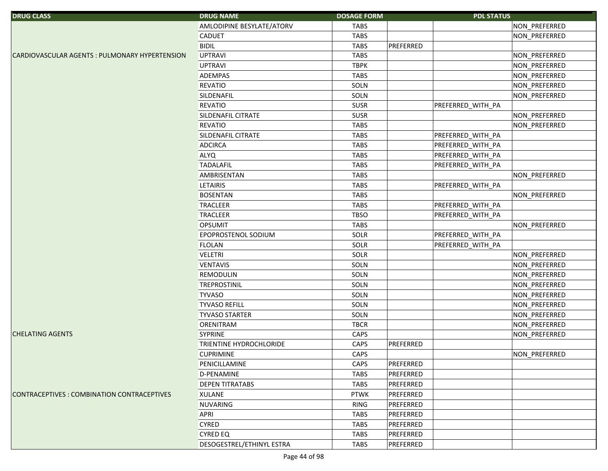| <b>DRUG CLASS</b>                              | <b>DRUG NAME</b>               | <b>DOSAGE FORM</b> |           | <b>PDL STATUS</b> |               |
|------------------------------------------------|--------------------------------|--------------------|-----------|-------------------|---------------|
|                                                | AMLODIPINE BESYLATE/ATORV      | <b>TABS</b>        |           |                   | NON_PREFERRED |
|                                                | <b>CADUET</b>                  | <b>TABS</b>        |           |                   | NON PREFERRED |
|                                                | <b>BIDIL</b>                   | <b>TABS</b>        | PREFERRED |                   |               |
| CARDIOVASCULAR AGENTS : PULMONARY HYPERTENSION | <b>UPTRAVI</b>                 | <b>TABS</b>        |           |                   | NON_PREFERRED |
|                                                | <b>UPTRAVI</b>                 | <b>TBPK</b>        |           |                   | NON_PREFERRED |
|                                                | <b>ADEMPAS</b>                 | <b>TABS</b>        |           |                   | NON_PREFERRED |
|                                                | <b>REVATIO</b>                 | SOLN               |           |                   | NON_PREFERRED |
|                                                | SILDENAFIL                     | SOLN               |           |                   | NON_PREFERRED |
|                                                | <b>REVATIO</b>                 | <b>SUSR</b>        |           | PREFERRED_WITH_PA |               |
|                                                | SILDENAFIL CITRATE             | <b>SUSR</b>        |           |                   | NON_PREFERRED |
|                                                | <b>REVATIO</b>                 | <b>TABS</b>        |           |                   | NON_PREFERRED |
|                                                | SILDENAFIL CITRATE             | <b>TABS</b>        |           | PREFERRED_WITH_PA |               |
|                                                | <b>ADCIRCA</b>                 | <b>TABS</b>        |           | PREFERRED_WITH_PA |               |
|                                                | <b>ALYQ</b>                    | <b>TABS</b>        |           | PREFERRED_WITH_PA |               |
|                                                | <b>TADALAFIL</b>               | <b>TABS</b>        |           | PREFERRED_WITH_PA |               |
|                                                | AMBRISENTAN                    | <b>TABS</b>        |           |                   | NON_PREFERRED |
|                                                | <b>LETAIRIS</b>                | <b>TABS</b>        |           | PREFERRED_WITH_PA |               |
|                                                | <b>BOSENTAN</b>                | <b>TABS</b>        |           |                   | NON_PREFERRED |
|                                                | <b>TRACLEER</b>                | <b>TABS</b>        |           | PREFERRED_WITH_PA |               |
|                                                | <b>TRACLEER</b>                | <b>TBSO</b>        |           | PREFERRED_WITH_PA |               |
|                                                | <b>OPSUMIT</b>                 | <b>TABS</b>        |           |                   | NON PREFERRED |
|                                                | EPOPROSTENOL SODIUM            | SOLR               |           | PREFERRED_WITH_PA |               |
|                                                | <b>FLOLAN</b>                  | SOLR               |           | PREFERRED_WITH_PA |               |
|                                                | <b>VELETRI</b>                 | SOLR               |           |                   | NON_PREFERRED |
|                                                | <b>VENTAVIS</b>                | SOLN               |           |                   | NON_PREFERRED |
|                                                | <b>REMODULIN</b>               | SOLN               |           |                   | NON_PREFERRED |
|                                                | <b>TREPROSTINIL</b>            | SOLN               |           |                   | NON_PREFERRED |
|                                                | <b>TYVASO</b>                  | SOLN               |           |                   | NON_PREFERRED |
|                                                | <b>TYVASO REFILL</b>           | SOLN               |           |                   | NON_PREFERRED |
|                                                | <b>TYVASO STARTER</b>          | SOLN               |           |                   | NON_PREFERRED |
|                                                | ORENITRAM                      | <b>TBCR</b>        |           |                   | NON_PREFERRED |
| <b>CHELATING AGENTS</b>                        | <b>SYPRINE</b>                 | CAPS               |           |                   | NON_PREFERRED |
|                                                | <b>TRIENTINE HYDROCHLORIDE</b> | CAPS               | PREFERRED |                   |               |
|                                                | <b>CUPRIMINE</b>               | CAPS               |           |                   | NON_PREFERRED |
|                                                | PENICILLAMINE                  | <b>CAPS</b>        | PREFERRED |                   |               |
|                                                | <b>D-PENAMINE</b>              | <b>TABS</b>        | PREFERRED |                   |               |
|                                                | <b>DEPEN TITRATABS</b>         | <b>TABS</b>        | PREFERRED |                   |               |
| CONTRACEPTIVES : COMBINATION CONTRACEPTIVES    | <b>XULANE</b>                  | <b>PTWK</b>        | PREFERRED |                   |               |
|                                                | <b>NUVARING</b>                | <b>RING</b>        | PREFERRED |                   |               |
|                                                | <b>APRI</b>                    | <b>TABS</b>        | PREFERRED |                   |               |
|                                                | <b>CYRED</b>                   | <b>TABS</b>        | PREFERRED |                   |               |
|                                                | <b>CYRED EQ</b>                | <b>TABS</b>        | PREFERRED |                   |               |
|                                                | DESOGESTREL/ETHINYL ESTRA      | <b>TABS</b>        | PREFERRED |                   |               |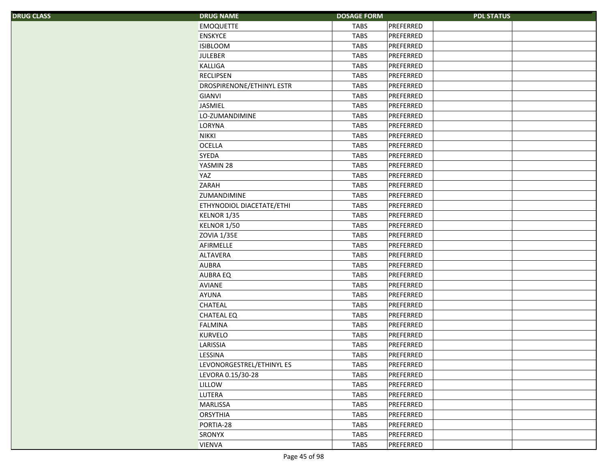| <b>DRUG CLASS</b> | <b>DRUG NAME</b>                 | <b>DOSAGE FORM</b> |           | <b>PDL STATUS</b> |
|-------------------|----------------------------------|--------------------|-----------|-------------------|
|                   | <b>EMOQUETTE</b>                 | <b>TABS</b>        | PREFERRED |                   |
|                   | <b>ENSKYCE</b>                   | <b>TABS</b>        | PREFERRED |                   |
|                   | <b>ISIBLOOM</b>                  | <b>TABS</b>        | PREFERRED |                   |
|                   | <b>JULEBER</b>                   | <b>TABS</b>        | PREFERRED |                   |
|                   | KALLIGA                          | <b>TABS</b>        | PREFERRED |                   |
|                   | <b>RECLIPSEN</b>                 | <b>TABS</b>        | PREFERRED |                   |
|                   | <b>DROSPIRENONE/ETHINYL ESTR</b> | <b>TABS</b>        | PREFERRED |                   |
|                   | <b>GIANVI</b>                    | <b>TABS</b>        | PREFERRED |                   |
|                   | <b>JASMIEL</b>                   | <b>TABS</b>        | PREFERRED |                   |
|                   | LO-ZUMANDIMINE                   | <b>TABS</b>        | PREFERRED |                   |
|                   | LORYNA                           | <b>TABS</b>        | PREFERRED |                   |
|                   | <b>NIKKI</b>                     | <b>TABS</b>        | PREFERRED |                   |
|                   | <b>OCELLA</b>                    | <b>TABS</b>        | PREFERRED |                   |
|                   | SYEDA                            | <b>TABS</b>        | PREFERRED |                   |
|                   | YASMIN 28                        | <b>TABS</b>        | PREFERRED |                   |
|                   | <b>YAZ</b>                       | <b>TABS</b>        | PREFERRED |                   |
|                   | ZARAH                            | <b>TABS</b>        | PREFERRED |                   |
|                   | <b>ZUMANDIMINE</b>               | <b>TABS</b>        | PREFERRED |                   |
|                   | ETHYNODIOL DIACETATE/ETHI        | <b>TABS</b>        | PREFERRED |                   |
|                   | KELNOR 1/35                      | <b>TABS</b>        | PREFERRED |                   |
|                   | KELNOR 1/50                      | <b>TABS</b>        | PREFERRED |                   |
|                   | <b>ZOVIA 1/35E</b>               | <b>TABS</b>        | PREFERRED |                   |
|                   | AFIRMELLE                        | <b>TABS</b>        | PREFERRED |                   |
|                   | <b>ALTAVERA</b>                  | <b>TABS</b>        | PREFERRED |                   |
|                   | <b>AUBRA</b>                     | <b>TABS</b>        | PREFERRED |                   |
|                   | <b>AUBRA EQ</b>                  | <b>TABS</b>        | PREFERRED |                   |
|                   | <b>AVIANE</b>                    | <b>TABS</b>        | PREFERRED |                   |
|                   | <b>AYUNA</b>                     | <b>TABS</b>        | PREFERRED |                   |
|                   | <b>CHATEAL</b>                   | <b>TABS</b>        | PREFERRED |                   |
|                   | <b>CHATEAL EQ</b>                | <b>TABS</b>        | PREFERRED |                   |
|                   | FALMINA                          | <b>TABS</b>        | PREFERRED |                   |
|                   | <b>KURVELO</b>                   | <b>TABS</b>        | PREFERRED |                   |
|                   | LARISSIA                         | <b>TABS</b>        | PREFERRED |                   |
|                   | <b>LESSINA</b>                   | <b>TABS</b>        | PREFERRED |                   |
|                   | LEVONORGESTREL/ETHINYL ES        | <b>TABS</b>        | PREFERRED |                   |
|                   | LEVORA 0.15/30-28                | <b>TABS</b>        | PREFERRED |                   |
|                   | LILLOW                           | <b>TABS</b>        | PREFERRED |                   |
|                   | <b>LUTERA</b>                    | <b>TABS</b>        | PREFERRED |                   |
|                   | <b>MARLISSA</b>                  | <b>TABS</b>        | PREFERRED |                   |
|                   | <b>ORSYTHIA</b>                  | <b>TABS</b>        | PREFERRED |                   |
|                   | PORTIA-28                        | <b>TABS</b>        | PREFERRED |                   |
|                   | <b>SRONYX</b>                    | <b>TABS</b>        | PREFERRED |                   |
|                   | <b>VIENVA</b>                    | <b>TABS</b>        | PREFERRED |                   |
|                   |                                  |                    |           |                   |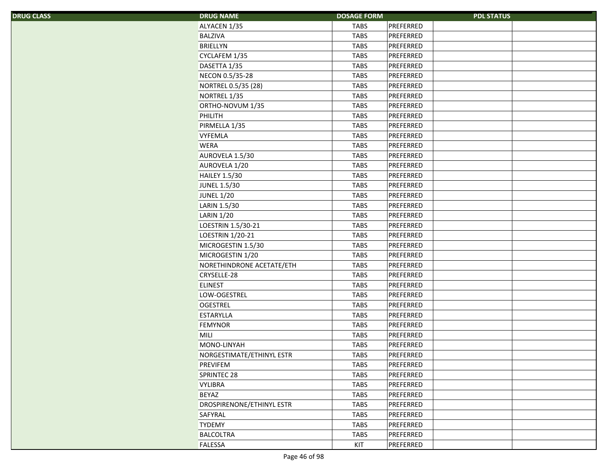|  |  | <b>DRUG CLASS</b> |
|--|--|-------------------|
|  |  |                   |
|  |  |                   |

| S | <b>DRUG NAME</b>                 | <b>DOSAGE FORM</b> |           | <b>PDL STATUS</b> |
|---|----------------------------------|--------------------|-----------|-------------------|
|   | ALYACEN 1/35                     | <b>TABS</b>        | PREFERRED |                   |
|   | <b>BALZIVA</b>                   | <b>TABS</b>        | PREFERRED |                   |
|   | BRIELLYN                         | <b>TABS</b>        | PREFERRED |                   |
|   | CYCLAFEM 1/35                    | <b>TABS</b>        | PREFERRED |                   |
|   | DASETTA 1/35                     | <b>TABS</b>        | PREFERRED |                   |
|   | NECON 0.5/35-28                  | <b>TABS</b>        | PREFERRED |                   |
|   | NORTREL 0.5/35 (28)              | <b>TABS</b>        | PREFERRED |                   |
|   | NORTREL 1/35                     | <b>TABS</b>        | PREFERRED |                   |
|   | ORTHO-NOVUM 1/35                 | <b>TABS</b>        | PREFERRED |                   |
|   | PHILITH                          | <b>TABS</b>        | PREFERRED |                   |
|   | PIRMELLA 1/35                    | <b>TABS</b>        | PREFERRED |                   |
|   | <b>VYFEMLA</b>                   | <b>TABS</b>        | PREFERRED |                   |
|   | <b>WERA</b>                      | <b>TABS</b>        | PREFERRED |                   |
|   | AUROVELA 1.5/30                  | <b>TABS</b>        | PREFERRED |                   |
|   | AUROVELA 1/20                    | <b>TABS</b>        | PREFERRED |                   |
|   | <b>HAILEY 1.5/30</b>             | <b>TABS</b>        | PREFERRED |                   |
|   | <b>JUNEL 1.5/30</b>              | <b>TABS</b>        | PREFERRED |                   |
|   | <b>JUNEL 1/20</b>                | <b>TABS</b>        | PREFERRED |                   |
|   | LARIN 1.5/30                     | <b>TABS</b>        | PREFERRED |                   |
|   | <b>LARIN 1/20</b>                | <b>TABS</b>        | PREFERRED |                   |
|   | LOESTRIN 1.5/30-21               | <b>TABS</b>        | PREFERRED |                   |
|   | <b>LOESTRIN 1/20-21</b>          | <b>TABS</b>        | PREFERRED |                   |
|   | MICROGESTIN 1.5/30               | <b>TABS</b>        | PREFERRED |                   |
|   | MICROGESTIN 1/20                 | <b>TABS</b>        | PREFERRED |                   |
|   | NORETHINDRONE ACETATE/ETH        | <b>TABS</b>        | PREFERRED |                   |
|   | CRYSELLE-28                      | <b>TABS</b>        | PREFERRED |                   |
|   | <b>ELINEST</b>                   | <b>TABS</b>        | PREFERRED |                   |
|   | LOW-OGESTREL                     | <b>TABS</b>        | PREFERRED |                   |
|   | <b>OGESTREL</b>                  | <b>TABS</b>        | PREFERRED |                   |
|   | ESTARYLLA                        | <b>TABS</b>        | PREFERRED |                   |
|   | <b>FEMYNOR</b>                   | <b>TABS</b>        | PREFERRED |                   |
|   | MILI                             | <b>TABS</b>        | PREFERRED |                   |
|   | MONO-LINYAH                      | <b>TABS</b>        | PREFERRED |                   |
|   | NORGESTIMATE/ETHINYL ESTR        | <b>TABS</b>        | PREFERRED |                   |
|   | <b>PREVIFEM</b>                  | <b>TABS</b>        | PREFERRED |                   |
|   | SPRINTEC 28                      | <b>TABS</b>        | PREFERRED |                   |
|   | <b>VYLIBRA</b>                   | <b>TABS</b>        | PREFERRED |                   |
|   | BEYAZ                            | <b>TABS</b>        | PREFERRED |                   |
|   | <b>DROSPIRENONE/ETHINYL ESTR</b> | <b>TABS</b>        | PREFERRED |                   |
|   | SAFYRAL                          | <b>TABS</b>        | PREFERRED |                   |
|   | <b>TYDEMY</b>                    | <b>TABS</b>        | PREFERRED |                   |
|   | <b>BALCOLTRA</b>                 | <b>TABS</b>        | PREFERRED |                   |
|   | FALESSA                          | KIT                | PREFERRED |                   |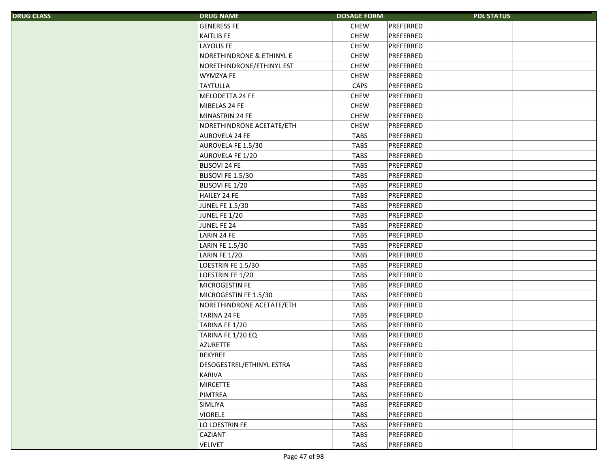| <b>DRUG CLASS</b> |  |
|-------------------|--|
|-------------------|--|

| <b>DRUG NAME</b><br>S.    | <b>PDL STATUS</b><br><b>DOSAGE FORM</b> |  |
|---------------------------|-----------------------------------------|--|
| <b>GENERESS FE</b>        | <b>CHEW</b><br>PREFERRED                |  |
| <b>KAITLIB FE</b>         | <b>CHEW</b><br>PREFERRED                |  |
| <b>LAYOLIS FE</b>         | <b>CHEW</b><br>PREFERRED                |  |
| NORETHINDRONE & ETHINYL E | <b>CHEW</b><br>PREFERRED                |  |
| NORETHINDRONE/ETHINYL EST | <b>CHEW</b><br>PREFERRED                |  |
| <b>WYMZYA FE</b>          | <b>CHEW</b><br>PREFERRED                |  |
| <b>TAYTULLA</b>           | PREFERRED<br>CAPS                       |  |
| MELODETTA 24 FE           | <b>CHEW</b><br>PREFERRED                |  |
| MIBELAS 24 FE             | <b>CHEW</b><br>PREFERRED                |  |
| MINASTRIN 24 FE           | <b>CHEW</b><br>PREFERRED                |  |
| NORETHINDRONE ACETATE/ETH | <b>CHEW</b><br>PREFERRED                |  |
| <b>AUROVELA 24 FE</b>     | <b>TABS</b><br>PREFERRED                |  |
| AUROVELA FE 1.5/30        | PREFERRED<br><b>TABS</b>                |  |
| AUROVELA FE 1/20          | <b>TABS</b><br>PREFERRED                |  |
| <b>BLISOVI 24 FE</b>      | <b>TABS</b><br>PREFERRED                |  |
| BLISOVI FE 1.5/30         | <b>TABS</b><br>PREFERRED                |  |
| BLISOVI FE 1/20           | <b>TABS</b><br>PREFERRED                |  |
| <b>HAILEY 24 FE</b>       | PREFERRED<br><b>TABS</b>                |  |
| <b>JUNEL FE 1.5/30</b>    | PREFERRED<br><b>TABS</b>                |  |
| JUNEL FE 1/20             | <b>TABS</b><br>PREFERRED                |  |
| JUNEL FE 24               | <b>TABS</b><br>PREFERRED                |  |
| LARIN 24 FE               | <b>TABS</b><br>PREFERRED                |  |
| LARIN FE 1.5/30           | <b>TABS</b><br>PREFERRED                |  |
| LARIN FE 1/20             | <b>TABS</b><br>PREFERRED                |  |
| LOESTRIN FE 1.5/30        | PREFERRED<br><b>TABS</b>                |  |
| LOESTRIN FE 1/20          | <b>TABS</b><br>PREFERRED                |  |
| <b>MICROGESTIN FE</b>     | <b>TABS</b><br>PREFERRED                |  |
| MICROGESTIN FE 1.5/30     | <b>TABS</b><br>PREFERRED                |  |
| NORETHINDRONE ACETATE/ETH | <b>TABS</b><br>PREFERRED                |  |
| <b>TARINA 24 FE</b>       | <b>TABS</b><br>PREFERRED                |  |
| TARINA FE 1/20            | <b>TABS</b><br>PREFERRED                |  |
| TARINA FE 1/20 EQ         | PREFERRED<br><b>TABS</b>                |  |
| <b>AZURETTE</b>           | PREFERRED<br><b>TABS</b>                |  |
| <b>BEKYREE</b>            | TABS<br>PREFERRED                       |  |
| DESOGESTREL/ETHINYL ESTRA | <b>TABS</b><br>PREFERRED                |  |
| <b>KARIVA</b>             | <b>TABS</b><br>PREFERRED                |  |
| <b>MIRCETTE</b>           | <b>TABS</b><br>PREFERRED                |  |
| PIMTREA                   | <b>TABS</b><br>PREFERRED                |  |
| <b>SIMLIYA</b>            | <b>TABS</b><br>PREFERRED                |  |
| <b>VIORELE</b>            | <b>TABS</b><br>PREFERRED                |  |
| LO LOESTRIN FE            | <b>TABS</b><br>PREFERRED                |  |
| <b>CAZIANT</b>            | TABS<br>PREFERRED                       |  |
| <b>VELIVET</b>            | <b>TABS</b><br>PREFERRED                |  |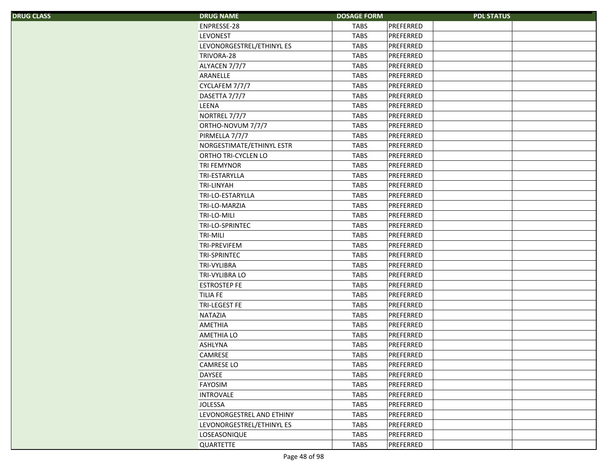|  | <b>DRUG CLASS</b> |
|--|-------------------|
|  |                   |
|  |                   |
|  |                   |

| S, | <b>DRUG NAME</b>           | <b>DOSAGE FORM</b> | <b>PDL STATUS</b> |  |
|----|----------------------------|--------------------|-------------------|--|
|    | ENPRESSE-28                | <b>TABS</b>        | PREFERRED         |  |
|    | <b>LEVONEST</b>            | <b>TABS</b>        | PREFERRED         |  |
|    | LEVONORGESTREL/ETHINYL ES  | <b>TABS</b>        | PREFERRED         |  |
|    | TRIVORA-28                 | <b>TABS</b>        | PREFERRED         |  |
|    | ALYACEN 7/7/7              | <b>TABS</b>        | PREFERRED         |  |
|    | ARANELLE                   | <b>TABS</b>        | PREFERRED         |  |
|    | CYCLAFEM 7/7/7             | <b>TABS</b>        | PREFERRED         |  |
|    | DASETTA 7/7/7              | <b>TABS</b>        | PREFERRED         |  |
|    | <b>LEENA</b>               | <b>TABS</b>        | PREFERRED         |  |
|    | NORTREL 7/7/7              | <b>TABS</b>        | PREFERRED         |  |
|    | ORTHO-NOVUM 7/7/7          | <b>TABS</b>        | PREFERRED         |  |
|    | PIRMELLA 7/7/7             | <b>TABS</b>        | PREFERRED         |  |
|    | NORGESTIMATE/ETHINYL ESTR  | <b>TABS</b>        | PREFERRED         |  |
|    | <b>ORTHO TRI-CYCLEN LO</b> | <b>TABS</b>        | PREFERRED         |  |
|    | <b>TRI FEMYNOR</b>         | <b>TABS</b>        | PREFERRED         |  |
|    | <b>TRI-ESTARYLLA</b>       | <b>TABS</b>        | PREFERRED         |  |
|    | <b>TRI-LINYAH</b>          | <b>TABS</b>        | PREFERRED         |  |
|    | TRI-LO-ESTARYLLA           | <b>TABS</b>        | PREFERRED         |  |
|    | TRI-LO-MARZIA              | <b>TABS</b>        | PREFERRED         |  |
|    | TRI-LO-MILI                | <b>TABS</b>        | PREFERRED         |  |
|    | TRI-LO-SPRINTEC            | <b>TABS</b>        | PREFERRED         |  |
|    | <b>TRI-MILI</b>            | <b>TABS</b>        | PREFERRED         |  |
|    | <b>TRI-PREVIFEM</b>        | <b>TABS</b>        | PREFERRED         |  |
|    | <b>TRI-SPRINTEC</b>        | <b>TABS</b>        | PREFERRED         |  |
|    | <b>TRI-VYLIBRA</b>         | <b>TABS</b>        | PREFERRED         |  |
|    | <b>TRI-VYLIBRA LO</b>      | <b>TABS</b>        | PREFERRED         |  |
|    | <b>ESTROSTEP FE</b>        | <b>TABS</b>        | PREFERRED         |  |
|    | <b>TILIA FE</b>            | <b>TABS</b>        | PREFERRED         |  |
|    | <b>TRI-LEGEST FE</b>       | <b>TABS</b>        | PREFERRED         |  |
|    | <b>NATAZIA</b>             | <b>TABS</b>        | PREFERRED         |  |
|    | <b>AMETHIA</b>             | <b>TABS</b>        | PREFERRED         |  |
|    | <b>AMETHIA LO</b>          | <b>TABS</b>        | PREFERRED         |  |
|    | <b>ASHLYNA</b>             | <b>TABS</b>        | PREFERRED         |  |
|    | <b>CAMRESE</b>             | <b>TABS</b>        | PREFERRED         |  |
|    | <b>CAMRESE LO</b>          | <b>TABS</b>        | PREFERRED         |  |
|    | <b>DAYSEE</b>              | <b>TABS</b>        | PREFERRED         |  |
|    | <b>FAYOSIM</b>             | <b>TABS</b>        | PREFERRED         |  |
|    | <b>INTROVALE</b>           | <b>TABS</b>        | PREFERRED         |  |
|    | <b>JOLESSA</b>             | <b>TABS</b>        | PREFERRED         |  |
|    | LEVONORGESTREL AND ETHINY  | <b>TABS</b>        | PREFERRED         |  |
|    | LEVONORGESTREL/ETHINYL ES  | <b>TABS</b>        | PREFERRED         |  |
|    | LOSEASONIQUE               | <b>TABS</b>        | PREFERRED         |  |
|    | QUARTETTE                  | <b>TABS</b>        | PREFERRED         |  |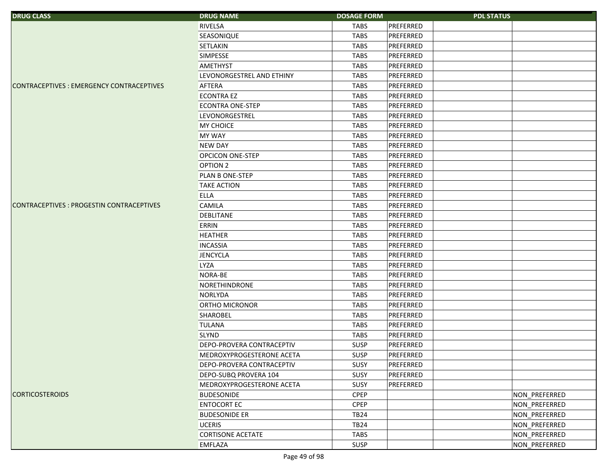| <b>DRUG CLASS</b>                         | <b>DRUG NAME</b>                 | <b>DOSAGE FORM</b> |           | <b>PDL STATUS</b> |  |
|-------------------------------------------|----------------------------------|--------------------|-----------|-------------------|--|
|                                           | RIVELSA                          | <b>TABS</b>        | PREFERRED |                   |  |
|                                           | SEASONIQUE                       | <b>TABS</b>        | PREFERRED |                   |  |
|                                           | <b>SETLAKIN</b>                  | <b>TABS</b>        | PREFERRED |                   |  |
|                                           | <b>SIMPESSE</b>                  | <b>TABS</b>        | PREFERRED |                   |  |
|                                           | <b>AMETHYST</b>                  | <b>TABS</b>        | PREFERRED |                   |  |
|                                           | LEVONORGESTREL AND ETHINY        | <b>TABS</b>        | PREFERRED |                   |  |
| CONTRACEPTIVES : EMERGENCY CONTRACEPTIVES | AFTERA                           | <b>TABS</b>        | PREFERRED |                   |  |
|                                           | <b>ECONTRA EZ</b>                | <b>TABS</b>        | PREFERRED |                   |  |
|                                           | <b>ECONTRA ONE-STEP</b>          | <b>TABS</b>        | PREFERRED |                   |  |
|                                           | <b>LEVONORGESTREL</b>            | <b>TABS</b>        | PREFERRED |                   |  |
|                                           | <b>MY CHOICE</b>                 | <b>TABS</b>        | PREFERRED |                   |  |
|                                           | <b>MY WAY</b>                    | <b>TABS</b>        | PREFERRED |                   |  |
|                                           | <b>NEW DAY</b>                   | <b>TABS</b>        | PREFERRED |                   |  |
|                                           | <b>OPCICON ONE-STEP</b>          | <b>TABS</b>        | PREFERRED |                   |  |
|                                           | <b>OPTION 2</b>                  | <b>TABS</b>        | PREFERRED |                   |  |
|                                           | PLAN B ONE-STEP                  | <b>TABS</b>        | PREFERRED |                   |  |
|                                           | <b>TAKE ACTION</b>               | <b>TABS</b>        | PREFERRED |                   |  |
|                                           | <b>ELLA</b>                      | <b>TABS</b>        | PREFERRED |                   |  |
| CONTRACEPTIVES : PROGESTIN CONTRACEPTIVES | CAMILA                           | <b>TABS</b>        | PREFERRED |                   |  |
|                                           | <b>DEBLITANE</b>                 | <b>TABS</b>        | PREFERRED |                   |  |
|                                           | <b>ERRIN</b>                     | <b>TABS</b>        | PREFERRED |                   |  |
|                                           | <b>HEATHER</b>                   | <b>TABS</b>        | PREFERRED |                   |  |
|                                           | <b>INCASSIA</b>                  | <b>TABS</b>        | PREFERRED |                   |  |
|                                           | <b>JENCYCLA</b>                  | <b>TABS</b>        | PREFERRED |                   |  |
|                                           | <b>LYZA</b>                      | <b>TABS</b>        | PREFERRED |                   |  |
|                                           | NORA-BE                          | <b>TABS</b>        | PREFERRED |                   |  |
|                                           | NORETHINDRONE                    | <b>TABS</b>        | PREFERRED |                   |  |
|                                           | <b>NORLYDA</b>                   | <b>TABS</b>        | PREFERRED |                   |  |
|                                           | ORTHO MICRONOR                   | <b>TABS</b>        | PREFERRED |                   |  |
|                                           | SHAROBEL                         | <b>TABS</b>        | PREFERRED |                   |  |
|                                           | <b>TULANA</b>                    | <b>TABS</b>        | PREFERRED |                   |  |
|                                           | <b>SLYND</b>                     | <b>TABS</b>        | PREFERRED |                   |  |
|                                           | <b>DEPO-PROVERA CONTRACEPTIV</b> | <b>SUSP</b>        | PREFERRED |                   |  |
|                                           | MEDROXYPROGESTERONE ACETA        | <b>SUSP</b>        | PREFERRED |                   |  |
|                                           | DEPO-PROVERA CONTRACEPTIV        | SUSY               | PREFERRED |                   |  |
|                                           | DEPO-SUBQ PROVERA 104            | SUSY               | PREFERRED |                   |  |
|                                           | MEDROXYPROGESTERONE ACETA        | SUSY               | PREFERRED |                   |  |
| <b>CORTICOSTEROIDS</b>                    | <b>BUDESONIDE</b>                | <b>CPEP</b>        |           | NON PREFERRED     |  |
|                                           | <b>ENTOCORT EC</b>               | <b>CPEP</b>        |           | NON_PREFERRED     |  |
|                                           | <b>BUDESONIDE ER</b>             | <b>TB24</b>        |           | NON_PREFERRED     |  |
|                                           | <b>UCERIS</b>                    | <b>TB24</b>        |           | NON PREFERRED     |  |
|                                           | <b>CORTISONE ACETATE</b>         | <b>TABS</b>        |           | NON_PREFERRED     |  |
|                                           | <b>EMFLAZA</b>                   | SUSP               |           | NON_PREFERRED     |  |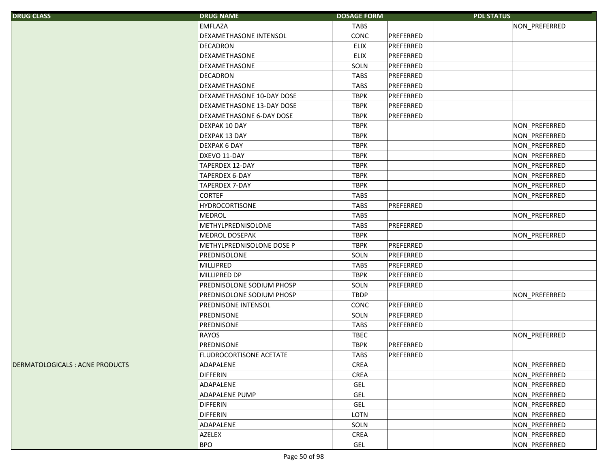| <b>DRUG CLASS</b>               | <b>DRUG NAME</b>          | <b>DOSAGE FORM</b> | <b>PDL STATUS</b> |               |
|---------------------------------|---------------------------|--------------------|-------------------|---------------|
|                                 | <b>EMFLAZA</b>            | <b>TABS</b>        |                   | NON_PREFERRED |
|                                 | DEXAMETHASONE INTENSOL    | CONC               | PREFERRED         |               |
|                                 | <b>DECADRON</b>           | <b>ELIX</b>        | PREFERRED         |               |
|                                 | <b>DEXAMETHASONE</b>      | <b>ELIX</b>        | PREFERRED         |               |
|                                 | <b>DEXAMETHASONE</b>      | SOLN               | PREFERRED         |               |
|                                 | <b>DECADRON</b>           | <b>TABS</b>        | PREFERRED         |               |
|                                 | <b>DEXAMETHASONE</b>      | <b>TABS</b>        | PREFERRED         |               |
|                                 | DEXAMETHASONE 10-DAY DOSE | <b>TBPK</b>        | PREFERRED         |               |
|                                 | DEXAMETHASONE 13-DAY DOSE | <b>TBPK</b>        | PREFERRED         |               |
|                                 | DEXAMETHASONE 6-DAY DOSE  | <b>TBPK</b>        | PREFERRED         |               |
|                                 | DEXPAK 10 DAY             | <b>TBPK</b>        |                   | NON_PREFERRED |
|                                 | DEXPAK 13 DAY             | <b>TBPK</b>        |                   | NON_PREFERRED |
|                                 | DEXPAK 6 DAY              | <b>TBPK</b>        |                   | NON_PREFERRED |
|                                 | DXEVO 11-DAY              | <b>TBPK</b>        |                   | NON_PREFERRED |
|                                 | <b>TAPERDEX 12-DAY</b>    | <b>TBPK</b>        |                   | NON_PREFERRED |
|                                 | <b>TAPERDEX 6-DAY</b>     | <b>TBPK</b>        |                   | NON_PREFERRED |
|                                 | <b>TAPERDEX 7-DAY</b>     | <b>TBPK</b>        |                   | NON PREFERRED |
|                                 | <b>CORTEF</b>             | <b>TABS</b>        |                   | NON_PREFERRED |
|                                 | <b>HYDROCORTISONE</b>     | <b>TABS</b>        | PREFERRED         |               |
|                                 | <b>MEDROL</b>             | <b>TABS</b>        |                   | NON_PREFERRED |
|                                 | METHYLPREDNISOLONE        | <b>TABS</b>        | PREFERRED         |               |
|                                 | <b>MEDROL DOSEPAK</b>     | <b>TBPK</b>        |                   | NON_PREFERRED |
|                                 | METHYLPREDNISOLONE DOSE P | <b>TBPK</b>        | PREFERRED         |               |
|                                 | PREDNISOLONE              | SOLN               | PREFERRED         |               |
|                                 | MILLIPRED                 | <b>TABS</b>        | PREFERRED         |               |
|                                 | MILLIPRED DP              | <b>TBPK</b>        | PREFERRED         |               |
|                                 | PREDNISOLONE SODIUM PHOSP | SOLN               | PREFERRED         |               |
|                                 | PREDNISOLONE SODIUM PHOSP | <b>TBDP</b>        |                   | NON PREFERRED |
|                                 | PREDNISONE INTENSOL       | CONC               | PREFERRED         |               |
|                                 | PREDNISONE                | SOLN               | PREFERRED         |               |
|                                 | PREDNISONE                | <b>TABS</b>        | PREFERRED         |               |
|                                 | RAYOS                     | <b>TBEC</b>        |                   | NON_PREFERRED |
|                                 | PREDNISONE                | <b>TBPK</b>        | PREFERRED         |               |
|                                 | FLUDROCORTISONE ACETATE   | <b>TABS</b>        | PREFERRED         |               |
| DERMATOLOGICALS : ACNE PRODUCTS | ADAPALENE                 | <b>CREA</b>        |                   | NON_PREFERRED |
|                                 | <b>DIFFERIN</b>           | CREA               |                   | NON_PREFERRED |
|                                 | ADAPALENE                 | GEL                |                   | NON_PREFERRED |
|                                 | ADAPALENE PUMP            | GEL                |                   | NON_PREFERRED |
|                                 | <b>DIFFERIN</b>           | GEL                |                   | NON_PREFERRED |
|                                 | <b>DIFFERIN</b>           | LOTN               |                   | NON_PREFERRED |
|                                 | ADAPALENE                 | SOLN               |                   | NON PREFERRED |
|                                 | AZELEX                    | CREA               |                   | NON PREFERRED |
|                                 | <b>BPO</b>                | GEL                |                   | NON_PREFERRED |
|                                 |                           |                    |                   |               |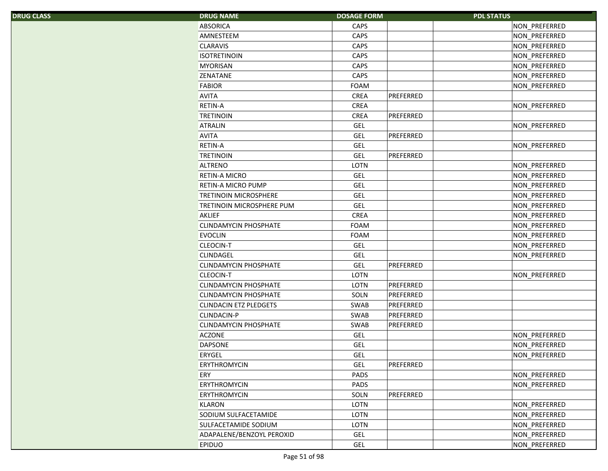| S. | <b>DRUG NAME</b>                 | <b>DOSAGE FORM</b> |           | <b>PDL STATUS</b> |
|----|----------------------------------|--------------------|-----------|-------------------|
|    | <b>ABSORICA</b>                  | <b>CAPS</b>        |           | NON_PREFERRED     |
|    | AMNESTEEM                        | CAPS               |           | NON_PREFERRED     |
|    | <b>CLARAVIS</b>                  | CAPS               |           | NON_PREFERRED     |
|    | <b>ISOTRETINOIN</b>              | CAPS               |           | NON PREFERRED     |
|    | <b>MYORISAN</b>                  | CAPS               |           | NON_PREFERRED     |
|    | ZENATANE                         | CAPS               |           | NON_PREFERRED     |
|    | <b>FABIOR</b>                    | <b>FOAM</b>        |           | NON PREFERRED     |
|    | <b>AVITA</b>                     | <b>CREA</b>        | PREFERRED |                   |
|    | <b>RETIN-A</b>                   | CREA               |           | NON_PREFERRED     |
|    | <b>TRETINOIN</b>                 | CREA               | PREFERRED |                   |
|    | <b>ATRALIN</b>                   | <b>GEL</b>         |           | NON_PREFERRED     |
|    | <b>AVITA</b>                     | <b>GEL</b>         | PREFERRED |                   |
|    | <b>RETIN-A</b>                   | GEL                |           | NON_PREFERRED     |
|    | <b>TRETINOIN</b>                 | <b>GEL</b>         | PREFERRED |                   |
|    | <b>ALTRENO</b>                   | LOTN               |           | NON PREFERRED     |
|    | <b>RETIN-A MICRO</b>             | <b>GEL</b>         |           | NON_PREFERRED     |
|    | RETIN-A MICRO PUMP               | <b>GEL</b>         |           | NON_PREFERRED     |
|    | <b>TRETINOIN MICROSPHERE</b>     | <b>GEL</b>         |           | NON_PREFERRED     |
|    | <b>TRETINOIN MICROSPHERE PUM</b> | <b>GEL</b>         |           | NON_PREFERRED     |
|    | <b>AKLIEF</b>                    | <b>CREA</b>        |           | NON_PREFERRED     |
|    | <b>CLINDAMYCIN PHOSPHATE</b>     | <b>FOAM</b>        |           | NON_PREFERRED     |
|    | <b>EVOCLIN</b>                   | <b>FOAM</b>        |           | NON PREFERRED     |
|    | CLEOCIN-T                        | <b>GEL</b>         |           | NON_PREFERRED     |
|    | CLINDAGEL                        | <b>GEL</b>         |           | NON_PREFERRED     |
|    | <b>CLINDAMYCIN PHOSPHATE</b>     | <b>GEL</b>         | PREFERRED |                   |
|    | CLEOCIN-T                        | LOTN               |           | NON_PREFERRED     |
|    | <b>CLINDAMYCIN PHOSPHATE</b>     | LOTN               | PREFERRED |                   |
|    | <b>CLINDAMYCIN PHOSPHATE</b>     | SOLN               | PREFERRED |                   |
|    | <b>CLINDACIN ETZ PLEDGETS</b>    | SWAB               | PREFERRED |                   |
|    | CLINDACIN-P                      | SWAB               | PREFERRED |                   |
|    | <b>CLINDAMYCIN PHOSPHATE</b>     | SWAB               | PREFERRED |                   |
|    | ACZONE                           | <b>GEL</b>         |           | NON PREFERRED     |
|    | <b>DAPSONE</b>                   | <b>GEL</b>         |           | NON PREFERRED     |
|    | ERYGEL                           | <b>GEL</b>         |           | NON_PREFERRED     |
|    | ERYTHROMYCIN                     | GEL                | PREFERRED |                   |
|    | ERY                              | PADS               |           | NON_PREFERRED     |
|    | ERYTHROMYCIN                     | PADS               |           | NON PREFERRED     |
|    | ERYTHROMYCIN                     | SOLN               | PREFERRED |                   |
|    | KLARON                           | LOTN               |           | NON_PREFERRED     |
|    | SODIUM SULFACETAMIDE             | LOTN               |           | NON PREFERRED     |
|    | SULFACETAMIDE SODIUM             | LOTN               |           | NON PREFERRED     |
|    | ADAPALENE/BENZOYL PEROXID        | <b>GEL</b>         |           | NON PREFERRED     |
|    | <b>EPIDUO</b>                    | GEL                |           | NON PREFERRED     |
|    |                                  |                    |           |                   |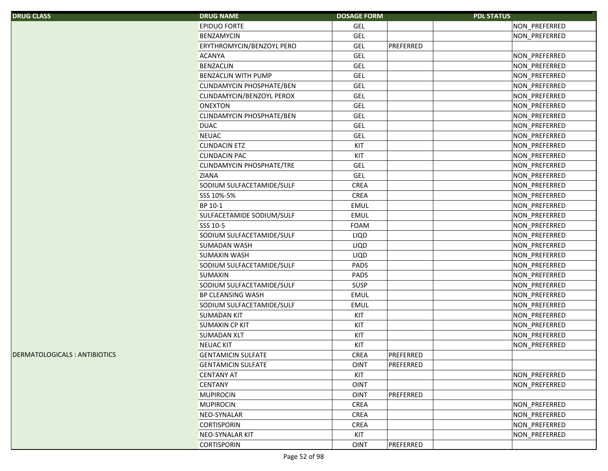| <b>DRUG CLASS</b>             | <b>DRUG NAME</b>                 | <b>DOSAGE FORM</b> |           | <b>PDL STATUS</b> |               |
|-------------------------------|----------------------------------|--------------------|-----------|-------------------|---------------|
|                               | <b>EPIDUO FORTE</b>              | <b>GEL</b>         |           |                   | NON PREFERRED |
|                               | <b>BENZAMYCIN</b>                | <b>GEL</b>         |           |                   | NON PREFERRED |
|                               | ERYTHROMYCIN/BENZOYL PERO        | <b>GEL</b>         | PREFERRED |                   |               |
|                               | <b>ACANYA</b>                    | <b>GEL</b>         |           |                   | NON_PREFERRED |
|                               | <b>BENZACLIN</b>                 | <b>GEL</b>         |           |                   | NON_PREFERRED |
|                               | <b>BENZACLIN WITH PUMP</b>       | <b>GEL</b>         |           |                   | NON_PREFERRED |
|                               | <b>CLINDAMYCIN PHOSPHATE/BEN</b> | <b>GEL</b>         |           |                   | NON_PREFERRED |
|                               | CLINDAMYCIN/BENZOYL PEROX        | <b>GEL</b>         |           |                   | NON_PREFERRED |
|                               | <b>ONEXTON</b>                   | <b>GEL</b>         |           |                   | NON PREFERRED |
|                               | <b>CLINDAMYCIN PHOSPHATE/BEN</b> | <b>GEL</b>         |           |                   | NON_PREFERRED |
|                               | <b>DUAC</b>                      | <b>GEL</b>         |           |                   | NON_PREFERRED |
|                               | <b>NEUAC</b>                     | <b>GEL</b>         |           |                   | NON_PREFERRED |
|                               | <b>CLINDACIN ETZ</b>             | KIT                |           |                   | NON_PREFERRED |
|                               | <b>CLINDACIN PAC</b>             | KIT                |           |                   | NON_PREFERRED |
|                               | <b>CLINDAMYCIN PHOSPHATE/TRE</b> | <b>GEL</b>         |           |                   | NON PREFERRED |
|                               | <b>ZIANA</b>                     | <b>GEL</b>         |           |                   | NON_PREFERRED |
|                               | SODIUM SULFACETAMIDE/SULF        | <b>CREA</b>        |           |                   | NON PREFERRED |
|                               | SSS 10%-5%                       | CREA               |           |                   | NON PREFERRED |
|                               | BP 10-1                          | <b>EMUL</b>        |           |                   | NON PREFERRED |
|                               | SULFACETAMIDE SODIUM/SULF        | <b>EMUL</b>        |           |                   | NON PREFERRED |
|                               | SSS 10-5                         | FOAM               |           |                   | NON_PREFERRED |
|                               | SODIUM SULFACETAMIDE/SULF        | LIQD               |           |                   | NON_PREFERRED |
|                               | <b>SUMADAN WASH</b>              | <b>LIQD</b>        |           |                   | NON_PREFERRED |
|                               | <b>SUMAXIN WASH</b>              | LIQD               |           |                   | NON_PREFERRED |
|                               | SODIUM SULFACETAMIDE/SULF        | PADS               |           |                   | NON_PREFERRED |
|                               | <b>SUMAXIN</b>                   | PADS               |           |                   | NON_PREFERRED |
|                               | SODIUM SULFACETAMIDE/SULF        | <b>SUSP</b>        |           |                   | NON_PREFERRED |
|                               | BP CLEANSING WASH                | <b>EMUL</b>        |           |                   | NON_PREFERRED |
|                               | SODIUM SULFACETAMIDE/SULF        | EMUL               |           |                   | NON_PREFERRED |
|                               | <b>SUMADAN KIT</b>               | KIT                |           |                   | NON_PREFERRED |
|                               | <b>SUMAXIN CP KIT</b>            | KIT                |           |                   | NON_PREFERRED |
|                               | <b>SUMADAN XLT</b>               | KIT                |           |                   | NON_PREFERRED |
|                               | <b>NEUAC KIT</b>                 | KIT                |           |                   | NON PREFERRED |
| DERMATOLOGICALS : ANTIBIOTICS | <b>GENTAMICIN SULFATE</b>        | $\sf CREA$         | PREFERRED |                   |               |
|                               | <b>GENTAMICIN SULFATE</b>        | <b>OINT</b>        | PREFERRED |                   |               |
|                               | <b>CENTANY AT</b>                | KIT                |           |                   | NON_PREFERRED |
|                               | <b>CENTANY</b>                   | <b>OINT</b>        |           |                   | NON_PREFERRED |
|                               | <b>MUPIROCIN</b>                 | <b>OINT</b>        | PREFERRED |                   |               |
|                               | <b>MUPIROCIN</b>                 | <b>CREA</b>        |           |                   | NON_PREFERRED |
|                               | NEO-SYNALAR                      | CREA               |           |                   | NON_PREFERRED |
|                               | <b>CORTISPORIN</b>               | <b>CREA</b>        |           |                   | NON PREFERRED |
|                               | NEO-SYNALAR KIT                  | KIT                |           |                   | NON_PREFERRED |
|                               | <b>CORTISPORIN</b>               | <b>OINT</b>        | PREFERRED |                   |               |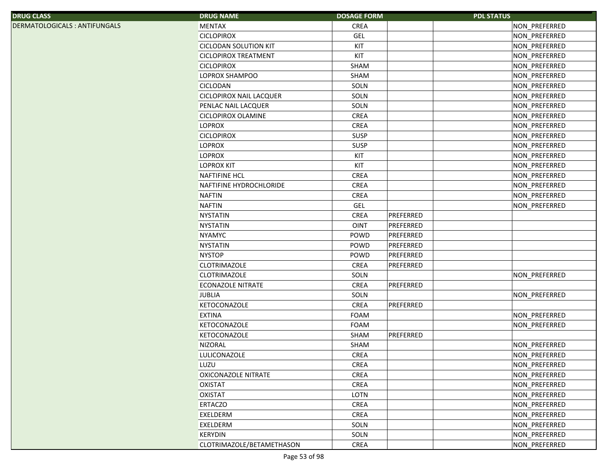|--|

DERMATOLOGICALS : ANTIFUNGALS

| S.                          | <b>DRUG NAME</b>               | <b>DOSAGE FORM</b> | <b>PDL STATUS</b> |               |
|-----------------------------|--------------------------------|--------------------|-------------------|---------------|
| <b>OGICALS: ANTIFUNGALS</b> | <b>MENTAX</b>                  | <b>CREA</b>        |                   | NON_PREFERRED |
|                             | <b>CICLOPIROX</b>              | <b>GEL</b>         |                   | NON_PREFERRED |
|                             | <b>CICLODAN SOLUTION KIT</b>   | KIT                |                   | NON_PREFERRED |
|                             | <b>CICLOPIROX TREATMENT</b>    | KIT                |                   | NON_PREFERRED |
|                             | <b>CICLOPIROX</b>              | SHAM               |                   | NON_PREFERRED |
|                             | LOPROX SHAMPOO                 | SHAM               |                   | NON_PREFERRED |
|                             | <b>CICLODAN</b>                | SOLN               |                   | NON_PREFERRED |
|                             | <b>CICLOPIROX NAIL LACQUER</b> | SOLN               |                   | NON_PREFERRED |
|                             | PENLAC NAIL LACQUER            | SOLN               |                   | NON_PREFERRED |
|                             | CICLOPIROX OLAMINE             | CREA               |                   | NON_PREFERRED |
|                             | <b>LOPROX</b>                  | <b>CREA</b>        |                   | NON_PREFERRED |
|                             | <b>CICLOPIROX</b>              | <b>SUSP</b>        |                   | NON_PREFERRED |
|                             | <b>LOPROX</b>                  | <b>SUSP</b>        |                   | NON_PREFERRED |
|                             | <b>LOPROX</b>                  | KIT                |                   | NON_PREFERRED |
|                             | <b>LOPROX KIT</b>              | KIT                |                   | NON_PREFERRED |
|                             | <b>NAFTIFINE HCL</b>           | <b>CREA</b>        |                   | NON_PREFERRED |
|                             | NAFTIFINE HYDROCHLORIDE        | <b>CREA</b>        |                   | NON_PREFERRED |
|                             | <b>NAFTIN</b>                  | <b>CREA</b>        |                   | NON_PREFERRED |
|                             | <b>NAFTIN</b>                  | <b>GEL</b>         |                   | NON_PREFERRED |
|                             | <b>NYSTATIN</b>                | <b>CREA</b>        | PREFERRED         |               |
|                             | <b>NYSTATIN</b>                | <b>OINT</b>        | PREFERRED         |               |
|                             | <b>NYAMYC</b>                  | POWD               | PREFERRED         |               |
|                             | <b>NYSTATIN</b>                | POWD               | PREFERRED         |               |
|                             | <b>NYSTOP</b>                  | POWD               | PREFERRED         |               |
|                             | <b>CLOTRIMAZOLE</b>            | <b>CREA</b>        | PREFERRED         |               |
|                             | <b>CLOTRIMAZOLE</b>            | SOLN               |                   | NON PREFERRED |
|                             | <b>ECONAZOLE NITRATE</b>       | <b>CREA</b>        | PREFERRED         |               |
|                             | <b>JUBLIA</b>                  | SOLN               |                   | NON_PREFERRED |
|                             | KETOCONAZOLE                   | <b>CREA</b>        | PREFERRED         |               |
|                             | <b>EXTINA</b>                  | FOAM               |                   | NON_PREFERRED |
|                             | KETOCONAZOLE                   | FOAM               |                   | NON_PREFERRED |
|                             | <b>KETOCONAZOLE</b>            | SHAM               | PREFERRED         |               |
|                             | <b>NIZORAL</b>                 | SHAM               |                   | NON_PREFERRED |
|                             | LULICONAZOLE                   | <b>CREA</b>        |                   | NON_PREFERRED |
|                             | LUZU                           | <b>CREA</b>        |                   | NON_PREFERRED |
|                             | <b>OXICONAZOLE NITRATE</b>     | CREA               |                   | NON_PREFERRED |
|                             | <b>OXISTAT</b>                 | CREA               |                   | NON_PREFERRED |
|                             | <b>OXISTAT</b>                 | LOTN               |                   | NON PREFERRED |
|                             | <b>ERTACZO</b>                 | CREA               |                   | NON PREFERRED |
|                             | EXELDERM                       | CREA               |                   | NON_PREFERRED |
|                             | EXELDERM                       | SOLN               |                   | NON_PREFERRED |
|                             | <b>KERYDIN</b>                 | SOLN               |                   | NON_PREFERRED |
|                             | CLOTRIMAZOLE/BETAMETHASON      | CREA               |                   | NON_PREFERRED |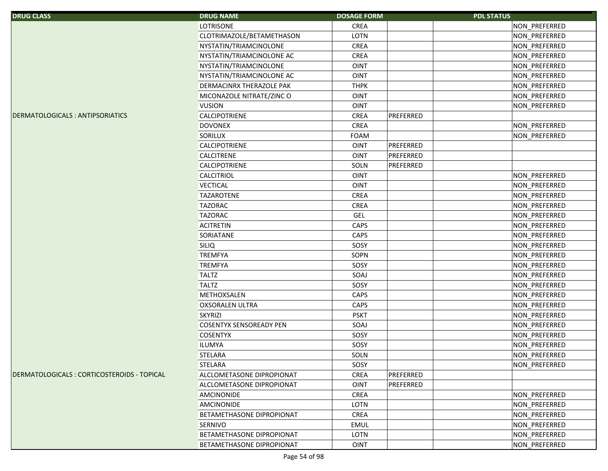| <b>DRUG CLASS</b>                          | <b>DRUG NAME</b>               | <b>DOSAGE FORM</b> | <b>PDL STATUS</b> |               |
|--------------------------------------------|--------------------------------|--------------------|-------------------|---------------|
|                                            | <b>LOTRISONE</b>               | <b>CREA</b>        |                   | NON_PREFERRED |
|                                            | CLOTRIMAZOLE/BETAMETHASON      | LOTN               |                   | NON_PREFERRED |
|                                            | NYSTATIN/TRIAMCINOLONE         | <b>CREA</b>        |                   | NON_PREFERRED |
|                                            | NYSTATIN/TRIAMCINOLONE AC      | <b>CREA</b>        |                   | NON PREFERRED |
|                                            | NYSTATIN/TRIAMCINOLONE         | <b>OINT</b>        |                   | NON_PREFERRED |
|                                            | NYSTATIN/TRIAMCINOLONE AC      | <b>OINT</b>        |                   | NON_PREFERRED |
|                                            | DERMACINRX THERAZOLE PAK       | <b>THPK</b>        |                   | NON_PREFERRED |
|                                            | MICONAZOLE NITRATE/ZINC O      | OINT               |                   | NON PREFERRED |
|                                            | <b>VUSION</b>                  | OINT               |                   | NON_PREFERRED |
| DERMATOLOGICALS: ANTIPSORIATICS            | CALCIPOTRIENE                  | <b>CREA</b>        | PREFERRED         |               |
|                                            | <b>DOVONEX</b>                 | <b>CREA</b>        |                   | NON_PREFERRED |
|                                            | SORILUX                        | <b>FOAM</b>        |                   | NON_PREFERRED |
|                                            | CALCIPOTRIENE                  | OINT               | PREFERRED         |               |
|                                            | CALCITRENE                     | OINT               | PREFERRED         |               |
|                                            | CALCIPOTRIENE                  | SOLN               | PREFERRED         |               |
|                                            | CALCITRIOL                     | OINT               |                   | NON_PREFERRED |
|                                            | <b>VECTICAL</b>                | OINT               |                   | NON_PREFERRED |
|                                            | <b>TAZAROTENE</b>              | <b>CREA</b>        |                   | NON_PREFERRED |
|                                            | <b>TAZORAC</b>                 | <b>CREA</b>        |                   | NON_PREFERRED |
|                                            | <b>TAZORAC</b>                 | GEL                |                   | NON_PREFERRED |
|                                            | <b>ACITRETIN</b>               | CAPS               |                   | NON_PREFERRED |
|                                            | SORIATANE                      | CAPS               |                   | NON_PREFERRED |
|                                            | <b>SILIQ</b>                   | SOSY               |                   | NON_PREFERRED |
|                                            | <b>TREMFYA</b>                 | SOPN               |                   | NON_PREFERRED |
|                                            | <b>TREMFYA</b>                 | SOSY               |                   | NON_PREFERRED |
|                                            | <b>TALTZ</b>                   | SOAJ               |                   | NON_PREFERRED |
|                                            | <b>TALTZ</b>                   | SOSY               |                   | NON_PREFERRED |
|                                            | METHOXSALEN                    | CAPS               |                   | NON_PREFERRED |
|                                            | <b>OXSORALEN ULTRA</b>         | CAPS               |                   | NON_PREFERRED |
|                                            | <b>SKYRIZI</b>                 | <b>PSKT</b>        |                   | NON_PREFERRED |
|                                            | <b>COSENTYX SENSOREADY PEN</b> | SOAJ               |                   | NON_PREFERRED |
|                                            | <b>COSENTYX</b>                | SOSY               |                   | NON_PREFERRED |
|                                            | <b>ILUMYA</b>                  | SOSY               |                   | NON_PREFERRED |
|                                            | STELARA                        | SOLN               |                   | NON_PREFERRED |
|                                            | <b>STELARA</b>                 | SOSY               |                   | NON_PREFERRED |
| DERMATOLOGICALS: CORTICOSTEROIDS - TOPICAL | ALCLOMETASONE DIPROPIONAT      | <b>CREA</b>        | PREFERRED         |               |
|                                            | ALCLOMETASONE DIPROPIONAT      | OINT               | PREFERRED         |               |
|                                            | <b>AMCINONIDE</b>              | <b>CREA</b>        |                   | NON PREFERRED |
|                                            | <b>AMCINONIDE</b>              | LOTN               |                   | NON_PREFERRED |
|                                            | BETAMETHASONE DIPROPIONAT      | CREA               |                   | NON_PREFERRED |
|                                            | SERNIVO                        | <b>EMUL</b>        |                   | NON_PREFERRED |
|                                            | BETAMETHASONE DIPROPIONAT      | LOTN               |                   | NON_PREFERRED |
|                                            | BETAMETHASONE DIPROPIONAT      | <b>OINT</b>        |                   | NON_PREFERRED |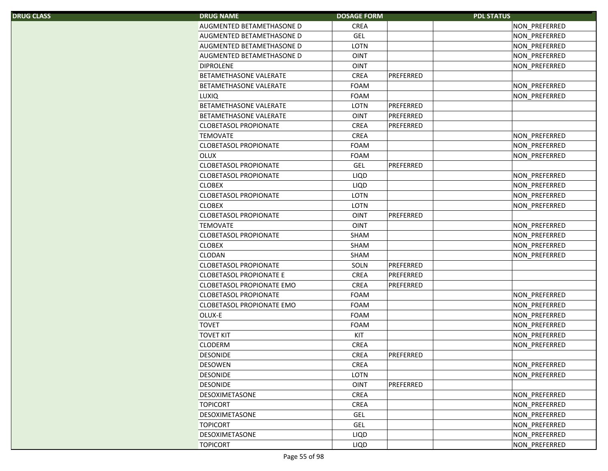| S. | <b>DRUG NAME</b>                 | <b>DOSAGE FORM</b> |           | <b>PDL STATUS</b> |
|----|----------------------------------|--------------------|-----------|-------------------|
|    | AUGMENTED BETAMETHASONE D        | <b>CREA</b>        |           | NON_PREFERRED     |
|    | AUGMENTED BETAMETHASONE D        | <b>GEL</b>         |           | NON_PREFERRED     |
|    | AUGMENTED BETAMETHASONE D        | LOTN               |           | NON_PREFERRED     |
|    | AUGMENTED BETAMETHASONE D        | <b>OINT</b>        |           | NON_PREFERRED     |
|    | <b>DIPROLENE</b>                 | <b>OINT</b>        |           | NON_PREFERRED     |
|    | BETAMETHASONE VALERATE           | <b>CREA</b>        | PREFERRED |                   |
|    | BETAMETHASONE VALERATE           | <b>FOAM</b>        |           | NON_PREFERRED     |
|    | <b>LUXIQ</b>                     | <b>FOAM</b>        |           | NON_PREFERRED     |
|    | BETAMETHASONE VALERATE           | LOTN               | PREFERRED |                   |
|    | <b>BETAMETHASONE VALERATE</b>    | <b>OINT</b>        | PREFERRED |                   |
|    | <b>CLOBETASOL PROPIONATE</b>     | CREA               | PREFERRED |                   |
|    | <b>TEMOVATE</b>                  | <b>CREA</b>        |           | NON_PREFERRED     |
|    | <b>CLOBETASOL PROPIONATE</b>     | <b>FOAM</b>        |           | NON_PREFERRED     |
|    | <b>OLUX</b>                      | <b>FOAM</b>        |           | NON PREFERRED     |
|    | <b>CLOBETASOL PROPIONATE</b>     | <b>GEL</b>         | PREFERRED |                   |
|    | <b>CLOBETASOL PROPIONATE</b>     | <b>LIQD</b>        |           | NON_PREFERRED     |
|    | <b>CLOBEX</b>                    | LIQD               |           | NON_PREFERRED     |
|    | <b>CLOBETASOL PROPIONATE</b>     | LOTN               |           | NON_PREFERRED     |
|    | <b>CLOBEX</b>                    | <b>LOTN</b>        |           | NON_PREFERRED     |
|    | <b>CLOBETASOL PROPIONATE</b>     | <b>OINT</b>        | PREFERRED |                   |
|    | <b>TEMOVATE</b>                  | <b>OINT</b>        |           | NON_PREFERRED     |
|    | <b>CLOBETASOL PROPIONATE</b>     | <b>SHAM</b>        |           | NON_PREFERRED     |
|    | <b>CLOBEX</b>                    | SHAM               |           | NON_PREFERRED     |
|    | <b>CLODAN</b>                    | SHAM               |           | NON_PREFERRED     |
|    | <b>CLOBETASOL PROPIONATE</b>     | SOLN               | PREFERRED |                   |
|    | <b>CLOBETASOL PROPIONATE E</b>   | <b>CREA</b>        | PREFERRED |                   |
|    | <b>CLOBETASOL PROPIONATE EMO</b> | <b>CREA</b>        | PREFERRED |                   |
|    | <b>CLOBETASOL PROPIONATE</b>     | <b>FOAM</b>        |           | NON_PREFERRED     |
|    | <b>CLOBETASOL PROPIONATE EMO</b> | <b>FOAM</b>        |           | NON_PREFERRED     |
|    | OLUX-E                           | <b>FOAM</b>        |           | NON_PREFERRED     |
|    | <b>TOVET</b>                     | <b>FOAM</b>        |           | NON_PREFERRED     |
|    | <b>TOVET KIT</b>                 | KIT                |           | NON PREFERRED     |
|    | <b>CLODERM</b>                   | <b>CREA</b>        |           | NON PREFERRED     |
|    | <b>DESONIDE</b>                  | CREA               | PREFERRED |                   |
|    | <b>DESOWEN</b>                   | <b>CREA</b>        |           | NON_PREFERRED     |
|    | <b>DESONIDE</b>                  | LOTN               |           | NON PREFERRED     |
|    | <b>DESONIDE</b>                  | <b>OINT</b>        | PREFERRED |                   |
|    | <b>DESOXIMETASONE</b>            | <b>CREA</b>        |           | NON_PREFERRED     |
|    | <b>TOPICORT</b>                  | <b>CREA</b>        |           | NON_PREFERRED     |
|    | DESOXIMETASONE                   | <b>GEL</b>         |           | NON_PREFERRED     |
|    | <b>TOPICORT</b>                  | GEL                |           | NON_PREFERRED     |
|    | DESOXIMETASONE                   | LIQD               |           | NON PREFERRED     |
|    | <b>TOPICORT</b>                  | LIQD               |           | NON_PREFERRED     |
|    |                                  |                    |           |                   |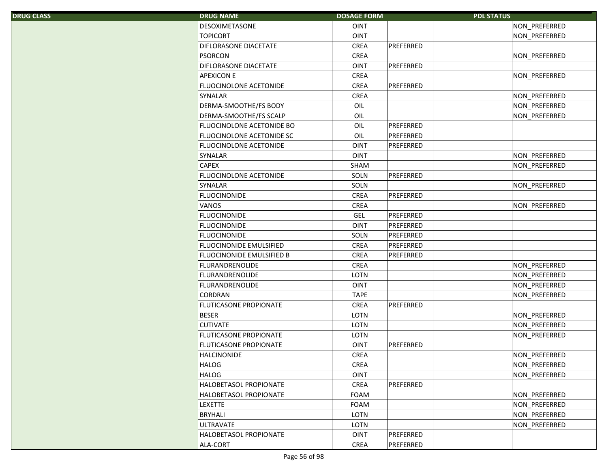|  | <b>DRUG CLASS</b> |  |
|--|-------------------|--|
|  |                   |  |

| S, | <b>DRUG NAME</b>                 | <b>DOSAGE FORM</b> |           | <b>PDL STATUS</b>    |
|----|----------------------------------|--------------------|-----------|----------------------|
|    | <b>DESOXIMETASONE</b>            | <b>OINT</b>        |           | NON_PREFERRED        |
|    | <b>TOPICORT</b>                  | <b>OINT</b>        |           | NON PREFERRED        |
|    | DIFLORASONE DIACETATE            | <b>CREA</b>        | PREFERRED |                      |
|    | <b>PSORCON</b>                   | <b>CREA</b>        |           | NON PREFERRED        |
|    | DIFLORASONE DIACETATE            | <b>OINT</b>        | PREFERRED |                      |
|    | <b>APEXICON E</b>                | <b>CREA</b>        |           | NON_PREFERRED        |
|    | <b>FLUOCINOLONE ACETONIDE</b>    | <b>CREA</b>        | PREFERRED |                      |
|    | <b>SYNALAR</b>                   | <b>CREA</b>        |           | NON_PREFERRED        |
|    | DERMA-SMOOTHE/FS BODY            | OIL                |           | NON PREFERRED        |
|    | DERMA-SMOOTHE/FS SCALP           | OIL                |           | NON_PREFERRED        |
|    | FLUOCINOLONE ACETONIDE BO        | OIL                | PREFERRED |                      |
|    | FLUOCINOLONE ACETONIDE SC        | OIL                | PREFERRED |                      |
|    | FLUOCINOLONE ACETONIDE           | <b>OINT</b>        | PREFERRED |                      |
|    | <b>SYNALAR</b>                   | <b>OINT</b>        |           | NON_PREFERRED        |
|    | <b>CAPEX</b>                     | SHAM               |           | NON PREFERRED        |
|    | FLUOCINOLONE ACETONIDE           | SOLN               | PREFERRED |                      |
|    | <b>SYNALAR</b>                   | SOLN               |           | NON_PREFERRED        |
|    | <b>FLUOCINONIDE</b>              | CREA               | PREFERRED |                      |
|    | VANOS                            | <b>CREA</b>        |           | NON_PREFERRED        |
|    | <b>FLUOCINONIDE</b>              | <b>GEL</b>         | PREFERRED |                      |
|    | <b>FLUOCINONIDE</b>              | <b>OINT</b>        | PREFERRED |                      |
|    | <b>FLUOCINONIDE</b>              | SOLN               | PREFERRED |                      |
|    | <b>FLUOCINONIDE EMULSIFIED</b>   | CREA               | PREFERRED |                      |
|    | <b>FLUOCINONIDE EMULSIFIED B</b> | CREA               | PREFERRED |                      |
|    | FLURANDRENOLIDE                  | CREA               |           | NON_PREFERRED        |
|    | <b>FLURANDRENOLIDE</b>           | LOTN               |           | NON PREFERRED        |
|    | FLURANDRENOLIDE                  | <b>OINT</b>        |           | NON_PREFERRED        |
|    | CORDRAN                          | <b>TAPE</b>        |           | NON PREFERRED        |
|    | <b>FLUTICASONE PROPIONATE</b>    | CREA               | PREFERRED |                      |
|    | <b>BESER</b>                     | LOTN               |           | NON_PREFERRED        |
|    | <b>CUTIVATE</b>                  | LOTN               |           | NON_PREFERRED        |
|    | FLUTICASONE PROPIONATE           | LOTN               |           | NON_PREFERRED        |
|    | <b>FLUTICASONE PROPIONATE</b>    | <b>OINT</b>        | PREFERRED |                      |
|    | <b>HALCINONIDE</b>               | CREA               |           | NON_PREFERRED        |
|    | HALOG                            | <b>CREA</b>        |           | NON_PREFERRED        |
|    | <b>HALOG</b>                     | <b>OINT</b>        |           | NON PREFERRED        |
|    | HALOBETASOL PROPIONATE           | CREA               | PREFERRED |                      |
|    | HALOBETASOL PROPIONATE           | <b>FOAM</b>        |           | NON PREFERRED        |
|    | <b>LEXETTE</b>                   | FOAM               |           | <b>NON PREFERRED</b> |
|    | <b>BRYHALI</b>                   | LOTN               |           | NON_PREFERRED        |
|    | <b>ULTRAVATE</b>                 | LOTN               |           | NON_PREFERRED        |
|    | HALOBETASOL PROPIONATE           | <b>OINT</b>        | PREFERRED |                      |
|    | ALA-CORT                         | CREA               | PREFERRED |                      |
|    |                                  |                    |           |                      |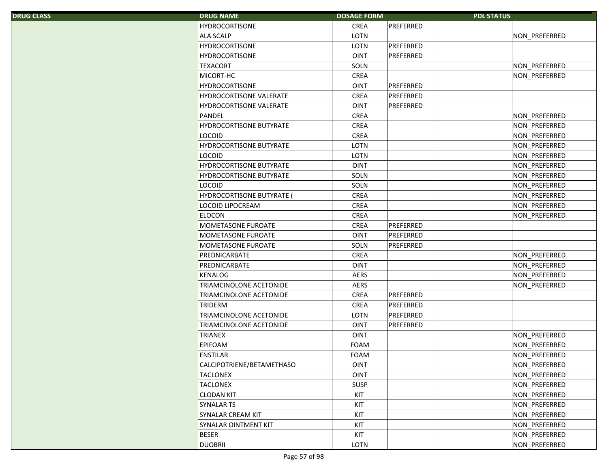| <b>DRUG CLASS</b> |
|-------------------|
|                   |

| S. | <b>DRUG NAME</b>                 | <b>DOSAGE FORM</b> |           | <b>PDL STATUS</b>    |
|----|----------------------------------|--------------------|-----------|----------------------|
|    | <b>HYDROCORTISONE</b>            | <b>CREA</b>        | PREFERRED |                      |
|    | <b>ALA SCALP</b>                 | LOTN               |           | NON_PREFERRED        |
|    | <b>HYDROCORTISONE</b>            | LOTN               | PREFERRED |                      |
|    | <b>HYDROCORTISONE</b>            | <b>OINT</b>        | PREFERRED |                      |
|    | <b>TEXACORT</b>                  | SOLN               |           | NON_PREFERRED        |
|    | MICORT-HC                        | <b>CREA</b>        |           | NON PREFERRED        |
|    | <b>HYDROCORTISONE</b>            | <b>OINT</b>        | PREFERRED |                      |
|    | <b>HYDROCORTISONE VALERATE</b>   | <b>CREA</b>        | PREFERRED |                      |
|    | <b>HYDROCORTISONE VALERATE</b>   | <b>OINT</b>        | PREFERRED |                      |
|    | PANDEL                           | CREA               |           | NON_PREFERRED        |
|    | HYDROCORTISONE BUTYRATE          | <b>CREA</b>        |           | NON_PREFERRED        |
|    | <b>LOCOID</b>                    | <b>CREA</b>        |           | NON_PREFERRED        |
|    | HYDROCORTISONE BUTYRATE          | LOTN               |           | NON_PREFERRED        |
|    | <b>LOCOID</b>                    | LOTN               |           | NON_PREFERRED        |
|    | HYDROCORTISONE BUTYRATE          | <b>OINT</b>        |           | NON_PREFERRED        |
|    | <b>HYDROCORTISONE BUTYRATE</b>   | SOLN               |           | NON_PREFERRED        |
|    | <b>LOCOID</b>                    | SOLN               |           | NON_PREFERRED        |
|    | <b>HYDROCORTISONE BUTYRATE (</b> | <b>CREA</b>        |           | <b>NON PREFERRED</b> |
|    | <b>LOCOID LIPOCREAM</b>          | <b>CREA</b>        |           | NON_PREFERRED        |
|    | <b>ELOCON</b>                    | <b>CREA</b>        |           | NON PREFERRED        |
|    | MOMETASONE FUROATE               | <b>CREA</b>        | PREFERRED |                      |
|    | MOMETASONE FUROATE               | <b>OINT</b>        | PREFERRED |                      |
|    | MOMETASONE FUROATE               | SOLN               | PREFERRED |                      |
|    | PREDNICARBATE                    | <b>CREA</b>        |           | NON_PREFERRED        |
|    | PREDNICARBATE                    | <b>OINT</b>        |           | NON_PREFERRED        |
|    | KENALOG                          | <b>AERS</b>        |           | NON_PREFERRED        |
|    | <b>TRIAMCINOLONE ACETONIDE</b>   | <b>AERS</b>        |           | <b>NON PREFERRED</b> |
|    | <b>TRIAMCINOLONE ACETONIDE</b>   | CREA               | PREFERRED |                      |
|    | <b>TRIDERM</b>                   | CREA               | PREFERRED |                      |
|    | <b>TRIAMCINOLONE ACETONIDE</b>   | LOTN               | PREFERRED |                      |
|    | <b>TRIAMCINOLONE ACETONIDE</b>   | <b>OINT</b>        | PREFERRED |                      |
|    | <b>TRIANEX</b>                   | <b>OINT</b>        |           | NON_PREFERRED        |
|    | <b>EPIFOAM</b>                   | <b>FOAM</b>        |           | NON_PREFERRED        |
|    | <b>ENSTILAR</b>                  | FOAM               |           | NON_PREFERRED        |
|    | CALCIPOTRIENE/BETAMETHASO        | <b>OINT</b>        |           | NON PREFERRED        |
|    | <b>TACLONEX</b>                  | <b>OINT</b>        |           | NON_PREFERRED        |
|    | <b>TACLONEX</b>                  | SUSP               |           | NON_PREFERRED        |
|    | <b>CLODAN KIT</b>                | KIT                |           | NON_PREFERRED        |
|    | SYNALAR TS                       | KIT                |           | NON_PREFERRED        |
|    | <b>SYNALAR CREAM KIT</b>         | KIT                |           | NON_PREFERRED        |
|    | SYNALAR OINTMENT KIT             | KIT                |           | NON_PREFERRED        |
|    | <b>BESER</b>                     | KIT                |           | NON_PREFERRED        |
|    | <b>DUOBRII</b>                   | LOTN               |           | NON PREFERRED        |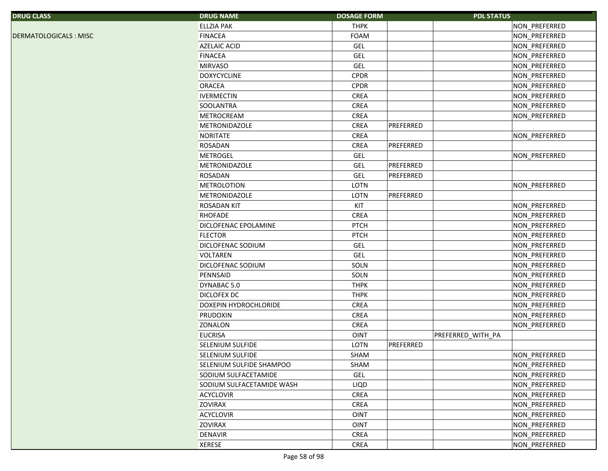| <b>DRUG CLASS</b>     | <b>DRUG NAME</b>          | <b>DOSAGE FORM</b> |           | <b>PDL STATUS</b> |               |
|-----------------------|---------------------------|--------------------|-----------|-------------------|---------------|
|                       | <b>ELLZIA PAK</b>         | <b>THPK</b>        |           |                   | NON_PREFERRED |
| DERMATOLOGICALS: MISC | <b>FINACEA</b>            | FOAM               |           |                   | NON_PREFERRED |
|                       | <b>AZELAIC ACID</b>       | <b>GEL</b>         |           |                   | NON_PREFERRED |
|                       | <b>FINACEA</b>            | GEL                |           |                   | NON_PREFERRED |
|                       | <b>MIRVASO</b>            | GEL                |           |                   | NON_PREFERRED |
|                       | <b>DOXYCYCLINE</b>        | <b>CPDR</b>        |           |                   | NON_PREFERRED |
|                       | <b>ORACEA</b>             | <b>CPDR</b>        |           |                   | NON_PREFERRED |
|                       | <b>IVERMECTIN</b>         | CREA               |           |                   | NON_PREFERRED |
|                       | SOOLANTRA                 | <b>CREA</b>        |           |                   | NON_PREFERRED |
|                       | METROCREAM                | CREA               |           |                   | NON_PREFERRED |
|                       | <b>METRONIDAZOLE</b>      | CREA               | PREFERRED |                   |               |
|                       | <b>NORITATE</b>           | CREA               |           |                   | NON_PREFERRED |
|                       | <b>ROSADAN</b>            | CREA               | PREFERRED |                   |               |
|                       | <b>METROGEL</b>           | <b>GEL</b>         |           |                   | NON_PREFERRED |
|                       | METRONIDAZOLE             | <b>GEL</b>         | PREFERRED |                   |               |
|                       | <b>ROSADAN</b>            | <b>GEL</b>         | PREFERRED |                   |               |
|                       | <b>METROLOTION</b>        | LOTN               |           |                   | NON_PREFERRED |
|                       | <b>METRONIDAZOLE</b>      | LOTN               | PREFERRED |                   |               |
|                       | <b>ROSADAN KIT</b>        | KIT                |           |                   | NON_PREFERRED |
|                       | <b>RHOFADE</b>            | CREA               |           |                   | NON PREFERRED |
|                       | DICLOFENAC EPOLAMINE      | <b>PTCH</b>        |           |                   | NON_PREFERRED |
|                       | <b>FLECTOR</b>            | <b>PTCH</b>        |           |                   | NON_PREFERRED |
|                       | DICLOFENAC SODIUM         | GEL                |           |                   | NON_PREFERRED |
|                       | <b>VOLTAREN</b>           | GEL                |           |                   | NON_PREFERRED |
|                       | DICLOFENAC SODIUM         | SOLN               |           |                   | NON_PREFERRED |
|                       | PENNSAID                  | SOLN               |           |                   | NON_PREFERRED |
|                       | DYNABAC 5.0               | <b>THPK</b>        |           |                   | NON_PREFERRED |
|                       | <b>DICLOFEX DC</b>        | <b>THPK</b>        |           |                   | NON_PREFERRED |
|                       | DOXEPIN HYDROCHLORIDE     | CREA               |           |                   | NON_PREFERRED |
|                       | PRUDOXIN                  | CREA               |           |                   | NON_PREFERRED |
|                       | <b>ZONALON</b>            | CREA               |           |                   | NON_PREFERRED |
|                       | <b>EUCRISA</b>            | <b>OINT</b>        |           | PREFERRED_WITH_PA |               |
|                       | SELENIUM SULFIDE          | LOTN               | PREFERRED |                   |               |
|                       | SELENIUM SULFIDE          | SHAM               |           |                   | NON_PREFERRED |
|                       | SELENIUM SULFIDE SHAMPOO  | SHAM               |           |                   | NON_PREFERRED |
|                       | SODIUM SULFACETAMIDE      | GEL                |           |                   | NON PREFERRED |
|                       | SODIUM SULFACETAMIDE WASH | LIQD               |           |                   | NON_PREFERRED |
|                       | <b>ACYCLOVIR</b>          | CREA               |           |                   | NON_PREFERRED |
|                       | <b>ZOVIRAX</b>            | <b>CREA</b>        |           |                   | NON PREFERRED |
|                       | <b>ACYCLOVIR</b>          | <b>OINT</b>        |           |                   | NON_PREFERRED |
|                       | <b>ZOVIRAX</b>            | <b>OINT</b>        |           |                   | NON_PREFERRED |
|                       | <b>DENAVIR</b>            | CREA               |           |                   | NON_PREFERRED |
|                       | <b>XERESE</b>             | CREA               |           |                   | NON_PREFERRED |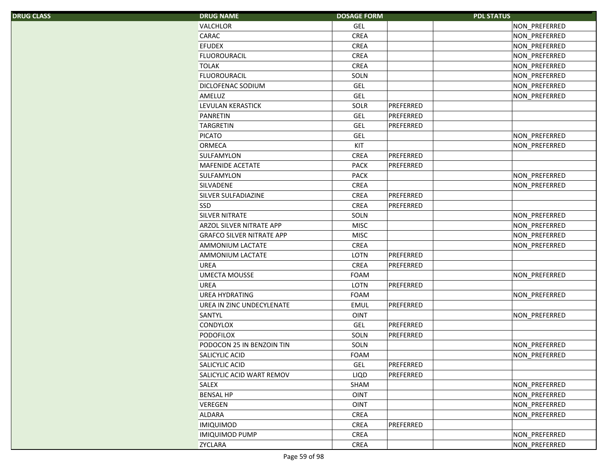| S. | <b>DRUG NAME</b>                 | <b>DOSAGE FORM</b> | <b>PDL STATUS</b> |               |
|----|----------------------------------|--------------------|-------------------|---------------|
|    | <b>VALCHLOR</b>                  | <b>GEL</b>         |                   | NON_PREFERRED |
|    | CARAC                            | <b>CREA</b>        |                   | NON_PREFERRED |
|    | <b>EFUDEX</b>                    | <b>CREA</b>        |                   | NON_PREFERRED |
|    | <b>FLUOROURACIL</b>              | <b>CREA</b>        |                   | NON_PREFERRED |
|    | <b>TOLAK</b>                     | <b>CREA</b>        |                   | NON_PREFERRED |
|    | <b>FLUOROURACIL</b>              | SOLN               |                   | NON_PREFERRED |
|    | DICLOFENAC SODIUM                | <b>GEL</b>         |                   | NON_PREFERRED |
|    | AMELUZ                           | <b>GEL</b>         |                   | NON_PREFERRED |
|    | LEVULAN KERASTICK                | SOLR               | PREFERRED         |               |
|    | PANRETIN                         | <b>GEL</b>         | PREFERRED         |               |
|    | <b>TARGRETIN</b>                 | <b>GEL</b>         | PREFERRED         |               |
|    | <b>PICATO</b>                    | <b>GEL</b>         |                   | NON_PREFERRED |
|    | ORMECA                           | KIT                |                   | NON PREFERRED |
|    | SULFAMYLON                       | <b>CREA</b>        | PREFERRED         |               |
|    | MAFENIDE ACETATE                 | <b>PACK</b>        | PREFERRED         |               |
|    | SULFAMYLON                       | <b>PACK</b>        |                   | NON_PREFERRED |
|    | SILVADENE                        | <b>CREA</b>        |                   | NON_PREFERRED |
|    | SILVER SULFADIAZINE              | <b>CREA</b>        | PREFERRED         |               |
|    | <b>SSD</b>                       | <b>CREA</b>        | PREFERRED         |               |
|    | <b>SILVER NITRATE</b>            | SOLN               |                   | NON_PREFERRED |
|    | ARZOL SILVER NITRATE APP         | <b>MISC</b>        |                   | NON_PREFERRED |
|    | <b>GRAFCO SILVER NITRATE APP</b> | <b>MISC</b>        |                   | NON_PREFERRED |
|    | AMMONIUM LACTATE                 | <b>CREA</b>        |                   | NON_PREFERRED |
|    | AMMONIUM LACTATE                 | LOTN               | PREFERRED         |               |
|    | <b>UREA</b>                      | <b>CREA</b>        | PREFERRED         |               |
|    | <b>UMECTA MOUSSE</b>             | <b>FOAM</b>        |                   | NON PREFERRED |
|    | <b>UREA</b>                      | <b>LOTN</b>        | PREFERRED         |               |
|    | <b>UREA HYDRATING</b>            | FOAM               |                   | NON_PREFERRED |
|    | UREA IN ZINC UNDECYLENATE        | <b>EMUL</b>        | PREFERRED         |               |
|    | SANTYL                           | <b>OINT</b>        |                   | NON_PREFERRED |
|    | CONDYLOX                         | <b>GEL</b>         | PREFERRED         |               |
|    | <b>PODOFILOX</b>                 | SOLN               | PREFERRED         |               |
|    | PODOCON 25 IN BENZOIN TIN        | SOLN               |                   | NON_PREFERRED |
|    | SALICYLIC ACID                   | FOAM               |                   | NON_PREFERRED |
|    | SALICYLIC ACID                   | <b>GEL</b>         | PREFERRED         |               |
|    | SALICYLIC ACID WART REMOV        | LIQD               | PREFERRED         |               |
|    | <b>SALEX</b>                     | SHAM               |                   | NON_PREFERRED |
|    | <b>BENSAL HP</b>                 | <b>OINT</b>        |                   | NON_PREFERRED |
|    | <b>VEREGEN</b>                   | <b>OINT</b>        |                   | NON_PREFERRED |
|    | ALDARA                           | CREA               |                   | NON_PREFERRED |
|    | <b>IMIQUIMOD</b>                 | CREA               | PREFERRED         |               |
|    | <b>IMIQUIMOD PUMP</b>            | <b>CREA</b>        |                   | NON PREFERRED |
|    | <b>ZYCLARA</b>                   | CREA               |                   | NON PREFERRED |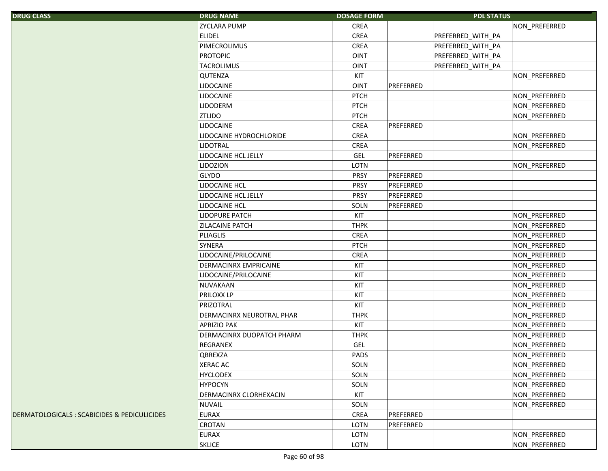| <b>DRUG CLASS</b> |  |  |
|-------------------|--|--|
|                   |  |  |
|                   |  |  |
|                   |  |  |

| S.                                   | <b>DRUG NAME</b>          | <b>DOSAGE FORM</b>       | <b>PDL STATUS</b> |               |
|--------------------------------------|---------------------------|--------------------------|-------------------|---------------|
|                                      | <b>ZYCLARA PUMP</b>       | CREA                     |                   | NON_PREFERRED |
|                                      | <b>ELIDEL</b>             | CREA                     | PREFERRED WITH PA |               |
|                                      | PIMECROLIMUS              | CREA                     | PREFERRED_WITH_PA |               |
|                                      | <b>PROTOPIC</b>           | <b>OINT</b>              | PREFERRED_WITH_PA |               |
|                                      | <b>TACROLIMUS</b>         | <b>OINT</b>              | PREFERRED_WITH_PA |               |
|                                      | QUTENZA                   | KIT                      |                   | NON_PREFERRED |
|                                      | <b>LIDOCAINE</b>          | <b>OINT</b><br>PREFERRED |                   |               |
|                                      | <b>LIDOCAINE</b>          | <b>PTCH</b>              |                   | NON_PREFERRED |
|                                      | <b>LIDODERM</b>           | <b>PTCH</b>              |                   | NON_PREFERRED |
|                                      | <b>ZTLIDO</b>             | <b>PTCH</b>              |                   | NON_PREFERRED |
|                                      | <b>LIDOCAINE</b>          | CREA<br>PREFERRED        |                   |               |
|                                      | LIDOCAINE HYDROCHLORIDE   | CREA                     |                   | NON_PREFERRED |
|                                      | <b>LIDOTRAL</b>           | CREA                     |                   | NON PREFERRED |
|                                      | LIDOCAINE HCL JELLY       | GEL<br>PREFERRED         |                   |               |
|                                      | <b>LIDOZION</b>           | LOTN                     |                   | NON_PREFERRED |
|                                      | <b>GLYDO</b>              | <b>PRSY</b><br>PREFERRED |                   |               |
|                                      | LIDOCAINE HCL             | <b>PRSY</b><br>PREFERRED |                   |               |
|                                      | LIDOCAINE HCL JELLY       | <b>PRSY</b><br>PREFERRED |                   |               |
|                                      | LIDOCAINE HCL             | SOLN<br>PREFERRED        |                   |               |
|                                      | LIDOPURE PATCH            | KIT                      |                   | NON_PREFERRED |
|                                      | <b>ZILACAINE PATCH</b>    | <b>THPK</b>              |                   | NON_PREFERRED |
|                                      | <b>PLIAGLIS</b>           | <b>CREA</b>              |                   | NON_PREFERRED |
|                                      | <b>SYNERA</b>             | <b>PTCH</b>              |                   | NON_PREFERRED |
|                                      | LIDOCAINE/PRILOCAINE      | <b>CREA</b>              |                   | NON_PREFERRED |
|                                      | DERMACINRX EMPRICAINE     | KIT                      |                   | NON_PREFERRED |
|                                      | LIDOCAINE/PRILOCAINE      | KIT                      |                   | NON_PREFERRED |
|                                      | NUVAKAAN                  | KIT                      |                   | NON_PREFERRED |
|                                      | <b>PRILOXX LP</b>         | KIT                      |                   | NON_PREFERRED |
|                                      | PRIZOTRAL                 | KIT                      |                   | NON_PREFERRED |
|                                      | DERMACINRX NEUROTRAL PHAR | <b>THPK</b>              |                   | NON_PREFERRED |
|                                      | <b>APRIZIO PAK</b>        | KIT                      |                   | NON_PREFERRED |
|                                      | DERMACINRX DUOPATCH PHARM | <b>THPK</b>              |                   | NON_PREFERRED |
|                                      | <b>REGRANEX</b>           | <b>GEL</b>               |                   | NON_PREFERRED |
|                                      | <b>QBREXZA</b>            | PADS                     |                   | NON_PREFERRED |
|                                      | <b>XERAC AC</b>           | SOLN                     |                   | NON PREFERRED |
|                                      | <b>HYCLODEX</b>           | SOLN                     |                   | NON_PREFERRED |
|                                      | <b>HYPOCYN</b>            | SOLN                     |                   | NON_PREFERRED |
|                                      | DERMACINRX CLORHEXACIN    | KIT                      |                   | NON_PREFERRED |
|                                      | <b>NUVAIL</b>             | SOLN                     |                   | NON PREFERRED |
| OGICALS : SCABICIDES & PEDICULICIDES | <b>EURAX</b>              | CREA<br>PREFERRED        |                   |               |
|                                      | <b>CROTAN</b>             | LOTN<br>PREFERRED        |                   |               |
|                                      | <b>EURAX</b>              | LOTN                     |                   | NON PREFERRED |
|                                      | <b>SKLICE</b>             | LOTN                     |                   | NON_PREFERRED |
|                                      |                           |                          |                   |               |

DERMATOLOGICALS : SCABICIDES & PEDICULICIDES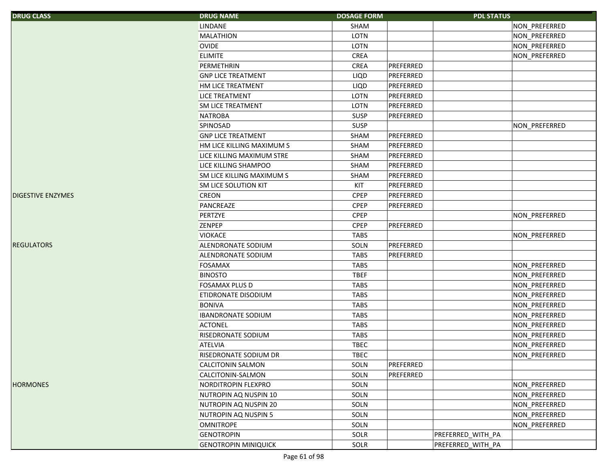| <b>DRUG CLASS</b>         | <b>DRUG NAME</b>            | <b>DOSAGE FORM</b> |           | <b>PDL STATUS</b> |                      |
|---------------------------|-----------------------------|--------------------|-----------|-------------------|----------------------|
|                           | LINDANE                     | SHAM               |           |                   | NON_PREFERRED        |
|                           | <b>MALATHION</b>            | LOTN               |           |                   | NON_PREFERRED        |
|                           | <b>OVIDE</b>                | LOTN               |           |                   | NON_PREFERRED        |
|                           | <b>ELIMITE</b>              | CREA               |           |                   | NON_PREFERRED        |
|                           | PERMETHRIN                  | CREA               | PREFERRED |                   |                      |
|                           | <b>GNP LICE TREATMENT</b>   | LIQD               | PREFERRED |                   |                      |
|                           | HM LICE TREATMENT           | LIQD               | PREFERRED |                   |                      |
|                           | <b>LICE TREATMENT</b>       | LOTN               | PREFERRED |                   |                      |
|                           | <b>SM LICE TREATMENT</b>    | LOTN               | PREFERRED |                   |                      |
|                           | <b>NATROBA</b>              | <b>SUSP</b>        | PREFERRED |                   |                      |
|                           | SPINOSAD                    | SUSP               |           |                   | NON_PREFERRED        |
|                           | <b>GNP LICE TREATMENT</b>   | SHAM               | PREFERRED |                   |                      |
|                           | HM LICE KILLING MAXIMUM S   | SHAM               | PREFERRED |                   |                      |
|                           | LICE KILLING MAXIMUM STRE   | SHAM               | PREFERRED |                   |                      |
|                           | LICE KILLING SHAMPOO        | SHAM               | PREFERRED |                   |                      |
|                           | SM LICE KILLING MAXIMUM S   | SHAM               | PREFERRED |                   |                      |
|                           | SM LICE SOLUTION KIT        | KIT                | PREFERRED |                   |                      |
| <b>IDIGESTIVE ENZYMES</b> | CREON                       | <b>CPEP</b>        | PREFERRED |                   |                      |
|                           | PANCREAZE                   | <b>CPEP</b>        | PREFERRED |                   |                      |
|                           | <b>PERTZYE</b>              | <b>CPEP</b>        |           |                   | NON PREFERRED        |
|                           | ZENPEP                      | <b>CPEP</b>        | PREFERRED |                   |                      |
|                           | <b>VIOKACE</b>              | <b>TABS</b>        |           |                   | NON_PREFERRED        |
| <b>REGULATORS</b>         | ALENDRONATE SODIUM          | SOLN               | PREFERRED |                   |                      |
|                           | ALENDRONATE SODIUM          | <b>TABS</b>        | PREFERRED |                   |                      |
|                           | <b>FOSAMAX</b>              | <b>TABS</b>        |           |                   | NON_PREFERRED        |
|                           | <b>BINOSTO</b>              | <b>TBEF</b>        |           |                   | NON_PREFERRED        |
|                           | <b>FOSAMAX PLUS D</b>       | <b>TABS</b>        |           |                   | NON_PREFERRED        |
|                           | ETIDRONATE DISODIUM         | <b>TABS</b>        |           |                   | NON_PREFERRED        |
|                           | <b>BONIVA</b>               | <b>TABS</b>        |           |                   | NON_PREFERRED        |
|                           | <b>IBANDRONATE SODIUM</b>   | <b>TABS</b>        |           |                   | NON_PREFERRED        |
|                           | <b>ACTONEL</b>              | <b>TABS</b>        |           |                   | NON_PREFERRED        |
|                           | RISEDRONATE SODIUM          | <b>TABS</b>        |           |                   | NON_PREFERRED        |
|                           | <b>ATELVIA</b>              | <b>TBEC</b>        |           |                   | NON_PREFERRED        |
|                           | RISEDRONATE SODIUM DR       | <b>TBEC</b>        |           |                   | <b>NON PREFERRED</b> |
|                           | CALCITONIN SALMON           | SOLN               | PREFERRED |                   |                      |
|                           | CALCITONIN-SALMON           | SOLN               | PREFERRED |                   |                      |
| <b>HORMONES</b>           | NORDITROPIN FLEXPRO         | SOLN               |           |                   | NON_PREFERRED        |
|                           | NUTROPIN AQ NUSPIN 10       | SOLN               |           |                   | NON_PREFERRED        |
|                           | NUTROPIN AQ NUSPIN 20       | SOLN               |           |                   | NON_PREFERRED        |
|                           | NUTROPIN AQ NUSPIN 5        | SOLN               |           |                   | NON_PREFERRED        |
|                           | <b>OMNITROPE</b>            | SOLN               |           |                   | NON_PREFERRED        |
|                           | <b>GENOTROPIN</b>           | SOLR               |           | PREFERRED_WITH_PA |                      |
|                           | <b>GENOTROPIN MINIQUICK</b> | SOLR               |           | PREFERRED_WITH_PA |                      |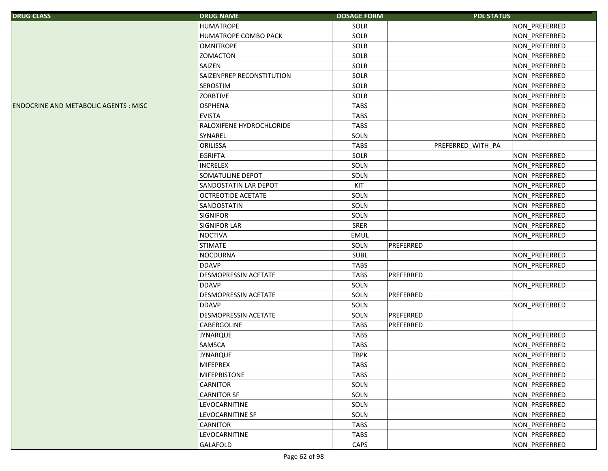| <b>DRUG CLASS</b>                           | <b>DRUG NAME</b>          | <b>DOSAGE FORM</b> | <b>PDL STATUS</b> |               |
|---------------------------------------------|---------------------------|--------------------|-------------------|---------------|
|                                             | <b>HUMATROPE</b>          | SOLR               |                   | NON_PREFERRED |
|                                             | HUMATROPE COMBO PACK      | SOLR               |                   | NON_PREFERRED |
|                                             | <b>OMNITROPE</b>          | SOLR               |                   | NON_PREFERRED |
|                                             | <b>ZOMACTON</b>           | SOLR               |                   | NON_PREFERRED |
|                                             | SAIZEN                    | SOLR               |                   | NON_PREFERRED |
|                                             | SAIZENPREP RECONSTITUTION | SOLR               |                   | NON_PREFERRED |
|                                             | SEROSTIM                  | SOLR               |                   | NON_PREFERRED |
|                                             | <b>ZORBTIVE</b>           | SOLR               |                   | NON_PREFERRED |
| <b>ENDOCRINE AND METABOLIC AGENTS: MISC</b> | <b>OSPHENA</b>            | <b>TABS</b>        |                   | NON_PREFERRED |
|                                             | <b>EVISTA</b>             | <b>TABS</b>        |                   | NON_PREFERRED |
|                                             | RALOXIFENE HYDROCHLORIDE  | <b>TABS</b>        |                   | NON_PREFERRED |
|                                             | SYNAREL                   | SOLN               |                   | NON_PREFERRED |
|                                             | ORILISSA                  | <b>TABS</b>        | PREFERRED_WITH_PA |               |
|                                             | <b>EGRIFTA</b>            | SOLR               |                   | NON_PREFERRED |
|                                             | <b>INCRELEX</b>           | SOLN               |                   | NON_PREFERRED |
|                                             | SOMATULINE DEPOT          | SOLN               |                   | NON_PREFERRED |
|                                             | SANDOSTATIN LAR DEPOT     | KIT                |                   | NON_PREFERRED |
|                                             | <b>OCTREOTIDE ACETATE</b> | SOLN               |                   | NON_PREFERRED |
|                                             | SANDOSTATIN               | SOLN               |                   | NON_PREFERRED |
|                                             | <b>SIGNIFOR</b>           | SOLN               |                   | NON_PREFERRED |
|                                             | SIGNIFOR LAR              | <b>SRER</b>        |                   | NON_PREFERRED |
|                                             | <b>NOCTIVA</b>            | EMUL               |                   | NON_PREFERRED |
|                                             | <b>STIMATE</b>            | SOLN               | PREFERRED         |               |
|                                             | <b>NOCDURNA</b>           | <b>SUBL</b>        |                   | NON_PREFERRED |
|                                             | <b>DDAVP</b>              | <b>TABS</b>        |                   | NON_PREFERRED |
|                                             | DESMOPRESSIN ACETATE      | <b>TABS</b>        | PREFERRED         |               |
|                                             | <b>DDAVP</b>              | SOLN               |                   | NON_PREFERRED |
|                                             | DESMOPRESSIN ACETATE      | SOLN               | PREFERRED         |               |
|                                             | <b>DDAVP</b>              | SOLN               |                   | NON_PREFERRED |
|                                             | DESMOPRESSIN ACETATE      | SOLN               | PREFERRED         |               |
|                                             | CABERGOLINE               | <b>TABS</b>        | PREFERRED         |               |
|                                             | <b>JYNARQUE</b>           | <b>TABS</b>        |                   | NON_PREFERRED |
|                                             | SAMSCA                    | <b>TABS</b>        |                   | NON_PREFERRED |
|                                             | <b>JYNARQUE</b>           | <b>TBPK</b>        |                   | NON PREFERRED |
|                                             | <b>MIFEPREX</b>           | <b>TABS</b>        |                   | NON_PREFERRED |
|                                             | <b>MIFEPRISTONE</b>       | <b>TABS</b>        |                   | NON_PREFERRED |
|                                             | CARNITOR                  | SOLN               |                   | NON_PREFERRED |
|                                             | <b>CARNITOR SF</b>        | SOLN               |                   | NON_PREFERRED |
|                                             | LEVOCARNITINE             | SOLN               |                   | NON PREFERRED |
|                                             | LEVOCARNITINE SF          | SOLN               |                   | NON_PREFERRED |
|                                             | <b>CARNITOR</b>           | <b>TABS</b>        |                   | NON PREFERRED |
|                                             | LEVOCARNITINE             | TABS               |                   | NON_PREFERRED |
|                                             | GALAFOLD                  | CAPS               |                   | NON PREFERRED |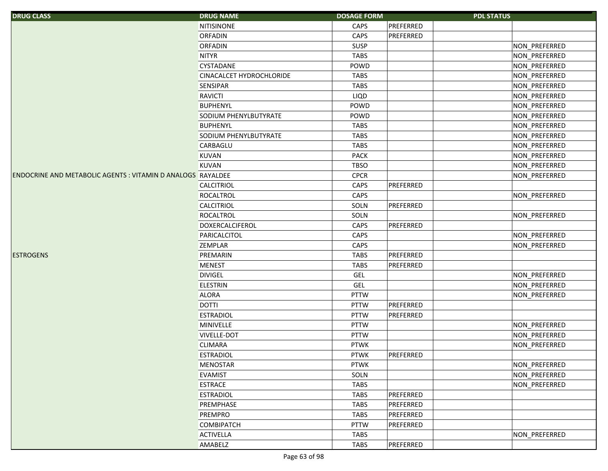| <b>DRUG CLASS</b>                                                  | <b>DRUG NAME</b>         | <b>DOSAGE FORM</b> |           | <b>PDL STATUS</b> |               |
|--------------------------------------------------------------------|--------------------------|--------------------|-----------|-------------------|---------------|
|                                                                    | <b>NITISINONE</b>        | CAPS               | PREFERRED |                   |               |
|                                                                    | <b>ORFADIN</b>           | CAPS               | PREFERRED |                   |               |
|                                                                    | <b>ORFADIN</b>           | <b>SUSP</b>        |           |                   | NON_PREFERRED |
|                                                                    | <b>NITYR</b>             | <b>TABS</b>        |           |                   | NON_PREFERRED |
|                                                                    | <b>CYSTADANE</b>         | POWD               |           |                   | NON_PREFERRED |
|                                                                    | CINACALCET HYDROCHLORIDE | <b>TABS</b>        |           |                   | NON_PREFERRED |
|                                                                    | <b>SENSIPAR</b>          | <b>TABS</b>        |           |                   | NON_PREFERRED |
|                                                                    | <b>RAVICTI</b>           | LIQD               |           |                   | NON_PREFERRED |
|                                                                    | <b>BUPHENYL</b>          | POWD               |           |                   | NON_PREFERRED |
|                                                                    | SODIUM PHENYLBUTYRATE    | POWD               |           |                   | NON_PREFERRED |
|                                                                    | <b>BUPHENYL</b>          | <b>TABS</b>        |           |                   | NON_PREFERRED |
|                                                                    | SODIUM PHENYLBUTYRATE    | <b>TABS</b>        |           |                   | NON_PREFERRED |
|                                                                    | CARBAGLU                 | <b>TABS</b>        |           |                   | NON_PREFERRED |
|                                                                    | <b>KUVAN</b>             | PACK               |           |                   | NON_PREFERRED |
|                                                                    | <b>KUVAN</b>             | <b>TBSO</b>        |           |                   | NON_PREFERRED |
| <b>ENDOCRINE AND METABOLIC AGENTS : VITAMIN D ANALOGS RAYALDEE</b> |                          | <b>CPCR</b>        |           |                   | NON_PREFERRED |
|                                                                    | CALCITRIOL               | CAPS               | PREFERRED |                   |               |
|                                                                    | <b>ROCALTROL</b>         | CAPS               |           |                   | NON_PREFERRED |
|                                                                    | <b>CALCITRIOL</b>        | SOLN               | PREFERRED |                   |               |
|                                                                    | ROCALTROL                | SOLN               |           |                   | NON_PREFERRED |
|                                                                    | <b>DOXERCALCIFEROL</b>   | CAPS               | PREFERRED |                   |               |
|                                                                    | PARICALCITOL             | CAPS               |           |                   | NON_PREFERRED |
|                                                                    | <b>ZEMPLAR</b>           | CAPS               |           |                   | NON_PREFERRED |
| <b>ESTROGENS</b>                                                   | PREMARIN                 | TABS               | PREFERRED |                   |               |
|                                                                    | <b>MENEST</b>            | <b>TABS</b>        | PREFERRED |                   |               |
|                                                                    | <b>DIVIGEL</b>           | GEL                |           |                   | NON_PREFERRED |
|                                                                    | <b>ELESTRIN</b>          | <b>GEL</b>         |           |                   | NON_PREFERRED |
|                                                                    | <b>ALORA</b>             | <b>PTTW</b>        |           |                   | NON_PREFERRED |
|                                                                    | <b>DOTTI</b>             | <b>PTTW</b>        | PREFERRED |                   |               |
|                                                                    | <b>ESTRADIOL</b>         | <b>PTTW</b>        | PREFERRED |                   |               |
|                                                                    | MINIVELLE                | <b>PTTW</b>        |           |                   | NON_PREFERRED |
|                                                                    | <b>VIVELLE-DOT</b>       | <b>PTTW</b>        |           |                   | NON_PREFERRED |
|                                                                    | <b>CLIMARA</b>           | <b>PTWK</b>        |           |                   | NON_PREFERRED |
|                                                                    | <b>ESTRADIOL</b>         | <b>PTWK</b>        | PREFERRED |                   |               |
|                                                                    | <b>MENOSTAR</b>          | <b>PTWK</b>        |           |                   | NON_PREFERRED |
|                                                                    | <b>EVAMIST</b>           | SOLN               |           |                   | NON_PREFERRED |
|                                                                    | <b>ESTRACE</b>           | <b>TABS</b>        |           |                   | NON PREFERRED |
|                                                                    | <b>ESTRADIOL</b>         | <b>TABS</b>        | PREFERRED |                   |               |
|                                                                    | PREMPHASE                | <b>TABS</b>        | PREFERRED |                   |               |
|                                                                    | <b>PREMPRO</b>           | <b>TABS</b>        | PREFERRED |                   |               |
|                                                                    | <b>COMBIPATCH</b>        | <b>PTTW</b>        | PREFERRED |                   |               |
|                                                                    | <b>ACTIVELLA</b>         | <b>TABS</b>        |           |                   | NON_PREFERRED |
|                                                                    | AMABELZ                  | <b>TABS</b>        | PREFERRED |                   |               |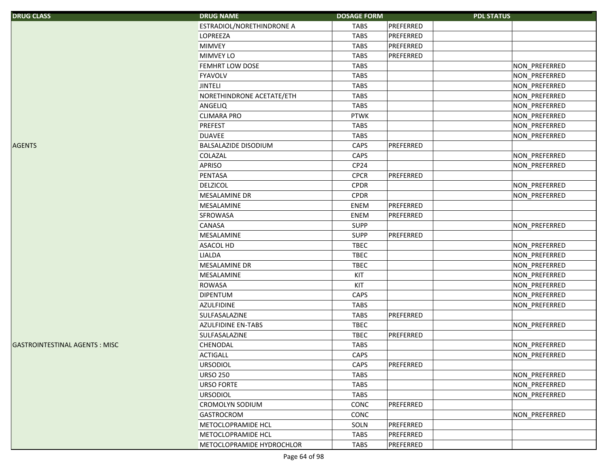| <b>DRUG CLASS</b>                    | <b>DRUG NAME</b>            | <b>DOSAGE FORM</b> | <b>PDL STATUS</b>    |
|--------------------------------------|-----------------------------|--------------------|----------------------|
|                                      | ESTRADIOL/NORETHINDRONE A   | <b>TABS</b>        | PREFERRED            |
|                                      | <b>LOPREEZA</b>             | <b>TABS</b>        | PREFERRED            |
|                                      | <b>MIMVEY</b>               | <b>TABS</b>        | PREFERRED            |
|                                      | <b>MIMVEY LO</b>            | <b>TABS</b>        | PREFERRED            |
|                                      | FEMHRT LOW DOSE             | <b>TABS</b>        | NON_PREFERRED        |
|                                      | <b>FYAVOLV</b>              | <b>TABS</b>        | NON_PREFERRED        |
|                                      | <b>JINTELI</b>              | <b>TABS</b>        | NON_PREFERRED        |
|                                      | NORETHINDRONE ACETATE/ETH   | <b>TABS</b>        | NON_PREFERRED        |
|                                      | ANGELIQ                     | <b>TABS</b>        | NON_PREFERRED        |
|                                      | <b>CLIMARA PRO</b>          | <b>PTWK</b>        | NON_PREFERRED        |
|                                      | <b>PREFEST</b>              | <b>TABS</b>        | NON_PREFERRED        |
|                                      | <b>DUAVEE</b>               | <b>TABS</b>        | NON_PREFERRED        |
| <b>AGENTS</b>                        | <b>BALSALAZIDE DISODIUM</b> | CAPS               | PREFERRED            |
|                                      | <b>COLAZAL</b>              | CAPS               | NON_PREFERRED        |
|                                      | <b>APRISO</b>               | CP <sub>24</sub>   | NON_PREFERRED        |
|                                      | PENTASA                     | <b>CPCR</b>        | PREFERRED            |
|                                      | <b>DELZICOL</b>             | <b>CPDR</b>        | NON_PREFERRED        |
|                                      | MESALAMINE DR               | <b>CPDR</b>        | NON PREFERRED        |
|                                      | MESALAMINE                  | ENEM               | PREFERRED            |
|                                      | <b>SFROWASA</b>             | ENEM               | PREFERRED            |
|                                      | <b>CANASA</b>               | <b>SUPP</b>        | NON_PREFERRED        |
|                                      | MESALAMINE                  | <b>SUPP</b>        | PREFERRED            |
|                                      | <b>ASACOL HD</b>            | <b>TBEC</b>        | NON_PREFERRED        |
|                                      | <b>LIALDA</b>               | <b>TBEC</b>        | NON_PREFERRED        |
|                                      | <b>MESALAMINE DR</b>        | <b>TBEC</b>        | NON_PREFERRED        |
|                                      | MESALAMINE                  | KIT                | NON_PREFERRED        |
|                                      | <b>ROWASA</b>               | KIT                | NON_PREFERRED        |
|                                      | <b>DIPENTUM</b>             | CAPS               | NON_PREFERRED        |
|                                      | <b>AZULFIDINE</b>           | <b>TABS</b>        | NON_PREFERRED        |
|                                      | SULFASALAZINE               | <b>TABS</b>        | PREFERRED            |
|                                      | <b>AZULFIDINE EN-TABS</b>   | <b>TBEC</b>        | NON_PREFERRED        |
|                                      | SULFASALAZINE               | <b>TBEC</b>        | PREFERRED            |
| <b>GASTROINTESTINAL AGENTS: MISC</b> | CHENODAL                    | <b>TABS</b>        | NON_PREFERRED        |
|                                      | <b>ACTIGALL</b>             | CAPS               | <b>NON PREFERRED</b> |
|                                      | <b>URSODIOL</b>             | CAPS               | PREFERRED            |
|                                      | <b>URSO 250</b>             | <b>TABS</b>        | NON PREFERRED        |
|                                      | <b>URSO FORTE</b>           | <b>TABS</b>        | NON_PREFERRED        |
|                                      | <b>URSODIOL</b>             | <b>TABS</b>        | NON PREFERRED        |
|                                      | <b>CROMOLYN SODIUM</b>      | CONC               | PREFERRED            |
|                                      | GASTROCROM                  | CONC               | NON_PREFERRED        |
|                                      | METOCLOPRAMIDE HCL          | SOLN               | PREFERRED            |
|                                      | METOCLOPRAMIDE HCL          | TABS               | PREFERRED            |
|                                      | METOCLOPRAMIDE HYDROCHLOR   | TABS               | PREFERRED            |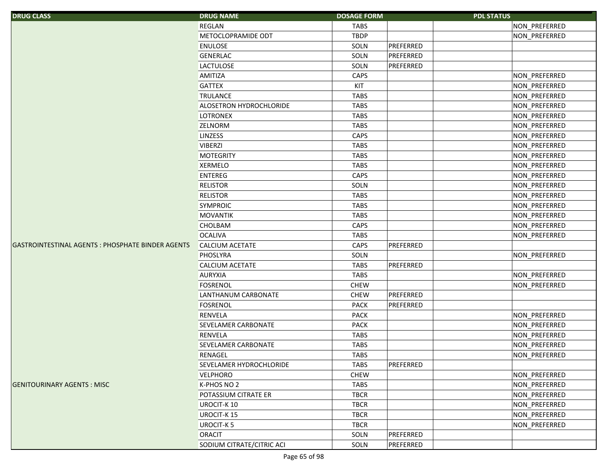| <b>DRUG CLASS</b>                                 | <b>DRUG NAME</b>           | <b>DOSAGE FORM</b> | <b>PDL STATUS</b> |               |
|---------------------------------------------------|----------------------------|--------------------|-------------------|---------------|
|                                                   | <b>REGLAN</b>              | <b>TABS</b>        |                   | NON_PREFERRED |
|                                                   | METOCLOPRAMIDE ODT         | <b>TBDP</b>        |                   | NON_PREFERRED |
|                                                   | <b>ENULOSE</b>             | SOLN               | PREFERRED         |               |
|                                                   | <b>GENERLAC</b>            | SOLN               | PREFERRED         |               |
|                                                   | <b>LACTULOSE</b>           | SOLN               | PREFERRED         |               |
|                                                   | AMITIZA                    | CAPS               |                   | NON_PREFERRED |
|                                                   | <b>GATTEX</b>              | KIT                |                   | NON_PREFERRED |
|                                                   | <b>TRULANCE</b>            | <b>TABS</b>        |                   | NON_PREFERRED |
|                                                   | ALOSETRON HYDROCHLORIDE    | <b>TABS</b>        |                   | NON_PREFERRED |
|                                                   | <b>LOTRONEX</b>            | <b>TABS</b>        |                   | NON_PREFERRED |
|                                                   | <b>ZELNORM</b>             | <b>TABS</b>        |                   | NON PREFERRED |
|                                                   | <b>LINZESS</b>             | CAPS               |                   | NON_PREFERRED |
|                                                   | <b>VIBERZI</b>             | <b>TABS</b>        |                   | NON_PREFERRED |
|                                                   | <b>MOTEGRITY</b>           | <b>TABS</b>        |                   | NON_PREFERRED |
|                                                   | <b>XERMELO</b>             | <b>TABS</b>        |                   | NON_PREFERRED |
|                                                   | <b>ENTEREG</b>             | CAPS               |                   | NON_PREFERRED |
|                                                   | <b>RELISTOR</b>            | SOLN               |                   | NON_PREFERRED |
|                                                   | <b>RELISTOR</b>            | <b>TABS</b>        |                   | NON_PREFERRED |
|                                                   | <b>SYMPROIC</b>            | <b>TABS</b>        |                   | NON_PREFERRED |
|                                                   | <b>MOVANTIK</b>            | <b>TABS</b>        |                   | NON_PREFERRED |
|                                                   | CHOLBAM                    | CAPS               |                   | NON_PREFERRED |
|                                                   | <b>OCALIVA</b>             | <b>TABS</b>        |                   | NON_PREFERRED |
| GASTROINTESTINAL AGENTS : PHOSPHATE BINDER AGENTS | <b>CALCIUM ACETATE</b>     | CAPS               | PREFERRED         |               |
|                                                   | PHOSLYRA                   | SOLN               |                   | NON_PREFERRED |
|                                                   | <b>CALCIUM ACETATE</b>     | <b>TABS</b>        | PREFERRED         |               |
|                                                   | <b>AURYXIA</b>             | <b>TABS</b>        |                   | NON_PREFERRED |
|                                                   | <b>FOSRENOL</b>            | <b>CHEW</b>        |                   | NON PREFERRED |
|                                                   | LANTHANUM CARBONATE        | <b>CHEW</b>        | PREFERRED         |               |
|                                                   | <b>FOSRENOL</b>            | <b>PACK</b>        | PREFERRED         |               |
|                                                   | <b>RENVELA</b>             | <b>PACK</b>        |                   | NON_PREFERRED |
|                                                   | <b>SEVELAMER CARBONATE</b> | <b>PACK</b>        |                   | NON_PREFERRED |
|                                                   | <b>RENVELA</b>             | <b>TABS</b>        |                   | NON_PREFERRED |
|                                                   | SEVELAMER CARBONATE        | <b>TABS</b>        |                   | NON_PREFERRED |
|                                                   | <b>RENAGEL</b>             | <b>TABS</b>        |                   | NON_PREFERRED |
|                                                   | SEVELAMER HYDROCHLORIDE    | <b>TABS</b>        | PREFERRED         |               |
|                                                   | <b>VELPHORO</b>            | <b>CHEW</b>        |                   | NON_PREFERRED |
| <b>GENITOURINARY AGENTS: MISC</b>                 | K-PHOS NO 2                | <b>TABS</b>        |                   | NON PREFERRED |
|                                                   | POTASSIUM CITRATE ER       | <b>TBCR</b>        |                   | NON_PREFERRED |
|                                                   | <b>UROCIT-K10</b>          | <b>TBCR</b>        |                   | NON_PREFERRED |
|                                                   | <b>UROCIT-K15</b>          | <b>TBCR</b>        |                   | NON_PREFERRED |
|                                                   | <b>UROCIT-K5</b>           | <b>TBCR</b>        |                   | NON_PREFERRED |
|                                                   | <b>ORACIT</b>              | SOLN               | PREFERRED         |               |
|                                                   | SODIUM CITRATE/CITRIC ACI  | SOLN               | PREFERRED         |               |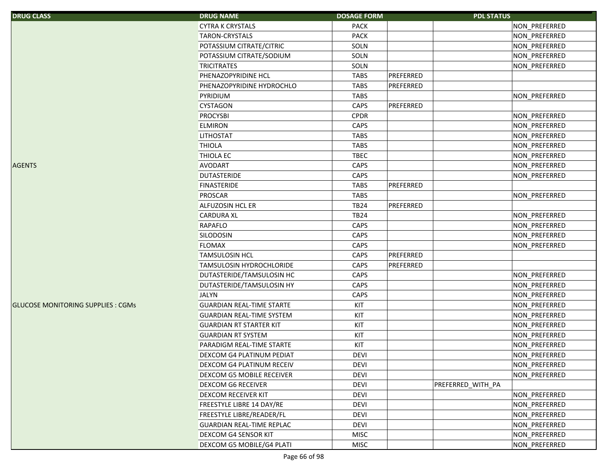| <b>DRUG CLASS</b>                        | <b>DRUG NAME</b>                 | <b>DOSAGE FORM</b> |           | <b>PDL STATUS</b> |               |
|------------------------------------------|----------------------------------|--------------------|-----------|-------------------|---------------|
|                                          | <b>CYTRA K CRYSTALS</b>          | <b>PACK</b>        |           |                   | NON_PREFERRED |
|                                          | <b>TARON-CRYSTALS</b>            | <b>PACK</b>        |           |                   | NON PREFERRED |
|                                          | POTASSIUM CITRATE/CITRIC         | SOLN               |           |                   | NON_PREFERRED |
|                                          | POTASSIUM CITRATE/SODIUM         | SOLN               |           |                   | NON_PREFERRED |
|                                          | <b>TRICITRATES</b>               | SOLN               |           |                   | NON PREFERRED |
|                                          | PHENAZOPYRIDINE HCL              | <b>TABS</b>        | PREFERRED |                   |               |
|                                          | PHENAZOPYRIDINE HYDROCHLO        | <b>TABS</b>        | PREFERRED |                   |               |
|                                          | PYRIDIUM                         | <b>TABS</b>        |           |                   | NON_PREFERRED |
|                                          | CYSTAGON                         | CAPS               | PREFERRED |                   |               |
|                                          | <b>PROCYSBI</b>                  | <b>CPDR</b>        |           |                   | NON PREFERRED |
|                                          | <b>ELMIRON</b>                   | CAPS               |           |                   | NON_PREFERRED |
|                                          | <b>LITHOSTAT</b>                 | <b>TABS</b>        |           |                   | NON_PREFERRED |
|                                          | <b>THIOLA</b>                    | <b>TABS</b>        |           |                   | NON_PREFERRED |
|                                          | <b>THIOLA EC</b>                 | <b>TBEC</b>        |           |                   | NON_PREFERRED |
| <b>AGENTS</b>                            | <b>AVODART</b>                   | CAPS               |           |                   | NON_PREFERRED |
|                                          | <b>DUTASTERIDE</b>               | CAPS               |           |                   | NON_PREFERRED |
|                                          | <b>FINASTERIDE</b>               | <b>TABS</b>        | PREFERRED |                   |               |
|                                          | PROSCAR                          | <b>TABS</b>        |           |                   | NON_PREFERRED |
|                                          | <b>ALFUZOSIN HCL ER</b>          | <b>TB24</b>        | PREFERRED |                   |               |
|                                          | <b>CARDURA XL</b>                | <b>TB24</b>        |           |                   | NON_PREFERRED |
|                                          | RAPAFLO                          | CAPS               |           |                   | NON_PREFERRED |
|                                          | <b>SILODOSIN</b>                 | CAPS               |           |                   | NON_PREFERRED |
|                                          | <b>FLOMAX</b>                    | CAPS               |           |                   | NON_PREFERRED |
|                                          | <b>TAMSULOSIN HCL</b>            | CAPS               | PREFERRED |                   |               |
|                                          | <b>TAMSULOSIN HYDROCHLORIDE</b>  | <b>CAPS</b>        | PREFERRED |                   |               |
|                                          | DUTASTERIDE/TAMSULOSIN HC        | CAPS               |           |                   | NON_PREFERRED |
|                                          | DUTASTERIDE/TAMSULOSIN HY        | CAPS               |           |                   | NON_PREFERRED |
|                                          | <b>JALYN</b>                     | CAPS               |           |                   | NON_PREFERRED |
| <b>GLUCOSE MONITORING SUPPLIES: CGMS</b> | <b>GUARDIAN REAL-TIME STARTE</b> | KIT                |           |                   | NON_PREFERRED |
|                                          | <b>GUARDIAN REAL-TIME SYSTEM</b> | KIT                |           |                   | NON_PREFERRED |
|                                          | <b>GUARDIAN RT STARTER KIT</b>   | KIT                |           |                   | NON_PREFERRED |
|                                          | <b>GUARDIAN RT SYSTEM</b>        | KIT                |           |                   | NON_PREFERRED |
|                                          | PARADIGM REAL-TIME STARTE        | KIT                |           |                   | NON_PREFERRED |
|                                          | DEXCOM G4 PLATINUM PEDIAT        | <b>DEVI</b>        |           |                   | NON_PREFERRED |
|                                          | DEXCOM G4 PLATINUM RECEIV        | <b>DEVI</b>        |           |                   | NON_PREFERRED |
|                                          | DEXCOM G5 MOBILE RECEIVER        | <b>DEVI</b>        |           |                   | NON_PREFERRED |
|                                          | <b>DEXCOM G6 RECEIVER</b>        | <b>DEVI</b>        |           | PREFERRED_WITH_PA |               |
|                                          | <b>DEXCOM RECEIVER KIT</b>       | <b>DEVI</b>        |           |                   | NON_PREFERRED |
|                                          | <b>FREESTYLE LIBRE 14 DAY/RE</b> | <b>DEVI</b>        |           |                   | NON PREFERRED |
|                                          | FREESTYLE LIBRE/READER/FL        | <b>DEVI</b>        |           |                   | NON_PREFERRED |
|                                          | <b>GUARDIAN REAL-TIME REPLAC</b> | DEVI               |           |                   | NON PREFERRED |
|                                          | <b>DEXCOM G4 SENSOR KIT</b>      | <b>MISC</b>        |           |                   | NON_PREFERRED |
|                                          | DEXCOM G5 MOBILE/G4 PLATI        | <b>MISC</b>        |           |                   | NON_PREFERRED |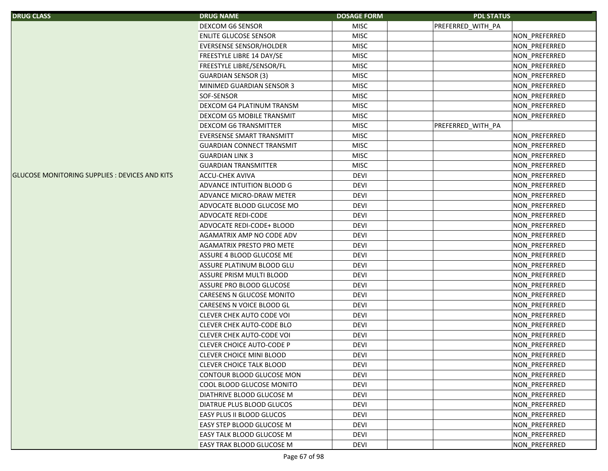| <b>DRUG CLASS</b>                                     | <b>DRUG NAME</b>                 | <b>DOSAGE FORM</b> | <b>PDL STATUS</b>    |
|-------------------------------------------------------|----------------------------------|--------------------|----------------------|
|                                                       | DEXCOM G6 SENSOR                 | <b>MISC</b>        | PREFERRED_WITH_PA    |
|                                                       | <b>ENLITE GLUCOSE SENSOR</b>     | <b>MISC</b>        | NON_PREFERRED        |
|                                                       | EVERSENSE SENSOR/HOLDER          | <b>MISC</b>        | NON_PREFERRED        |
|                                                       | FREESTYLE LIBRE 14 DAY/SE        | <b>MISC</b>        | NON_PREFERRED        |
|                                                       | FREESTYLE LIBRE/SENSOR/FL        | <b>MISC</b>        | NON_PREFERRED        |
|                                                       | <b>GUARDIAN SENSOR (3)</b>       | <b>MISC</b>        | NON_PREFERRED        |
|                                                       | MINIMED GUARDIAN SENSOR 3        | <b>MISC</b>        | NON_PREFERRED        |
|                                                       | SOF-SENSOR                       | <b>MISC</b>        | NON_PREFERRED        |
|                                                       | <b>DEXCOM G4 PLATINUM TRANSM</b> | <b>MISC</b>        | NON_PREFERRED        |
|                                                       | DEXCOM G5 MOBILE TRANSMIT        | <b>MISC</b>        | NON_PREFERRED        |
|                                                       | <b>DEXCOM G6 TRANSMITTER</b>     | <b>MISC</b>        | PREFERRED_WITH_PA    |
|                                                       | <b>EVERSENSE SMART TRANSMITT</b> | <b>MISC</b>        | NON_PREFERRED        |
|                                                       | <b>GUARDIAN CONNECT TRANSMIT</b> | <b>MISC</b>        | NON_PREFERRED        |
|                                                       | <b>GUARDIAN LINK 3</b>           | <b>MISC</b>        | NON_PREFERRED        |
|                                                       | <b>GUARDIAN TRANSMITTER</b>      | <b>MISC</b>        | NON_PREFERRED        |
| <b>GLUCOSE MONITORING SUPPLIES : DEVICES AND KITS</b> | <b>ACCU-CHEK AVIVA</b>           | <b>DEVI</b>        | NON_PREFERRED        |
|                                                       | ADVANCE INTUITION BLOOD G        | <b>DEVI</b>        | NON_PREFERRED        |
|                                                       | ADVANCE MICRO-DRAW METER         | <b>DEVI</b>        | NON PREFERRED        |
|                                                       | ADVOCATE BLOOD GLUCOSE MO        | <b>DEVI</b>        | NON PREFERRED        |
|                                                       | ADVOCATE REDI-CODE               | <b>DEVI</b>        | NON_PREFERRED        |
|                                                       | ADVOCATE REDI-CODE+ BLOOD        | <b>DEVI</b>        | NON_PREFERRED        |
|                                                       | AGAMATRIX AMP NO CODE ADV        | <b>DEVI</b>        | NON_PREFERRED        |
|                                                       | AGAMATRIX PRESTO PRO METE        | <b>DEVI</b>        | NON_PREFERRED        |
|                                                       | ASSURE 4 BLOOD GLUCOSE ME        | <b>DEVI</b>        | NON_PREFERRED        |
|                                                       | ASSURE PLATINUM BLOOD GLU        | <b>DEVI</b>        | NON_PREFERRED        |
|                                                       | ASSURE PRISM MULTI BLOOD         | <b>DEVI</b>        | NON_PREFERRED        |
|                                                       | ASSURE PRO BLOOD GLUCOSE         | <b>DEVI</b>        | NON_PREFERRED        |
|                                                       | CARESENS N GLUCOSE MONITO        | <b>DEVI</b>        | NON_PREFERRED        |
|                                                       | CARESENS N VOICE BLOOD GL        | <b>DEVI</b>        | NON_PREFERRED        |
|                                                       | <b>CLEVER CHEK AUTO CODE VOI</b> | <b>DEVI</b>        | NON_PREFERRED        |
|                                                       | CLEVER CHEK AUTO-CODE BLO        | <b>DEVI</b>        | NON_PREFERRED        |
|                                                       | CLEVER CHEK AUTO-CODE VOI        | <b>DEVI</b>        | NON_PREFERRED        |
|                                                       | <b>CLEVER CHOICE AUTO-CODE P</b> | <b>DEVI</b>        | NON_PREFERRED        |
|                                                       | <b>CLEVER CHOICE MINI BLOOD</b>  | <b>DEVI</b>        | NON_PREFERRED        |
|                                                       | <b>CLEVER CHOICE TALK BLOOD</b>  | <b>DEVI</b>        | NON PREFERRED        |
|                                                       | CONTOUR BLOOD GLUCOSE MON        | <b>DEVI</b>        | NON PREFERRED        |
|                                                       | COOL BLOOD GLUCOSE MONITO        | <b>DEVI</b>        | NON_PREFERRED        |
|                                                       | DIATHRIVE BLOOD GLUCOSE M        | <b>DEVI</b>        | NON_PREFERRED        |
|                                                       | DIATRUE PLUS BLOOD GLUCOS        | <b>DEVI</b>        | <b>NON PREFERRED</b> |
|                                                       | EASY PLUS II BLOOD GLUCOS        | <b>DEVI</b>        | NON PREFERRED        |
|                                                       | EASY STEP BLOOD GLUCOSE M        | devi               | NON PREFERRED        |
|                                                       | <b>EASY TALK BLOOD GLUCOSE M</b> | <b>DEVI</b>        | NON PREFERRED        |
|                                                       | <b>EASY TRAK BLOOD GLUCOSE M</b> | DEVI               | NON PREFERRED        |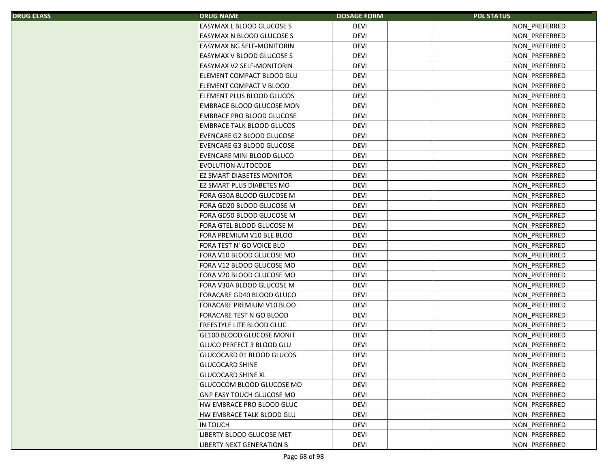| S. | <b>DRUG NAME</b>                 | <b>DOSAGE FORM</b> | <b>PDL STATUS</b>    |
|----|----------------------------------|--------------------|----------------------|
|    | EASYMAX L BLOOD GLUCOSE S        | <b>DEVI</b>        | NON PREFERRED        |
|    | EASYMAX N BLOOD GLUCOSE S        | <b>DEVI</b>        | NON_PREFERRED        |
|    | EASYMAX NG SELF-MONITORIN        | <b>DEVI</b>        | NON_PREFERRED        |
|    | EASYMAX V BLOOD GLUCOSE S        | <b>DEVI</b>        | NON PREFERRED        |
|    | <b>EASYMAX V2 SELF-MONITORIN</b> | <b>DEVI</b>        | NON PREFERRED        |
|    | ELEMENT COMPACT BLOOD GLU        | <b>DEVI</b>        | NON_PREFERRED        |
|    | ELEMENT COMPACT V BLOOD          | <b>DEVI</b>        | NON_PREFERRED        |
|    | ELEMENT PLUS BLOOD GLUCOS        | <b>DEVI</b>        | <b>NON PREFERRED</b> |
|    | <b>EMBRACE BLOOD GLUCOSE MON</b> | <b>DEVI</b>        | NON PREFERRED        |
|    | EMBRACE PRO BLOOD GLUCOSE        | <b>DEVI</b>        | NON PREFERRED        |
|    | <b>EMBRACE TALK BLOOD GLUCOS</b> | <b>DEVI</b>        | NON PREFERRED        |
|    | EVENCARE G2 BLOOD GLUCOSE        | <b>DEVI</b>        | NON_PREFERRED        |
|    | EVENCARE G3 BLOOD GLUCOSE        | <b>DEVI</b>        | NON_PREFERRED        |
|    | EVENCARE MINI BLOOD GLUCO        | <b>DEVI</b>        | NON_PREFERRED        |
|    | <b>EVOLUTION AUTOCODE</b>        | <b>DEVI</b>        | NON PREFERRED        |
|    | EZ SMART DIABETES MONITOR        | <b>DEVI</b>        | <b>NON PREFERRED</b> |
|    | EZ SMART PLUS DIABETES MO        | <b>DEVI</b>        | NON PREFERRED        |
|    | FORA G30A BLOOD GLUCOSE M        | <b>DEVI</b>        | NON PREFERRED        |
|    | FORA GD20 BLOOD GLUCOSE M        | <b>DEVI</b>        | NON_PREFERRED        |
|    | FORA GD50 BLOOD GLUCOSE M        | <b>DEVI</b>        | <b>NON PREFERRED</b> |
|    | FORA GTEL BLOOD GLUCOSE M        | <b>DEVI</b>        | NON_PREFERRED        |
|    | FORA PREMIUM V10 BLE BLOO        | <b>DEVI</b>        | NON PREFERRED        |
|    | FORA TEST N' GO VOICE BLO        | <b>DEVI</b>        | <b>NON PREFERRED</b> |
|    | FORA V10 BLOOD GLUCOSE MO        | <b>DEVI</b>        | NON PREFERRED        |
|    | FORA V12 BLOOD GLUCOSE MO        | <b>DEVI</b>        | NON_PREFERRED        |
|    | FORA V20 BLOOD GLUCOSE MO        | <b>DEVI</b>        | NON_PREFERRED        |
|    | FORA V30A BLOOD GLUCOSE M        | <b>DEVI</b>        | NON_PREFERRED        |
|    | FORACARE GD40 BLOOD GLUCO        | <b>DEVI</b>        | NON_PREFERRED        |
|    | FORACARE PREMIUM V10 BLOO        | <b>DEVI</b>        | <b>NON PREFERRED</b> |
|    | FORACARE TEST N GO BLOOD         | <b>DEVI</b>        | NON_PREFERRED        |
|    | FREESTYLE LITE BLOOD GLUC        | <b>DEVI</b>        | NON_PREFERRED        |
|    | <b>GE100 BLOOD GLUCOSE MONIT</b> | <b>DEVI</b>        | NON PREFERRED        |
|    | GLUCO PERFECT 3 BLOOD GLU        | <b>DEVI</b>        | NON PREFERRED        |
|    | GLUCOCARD 01 BLOOD GLUCOS        | <b>DEVI</b>        | NON PREFERRED        |
|    | <b>GLUCOCARD SHINE</b>           | <b>DEVI</b>        | NON PREFERRED        |
|    | <b>GLUCOCARD SHINE XL</b>        | <b>DEVI</b>        | NON PREFERRED        |
|    | GLUCOCOM BLOOD GLUCOSE MO        | <b>DEVI</b>        | NON PREFERRED        |
|    | <b>GNP EASY TOUCH GLUCOSE MO</b> | <b>DEVI</b>        | <b>NON PREFERRED</b> |
|    | HW EMBRACE PRO BLOOD GLUC        | <b>DEVI</b>        | <b>NON PREFERRED</b> |
|    | HW EMBRACE TALK BLOOD GLU        | <b>DEVI</b>        | NON PREFERRED        |
|    | IN TOUCH                         | DEVI               | NON PREFERRED        |
|    | LIBERTY BLOOD GLUCOSE MET        | <b>DEVI</b>        | NON PREFERRED        |
|    | LIBERTY NEXT GENERATION B        | <b>DEVI</b>        | NON PREFERRED        |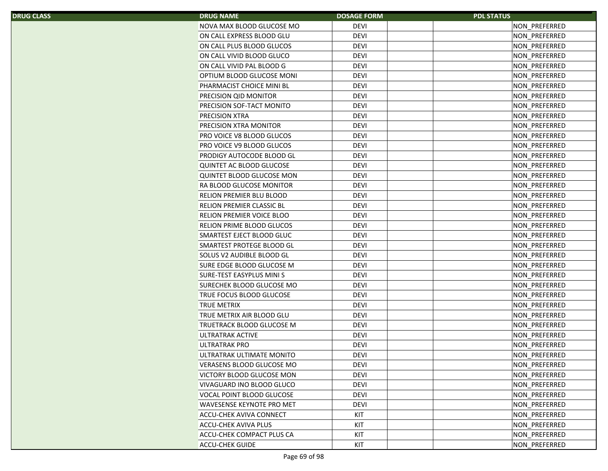| <b>DRUG NAME</b>                 | <b>DOSAGE FORM</b> | <b>PDL STATUS</b> |
|----------------------------------|--------------------|-------------------|
| NOVA MAX BLOOD GLUCOSE MO        | <b>DEVI</b>        | NON PREFERRED     |
| ON CALL EXPRESS BLOOD GLU        | <b>DEVI</b>        | NON_PREFERRED     |
| ON CALL PLUS BLOOD GLUCOS        | <b>DEVI</b>        | NON_PREFERRED     |
| ON CALL VIVID BLOOD GLUCO        | <b>DEVI</b>        | NON_PREFERRED     |
| ON CALL VIVID PAL BLOOD G        | <b>DEVI</b>        | NON_PREFERRED     |
| OPTIUM BLOOD GLUCOSE MONI        | <b>DEVI</b>        | NON_PREFERRED     |
| PHARMACIST CHOICE MINI BL        | <b>DEVI</b>        | NON_PREFERRED     |
| PRECISION QID MONITOR            | <b>DEVI</b>        | NON_PREFERRED     |
| PRECISION SOF-TACT MONITO        | <b>DEVI</b>        | NON_PREFERRED     |
| <b>PRECISION XTRA</b>            | <b>DEVI</b>        | NON_PREFERRED     |
| PRECISION XTRA MONITOR           | <b>DEVI</b>        | NON_PREFERRED     |
| PRO VOICE V8 BLOOD GLUCOS        | <b>DEVI</b>        | NON_PREFERRED     |
| PRO VOICE V9 BLOOD GLUCOS        | <b>DEVI</b>        | NON_PREFERRED     |
| PRODIGY AUTOCODE BLOOD GL        | <b>DEVI</b>        | NON_PREFERRED     |
| QUINTET AC BLOOD GLUCOSE         | <b>DEVI</b>        | NON_PREFERRED     |
| <b>QUINTET BLOOD GLUCOSE MON</b> | <b>DEVI</b>        | NON_PREFERRED     |
| RA BLOOD GLUCOSE MONITOR         | <b>DEVI</b>        | NON_PREFERRED     |
| RELION PREMIER BLU BLOOD         | <b>DEVI</b>        | NON PREFERRED     |
| <b>RELION PREMIER CLASSIC BL</b> | <b>DEVI</b>        | NON_PREFERRED     |
| RELION PREMIER VOICE BLOO        | <b>DEVI</b>        | NON_PREFERRED     |
| RELION PRIME BLOOD GLUCOS        | <b>DEVI</b>        | NON_PREFERRED     |
| SMARTEST EJECT BLOOD GLUC        | <b>DEVI</b>        | NON PREFERRED     |
| SMARTEST PROTEGE BLOOD GL        | <b>DEVI</b>        | NON_PREFERRED     |
| SOLUS V2 AUDIBLE BLOOD GL        | <b>DEVI</b>        | NON_PREFERRED     |
| SURE EDGE BLOOD GLUCOSE M        | <b>DEVI</b>        | NON_PREFERRED     |
| SURE-TEST EASYPLUS MINIS         | <b>DEVI</b>        | NON_PREFERRED     |
| SURECHEK BLOOD GLUCOSE MO        | <b>DEVI</b>        | NON_PREFERRED     |
| TRUE FOCUS BLOOD GLUCOSE         | <b>DEVI</b>        | NON_PREFERRED     |
| <b>TRUE METRIX</b>               | <b>DEVI</b>        | NON_PREFERRED     |
| TRUE METRIX AIR BLOOD GLU        | <b>DEVI</b>        | NON_PREFERRED     |
| TRUETRACK BLOOD GLUCOSE M        | <b>DEVI</b>        | NON_PREFERRED     |
| ULTRATRAK ACTIVE                 | <b>DEVI</b>        | NON_PREFERRED     |
| <b>ULTRATRAK PRO</b>             | <b>DEVI</b>        | NON_PREFERRED     |
| ULTRATRAK ULTIMATE MONITO        | <b>DEVI</b>        | NON PREFERRED     |
| VERASENS BLOOD GLUCOSE MO        | <b>DEVI</b>        | NON_PREFERRED     |
| VICTORY BLOOD GLUCOSE MON        | <b>DEVI</b>        | NON_PREFERRED     |
| VIVAGUARD INO BLOOD GLUCO        | <b>DEVI</b>        | NON PREFERRED     |
| VOCAL POINT BLOOD GLUCOSE        | <b>DEVI</b>        | NON_PREFERRED     |
| WAVESENSE KEYNOTE PRO MET        | <b>DEVI</b>        | NON PREFERRED     |
| ACCU-CHEK AVIVA CONNECT          | KIT                | NON_PREFERRED     |
| ACCU-CHEK AVIVA PLUS             | KIT                | NON_PREFERRED     |
| ACCU-CHEK COMPACT PLUS CA        | KIT                | NON PREFERRED     |
|                                  |                    |                   |
| <b>ACCU-CHEK GUIDE</b>           | KIT                | NON PREFERRED     |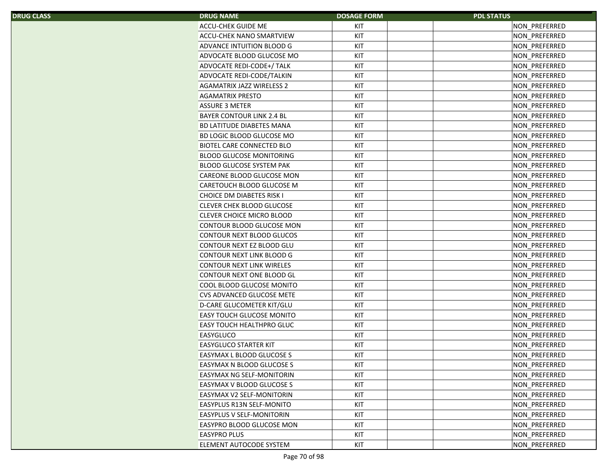| S | <b>DRUG NAME</b>                 | <b>DOSAGE FORM</b> | <b>PDL STATUS</b> |
|---|----------------------------------|--------------------|-------------------|
|   | <b>ACCU-CHEK GUIDE ME</b>        | KIT                | NON_PREFERRED     |
|   | ACCU-CHEK NANO SMARTVIEW         | KIT                | NON_PREFERRED     |
|   | ADVANCE INTUITION BLOOD G        | KIT                | NON_PREFERRED     |
|   | ADVOCATE BLOOD GLUCOSE MO        | KIT                | NON PREFERRED     |
|   | ADVOCATE REDI-CODE+/ TALK        | KIT                | NON_PREFERRED     |
|   | ADVOCATE REDI-CODE/TALKIN        | KIT                | NON_PREFERRED     |
|   | <b>AGAMATRIX JAZZ WIRELESS 2</b> | KIT                | NON_PREFERRED     |
|   | <b>AGAMATRIX PRESTO</b>          | KIT                | NON_PREFERRED     |
|   | <b>ASSURE 3 METER</b>            | KIT                | NON PREFERRED     |
|   | <b>BAYER CONTOUR LINK 2.4 BL</b> | KIT                | NON_PREFERRED     |
|   | <b>BD LATITUDE DIABETES MANA</b> | KIT                | NON_PREFERRED     |
|   | BD LOGIC BLOOD GLUCOSE MO        | KIT                | NON_PREFERRED     |
|   | <b>BIOTEL CARE CONNECTED BLO</b> | KIT                | NON_PREFERRED     |
|   | <b>BLOOD GLUCOSE MONITORING</b>  | KIT                | NON_PREFERRED     |
|   | <b>BLOOD GLUCOSE SYSTEM PAK</b>  | KIT                | NON_PREFERRED     |
|   | CAREONE BLOOD GLUCOSE MON        | KIT                | NON_PREFERRED     |
|   | CARETOUCH BLOOD GLUCOSE M        | KIT                | NON_PREFERRED     |
|   | CHOICE DM DIABETES RISK I        | KIT                | NON_PREFERRED     |
|   | <b>CLEVER CHEK BLOOD GLUCOSE</b> | KIT                | NON_PREFERRED     |
|   | CLEVER CHOICE MICRO BLOOD        | KIT                | NON_PREFERRED     |
|   | CONTOUR BLOOD GLUCOSE MON        | KIT                | NON_PREFERRED     |
|   | CONTOUR NEXT BLOOD GLUCOS        | KIT                | NON_PREFERRED     |
|   | CONTOUR NEXT EZ BLOOD GLU        | KIT                | NON_PREFERRED     |
|   | CONTOUR NEXT LINK BLOOD G        | KIT                | NON_PREFERRED     |
|   | <b>CONTOUR NEXT LINK WIRELES</b> | KIT                | NON_PREFERRED     |
|   | CONTOUR NEXT ONE BLOOD GL        | KIT                | NON_PREFERRED     |
|   | COOL BLOOD GLUCOSE MONITO        | KIT                | NON_PREFERRED     |
|   | <b>CVS ADVANCED GLUCOSE METE</b> | KIT                | NON_PREFERRED     |
|   | D-CARE GLUCOMETER KIT/GLU        | KIT                | NON_PREFERRED     |
|   | <b>EASY TOUCH GLUCOSE MONITO</b> | KIT                | NON_PREFERRED     |
|   | <b>EASY TOUCH HEALTHPRO GLUC</b> | KIT                | NON_PREFERRED     |
|   | <b>EASYGLUCO</b>                 | KIT                | NON_PREFERRED     |
|   | <b>EASYGLUCO STARTER KIT</b>     | KIT                | NON_PREFERRED     |
|   | EASYMAX L BLOOD GLUCOSE S        | KIT                | NON_PREFERRED     |
|   | EASYMAX N BLOOD GLUCOSE S        | KIT                | NON_PREFERRED     |
|   | EASYMAX NG SELF-MONITORIN        | KIT                | NON_PREFERRED     |
|   | EASYMAX V BLOOD GLUCOSE S        | KIT                | NON_PREFERRED     |
|   | EASYMAX V2 SELF-MONITORIN        | KIT                | NON PREFERRED     |
|   | EASYPLUS R13N SELF-MONITO        | KIT                | NON_PREFERRED     |
|   | <b>EASYPLUS V SELF-MONITORIN</b> | KIT                | NON_PREFERRED     |
|   | EASYPRO BLOOD GLUCOSE MON        | KIT                | NON_PREFERRED     |
|   | <b>EASYPRO PLUS</b>              | KIT                | NON_PREFERRED     |
|   | ELEMENT AUTOCODE SYSTEM          | KIT                | NON_PREFERRED     |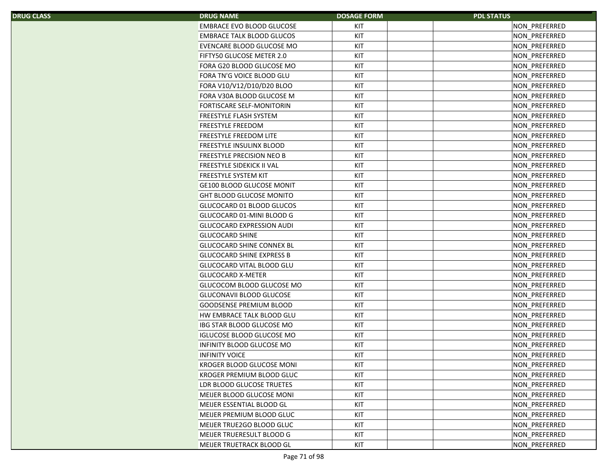| S. | <b>DRUG NAME</b>                 | <b>DOSAGE FORM</b> | <b>PDL STATUS</b> |
|----|----------------------------------|--------------------|-------------------|
|    | EMBRACE EVO BLOOD GLUCOSE        | KIT                | NON PREFERRED     |
|    | <b>EMBRACE TALK BLOOD GLUCOS</b> | KIT                | NON PREFERRED     |
|    | EVENCARE BLOOD GLUCOSE MO        | KIT                | NON_PREFERRED     |
|    | FIFTY50 GLUCOSE METER 2.0        | KIT                | NON_PREFERRED     |
|    | FORA G20 BLOOD GLUCOSE MO        | KIT                | NON_PREFERRED     |
|    | FORA TN'G VOICE BLOOD GLU        | KIT                | NON_PREFERRED     |
|    | FORA V10/V12/D10/D20 BLOO        | KIT                | NON_PREFERRED     |
|    | FORA V30A BLOOD GLUCOSE M        | KIT                | NON_PREFERRED     |
|    | <b>FORTISCARE SELF-MONITORIN</b> | KIT                | NON_PREFERRED     |
|    | FREESTYLE FLASH SYSTEM           | KIT                | NON PREFERRED     |
|    | <b>FREESTYLE FREEDOM</b>         | KIT                | NON_PREFERRED     |
|    | FREESTYLE FREEDOM LITE           | KIT                | NON_PREFERRED     |
|    | FREESTYLE INSULINX BLOOD         | KIT                | NON_PREFERRED     |
|    | FREESTYLE PRECISION NEO B        | KIT                | NON_PREFERRED     |
|    | FREESTYLE SIDEKICK II VAL        | KIT                | NON PREFERRED     |
|    | <b>FREESTYLE SYSTEM KIT</b>      | KIT                | NON_PREFERRED     |
|    | <b>GE100 BLOOD GLUCOSE MONIT</b> | KIT                | NON_PREFERRED     |
|    | <b>GHT BLOOD GLUCOSE MONITO</b>  | KIT                | NON_PREFERRED     |
|    | GLUCOCARD 01 BLOOD GLUCOS        | KIT                | NON PREFERRED     |
|    | GLUCOCARD 01-MINI BLOOD G        | KIT                | NON_PREFERRED     |
|    | <b>GLUCOCARD EXPRESSION AUDI</b> | KIT                | NON PREFERRED     |
|    | <b>GLUCOCARD SHINE</b>           | KIT                | NON_PREFERRED     |
|    | GLUCOCARD SHINE CONNEX BL        | KIT                | NON_PREFERRED     |
|    | <b>GLUCOCARD SHINE EXPRESS B</b> | KIT                | NON_PREFERRED     |
|    | GLUCOCARD VITAL BLOOD GLU        | KIT                | NON_PREFERRED     |
|    | <b>GLUCOCARD X-METER</b>         | KIT                | NON_PREFERRED     |
|    | GLUCOCOM BLOOD GLUCOSE MO        | KIT                | NON_PREFERRED     |
|    | <b>GLUCONAVII BLOOD GLUCOSE</b>  | KIT                | NON_PREFERRED     |
|    | <b>GOODSENSE PREMIUM BLOOD</b>   | KIT                | NON_PREFERRED     |
|    | HW EMBRACE TALK BLOOD GLU        | KIT                | NON_PREFERRED     |
|    | IBG STAR BLOOD GLUCOSE MO        | KIT                | NON_PREFERRED     |
|    | <b>IGLUCOSE BLOOD GLUCOSE MO</b> | KIT                | NON PREFERRED     |
|    | <b>INFINITY BLOOD GLUCOSE MO</b> | KIT                | NON_PREFERRED     |
|    | <b>INFINITY VOICE</b>            | KIT                | NON PREFERRED     |
|    | KROGER BLOOD GLUCOSE MONI        | KIT                | NON_PREFERRED     |
|    | KROGER PREMIUM BLOOD GLUC        | KIT                | NON_PREFERRED     |
|    | LDR BLOOD GLUCOSE TRUETES        | KIT                | NON_PREFERRED     |
|    | MEIJER BLOOD GLUCOSE MONI        | KIT                | NON_PREFERRED     |
|    | MEIJER ESSENTIAL BLOOD GL        | KIT                | NON_PREFERRED     |
|    | MEIJER PREMIUM BLOOD GLUC        | KIT                | NON_PREFERRED     |
|    | MEIJER TRUE2GO BLOOD GLUC        | KIT                | NON PREFERRED     |
|    | MEIJER TRUERESULT BLOOD G        | KIT                | NON_PREFERRED     |
|    | MEIJER TRUETRACK BLOOD GL        | KIT                | NON_PREFERRED     |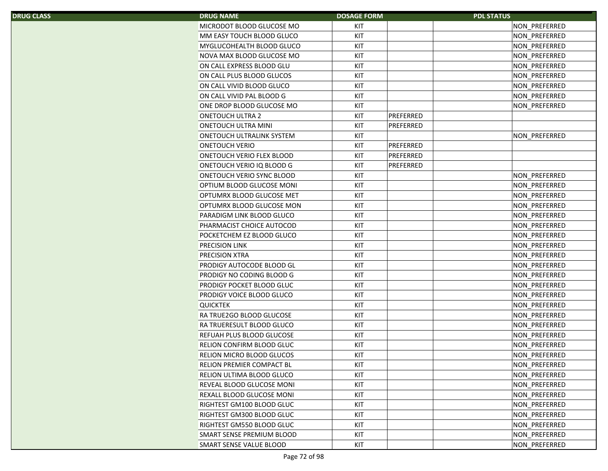| S. | <b>DRUG NAME</b>                 | <b>DOSAGE FORM</b> |           | <b>PDL STATUS</b> |
|----|----------------------------------|--------------------|-----------|-------------------|
|    | MICRODOT BLOOD GLUCOSE MO        | KIT                |           | NON_PREFERRED     |
|    | MM EASY TOUCH BLOOD GLUCO        | KIT                |           | NON PREFERRED     |
|    | <b>MYGLUCOHEALTH BLOOD GLUCO</b> | KIT                |           | NON PREFERRED     |
|    | NOVA MAX BLOOD GLUCOSE MO        | KIT                |           | NON_PREFERRED     |
|    | ON CALL EXPRESS BLOOD GLU        | KIT                |           | NON_PREFERRED     |
|    | ON CALL PLUS BLOOD GLUCOS        | KIT                |           | NON_PREFERRED     |
|    | ON CALL VIVID BLOOD GLUCO        | KIT                |           | NON_PREFERRED     |
|    | ON CALL VIVID PAL BLOOD G        | KIT                |           | NON_PREFERRED     |
|    | ONE DROP BLOOD GLUCOSE MO        | KIT                |           | NON_PREFERRED     |
|    | <b>ONETOUCH ULTRA 2</b>          | KIT                | PREFERRED |                   |
|    | <b>ONETOUCH ULTRA MINI</b>       | KIT                | PREFERRED |                   |
|    | ONETOUCH ULTRALINK SYSTEM        | KIT                |           | NON_PREFERRED     |
|    | <b>ONETOUCH VERIO</b>            | KIT                | PREFERRED |                   |
|    | <b>ONETOUCH VERIO FLEX BLOOD</b> | KIT                | PREFERRED |                   |
|    | ONETOUCH VERIO IQ BLOOD G        | KIT                | PREFERRED |                   |
|    | ONETOUCH VERIO SYNC BLOOD        | KIT                |           | NON PREFERRED     |
|    | OPTIUM BLOOD GLUCOSE MONI        | KIT                |           | NON_PREFERRED     |
|    | OPTUMRX BLOOD GLUCOSE MET        | KIT                |           | NON_PREFERRED     |
|    | OPTUMRX BLOOD GLUCOSE MON        | KIT                |           | NON_PREFERRED     |
|    | PARADIGM LINK BLOOD GLUCO        | KIT                |           | NON PREFERRED     |
|    | PHARMACIST CHOICE AUTOCOD        | KIT                |           | NON_PREFERRED     |
|    | POCKETCHEM EZ BLOOD GLUCO        | KIT                |           | NON PREFERRED     |
|    | <b>PRECISION LINK</b>            | KIT                |           | NON_PREFERRED     |
|    | PRECISION XTRA                   | KIT                |           | NON_PREFERRED     |
|    | PRODIGY AUTOCODE BLOOD GL        | KIT                |           | NON_PREFERRED     |
|    | PRODIGY NO CODING BLOOD G        | KIT                |           | NON_PREFERRED     |
|    | PRODIGY POCKET BLOOD GLUC        | KIT                |           | NON_PREFERRED     |
|    | PRODIGY VOICE BLOOD GLUCO        | KIT                |           | NON PREFERRED     |
|    | <b>QUICKTEK</b>                  | KIT                |           | NON_PREFERRED     |
|    | <b>RA TRUE2GO BLOOD GLUCOSE</b>  | KIT                |           | NON_PREFERRED     |
|    | <b>RA TRUERESULT BLOOD GLUCO</b> | KIT                |           | NON_PREFERRED     |
|    | REFUAH PLUS BLOOD GLUCOSE        | KIT                |           | NON_PREFERRED     |
|    | RELION CONFIRM BLOOD GLUC        | KIT                |           | NON PREFERRED     |
|    | RELION MICRO BLOOD GLUCOS        | KIT                |           | NON_PREFERRED     |
|    | <b>RELION PREMIER COMPACT BL</b> | KIT                |           | NON_PREFERRED     |
|    | RELION ULTIMA BLOOD GLUCO        | KIT                |           | NON PREFERRED     |
|    | REVEAL BLOOD GLUCOSE MONI        | KIT                |           | NON_PREFERRED     |
|    | REXALL BLOOD GLUCOSE MONI        | KIT                |           | NON PREFERRED     |
|    | RIGHTEST GM100 BLOOD GLUC        | KIT                |           | NON PREFERRED     |
|    | RIGHTEST GM300 BLOOD GLUC        | KIT                |           | NON PREFERRED     |
|    | RIGHTEST GM550 BLOOD GLUC        | KIT                |           | NON PREFERRED     |
|    | SMART SENSE PREMIUM BLOOD        | KIT                |           | NON PREFERRED     |
|    | SMART SENSE VALUE BLOOD          | KIT                |           | NON PREFERRED     |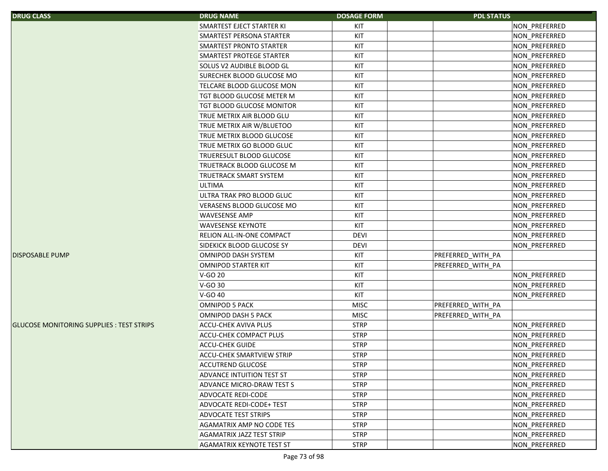| <b>DRUG CLASS</b>                               | <b>DRUG NAME</b>                 | <b>DOSAGE FORM</b> | <b>PDL STATUS</b> |               |
|-------------------------------------------------|----------------------------------|--------------------|-------------------|---------------|
|                                                 | SMARTEST EJECT STARTER KI        | KIT                |                   | NON_PREFERRED |
|                                                 | SMARTEST PERSONA STARTER         | KIT                |                   | NON_PREFERRED |
|                                                 | SMARTEST PRONTO STARTER          | KIT                |                   | NON_PREFERRED |
|                                                 | SMARTEST PROTEGE STARTER         | KIT                |                   | NON_PREFERRED |
|                                                 | SOLUS V2 AUDIBLE BLOOD GL        | KIT                |                   | NON_PREFERRED |
|                                                 | SURECHEK BLOOD GLUCOSE MO        | KIT                |                   | NON_PREFERRED |
|                                                 | TELCARE BLOOD GLUCOSE MON        | KIT                |                   | NON_PREFERRED |
|                                                 | TGT BLOOD GLUCOSE METER M        | KIT                |                   | NON_PREFERRED |
|                                                 | <b>TGT BLOOD GLUCOSE MONITOR</b> | KIT                |                   | NON_PREFERRED |
|                                                 | TRUE METRIX AIR BLOOD GLU        | KIT                |                   | NON_PREFERRED |
|                                                 | TRUE METRIX AIR W/BLUETOO        | KIT                |                   | NON_PREFERRED |
|                                                 | TRUE METRIX BLOOD GLUCOSE        | KIT                |                   | NON_PREFERRED |
|                                                 | TRUE METRIX GO BLOOD GLUC        | KIT                |                   | NON_PREFERRED |
|                                                 | <b>TRUERESULT BLOOD GLUCOSE</b>  | KIT                |                   | NON_PREFERRED |
|                                                 | <b>TRUETRACK BLOOD GLUCOSE M</b> | KIT                |                   | NON_PREFERRED |
|                                                 | <b>TRUETRACK SMART SYSTEM</b>    | KIT                |                   | NON_PREFERRED |
|                                                 | <b>ULTIMA</b>                    | KIT                |                   | NON PREFERRED |
|                                                 | ULTRA TRAK PRO BLOOD GLUC        | KIT                |                   | NON_PREFERRED |
|                                                 | VERASENS BLOOD GLUCOSE MO        | KIT                |                   | NON_PREFERRED |
|                                                 | <b>WAVESENSE AMP</b>             | KIT                |                   | NON_PREFERRED |
|                                                 | <b>WAVESENSE KEYNOTE</b>         | KIT                |                   | NON_PREFERRED |
|                                                 | RELION ALL-IN-ONE COMPACT        | <b>DEVI</b>        |                   | NON_PREFERRED |
|                                                 | SIDEKICK BLOOD GLUCOSE SY        | <b>DEVI</b>        |                   | NON_PREFERRED |
| <b>DISPOSABLE PUMP</b>                          | OMNIPOD DASH SYSTEM              | KIT                | PREFERRED_WITH_PA |               |
|                                                 | <b>OMNIPOD STARTER KIT</b>       | KIT                | PREFERRED WITH PA |               |
|                                                 | V-GO 20                          | KIT                |                   | NON_PREFERRED |
|                                                 | V-GO 30                          | KIT                |                   | NON_PREFERRED |
|                                                 | V-GO 40                          | KIT                |                   | NON_PREFERRED |
|                                                 | <b>OMNIPOD 5 PACK</b>            | <b>MISC</b>        | PREFERRED_WITH_PA |               |
|                                                 | OMNIPOD DASH 5 PACK              | <b>MISC</b>        | PREFERRED WITH PA |               |
| <b>GLUCOSE MONITORING SUPPLIES: TEST STRIPS</b> | <b>ACCU-CHEK AVIVA PLUS</b>      | <b>STRP</b>        |                   | NON_PREFERRED |
|                                                 | ACCU-CHEK COMPACT PLUS           | <b>STRP</b>        |                   | NON_PREFERRED |
|                                                 | <b>ACCU-CHEK GUIDE</b>           | <b>STRP</b>        |                   | NON_PREFERRED |
|                                                 | <b>ACCU-CHEK SMARTVIEW STRIP</b> | <b>STRP</b>        |                   | NON PREFERRED |
|                                                 | <b>ACCUTREND GLUCOSE</b>         | <b>STRP</b>        |                   | NON PREFERRED |
|                                                 | ADVANCE INTUITION TEST ST        | <b>STRP</b>        |                   | NON_PREFERRED |
|                                                 | ADVANCE MICRO-DRAW TEST S        | <b>STRP</b>        |                   | NON_PREFERRED |
|                                                 | <b>ADVOCATE REDI-CODE</b>        | <b>STRP</b>        |                   | NON PREFERRED |
|                                                 | <b>ADVOCATE REDI-CODE+ TEST</b>  | <b>STRP</b>        |                   | NON PREFERRED |
|                                                 | <b>ADVOCATE TEST STRIPS</b>      | <b>STRP</b>        |                   | NON PREFERRED |
|                                                 | AGAMATRIX AMP NO CODE TES        | <b>STRP</b>        |                   | NON_PREFERRED |
|                                                 | <b>AGAMATRIX JAZZ TEST STRIP</b> | <b>STRP</b>        |                   | NON_PREFERRED |
|                                                 | <b>AGAMATRIX KEYNOTE TEST ST</b> | <b>STRP</b>        |                   | NON_PREFERRED |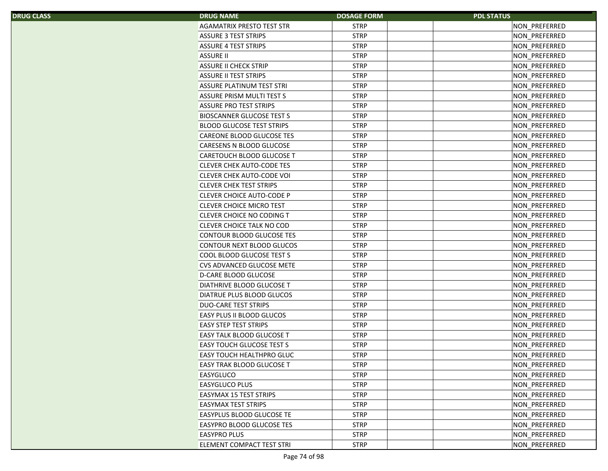| S. | <b>DRUG NAME</b>                 | <b>DOSAGE FORM</b> | <b>PDL STATUS</b> |
|----|----------------------------------|--------------------|-------------------|
|    | <b>AGAMATRIX PRESTO TEST STR</b> | <b>STRP</b>        | NON_PREFERRED     |
|    | <b>ASSURE 3 TEST STRIPS</b>      | <b>STRP</b>        | NON_PREFERRED     |
|    | <b>ASSURE 4 TEST STRIPS</b>      | <b>STRP</b>        | NON_PREFERRED     |
|    | <b>ASSURE II</b>                 | <b>STRP</b>        | NON_PREFERRED     |
|    | <b>ASSURE II CHECK STRIP</b>     | <b>STRP</b>        | NON PREFERRED     |
|    | <b>ASSURE II TEST STRIPS</b>     | <b>STRP</b>        | NON_PREFERRED     |
|    | ASSURE PLATINUM TEST STRI        | <b>STRP</b>        | NON_PREFERRED     |
|    | <b>ASSURE PRISM MULTI TEST S</b> | <b>STRP</b>        | NON_PREFERRED     |
|    | <b>ASSURE PRO TEST STRIPS</b>    | <b>STRP</b>        | NON_PREFERRED     |
|    | <b>BIOSCANNER GLUCOSE TEST S</b> | <b>STRP</b>        | NON_PREFERRED     |
|    | <b>BLOOD GLUCOSE TEST STRIPS</b> | <b>STRP</b>        | NON_PREFERRED     |
|    | CAREONE BLOOD GLUCOSE TES        | <b>STRP</b>        | NON_PREFERRED     |
|    | CARESENS N BLOOD GLUCOSE         | <b>STRP</b>        | NON_PREFERRED     |
|    | CARETOUCH BLOOD GLUCOSE T        | <b>STRP</b>        | NON_PREFERRED     |
|    | <b>CLEVER CHEK AUTO-CODE TES</b> | <b>STRP</b>        | NON_PREFERRED     |
|    | <b>CLEVER CHEK AUTO-CODE VOI</b> | <b>STRP</b>        | NON_PREFERRED     |
|    | <b>CLEVER CHEK TEST STRIPS</b>   | <b>STRP</b>        | NON_PREFERRED     |
|    | <b>CLEVER CHOICE AUTO-CODE P</b> | <b>STRP</b>        | NON_PREFERRED     |
|    | <b>CLEVER CHOICE MICRO TEST</b>  | <b>STRP</b>        | NON_PREFERRED     |
|    | <b>CLEVER CHOICE NO CODING T</b> | <b>STRP</b>        | NON PREFERRED     |
|    | <b>CLEVER CHOICE TALK NO COD</b> | <b>STRP</b>        | NON_PREFERRED     |
|    | CONTOUR BLOOD GLUCOSE TES        | <b>STRP</b>        | NON_PREFERRED     |
|    | CONTOUR NEXT BLOOD GLUCOS        | <b>STRP</b>        | NON_PREFERRED     |
|    | COOL BLOOD GLUCOSE TEST S        | <b>STRP</b>        | NON_PREFERRED     |
|    | CVS ADVANCED GLUCOSE METE        | <b>STRP</b>        | NON_PREFERRED     |
|    | <b>D-CARE BLOOD GLUCOSE</b>      | <b>STRP</b>        | NON_PREFERRED     |
|    | DIATHRIVE BLOOD GLUCOSE T        | <b>STRP</b>        | NON_PREFERRED     |
|    | DIATRUE PLUS BLOOD GLUCOS        | <b>STRP</b>        | NON_PREFERRED     |
|    | <b>DUO-CARE TEST STRIPS</b>      | <b>STRP</b>        | NON_PREFERRED     |
|    | EASY PLUS II BLOOD GLUCOS        | <b>STRP</b>        | NON PREFERRED     |
|    | <b>EASY STEP TEST STRIPS</b>     | <b>STRP</b>        | NON_PREFERRED     |
|    | <b>EASY TALK BLOOD GLUCOSE T</b> | <b>STRP</b>        | NON PREFERRED     |
|    | <b>EASY TOUCH GLUCOSE TEST S</b> | <b>STRP</b>        | NON PREFERRED     |
|    | EASY TOUCH HEALTHPRO GLUC        | <b>STRP</b>        | NON_PREFERRED     |
|    | EASY TRAK BLOOD GLUCOSE T        | <b>STRP</b>        | NON_PREFERRED     |
|    | EASYGLUCO                        | <b>STRP</b>        | NON_PREFERRED     |
|    | <b>EASYGLUCO PLUS</b>            | <b>STRP</b>        | NON_PREFERRED     |
|    | <b>EASYMAX 15 TEST STRIPS</b>    | <b>STRP</b>        | NON_PREFERRED     |
|    | <b>EASYMAX TEST STRIPS</b>       | <b>STRP</b>        | NON PREFERRED     |
|    | EASYPLUS BLOOD GLUCOSE TE        | <b>STRP</b>        | NON PREFERRED     |
|    | <b>EASYPRO BLOOD GLUCOSE TES</b> | <b>STRP</b>        | NON_PREFERRED     |
|    | <b>EASYPRO PLUS</b>              | <b>STRP</b>        | NON_PREFERRED     |
|    | ELEMENT COMPACT TEST STRI        | <b>STRP</b>        | NON_PREFERRED     |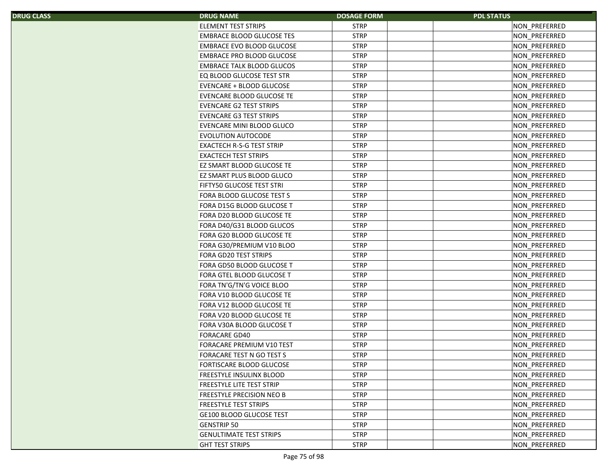| S. | <b>DRUG NAME</b>                 | <b>DOSAGE FORM</b> | <b>PDL STATUS</b> |
|----|----------------------------------|--------------------|-------------------|
|    | <b>ELEMENT TEST STRIPS</b>       | <b>STRP</b>        | NON PREFERRED     |
|    | <b>EMBRACE BLOOD GLUCOSE TES</b> | <b>STRP</b>        | NON_PREFERRED     |
|    | <b>EMBRACE EVO BLOOD GLUCOSE</b> | <b>STRP</b>        | NON_PREFERRED     |
|    | <b>EMBRACE PRO BLOOD GLUCOSE</b> | <b>STRP</b>        | NON PREFERRED     |
|    | <b>EMBRACE TALK BLOOD GLUCOS</b> | <b>STRP</b>        | NON_PREFERRED     |
|    | EQ BLOOD GLUCOSE TEST STR        | <b>STRP</b>        | NON_PREFERRED     |
|    | EVENCARE + BLOOD GLUCOSE         | <b>STRP</b>        | NON_PREFERRED     |
|    | <b>EVENCARE BLOOD GLUCOSE TE</b> | <b>STRP</b>        | NON PREFERRED     |
|    | <b>EVENCARE G2 TEST STRIPS</b>   | <b>STRP</b>        | NON_PREFERRED     |
|    | <b>EVENCARE G3 TEST STRIPS</b>   | <b>STRP</b>        | NON PREFERRED     |
|    | EVENCARE MINI BLOOD GLUCO        | <b>STRP</b>        | NON_PREFERRED     |
|    | <b>EVOLUTION AUTOCODE</b>        | <b>STRP</b>        | NON_PREFERRED     |
|    | EXACTECH R-S-G TEST STRIP        | <b>STRP</b>        | NON_PREFERRED     |
|    | <b>EXACTECH TEST STRIPS</b>      | <b>STRP</b>        | NON_PREFERRED     |
|    | EZ SMART BLOOD GLUCOSE TE        | <b>STRP</b>        | NON_PREFERRED     |
|    | EZ SMART PLUS BLOOD GLUCO        | <b>STRP</b>        | NON_PREFERRED     |
|    | FIFTY50 GLUCOSE TEST STRI        | <b>STRP</b>        | NON_PREFERRED     |
|    | FORA BLOOD GLUCOSE TEST S        | <b>STRP</b>        | NON_PREFERRED     |
|    | FORA D15G BLOOD GLUCOSE T        | <b>STRP</b>        | NON PREFERRED     |
|    | FORA D20 BLOOD GLUCOSE TE        | <b>STRP</b>        | NON PREFERRED     |
|    | FORA D40/G31 BLOOD GLUCOS        | <b>STRP</b>        | NON_PREFERRED     |
|    | FORA G20 BLOOD GLUCOSE TE        | <b>STRP</b>        | NON_PREFERRED     |
|    | FORA G30/PREMIUM V10 BLOO        | <b>STRP</b>        | NON_PREFERRED     |
|    | FORA GD20 TEST STRIPS            | <b>STRP</b>        | NON_PREFERRED     |
|    | FORA GD50 BLOOD GLUCOSE T        | <b>STRP</b>        | NON_PREFERRED     |
|    | FORA GTEL BLOOD GLUCOSE T        | <b>STRP</b>        | NON_PREFERRED     |
|    | FORA TN'G/TN'G VOICE BLOO        | <b>STRP</b>        | NON_PREFERRED     |
|    | FORA V10 BLOOD GLUCOSE TE        | <b>STRP</b>        | NON_PREFERRED     |
|    | FORA V12 BLOOD GLUCOSE TE        | <b>STRP</b>        | NON_PREFERRED     |
|    | FORA V20 BLOOD GLUCOSE TE        | <b>STRP</b>        | NON PREFERRED     |
|    | FORA V30A BLOOD GLUCOSE T        | <b>STRP</b>        | NON_PREFERRED     |
|    | <b>FORACARE GD40</b>             | <b>STRP</b>        | NON_PREFERRED     |
|    | FORACARE PREMIUM V10 TEST        | <b>STRP</b>        | NON PREFERRED     |
|    | FORACARE TEST N GO TEST S        | <b>STRP</b>        | NON_PREFERRED     |
|    | FORTISCARE BLOOD GLUCOSE         | <b>STRP</b>        | NON_PREFERRED     |
|    | <b>FREESTYLE INSULINX BLOOD</b>  | <b>STRP</b>        | NON_PREFERRED     |
|    | FREESTYLE LITE TEST STRIP        | <b>STRP</b>        | NON_PREFERRED     |
|    | <b>FREESTYLE PRECISION NEO B</b> | <b>STRP</b>        | NON_PREFERRED     |
|    | <b>FREESTYLE TEST STRIPS</b>     | <b>STRP</b>        | NON_PREFERRED     |
|    | GE100 BLOOD GLUCOSE TEST         | <b>STRP</b>        | NON PREFERRED     |
|    | <b>GENSTRIP 50</b>               | <b>STRP</b>        | NON_PREFERRED     |
|    | <b>GENULTIMATE TEST STRIPS</b>   | <b>STRP</b>        | NON_PREFERRED     |
|    | <b>GHT TEST STRIPS</b>           | <b>STRP</b>        | NON PREFERRED     |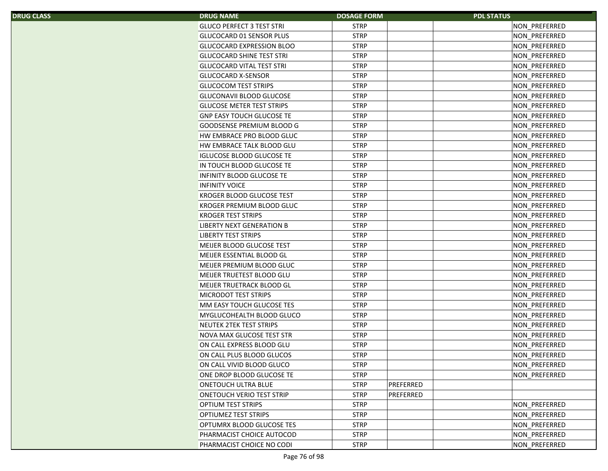| S. | <b>DRUG NAME</b>                                       | <b>DOSAGE FORM</b>         | <b>PDL STATUS</b>              |
|----|--------------------------------------------------------|----------------------------|--------------------------------|
|    | <b>GLUCO PERFECT 3 TEST STRI</b>                       | <b>STRP</b>                | NON_PREFERRED                  |
|    | GLUCOCARD 01 SENSOR PLUS                               | <b>STRP</b>                | NON PREFERRED                  |
|    | <b>GLUCOCARD EXPRESSION BLOO</b>                       | <b>STRP</b>                | NON_PREFERRED                  |
|    | <b>GLUCOCARD SHINE TEST STRI</b>                       | <b>STRP</b>                | NON_PREFERRED                  |
|    | <b>GLUCOCARD VITAL TEST STRI</b>                       | <b>STRP</b>                | NON_PREFERRED                  |
|    | <b>GLUCOCARD X-SENSOR</b>                              | <b>STRP</b>                | NON_PREFERRED                  |
|    | <b>GLUCOCOM TEST STRIPS</b>                            | <b>STRP</b>                | NON_PREFERRED                  |
|    | <b>GLUCONAVII BLOOD GLUCOSE</b>                        | <b>STRP</b>                | NON_PREFERRED                  |
|    | <b>GLUCOSE METER TEST STRIPS</b>                       | <b>STRP</b>                | NON_PREFERRED                  |
|    | <b>GNP EASY TOUCH GLUCOSE TE</b>                       | <b>STRP</b>                | NON PREFERRED                  |
|    | <b>GOODSENSE PREMIUM BLOOD G</b>                       | <b>STRP</b>                | NON PREFERRED                  |
|    | HW EMBRACE PRO BLOOD GLUC                              | <b>STRP</b>                | NON_PREFERRED                  |
|    | HW EMBRACE TALK BLOOD GLU                              | <b>STRP</b>                | NON_PREFERRED                  |
|    | <b>IGLUCOSE BLOOD GLUCOSE TE</b>                       | <b>STRP</b>                | NON_PREFERRED                  |
|    | IN TOUCH BLOOD GLUCOSE TE                              | <b>STRP</b>                | NON_PREFERRED                  |
|    | <b>INFINITY BLOOD GLUCOSE TE</b>                       | <b>STRP</b>                | NON PREFERRED                  |
|    | <b>INFINITY VOICE</b>                                  | <b>STRP</b>                | NON_PREFERRED                  |
|    | <b>KROGER BLOOD GLUCOSE TEST</b>                       | <b>STRP</b>                | NON_PREFERRED                  |
|    | KROGER PREMIUM BLOOD GLUC                              | <b>STRP</b>                | NON_PREFERRED                  |
|    | <b>KROGER TEST STRIPS</b>                              | <b>STRP</b>                | NON PREFERRED                  |
|    | <b>LIBERTY NEXT GENERATION B</b>                       | <b>STRP</b>                | NON_PREFERRED                  |
|    | <b>LIBERTY TEST STRIPS</b>                             | <b>STRP</b>                | NON PREFERRED                  |
|    | MEIJER BLOOD GLUCOSE TEST                              | <b>STRP</b>                | NON_PREFERRED                  |
|    | MEIJER ESSENTIAL BLOOD GL                              | <b>STRP</b>                | NON_PREFERRED                  |
|    | MEIJER PREMIUM BLOOD GLUC                              | <b>STRP</b>                | NON_PREFERRED                  |
|    | MEIJER TRUETEST BLOOD GLU                              | <b>STRP</b>                | NON_PREFERRED                  |
|    | MEIJER TRUETRACK BLOOD GL                              | <b>STRP</b>                | NON_PREFERRED                  |
|    | <b>MICRODOT TEST STRIPS</b>                            | <b>STRP</b>                | NON PREFERRED                  |
|    | MM EASY TOUCH GLUCOSE TES                              | <b>STRP</b>                | NON_PREFERRED                  |
|    | MYGLUCOHEALTH BLOOD GLUCO                              | <b>STRP</b>                | NON_PREFERRED                  |
|    | NEUTEK 2TEK TEST STRIPS                                | <b>STRP</b>                | NON_PREFERRED                  |
|    | NOVA MAX GLUCOSE TEST STR                              | <b>STRP</b>                | NON_PREFERRED                  |
|    | ON CALL EXPRESS BLOOD GLU                              | <b>STRP</b>                | NON PREFERRED                  |
|    | ON CALL PLUS BLOOD GLUCOS                              | <b>STRP</b>                | NON_PREFERRED                  |
|    | ON CALL VIVID BLOOD GLUCO                              | <b>STRP</b>                | NON_PREFERRED                  |
|    | ONE DROP BLOOD GLUCOSE TE                              | <b>STRP</b>                | NON PREFERRED                  |
|    | <b>ONETOUCH ULTRA BLUE</b>                             | <b>STRP</b>                | PREFERRED                      |
|    | ONETOUCH VERIO TEST STRIP                              | <b>STRP</b>                | PREFERRED                      |
|    | <b>OPTIUM TEST STRIPS</b>                              | <b>STRP</b>                | NON PREFERRED                  |
|    |                                                        |                            |                                |
|    |                                                        |                            |                                |
|    | <b>OPTIUMEZ TEST STRIPS</b>                            | <b>STRP</b>                | NON PREFERRED                  |
|    | OPTUMRX BLOOD GLUCOSE TES<br>PHARMACIST CHOICE AUTOCOD | <b>STRP</b><br><b>STRP</b> | NON PREFERRED<br>NON PREFERRED |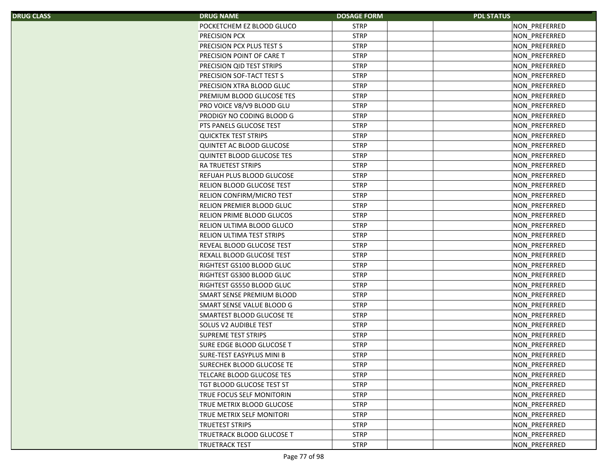| S, | <b>DRUG NAME</b>                 | <b>DOSAGE FORM</b> | <b>PDL STATUS</b> |
|----|----------------------------------|--------------------|-------------------|
|    | POCKETCHEM EZ BLOOD GLUCO        | <b>STRP</b>        | NON_PREFERRED     |
|    | PRECISION PCX                    | <b>STRP</b>        | NON_PREFERRED     |
|    | PRECISION PCX PLUS TEST S        | <b>STRP</b>        | NON_PREFERRED     |
|    | PRECISION POINT OF CARE T        | <b>STRP</b>        | NON_PREFERRED     |
|    | PRECISION QID TEST STRIPS        | <b>STRP</b>        | NON_PREFERRED     |
|    | PRECISION SOF-TACT TEST S        | <b>STRP</b>        | NON_PREFERRED     |
|    | PRECISION XTRA BLOOD GLUC        | <b>STRP</b>        | NON_PREFERRED     |
|    | PREMIUM BLOOD GLUCOSE TES        | <b>STRP</b>        | NON PREFERRED     |
|    | PRO VOICE V8/V9 BLOOD GLU        | <b>STRP</b>        | NON_PREFERRED     |
|    | PRODIGY NO CODING BLOOD G        | <b>STRP</b>        | NON_PREFERRED     |
|    | PTS PANELS GLUCOSE TEST          | <b>STRP</b>        | NON_PREFERRED     |
|    | <b>QUICKTEK TEST STRIPS</b>      | <b>STRP</b>        | NON_PREFERRED     |
|    | QUINTET AC BLOOD GLUCOSE         | <b>STRP</b>        | NON_PREFERRED     |
|    | <b>QUINTET BLOOD GLUCOSE TES</b> | <b>STRP</b>        | NON_PREFERRED     |
|    | RA TRUETEST STRIPS               | <b>STRP</b>        | NON_PREFERRED     |
|    | REFUAH PLUS BLOOD GLUCOSE        | <b>STRP</b>        | NON_PREFERRED     |
|    | RELION BLOOD GLUCOSE TEST        | <b>STRP</b>        | NON_PREFERRED     |
|    | RELION CONFIRM/MICRO TEST        | <b>STRP</b>        | NON_PREFERRED     |
|    | <b>RELION PREMIER BLOOD GLUC</b> | <b>STRP</b>        | NON_PREFERRED     |
|    | RELION PRIME BLOOD GLUCOS        | <b>STRP</b>        | NON PREFERRED     |
|    | RELION ULTIMA BLOOD GLUCO        | <b>STRP</b>        | NON_PREFERRED     |
|    | RELION ULTIMA TEST STRIPS        | <b>STRP</b>        | NON_PREFERRED     |
|    | REVEAL BLOOD GLUCOSE TEST        | <b>STRP</b>        | NON_PREFERRED     |
|    | REXALL BLOOD GLUCOSE TEST        | <b>STRP</b>        | NON_PREFERRED     |
|    | RIGHTEST GS100 BLOOD GLUC        | <b>STRP</b>        | NON_PREFERRED     |
|    | RIGHTEST GS300 BLOOD GLUC        | <b>STRP</b>        | NON_PREFERRED     |
|    | RIGHTEST GS550 BLOOD GLUC        | <b>STRP</b>        | NON_PREFERRED     |
|    | SMART SENSE PREMIUM BLOOD        | <b>STRP</b>        | NON_PREFERRED     |
|    | SMART SENSE VALUE BLOOD G        | <b>STRP</b>        | NON_PREFERRED     |
|    | SMARTEST BLOOD GLUCOSE TE        | <b>STRP</b>        | NON_PREFERRED     |
|    | SOLUS V2 AUDIBLE TEST            | <b>STRP</b>        | NON_PREFERRED     |
|    | SUPREME TEST STRIPS              | <b>STRP</b>        | NON_PREFERRED     |
|    | SURE EDGE BLOOD GLUCOSE T        | <b>STRP</b>        | NON_PREFERRED     |
|    | SURE-TEST EASYPLUS MINI B        | <b>STRP</b>        | NON_PREFERRED     |
|    | SURECHEK BLOOD GLUCOSE TE        | <b>STRP</b>        | NON_PREFERRED     |
|    | TELCARE BLOOD GLUCOSE TES        | <b>STRP</b>        | NON_PREFERRED     |
|    | TGT BLOOD GLUCOSE TEST ST        | <b>STRP</b>        | NON PREFERRED     |
|    | TRUE FOCUS SELF MONITORIN        | <b>STRP</b>        | NON_PREFERRED     |
|    | TRUE METRIX BLOOD GLUCOSE        | <b>STRP</b>        | NON PREFERRED     |
|    | TRUE METRIX SELF MONITORI        | <b>STRP</b>        | NON_PREFERRED     |
|    | <b>TRUETEST STRIPS</b>           | <b>STRP</b>        | NON_PREFERRED     |
|    | <b>TRUETRACK BLOOD GLUCOSE T</b> | <b>STRP</b>        | NON_PREFERRED     |
|    | TRUETRACK TEST                   | <b>STRP</b>        | NON_PREFERRED     |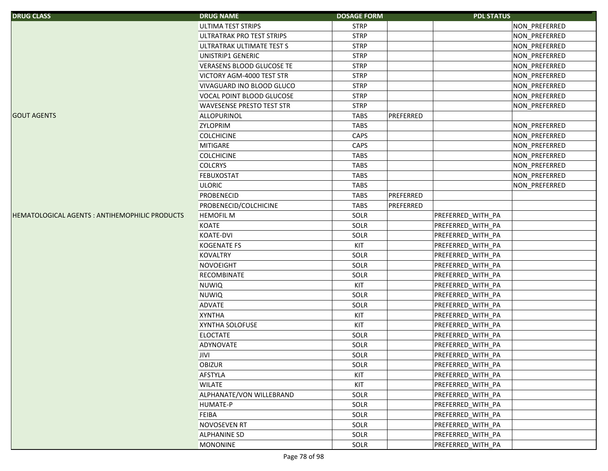| <b>DRUG CLASS</b>                              | <b>DRUG NAME</b>                 | <b>DOSAGE FORM</b> |           | <b>PDL STATUS</b> |               |
|------------------------------------------------|----------------------------------|--------------------|-----------|-------------------|---------------|
|                                                | <b>ULTIMA TEST STRIPS</b>        | <b>STRP</b>        |           |                   | NON_PREFERRED |
|                                                | ULTRATRAK PRO TEST STRIPS        | <b>STRP</b>        |           |                   | NON_PREFERRED |
|                                                | ULTRATRAK ULTIMATE TEST S        | <b>STRP</b>        |           |                   | NON_PREFERRED |
|                                                | UNISTRIP1 GENERIC                | <b>STRP</b>        |           |                   | NON_PREFERRED |
|                                                | <b>VERASENS BLOOD GLUCOSE TE</b> | <b>STRP</b>        |           |                   | NON_PREFERRED |
|                                                | VICTORY AGM-4000 TEST STR        | <b>STRP</b>        |           |                   | NON_PREFERRED |
|                                                | VIVAGUARD INO BLOOD GLUCO        | <b>STRP</b>        |           |                   | NON_PREFERRED |
|                                                | VOCAL POINT BLOOD GLUCOSE        | <b>STRP</b>        |           |                   | NON PREFERRED |
|                                                | <b>WAVESENSE PRESTO TEST STR</b> | <b>STRP</b>        |           |                   | NON_PREFERRED |
| <b>GOUT AGENTS</b>                             | <b>ALLOPURINOL</b>               | <b>TABS</b>        | PREFERRED |                   |               |
|                                                | <b>ZYLOPRIM</b>                  | <b>TABS</b>        |           |                   | NON_PREFERRED |
|                                                | <b>COLCHICINE</b>                | CAPS               |           |                   | NON_PREFERRED |
|                                                | <b>MITIGARE</b>                  | CAPS               |           |                   | NON_PREFERRED |
|                                                | <b>COLCHICINE</b>                | <b>TABS</b>        |           |                   | NON_PREFERRED |
|                                                | <b>COLCRYS</b>                   | <b>TABS</b>        |           |                   | NON_PREFERRED |
|                                                | <b>FEBUXOSTAT</b>                | <b>TABS</b>        |           |                   | NON_PREFERRED |
|                                                | <b>ULORIC</b>                    | <b>TABS</b>        |           |                   | NON_PREFERRED |
|                                                | PROBENECID                       | <b>TABS</b>        | PREFERRED |                   |               |
|                                                | PROBENECID/COLCHICINE            | <b>TABS</b>        | PREFERRED |                   |               |
| HEMATOLOGICAL AGENTS : ANTIHEMOPHILIC PRODUCTS | <b>HEMOFIL M</b>                 | SOLR               |           | PREFERRED WITH PA |               |
|                                                | KOATE                            | SOLR               |           | PREFERRED_WITH_PA |               |
|                                                | <b>KOATE-DVI</b>                 | SOLR               |           | PREFERRED_WITH_PA |               |
|                                                | <b>KOGENATE FS</b>               | KIT                |           | PREFERRED_WITH_PA |               |
|                                                | <b>KOVALTRY</b>                  | SOLR               |           | PREFERRED_WITH_PA |               |
|                                                | NOVOEIGHT                        | SOLR               |           | PREFERRED_WITH_PA |               |
|                                                | RECOMBINATE                      | SOLR               |           | PREFERRED_WITH_PA |               |
|                                                | <b>NUWIQ</b>                     | KIT                |           | PREFERRED_WITH_PA |               |
|                                                | <b>NUWIQ</b>                     | SOLR               |           | PREFERRED_WITH_PA |               |
|                                                | <b>ADVATE</b>                    | SOLR               |           | PREFERRED_WITH_PA |               |
|                                                | <b>XYNTHA</b>                    | KIT                |           | PREFERRED_WITH_PA |               |
|                                                | XYNTHA SOLOFUSE                  | KIT                |           | PREFERRED_WITH_PA |               |
|                                                | <b>ELOCTATE</b>                  | SOLR               |           | PREFERRED_WITH_PA |               |
|                                                | ADYNOVATE                        | SOLR               |           | PREFERRED WITH PA |               |
|                                                | JIVI                             | SOLR               |           | PREFERRED_WITH_PA |               |
|                                                | <b>OBIZUR</b>                    | SOLR               |           | PREFERRED_WITH_PA |               |
|                                                | <b>AFSTYLA</b>                   | KIT                |           | PREFERRED WITH PA |               |
|                                                | <b>WILATE</b>                    | KIT                |           | PREFERRED_WITH_PA |               |
|                                                | ALPHANATE/VON WILLEBRAND         | SOLR               |           | PREFERRED_WITH_PA |               |
|                                                | <b>HUMATE-P</b>                  | SOLR               |           | PREFERRED_WITH_PA |               |
|                                                | FEIBA                            | SOLR               |           | PREFERRED_WITH_PA |               |
|                                                | <b>NOVOSEVEN RT</b>              | SOLR               |           | PREFERRED_WITH_PA |               |
|                                                | <b>ALPHANINE SD</b>              | SOLR               |           | PREFERRED_WITH_PA |               |
|                                                | <b>MONONINE</b>                  | SOLR               |           | PREFERRED_WITH_PA |               |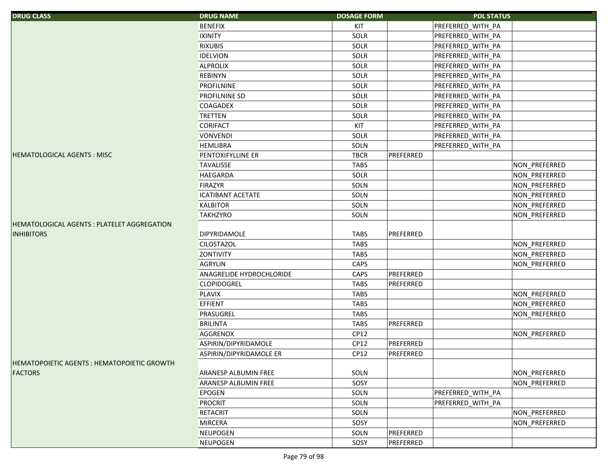| <b>DRUG CLASS</b>                                 | <b>DRUG NAME</b>            | <b>DOSAGE FORM</b> |           | <b>PDL STATUS</b> |               |
|---------------------------------------------------|-----------------------------|--------------------|-----------|-------------------|---------------|
|                                                   | <b>BENEFIX</b>              | KIT                |           | PREFERRED_WITH_PA |               |
|                                                   | <b>IXINITY</b>              | SOLR               |           | PREFERRED_WITH_PA |               |
|                                                   | <b>RIXUBIS</b>              | SOLR               |           | PREFERRED_WITH_PA |               |
|                                                   | <b>IDELVION</b>             | SOLR               |           | PREFERRED_WITH_PA |               |
|                                                   | <b>ALPROLIX</b>             | SOLR               |           | PREFERRED_WITH_PA |               |
|                                                   | <b>REBINYN</b>              | SOLR               |           | PREFERRED_WITH_PA |               |
|                                                   | <b>PROFILNINE</b>           | SOLR               |           | PREFERRED_WITH_PA |               |
|                                                   | <b>PROFILNINE SD</b>        | SOLR               |           | PREFERRED_WITH_PA |               |
|                                                   | <b>COAGADEX</b>             | SOLR               |           | PREFERRED_WITH_PA |               |
|                                                   | <b>TRETTEN</b>              | SOLR               |           | PREFERRED_WITH_PA |               |
|                                                   | <b>CORIFACT</b>             | KIT                |           | PREFERRED_WITH_PA |               |
|                                                   | <b>VONVENDI</b>             | SOLR               |           | PREFERRED_WITH_PA |               |
|                                                   | <b>HEMLIBRA</b>             | SOLN               |           | PREFERRED_WITH_PA |               |
| <b>HEMATOLOGICAL AGENTS: MISC</b>                 | PENTOXIFYLLINE ER           | <b>TBCR</b>        | PREFERRED |                   |               |
|                                                   | <b>TAVALISSE</b>            | <b>TABS</b>        |           |                   | NON_PREFERRED |
|                                                   | <b>HAEGARDA</b>             | SOLR               |           |                   | NON_PREFERRED |
|                                                   | <b>FIRAZYR</b>              | SOLN               |           |                   | NON_PREFERRED |
|                                                   | <b>ICATIBANT ACETATE</b>    | SOLN               |           |                   | NON_PREFERRED |
|                                                   | <b>KALBITOR</b>             | SOLN               |           |                   | NON_PREFERRED |
|                                                   | <b>TAKHZYRO</b>             | SOLN               |           |                   | NON_PREFERRED |
| <b>HEMATOLOGICAL AGENTS: PLATELET AGGREGATION</b> |                             |                    |           |                   |               |
| <b>INHIBITORS</b>                                 | <b>DIPYRIDAMOLE</b>         | <b>TABS</b>        | PREFERRED |                   |               |
|                                                   | <b>CILOSTAZOL</b>           | <b>TABS</b>        |           |                   | NON_PREFERRED |
|                                                   | <b>ZONTIVITY</b>            | <b>TABS</b>        |           |                   | NON_PREFERRED |
|                                                   | <b>AGRYLIN</b>              | CAPS               |           |                   | NON_PREFERRED |
|                                                   | ANAGRELIDE HYDROCHLORIDE    | CAPS               | PREFERRED |                   |               |
|                                                   | <b>CLOPIDOGREL</b>          | <b>TABS</b>        | PREFERRED |                   |               |
|                                                   | <b>PLAVIX</b>               | <b>TABS</b>        |           |                   | NON_PREFERRED |
|                                                   | EFFIENT                     | <b>TABS</b>        |           |                   | NON_PREFERRED |
|                                                   | PRASUGREL                   | <b>TABS</b>        |           |                   | NON_PREFERRED |
|                                                   | <b>BRILINTA</b>             | <b>TABS</b>        | PREFERRED |                   |               |
|                                                   | AGGRENOX                    | CP12               |           |                   | NON_PREFERRED |
|                                                   | ASPIRIN/DIPYRIDAMOLE        | CP12               | PREFERRED |                   |               |
|                                                   | ASPIRIN/DIPYRIDAMOLE ER     | CP12               | PREFERRED |                   |               |
| <b>HEMATOPOIETIC AGENTS: HEMATOPOIETIC GROWTH</b> |                             |                    |           |                   |               |
| <b>FACTORS</b>                                    | <b>ARANESP ALBUMIN FREE</b> | SOLN               |           |                   | NON_PREFERRED |
|                                                   | <b>ARANESP ALBUMIN FREE</b> | SOSY               |           |                   | NON_PREFERRED |
|                                                   | <b>EPOGEN</b>               | SOLN               |           | PREFERRED_WITH_PA |               |
|                                                   | PROCRIT                     | SOLN               |           | PREFERRED_WITH_PA |               |
|                                                   | <b>RETACRIT</b>             | SOLN               |           |                   | NON_PREFERRED |
|                                                   | <b>MIRCERA</b>              | SOSY               |           |                   | NON PREFERRED |
|                                                   | <b>NEUPOGEN</b>             | SOLN               | PREFERRED |                   |               |
|                                                   | <b>NEUPOGEN</b>             | SOSY               | PREFERRED |                   |               |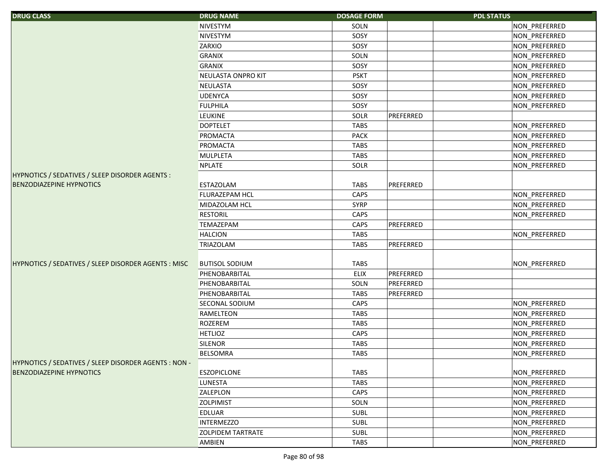| <b>DRUG CLASS</b>                                     | <b>DRUG NAME</b>         | <b>DOSAGE FORM</b> | <b>PDL STATUS</b> |
|-------------------------------------------------------|--------------------------|--------------------|-------------------|
|                                                       | NIVESTYM                 | SOLN               | NON PREFERRED     |
|                                                       | NIVESTYM                 | SOSY               | NON_PREFERRED     |
|                                                       | ZARXIO                   | SOSY               | NON_PREFERRED     |
|                                                       | <b>GRANIX</b>            | SOLN               | NON_PREFERRED     |
|                                                       | <b>GRANIX</b>            | SOSY               | NON_PREFERRED     |
|                                                       | NEULASTA ONPRO KIT       | <b>PSKT</b>        | NON_PREFERRED     |
|                                                       | <b>NEULASTA</b>          | SOSY               | NON_PREFERRED     |
|                                                       | <b>UDENYCA</b>           | SOSY               | NON_PREFERRED     |
|                                                       | <b>FULPHILA</b>          | SOSY               | NON PREFERRED     |
|                                                       | <b>LEUKINE</b>           | SOLR               | PREFERRED         |
|                                                       | <b>DOPTELET</b>          | <b>TABS</b>        | NON_PREFERRED     |
|                                                       | PROMACTA                 | <b>PACK</b>        | NON_PREFERRED     |
|                                                       | PROMACTA                 | <b>TABS</b>        | NON_PREFERRED     |
|                                                       | <b>MULPLETA</b>          | <b>TABS</b>        | NON_PREFERRED     |
|                                                       | <b>NPLATE</b>            | SOLR               | NON_PREFERRED     |
| HYPNOTICS / SEDATIVES / SLEEP DISORDER AGENTS :       |                          |                    |                   |
| <b>BENZODIAZEPINE HYPNOTICS</b>                       | <b>ESTAZOLAM</b>         | <b>TABS</b>        | PREFERRED         |
|                                                       | FLURAZEPAM HCL           | CAPS               | NON_PREFERRED     |
|                                                       | MIDAZOLAM HCL            | <b>SYRP</b>        | NON_PREFERRED     |
|                                                       | <b>RESTORIL</b>          | CAPS               | NON_PREFERRED     |
|                                                       | TEMAZEPAM                | CAPS               | PREFERRED         |
|                                                       | <b>HALCION</b>           | <b>TABS</b>        | NON_PREFERRED     |
|                                                       | TRIAZOLAM                | <b>TABS</b>        | PREFERRED         |
|                                                       |                          |                    |                   |
| HYPNOTICS / SEDATIVES / SLEEP DISORDER AGENTS : MISC  | <b>BUTISOL SODIUM</b>    | <b>TABS</b>        | NON_PREFERRED     |
|                                                       | PHENOBARBITAL            | ELIX               | PREFERRED         |
|                                                       | PHENOBARBITAL            | SOLN               | PREFERRED         |
|                                                       | PHENOBARBITAL            | <b>TABS</b>        | PREFERRED         |
|                                                       | SECONAL SODIUM           | CAPS               | NON_PREFERRED     |
|                                                       | <b>RAMELTEON</b>         | <b>TABS</b>        | NON_PREFERRED     |
|                                                       | <b>ROZEREM</b>           | <b>TABS</b>        | NON_PREFERRED     |
|                                                       | <b>HETLIOZ</b>           | CAPS               | NON_PREFERRED     |
|                                                       | <b>SILENOR</b>           | <b>TABS</b>        | NON_PREFERRED     |
|                                                       | <b>BELSOMRA</b>          | <b>TABS</b>        | NON PREFERRED     |
| HYPNOTICS / SEDATIVES / SLEEP DISORDER AGENTS : NON - |                          |                    |                   |
| <b>BENZODIAZEPINE HYPNOTICS</b>                       | <b>ESZOPICLONE</b>       | <b>TABS</b>        | NON_PREFERRED     |
|                                                       | <b>LUNESTA</b>           | <b>TABS</b>        | NON_PREFERRED     |
|                                                       | ZALEPLON                 | CAPS               | NON PREFERRED     |
|                                                       | <b>ZOLPIMIST</b>         | SOLN               | NON_PREFERRED     |
|                                                       | <b>EDLUAR</b>            | <b>SUBL</b>        | NON PREFERRED     |
|                                                       | <b>INTERMEZZO</b>        | <b>SUBL</b>        | NON_PREFERRED     |
|                                                       | <b>ZOLPIDEM TARTRATE</b> | SUBL               | NON_PREFERRED     |
|                                                       | AMBIEN                   | TABS               | NON_PREFERRED     |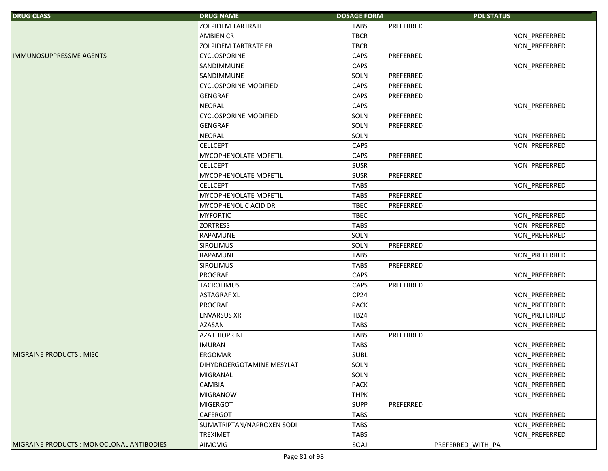| <b>DRUG CLASS</b>                         | <b>DRUG NAME</b>             | <b>DOSAGE FORM</b> | <b>PDL STATUS</b> |               |
|-------------------------------------------|------------------------------|--------------------|-------------------|---------------|
|                                           | <b>ZOLPIDEM TARTRATE</b>     | <b>TABS</b>        | PREFERRED         |               |
|                                           | <b>AMBIEN CR</b>             | <b>TBCR</b>        |                   | NON_PREFERRED |
|                                           | <b>ZOLPIDEM TARTRATE ER</b>  | <b>TBCR</b>        |                   | NON PREFERRED |
| <b>IMMUNOSUPPRESSIVE AGENTS</b>           | CYCLOSPORINE                 | CAPS               | PREFERRED         |               |
|                                           | SANDIMMUNE                   | CAPS               |                   | NON_PREFERRED |
|                                           | SANDIMMUNE                   | SOLN               | PREFERRED         |               |
|                                           | <b>CYCLOSPORINE MODIFIED</b> | CAPS               | PREFERRED         |               |
|                                           | <b>GENGRAF</b>               | CAPS               | PREFERRED         |               |
|                                           | <b>NEORAL</b>                | CAPS               |                   | NON_PREFERRED |
|                                           | <b>CYCLOSPORINE MODIFIED</b> | SOLN               | PREFERRED         |               |
|                                           | <b>GENGRAF</b>               | SOLN               | PREFERRED         |               |
|                                           | <b>NEORAL</b>                | SOLN               |                   | NON_PREFERRED |
|                                           | <b>CELLCEPT</b>              | CAPS               |                   | NON_PREFERRED |
|                                           | MYCOPHENOLATE MOFETIL        | CAPS               | PREFERRED         |               |
|                                           | <b>CELLCEPT</b>              | <b>SUSR</b>        |                   | NON_PREFERRED |
|                                           | MYCOPHENOLATE MOFETIL        | <b>SUSR</b>        | PREFERRED         |               |
|                                           | <b>CELLCEPT</b>              | <b>TABS</b>        |                   | NON_PREFERRED |
|                                           | MYCOPHENOLATE MOFETIL        | <b>TABS</b>        | PREFERRED         |               |
|                                           | <b>MYCOPHENOLIC ACID DR</b>  | <b>TBEC</b>        | PREFERRED         |               |
|                                           | <b>MYFORTIC</b>              | <b>TBEC</b>        |                   | NON_PREFERRED |
|                                           | <b>ZORTRESS</b>              | TABS               |                   | NON_PREFERRED |
|                                           | <b>RAPAMUNE</b>              | SOLN               |                   | NON_PREFERRED |
|                                           | <b>SIROLIMUS</b>             | SOLN               | PREFERRED         |               |
|                                           | RAPAMUNE                     | <b>TABS</b>        |                   | NON_PREFERRED |
|                                           | <b>SIROLIMUS</b>             | <b>TABS</b>        | PREFERRED         |               |
|                                           | <b>PROGRAF</b>               | CAPS               |                   | NON_PREFERRED |
|                                           | <b>TACROLIMUS</b>            | CAPS               | PREFERRED         |               |
|                                           | <b>ASTAGRAF XL</b>           | CP24               |                   | NON_PREFERRED |
|                                           | <b>PROGRAF</b>               | PACK               |                   | NON_PREFERRED |
|                                           | <b>ENVARSUS XR</b>           | <b>TB24</b>        |                   | NON PREFERRED |
|                                           | <b>AZASAN</b>                | <b>TABS</b>        |                   | NON_PREFERRED |
|                                           | <b>AZATHIOPRINE</b>          | <b>TABS</b>        | PREFERRED         |               |
|                                           | <b>IMURAN</b>                | <b>TABS</b>        |                   | NON_PREFERRED |
| IMIGRAINE PRODUCTS : MISC                 | <b>ERGOMAR</b>               | <b>SUBL</b>        |                   | NON_PREFERRED |
|                                           | DIHYDROERGOTAMINE MESYLAT    | SOLN               |                   | NON_PREFERRED |
|                                           | <b>MIGRANAL</b>              | SOLN               |                   | NON_PREFERRED |
|                                           | <b>CAMBIA</b>                | <b>PACK</b>        |                   | NON_PREFERRED |
|                                           | <b>MIGRANOW</b>              | <b>THPK</b>        |                   | NON_PREFERRED |
|                                           | <b>MIGERGOT</b>              | <b>SUPP</b>        | PREFERRED         |               |
|                                           | <b>CAFERGOT</b>              | TABS               |                   | NON_PREFERRED |
|                                           | SUMATRIPTAN/NAPROXEN SODI    | <b>TABS</b>        |                   | NON_PREFERRED |
|                                           | <b>TREXIMET</b>              | <b>TABS</b>        |                   | NON_PREFERRED |
| MIGRAINE PRODUCTS : MONOCLONAL ANTIBODIES | AIMOVIG                      | SOAJ               | PREFERRED_WITH_PA |               |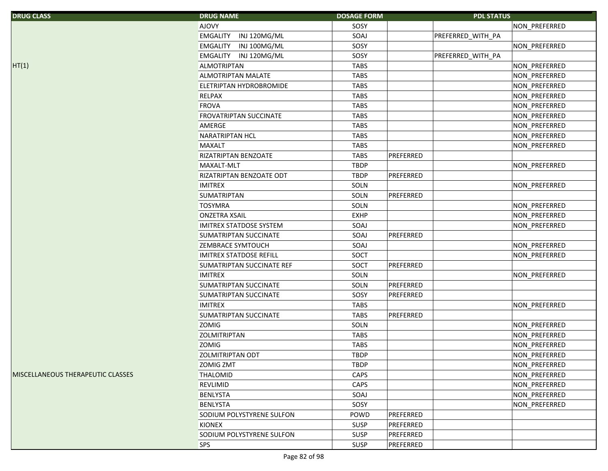| <b>AJOVY</b><br>SOSY<br>NON_PREFERRED<br>INJ 120MG/ML<br><b>EMGALITY</b><br>SOAJ<br>PREFERRED_WITH_PA<br>EMGALITY INJ 100MG/ML<br>SOSY<br>NON_PREFERRED<br>EMGALITY INJ 120MG/ML<br>SOSY<br>PREFERRED_WITH_PA<br><b>ALMOTRIPTAN</b><br><b>TABS</b><br>NON_PREFERRED<br>ALMOTRIPTAN MALATE<br><b>TABS</b><br>NON_PREFERRED<br><b>TABS</b><br>NON_PREFERRED<br>ELETRIPTAN HYDROBROMIDE<br><b>RELPAX</b><br><b>TABS</b><br>NON_PREFERRED<br><b>FROVA</b><br><b>TABS</b><br>NON_PREFERRED<br><b>FROVATRIPTAN SUCCINATE</b><br><b>TABS</b><br>NON_PREFERRED<br>AMERGE<br><b>TABS</b><br>NON_PREFERRED<br><b>NARATRIPTAN HCL</b><br><b>TABS</b><br>NON_PREFERRED<br><b>MAXALT</b><br><b>TABS</b><br>NON_PREFERRED<br><b>TABS</b><br>RIZATRIPTAN BENZOATE<br>PREFERRED<br><b>TBDP</b><br><b>MAXALT-MLT</b><br>NON_PREFERRED<br><b>TBDP</b><br>PREFERRED<br>RIZATRIPTAN BENZOATE ODT<br><b>IMITREX</b><br>SOLN<br>NON_PREFERRED<br><b>SUMATRIPTAN</b><br>PREFERRED<br>SOLN | <b>DRUG CLASS</b>                        | <b>DRUG NAME</b> | <b>DOSAGE FORM</b> | <b>PDL STATUS</b> |               |
|--------------------------------------------------------------------------------------------------------------------------------------------------------------------------------------------------------------------------------------------------------------------------------------------------------------------------------------------------------------------------------------------------------------------------------------------------------------------------------------------------------------------------------------------------------------------------------------------------------------------------------------------------------------------------------------------------------------------------------------------------------------------------------------------------------------------------------------------------------------------------------------------------------------------------------------------------------------------|------------------------------------------|------------------|--------------------|-------------------|---------------|
|                                                                                                                                                                                                                                                                                                                                                                                                                                                                                                                                                                                                                                                                                                                                                                                                                                                                                                                                                                    |                                          |                  |                    |                   |               |
|                                                                                                                                                                                                                                                                                                                                                                                                                                                                                                                                                                                                                                                                                                                                                                                                                                                                                                                                                                    |                                          |                  |                    |                   |               |
|                                                                                                                                                                                                                                                                                                                                                                                                                                                                                                                                                                                                                                                                                                                                                                                                                                                                                                                                                                    |                                          |                  |                    |                   |               |
|                                                                                                                                                                                                                                                                                                                                                                                                                                                                                                                                                                                                                                                                                                                                                                                                                                                                                                                                                                    |                                          |                  |                    |                   |               |
|                                                                                                                                                                                                                                                                                                                                                                                                                                                                                                                                                                                                                                                                                                                                                                                                                                                                                                                                                                    | HT(1)                                    |                  |                    |                   |               |
|                                                                                                                                                                                                                                                                                                                                                                                                                                                                                                                                                                                                                                                                                                                                                                                                                                                                                                                                                                    |                                          |                  |                    |                   |               |
|                                                                                                                                                                                                                                                                                                                                                                                                                                                                                                                                                                                                                                                                                                                                                                                                                                                                                                                                                                    |                                          |                  |                    |                   |               |
|                                                                                                                                                                                                                                                                                                                                                                                                                                                                                                                                                                                                                                                                                                                                                                                                                                                                                                                                                                    |                                          |                  |                    |                   |               |
|                                                                                                                                                                                                                                                                                                                                                                                                                                                                                                                                                                                                                                                                                                                                                                                                                                                                                                                                                                    |                                          |                  |                    |                   |               |
|                                                                                                                                                                                                                                                                                                                                                                                                                                                                                                                                                                                                                                                                                                                                                                                                                                                                                                                                                                    |                                          |                  |                    |                   |               |
|                                                                                                                                                                                                                                                                                                                                                                                                                                                                                                                                                                                                                                                                                                                                                                                                                                                                                                                                                                    |                                          |                  |                    |                   |               |
|                                                                                                                                                                                                                                                                                                                                                                                                                                                                                                                                                                                                                                                                                                                                                                                                                                                                                                                                                                    |                                          |                  |                    |                   |               |
|                                                                                                                                                                                                                                                                                                                                                                                                                                                                                                                                                                                                                                                                                                                                                                                                                                                                                                                                                                    |                                          |                  |                    |                   |               |
|                                                                                                                                                                                                                                                                                                                                                                                                                                                                                                                                                                                                                                                                                                                                                                                                                                                                                                                                                                    |                                          |                  |                    |                   |               |
|                                                                                                                                                                                                                                                                                                                                                                                                                                                                                                                                                                                                                                                                                                                                                                                                                                                                                                                                                                    |                                          |                  |                    |                   |               |
|                                                                                                                                                                                                                                                                                                                                                                                                                                                                                                                                                                                                                                                                                                                                                                                                                                                                                                                                                                    |                                          |                  |                    |                   |               |
|                                                                                                                                                                                                                                                                                                                                                                                                                                                                                                                                                                                                                                                                                                                                                                                                                                                                                                                                                                    |                                          |                  |                    |                   |               |
|                                                                                                                                                                                                                                                                                                                                                                                                                                                                                                                                                                                                                                                                                                                                                                                                                                                                                                                                                                    |                                          |                  |                    |                   |               |
|                                                                                                                                                                                                                                                                                                                                                                                                                                                                                                                                                                                                                                                                                                                                                                                                                                                                                                                                                                    |                                          | <b>TOSYMRA</b>   | SOLN               |                   | NON_PREFERRED |
| <b>EXHP</b><br>NON_PREFERRED<br><b>ONZETRA XSAIL</b>                                                                                                                                                                                                                                                                                                                                                                                                                                                                                                                                                                                                                                                                                                                                                                                                                                                                                                               |                                          |                  |                    |                   |               |
| SOAJ<br>NON_PREFERRED<br><b>IMITREX STATDOSE SYSTEM</b>                                                                                                                                                                                                                                                                                                                                                                                                                                                                                                                                                                                                                                                                                                                                                                                                                                                                                                            |                                          |                  |                    |                   |               |
| SOAJ<br>PREFERRED<br>SUMATRIPTAN SUCCINATE                                                                                                                                                                                                                                                                                                                                                                                                                                                                                                                                                                                                                                                                                                                                                                                                                                                                                                                         |                                          |                  |                    |                   |               |
| <b>ZEMBRACE SYMTOUCH</b><br>SOAJ<br>NON_PREFERRED                                                                                                                                                                                                                                                                                                                                                                                                                                                                                                                                                                                                                                                                                                                                                                                                                                                                                                                  |                                          |                  |                    |                   |               |
| <b>IMITREX STATDOSE REFILL</b><br>SOCT<br>NON_PREFERRED                                                                                                                                                                                                                                                                                                                                                                                                                                                                                                                                                                                                                                                                                                                                                                                                                                                                                                            |                                          |                  |                    |                   |               |
| PREFERRED<br>SOCT<br>SUMATRIPTAN SUCCINATE REF                                                                                                                                                                                                                                                                                                                                                                                                                                                                                                                                                                                                                                                                                                                                                                                                                                                                                                                     |                                          |                  |                    |                   |               |
| <b>IMITREX</b><br>SOLN<br>NON_PREFERRED                                                                                                                                                                                                                                                                                                                                                                                                                                                                                                                                                                                                                                                                                                                                                                                                                                                                                                                            |                                          |                  |                    |                   |               |
| SUMATRIPTAN SUCCINATE<br>SOLN<br>PREFERRED                                                                                                                                                                                                                                                                                                                                                                                                                                                                                                                                                                                                                                                                                                                                                                                                                                                                                                                         |                                          |                  |                    |                   |               |
| PREFERRED<br>SUMATRIPTAN SUCCINATE<br>SOSY                                                                                                                                                                                                                                                                                                                                                                                                                                                                                                                                                                                                                                                                                                                                                                                                                                                                                                                         |                                          |                  |                    |                   |               |
| <b>IMITREX</b><br><b>TABS</b><br>NON PREFERRED                                                                                                                                                                                                                                                                                                                                                                                                                                                                                                                                                                                                                                                                                                                                                                                                                                                                                                                     |                                          |                  |                    |                   |               |
| PREFERRED<br><b>SUMATRIPTAN SUCCINATE</b><br><b>TABS</b>                                                                                                                                                                                                                                                                                                                                                                                                                                                                                                                                                                                                                                                                                                                                                                                                                                                                                                           |                                          |                  |                    |                   |               |
| <b>ZOMIG</b><br>SOLN<br>NON_PREFERRED                                                                                                                                                                                                                                                                                                                                                                                                                                                                                                                                                                                                                                                                                                                                                                                                                                                                                                                              |                                          |                  |                    |                   |               |
| <b>TABS</b><br>NON_PREFERRED<br><b>ZOLMITRIPTAN</b>                                                                                                                                                                                                                                                                                                                                                                                                                                                                                                                                                                                                                                                                                                                                                                                                                                                                                                                |                                          |                  |                    |                   |               |
| <b>TABS</b><br><b>ZOMIG</b><br>NON_PREFERRED                                                                                                                                                                                                                                                                                                                                                                                                                                                                                                                                                                                                                                                                                                                                                                                                                                                                                                                       |                                          |                  |                    |                   |               |
| <b>ZOLMITRIPTAN ODT</b><br><b>TBDP</b><br>NON_PREFERRED                                                                                                                                                                                                                                                                                                                                                                                                                                                                                                                                                                                                                                                                                                                                                                                                                                                                                                            |                                          |                  |                    |                   |               |
| <b>TBDP</b><br>NON_PREFERRED<br><b>ZOMIG ZMT</b>                                                                                                                                                                                                                                                                                                                                                                                                                                                                                                                                                                                                                                                                                                                                                                                                                                                                                                                   |                                          |                  |                    |                   |               |
| <b>THALOMID</b><br>CAPS<br>NON_PREFERRED                                                                                                                                                                                                                                                                                                                                                                                                                                                                                                                                                                                                                                                                                                                                                                                                                                                                                                                           | <b>MISCELLANEOUS THERAPEUTIC CLASSES</b> |                  |                    |                   |               |
| CAPS<br>NON_PREFERRED<br><b>REVLIMID</b>                                                                                                                                                                                                                                                                                                                                                                                                                                                                                                                                                                                                                                                                                                                                                                                                                                                                                                                           |                                          |                  |                    |                   |               |
| NON_PREFERRED<br><b>BENLYSTA</b><br>SOAJ                                                                                                                                                                                                                                                                                                                                                                                                                                                                                                                                                                                                                                                                                                                                                                                                                                                                                                                           |                                          |                  |                    |                   |               |
| SOSY<br><b>BENLYSTA</b><br>NON PREFERRED                                                                                                                                                                                                                                                                                                                                                                                                                                                                                                                                                                                                                                                                                                                                                                                                                                                                                                                           |                                          |                  |                    |                   |               |
| PREFERRED<br>SODIUM POLYSTYRENE SULFON<br>POWD                                                                                                                                                                                                                                                                                                                                                                                                                                                                                                                                                                                                                                                                                                                                                                                                                                                                                                                     |                                          |                  |                    |                   |               |
| PREFERRED<br>KIONEX<br><b>SUSP</b>                                                                                                                                                                                                                                                                                                                                                                                                                                                                                                                                                                                                                                                                                                                                                                                                                                                                                                                                 |                                          |                  |                    |                   |               |
| SODIUM POLYSTYRENE SULFON<br><b>SUSP</b><br>PREFERRED                                                                                                                                                                                                                                                                                                                                                                                                                                                                                                                                                                                                                                                                                                                                                                                                                                                                                                              |                                          |                  |                    |                   |               |
| <b>SPS</b><br>SUSP<br>PREFERRED                                                                                                                                                                                                                                                                                                                                                                                                                                                                                                                                                                                                                                                                                                                                                                                                                                                                                                                                    |                                          |                  |                    |                   |               |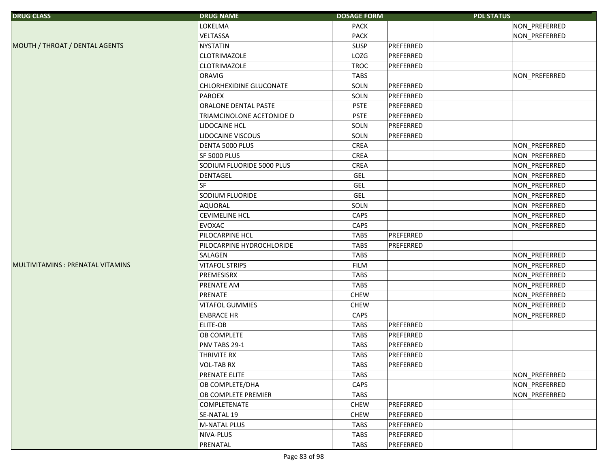| <b>DRUG CLASS</b>                 | <b>DRUG NAME</b>          | <b>DOSAGE FORM</b> |           | <b>PDL STATUS</b> |               |
|-----------------------------------|---------------------------|--------------------|-----------|-------------------|---------------|
|                                   | LOKELMA                   | <b>PACK</b>        |           |                   | NON PREFERRED |
|                                   | VELTASSA                  | PACK               |           |                   | NON_PREFERRED |
| MOUTH / THROAT / DENTAL AGENTS    | <b>NYSTATIN</b>           | SUSP               | PREFERRED |                   |               |
|                                   | CLOTRIMAZOLE              | LOZG               | PREFERRED |                   |               |
|                                   | CLOTRIMAZOLE              | <b>TROC</b>        | PREFERRED |                   |               |
|                                   | ORAVIG                    | <b>TABS</b>        |           |                   | NON_PREFERRED |
|                                   | CHLORHEXIDINE GLUCONATE   | SOLN               | PREFERRED |                   |               |
|                                   | PAROEX                    | SOLN               | PREFERRED |                   |               |
|                                   | ORALONE DENTAL PASTE      | <b>PSTE</b>        | PREFERRED |                   |               |
|                                   | TRIAMCINOLONE ACETONIDE D | <b>PSTE</b>        | PREFERRED |                   |               |
|                                   | <b>LIDOCAINE HCL</b>      | SOLN               | PREFERRED |                   |               |
|                                   | <b>LIDOCAINE VISCOUS</b>  | SOLN               | PREFERRED |                   |               |
|                                   | DENTA 5000 PLUS           | CREA               |           |                   | NON_PREFERRED |
|                                   | <b>SF 5000 PLUS</b>       | CREA               |           |                   | NON_PREFERRED |
|                                   | SODIUM FLUORIDE 5000 PLUS | CREA               |           |                   | NON_PREFERRED |
|                                   | DENTAGEL                  | <b>GEL</b>         |           |                   | NON_PREFERRED |
|                                   | SF                        | <b>GEL</b>         |           |                   | NON PREFERRED |
|                                   | SODIUM FLUORIDE           | <b>GEL</b>         |           |                   | NON_PREFERRED |
|                                   | AQUORAL                   | SOLN               |           |                   | NON_PREFERRED |
|                                   | <b>CEVIMELINE HCL</b>     | CAPS               |           |                   | NON_PREFERRED |
|                                   | <b>EVOXAC</b>             | CAPS               |           |                   | NON PREFERRED |
|                                   | PILOCARPINE HCL           | <b>TABS</b>        | PREFERRED |                   |               |
|                                   | PILOCARPINE HYDROCHLORIDE | <b>TABS</b>        | PREFERRED |                   |               |
|                                   | SALAGEN                   | <b>TABS</b>        |           |                   | NON_PREFERRED |
| MULTIVITAMINS : PRENATAL VITAMINS | <b>VITAFOL STRIPS</b>     | <b>FILM</b>        |           |                   | NON_PREFERRED |
|                                   | PREMESISRX                | <b>TABS</b>        |           |                   | NON_PREFERRED |
|                                   | PRENATE AM                | <b>TABS</b>        |           |                   | NON_PREFERRED |
|                                   | PRENATE                   | <b>CHEW</b>        |           |                   | NON_PREFERRED |
|                                   | <b>VITAFOL GUMMIES</b>    | <b>CHEW</b>        |           |                   | NON_PREFERRED |
|                                   | <b>ENBRACE HR</b>         | CAPS               |           |                   | NON_PREFERRED |
|                                   | ELITE-OB                  | <b>TABS</b>        | PREFERRED |                   |               |
|                                   | OB COMPLETE               | <b>TABS</b>        | PREFERRED |                   |               |
|                                   | PNV TABS 29-1             | <b>TABS</b>        | PREFERRED |                   |               |
|                                   | <b>THRIVITE RX</b>        | <b>TABS</b>        | PREFERRED |                   |               |
|                                   | <b>VOL-TAB RX</b>         | <b>TABS</b>        | PREFERRED |                   |               |
|                                   | PRENATE ELITE             | TABS               |           |                   | NON_PREFERRED |
|                                   | OB COMPLETE/DHA           | CAPS               |           |                   | NON PREFERRED |
|                                   | OB COMPLETE PREMIER       | <b>TABS</b>        |           |                   | NON PREFERRED |
|                                   | COMPLETENATE              | <b>CHEW</b>        | PREFERRED |                   |               |
|                                   | SE-NATAL 19               | <b>CHEW</b>        | PREFERRED |                   |               |
|                                   | M-NATAL PLUS              | <b>TABS</b>        | PREFERRED |                   |               |
|                                   | NIVA-PLUS                 | <b>TABS</b>        | PREFERRED |                   |               |
|                                   | PRENATAL                  | <b>TABS</b>        | PREFERRED |                   |               |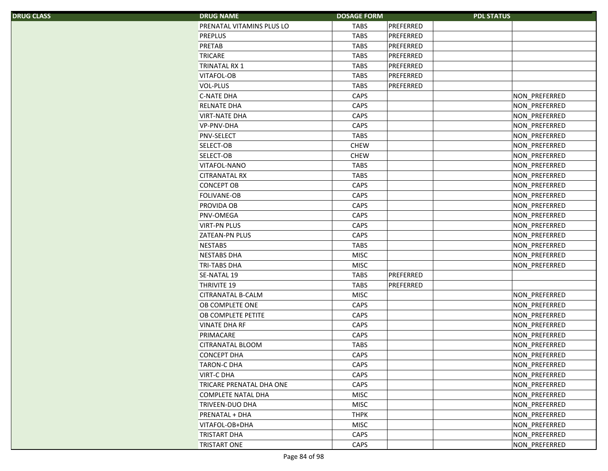| S. | <b>DRUG NAME</b>                | <b>DOSAGE FORM</b> |           | <b>PDL STATUS</b>    |
|----|---------------------------------|--------------------|-----------|----------------------|
|    | PRENATAL VITAMINS PLUS LO       | <b>TABS</b>        | PREFERRED |                      |
|    | <b>PREPLUS</b>                  | <b>TABS</b>        | PREFERRED |                      |
|    | PRETAB                          | <b>TABS</b>        | PREFERRED |                      |
|    | <b>TRICARE</b>                  | <b>TABS</b>        | PREFERRED |                      |
|    | <b>TRINATAL RX 1</b>            | <b>TABS</b>        | PREFERRED |                      |
|    | <b>VITAFOL-OB</b>               | <b>TABS</b>        | PREFERRED |                      |
|    | VOL-PLUS                        | <b>TABS</b>        | PREFERRED |                      |
|    | <b>C-NATE DHA</b>               | CAPS               |           | NON_PREFERRED        |
|    | RELNATE DHA                     | CAPS               |           | NON_PREFERRED        |
|    | <b>VIRT-NATE DHA</b>            | CAPS               |           | NON_PREFERRED        |
|    | <b>VP-PNV-DHA</b>               | CAPS               |           | NON_PREFERRED        |
|    | PNV-SELECT                      | <b>TABS</b>        |           | NON_PREFERRED        |
|    | SELECT-OB                       | <b>CHEW</b>        |           | NON_PREFERRED        |
|    | SELECT-OB                       | <b>CHEW</b>        |           | NON_PREFERRED        |
|    | <b>VITAFOL-NANO</b>             | <b>TABS</b>        |           | NON PREFERRED        |
|    | <b>CITRANATAL RX</b>            | <b>TABS</b>        |           | NON_PREFERRED        |
|    | <b>CONCEPT OB</b>               | CAPS               |           | NON_PREFERRED        |
|    | FOLIVANE-OB                     | CAPS               |           | NON_PREFERRED        |
|    | PROVIDA OB                      | CAPS               |           | NON_PREFERRED        |
|    | PNV-OMEGA                       | CAPS               |           | NON_PREFERRED        |
|    | <b>VIRT-PN PLUS</b>             | CAPS               |           | NON_PREFERRED        |
|    | <b>ZATEAN-PN PLUS</b>           | CAPS               |           | NON_PREFERRED        |
|    | <b>NESTABS</b>                  | <b>TABS</b>        |           | NON_PREFERRED        |
|    | <b>NESTABS DHA</b>              | <b>MISC</b>        |           | NON_PREFERRED        |
|    | <b>TRI-TABS DHA</b>             | <b>MISC</b>        |           | NON PREFERRED        |
|    | SE-NATAL 19                     | <b>TABS</b>        | PREFERRED |                      |
|    | <b>THRIVITE 19</b>              | <b>TABS</b>        | PREFERRED |                      |
|    | <b>CITRANATAL B-CALM</b>        | <b>MISC</b>        |           | NON_PREFERRED        |
|    | OB COMPLETE ONE                 | CAPS               |           | NON_PREFERRED        |
|    | OB COMPLETE PETITE              | CAPS               |           | NON_PREFERRED        |
|    | <b>VINATE DHA RF</b>            | CAPS               |           | NON_PREFERRED        |
|    | PRIMACARE                       | CAPS               |           | NON_PREFERRED        |
|    | CITRANATAL BLOOM                | <b>TABS</b>        |           | NON_PREFERRED        |
|    | <b>CONCEPT DHA</b>              | CAPS               |           | <b>NON PREFERRED</b> |
|    | <b>TARON-C DHA</b>              | <b>CAPS</b>        |           | NON_PREFERRED        |
|    | <b>VIRT-C DHA</b>               | CAPS               |           | NON PREFERRED        |
|    | <b>TRICARE PRENATAL DHA ONE</b> | CAPS               |           | NON PREFERRED        |
|    | <b>COMPLETE NATAL DHA</b>       | <b>MISC</b>        |           | NON_PREFERRED        |
|    | <b>TRIVEEN-DUO DHA</b>          | <b>MISC</b>        |           | NON_PREFERRED        |
|    | PRENATAL + DHA                  | <b>THPK</b>        |           | NON PREFERRED        |
|    | VITAFOL-OB+DHA                  | <b>MISC</b>        |           | NON PREFERRED        |
|    | <b>TRISTART DHA</b>             | CAPS               |           | NON PREFERRED        |
|    | <b>TRISTART ONE</b>             | CAPS               |           | NON PREFERRED        |
|    |                                 |                    |           |                      |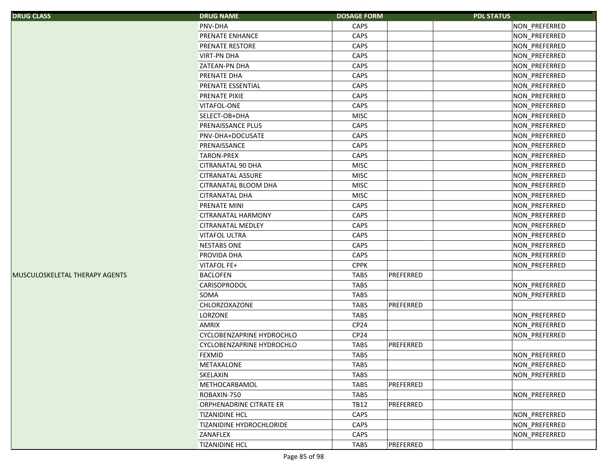| <b>DRUG CLASS</b>              | <b>DRUG NAME</b>                 | <b>DOSAGE FORM</b> | <b>PDL STATUS</b> |               |
|--------------------------------|----------------------------------|--------------------|-------------------|---------------|
|                                | <b>PNV-DHA</b>                   | CAPS               |                   | NON_PREFERRED |
|                                | PRENATE ENHANCE                  | CAPS               |                   | NON_PREFERRED |
|                                | <b>PRENATE RESTORE</b>           | CAPS               |                   | NON_PREFERRED |
|                                | <b>VIRT-PN DHA</b>               | CAPS               |                   | NON_PREFERRED |
|                                | <b>ZATEAN-PN DHA</b>             | CAPS               |                   | NON_PREFERRED |
|                                | <b>PRENATE DHA</b>               | CAPS               |                   | NON_PREFERRED |
|                                | <b>PRENATE ESSENTIAL</b>         | CAPS               |                   | NON_PREFERRED |
|                                | PRENATE PIXIE                    | CAPS               |                   | NON_PREFERRED |
|                                | VITAFOL-ONE                      | CAPS               |                   | NON_PREFERRED |
|                                | SELECT-OB+DHA                    | <b>MISC</b>        |                   | NON PREFERRED |
|                                | PRENAISSANCE PLUS                | CAPS               |                   | NON_PREFERRED |
|                                | PNV-DHA+DOCUSATE                 | CAPS               |                   | NON_PREFERRED |
|                                | PRENAISSANCE                     | CAPS               |                   | NON_PREFERRED |
|                                | <b>TARON-PREX</b>                | CAPS               |                   | NON_PREFERRED |
|                                | <b>CITRANATAL 90 DHA</b>         | <b>MISC</b>        |                   | NON_PREFERRED |
|                                | <b>CITRANATAL ASSURE</b>         | <b>MISC</b>        |                   | NON_PREFERRED |
|                                | CITRANATAL BLOOM DHA             | <b>MISC</b>        |                   | NON_PREFERRED |
|                                | <b>CITRANATAL DHA</b>            | <b>MISC</b>        |                   | NON_PREFERRED |
|                                | <b>PRENATE MINI</b>              | CAPS               |                   | NON PREFERRED |
|                                | <b>CITRANATAL HARMONY</b>        | CAPS               |                   | NON_PREFERRED |
|                                | <b>CITRANATAL MEDLEY</b>         | CAPS               |                   | NON PREFERRED |
|                                | <b>VITAFOL ULTRA</b>             | CAPS               |                   | NON_PREFERRED |
|                                | <b>NESTABS ONE</b>               | CAPS               |                   | NON_PREFERRED |
|                                | PROVIDA DHA                      | CAPS               |                   | NON_PREFERRED |
|                                | VITAFOL FE+                      | <b>CPPK</b>        |                   | NON_PREFERRED |
| MUSCULOSKELETAL THERAPY AGENTS | <b>BACLOFEN</b>                  | <b>TABS</b>        | PREFERRED         |               |
|                                | CARISOPRODOL                     | <b>TABS</b>        |                   | NON_PREFERRED |
|                                | SOMA                             | <b>TABS</b>        |                   | NON PREFERRED |
|                                | CHLORZOXAZONE                    | <b>TABS</b>        | PREFERRED         |               |
|                                | <b>LORZONE</b>                   | <b>TABS</b>        |                   | NON PREFERRED |
|                                | <b>AMRIX</b>                     | CP24               |                   | NON_PREFERRED |
|                                | <b>CYCLOBENZAPRINE HYDROCHLO</b> | CP24               |                   | NON_PREFERRED |
|                                | CYCLOBENZAPRINE HYDROCHLO        | <b>TABS</b>        | PREFERRED         |               |
|                                | <b>FEXMID</b>                    | <b>TABS</b>        |                   | NON PREFERRED |
|                                | <b>METAXALONE</b>                | <b>TABS</b>        |                   | NON_PREFERRED |
|                                | SKELAXIN                         | <b>TABS</b>        |                   | NON_PREFERRED |
|                                | METHOCARBAMOL                    | <b>TABS</b>        | PREFERRED         |               |
|                                | ROBAXIN-750                      | <b>TABS</b>        |                   | NON PREFERRED |
|                                | <b>ORPHENADRINE CITRATE ER</b>   | <b>TB12</b>        | PREFERRED         |               |
|                                | <b>TIZANIDINE HCL</b>            | CAPS               |                   | NON_PREFERRED |
|                                | <b>TIZANIDINE HYDROCHLORIDE</b>  | CAPS               |                   | NON PREFERRED |
|                                | ZANAFLEX                         | CAPS               |                   | NON PREFERRED |
|                                | <b>TIZANIDINE HCL</b>            | TABS               | PREFERRED         |               |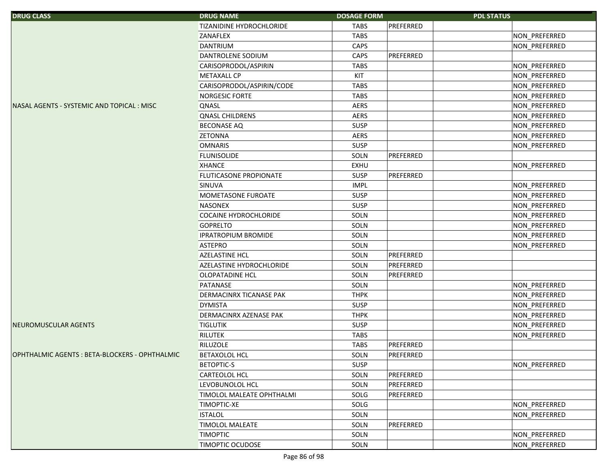| <b>DRUG CLASS</b>                              | <b>DRUG NAME</b>             | <b>DOSAGE FORM</b> |           | <b>PDL STATUS</b> |
|------------------------------------------------|------------------------------|--------------------|-----------|-------------------|
|                                                | TIZANIDINE HYDROCHLORIDE     | <b>TABS</b>        | PREFERRED |                   |
|                                                | ZANAFLEX                     | <b>TABS</b>        |           | NON_PREFERRED     |
|                                                | <b>DANTRIUM</b>              | CAPS               |           | NON_PREFERRED     |
|                                                | DANTROLENE SODIUM            | CAPS               | PREFERRED |                   |
|                                                | CARISOPRODOL/ASPIRIN         | <b>TABS</b>        |           | NON_PREFERRED     |
|                                                | <b>METAXALL CP</b>           | KIT                |           | NON_PREFERRED     |
|                                                | CARISOPRODOL/ASPIRIN/CODE    | <b>TABS</b>        |           | NON_PREFERRED     |
|                                                | NORGESIC FORTE               | <b>TABS</b>        |           | NON_PREFERRED     |
| NASAL AGENTS - SYSTEMIC AND TOPICAL: MISC      | QNASL                        | <b>AERS</b>        |           | NON_PREFERRED     |
|                                                | <b>QNASL CHILDRENS</b>       | <b>AERS</b>        |           | NON_PREFERRED     |
|                                                | <b>BECONASE AQ</b>           | <b>SUSP</b>        |           | NON_PREFERRED     |
|                                                | <b>ZETONNA</b>               | <b>AERS</b>        |           | NON_PREFERRED     |
|                                                | <b>OMNARIS</b>               | <b>SUSP</b>        |           | NON_PREFERRED     |
|                                                | <b>FLUNISOLIDE</b>           | SOLN               | PREFERRED |                   |
|                                                | <b>XHANCE</b>                | EXHU               |           | NON_PREFERRED     |
|                                                | FLUTICASONE PROPIONATE       | <b>SUSP</b>        | PREFERRED |                   |
|                                                | <b>SINUVA</b>                | <b>IMPL</b>        |           | NON_PREFERRED     |
|                                                | MOMETASONE FUROATE           | <b>SUSP</b>        |           | NON_PREFERRED     |
|                                                | NASONEX                      | <b>SUSP</b>        |           | NON_PREFERRED     |
|                                                | <b>COCAINE HYDROCHLORIDE</b> | SOLN               |           | NON PREFERRED     |
|                                                | <b>GOPRELTO</b>              | SOLN               |           | NON_PREFERRED     |
|                                                | <b>IPRATROPIUM BROMIDE</b>   | SOLN               |           | NON_PREFERRED     |
|                                                | <b>ASTEPRO</b>               | SOLN               |           | NON_PREFERRED     |
|                                                | AZELASTINE HCL               | SOLN               | PREFERRED |                   |
|                                                | AZELASTINE HYDROCHLORIDE     | SOLN               | PREFERRED |                   |
|                                                | <b>OLOPATADINE HCL</b>       | SOLN               | PREFERRED |                   |
|                                                | PATANASE                     | SOLN               |           | NON_PREFERRED     |
|                                                | DERMACINRX TICANASE PAK      | <b>THPK</b>        |           | NON_PREFERRED     |
|                                                | <b>DYMISTA</b>               | <b>SUSP</b>        |           | NON_PREFERRED     |
|                                                | DERMACINRX AZENASE PAK       | <b>THPK</b>        |           | NON_PREFERRED     |
| NEUROMUSCULAR AGENTS                           | <b>TIGLUTIK</b>              | <b>SUSP</b>        |           | NON_PREFERRED     |
|                                                | RILUTEK                      | <b>TABS</b>        |           | NON_PREFERRED     |
|                                                | RILUZOLE                     | <b>TABS</b>        | PREFERRED |                   |
| OPHTHALMIC AGENTS : BETA-BLOCKERS - OPHTHALMIC | BETAXOLOL HCL                | SOLN               | PREFERRED |                   |
|                                                | <b>BETOPTIC-S</b>            | <b>SUSP</b>        |           | NON PREFERRED     |
|                                                | <b>CARTEOLOL HCL</b>         | SOLN               | PREFERRED |                   |
|                                                | LEVOBUNOLOL HCL              | SOLN               | PREFERRED |                   |
|                                                | TIMOLOL MALEATE OPHTHALMI    | SOLG               | PREFERRED |                   |
|                                                | <b>TIMOPTIC-XE</b>           | SOLG               |           | NON_PREFERRED     |
|                                                | <b>ISTALOL</b>               | SOLN               |           | NON PREFERRED     |
|                                                | <b>TIMOLOL MALEATE</b>       | SOLN               | PREFERRED |                   |
|                                                | <b>TIMOPTIC</b>              | SOLN               |           | NON PREFERRED     |
|                                                | <b>TIMOPTIC OCUDOSE</b>      | SOLN               |           | NON PREFERRED     |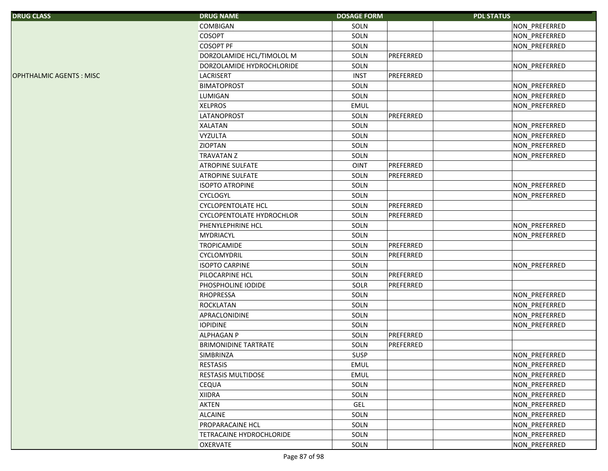| <b>DRUG CLASS</b>              | <b>DRUG NAME</b>                 | <b>DOSAGE FORM</b> |           | <b>PDL STATUS</b>    |
|--------------------------------|----------------------------------|--------------------|-----------|----------------------|
|                                | COMBIGAN                         | SOLN               |           | NON_PREFERRED        |
|                                | <b>COSOPT</b>                    | SOLN               |           | NON PREFERRED        |
|                                | <b>COSOPT PF</b>                 | SOLN               |           | NON_PREFERRED        |
|                                | DORZOLAMIDE HCL/TIMOLOL M        | SOLN               | PREFERRED |                      |
|                                | DORZOLAMIDE HYDROCHLORIDE        | SOLN               |           | NON_PREFERRED        |
| <b>OPHTHALMIC AGENTS: MISC</b> | <b>LACRISERT</b>                 | <b>INST</b>        | PREFERRED |                      |
|                                | <b>BIMATOPROST</b>               | SOLN               |           | NON_PREFERRED        |
|                                | <b>LUMIGAN</b>                   | SOLN               |           | NON_PREFERRED        |
|                                | <b>XELPROS</b>                   | <b>EMUL</b>        |           | NON_PREFERRED        |
|                                | <b>LATANOPROST</b>               | SOLN               | PREFERRED |                      |
|                                | <b>XALATAN</b>                   | SOLN               |           | NON_PREFERRED        |
|                                | <b>VYZULTA</b>                   | SOLN               |           | NON_PREFERRED        |
|                                | <b>ZIOPTAN</b>                   | SOLN               |           | NON_PREFERRED        |
|                                | <b>TRAVATAN Z</b>                | SOLN               |           | NON_PREFERRED        |
|                                | <b>ATROPINE SULFATE</b>          | OINT               | PREFERRED |                      |
|                                | <b>ATROPINE SULFATE</b>          | SOLN               | PREFERRED |                      |
|                                | <b>ISOPTO ATROPINE</b>           | SOLN               |           | NON_PREFERRED        |
|                                | <b>CYCLOGYL</b>                  | SOLN               |           | NON PREFERRED        |
|                                | <b>CYCLOPENTOLATE HCL</b>        | SOLN               | PREFERRED |                      |
|                                | <b>CYCLOPENTOLATE HYDROCHLOR</b> | SOLN               | PREFERRED |                      |
|                                | PHENYLEPHRINE HCL                | SOLN               |           | NON_PREFERRED        |
|                                | <b>MYDRIACYL</b>                 | SOLN               |           | NON_PREFERRED        |
|                                | <b>TROPICAMIDE</b>               | SOLN               | PREFERRED |                      |
|                                | CYCLOMYDRIL                      | SOLN               | PREFERRED |                      |
|                                | <b>ISOPTO CARPINE</b>            | SOLN               |           | NON_PREFERRED        |
|                                | PILOCARPINE HCL                  | SOLN               | PREFERRED |                      |
|                                | PHOSPHOLINE IODIDE               | SOLR               | PREFERRED |                      |
|                                | RHOPRESSA                        | SOLN               |           | NON_PREFERRED        |
|                                | ROCKLATAN                        | SOLN               |           | NON_PREFERRED        |
|                                | APRACLONIDINE                    | SOLN               |           | NON_PREFERRED        |
|                                | <b>IOPIDINE</b>                  | SOLN               |           | NON_PREFERRED        |
|                                | <b>ALPHAGAN P</b>                | SOLN               | PREFERRED |                      |
|                                | <b>BRIMONIDINE TARTRATE</b>      | SOLN               | PREFERRED |                      |
|                                | SIMBRINZA                        | <b>SUSP</b>        |           | <b>NON PREFERRED</b> |
|                                | RESTASIS                         | EMUL               |           | NON_PREFERRED        |
|                                | RESTASIS MULTIDOSE               | EMUL               |           | NON PREFERRED        |
|                                | <b>CEQUA</b>                     | SOLN               |           | NON_PREFERRED        |
|                                | <b>XIIDRA</b>                    | SOLN               |           | NON_PREFERRED        |
|                                | <b>AKTEN</b>                     | <b>GEL</b>         |           | NON PREFERRED        |
|                                | <b>ALCAINE</b>                   | SOLN               |           | NON PREFERRED        |
|                                | PROPARACAINE HCL                 | SOLN               |           | NON_PREFERRED        |
|                                | <b>TETRACAINE HYDROCHLORIDE</b>  | SOLN               |           | NON PREFERRED        |
|                                | <b>OXERVATE</b>                  | SOLN               |           | NON PREFERRED        |
|                                |                                  |                    |           |                      |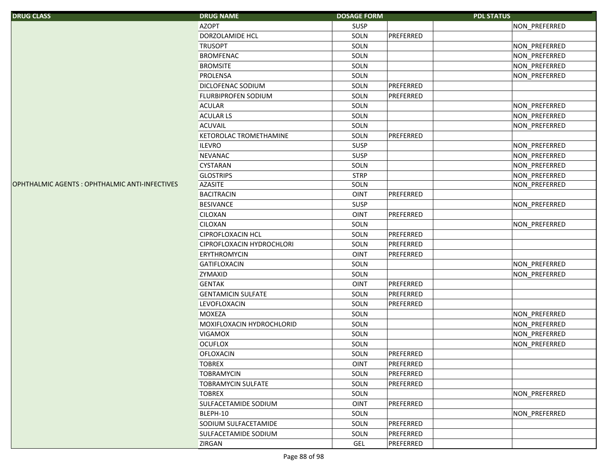| <b>DRUG CLASS</b>                             | <b>DRUG NAME</b>          | <b>DOSAGE FORM</b> | <b>PDL STATUS</b> |
|-----------------------------------------------|---------------------------|--------------------|-------------------|
|                                               | <b>AZOPT</b>              | <b>SUSP</b>        | NON PREFERRED     |
|                                               | DORZOLAMIDE HCL           | SOLN               | PREFERRED         |
|                                               | <b>TRUSOPT</b>            | SOLN               | NON_PREFERRED     |
|                                               | <b>BROMFENAC</b>          | SOLN               | NON_PREFERRED     |
|                                               | <b>BROMSITE</b>           | SOLN               | NON PREFERRED     |
|                                               | PROLENSA                  | SOLN               | NON_PREFERRED     |
|                                               | DICLOFENAC SODIUM         | SOLN               | PREFERRED         |
|                                               | FLURBIPROFEN SODIUM       | SOLN               | PREFERRED         |
|                                               | <b>ACULAR</b>             | SOLN               | NON_PREFERRED     |
|                                               | <b>ACULAR LS</b>          | SOLN               | NON_PREFERRED     |
|                                               | <b>ACUVAIL</b>            | SOLN               | NON_PREFERRED     |
|                                               | KETOROLAC TROMETHAMINE    | SOLN               | PREFERRED         |
|                                               | <b>ILEVRO</b>             | SUSP               | NON_PREFERRED     |
|                                               | <b>NEVANAC</b>            | SUSP               | NON_PREFERRED     |
|                                               | <b>CYSTARAN</b>           | SOLN               | NON_PREFERRED     |
|                                               | <b>GLOSTRIPS</b>          | <b>STRP</b>        | NON_PREFERRED     |
| OPHTHALMIC AGENTS: OPHTHALMIC ANTI-INFECTIVES | <b>AZASITE</b>            | SOLN               | NON_PREFERRED     |
|                                               | <b>BACITRACIN</b>         | <b>OINT</b>        | PREFERRED         |
|                                               | <b>BESIVANCE</b>          | <b>SUSP</b>        | NON_PREFERRED     |
|                                               | <b>CILOXAN</b>            | <b>OINT</b>        | PREFERRED         |
|                                               | <b>CILOXAN</b>            | SOLN               | NON_PREFERRED     |
|                                               | <b>CIPROFLOXACIN HCL</b>  | SOLN               | PREFERRED         |
|                                               | CIPROFLOXACIN HYDROCHLORI | SOLN               | PREFERRED         |
|                                               | <b>ERYTHROMYCIN</b>       | <b>OINT</b>        | PREFERRED         |
|                                               | GATIFLOXACIN              | SOLN               | NON_PREFERRED     |
|                                               | ZYMAXID                   | SOLN               | NON_PREFERRED     |
|                                               | <b>GENTAK</b>             | <b>OINT</b>        | PREFERRED         |
|                                               | <b>GENTAMICIN SULFATE</b> | SOLN               | PREFERRED         |
|                                               | LEVOFLOXACIN              | SOLN               | PREFERRED         |
|                                               | <b>MOXEZA</b>             | SOLN               | NON_PREFERRED     |
|                                               | MOXIFLOXACIN HYDROCHLORID | SOLN               | NON_PREFERRED     |
|                                               | <b>VIGAMOX</b>            | SOLN               | NON_PREFERRED     |
|                                               | <b>OCUFLOX</b>            | SOLN               | NON PREFERRED     |
|                                               | <b>OFLOXACIN</b>          | SOLN               | PREFERRED         |
|                                               | <b>TOBREX</b>             | <b>OINT</b>        | PREFERRED         |
|                                               | <b>TOBRAMYCIN</b>         | SOLN               | PREFERRED         |
|                                               | <b>TOBRAMYCIN SULFATE</b> | SOLN               | PREFERRED         |
|                                               | <b>TOBREX</b>             | SOLN               | NON_PREFERRED     |
|                                               | SULFACETAMIDE SODIUM      | <b>OINT</b>        | PREFERRED         |
|                                               | BLEPH-10                  | SOLN               | NON PREFERRED     |
|                                               | SODIUM SULFACETAMIDE      | SOLN               | PREFERRED         |
|                                               | SULFACETAMIDE SODIUM      | SOLN               | PREFERRED         |
|                                               | <b>ZIRGAN</b>             | GEL                | PREFERRED         |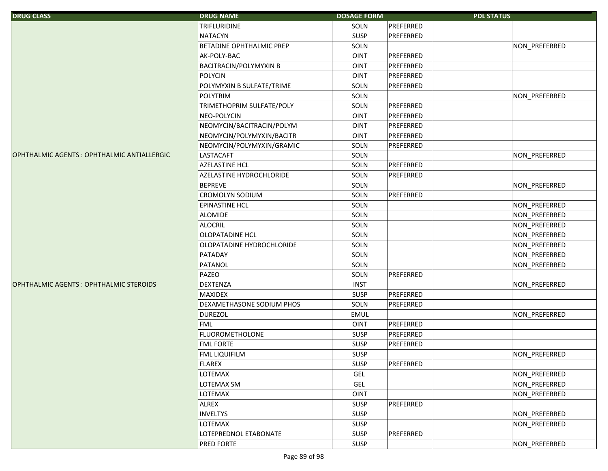| <b>DRUG CLASS</b>                           | <b>DRUG NAME</b>                | <b>DOSAGE FORM</b> |           | <b>PDL STATUS</b> |               |
|---------------------------------------------|---------------------------------|--------------------|-----------|-------------------|---------------|
|                                             | <b>TRIFLURIDINE</b>             | SOLN               | PREFERRED |                   |               |
|                                             | <b>NATACYN</b>                  | SUSP               | PREFERRED |                   |               |
|                                             | <b>BETADINE OPHTHALMIC PREP</b> | SOLN               |           |                   | NON_PREFERRED |
|                                             | AK-POLY-BAC                     | <b>OINT</b>        | PREFERRED |                   |               |
|                                             | <b>BACITRACIN/POLYMYXIN B</b>   | <b>OINT</b>        | PREFERRED |                   |               |
|                                             | <b>POLYCIN</b>                  | <b>OINT</b>        | PREFERRED |                   |               |
|                                             | POLYMYXIN B SULFATE/TRIME       | SOLN               | PREFERRED |                   |               |
|                                             | <b>POLYTRIM</b>                 | SOLN               |           |                   | NON PREFERRED |
|                                             | TRIMETHOPRIM SULFATE/POLY       | SOLN               | PREFERRED |                   |               |
|                                             | NEO-POLYCIN                     | <b>OINT</b>        | PREFERRED |                   |               |
|                                             | NEOMYCIN/BACITRACIN/POLYM       | <b>OINT</b>        | PREFERRED |                   |               |
|                                             | NEOMYCIN/POLYMYXIN/BACITR       | <b>OINT</b>        | PREFERRED |                   |               |
|                                             | NEOMYCIN/POLYMYXIN/GRAMIC       | SOLN               | PREFERRED |                   |               |
| OPHTHALMIC AGENTS : OPHTHALMIC ANTIALLERGIC | <b>LASTACAFT</b>                | SOLN               |           |                   | NON_PREFERRED |
|                                             | <b>AZELASTINE HCL</b>           | SOLN               | PREFERRED |                   |               |
|                                             | AZELASTINE HYDROCHLORIDE        | SOLN               | PREFERRED |                   |               |
|                                             | <b>BEPREVE</b>                  | SOLN               |           |                   | NON_PREFERRED |
|                                             | <b>CROMOLYN SODIUM</b>          | SOLN               | PREFERRED |                   |               |
|                                             | <b>EPINASTINE HCL</b>           | SOLN               |           |                   | NON_PREFERRED |
|                                             | <b>ALOMIDE</b>                  | SOLN               |           |                   | NON_PREFERRED |
|                                             | <b>ALOCRIL</b>                  | SOLN               |           |                   | NON_PREFERRED |
|                                             | <b>OLOPATADINE HCL</b>          | SOLN               |           |                   | NON_PREFERRED |
|                                             | OLOPATADINE HYDROCHLORIDE       | SOLN               |           |                   | NON_PREFERRED |
|                                             | PATADAY                         | SOLN               |           |                   | NON_PREFERRED |
|                                             | PATANOL                         | SOLN               |           |                   | NON_PREFERRED |
|                                             | PAZEO                           | SOLN               | PREFERRED |                   |               |
| OPHTHALMIC AGENTS : OPHTHALMIC STEROIDS     | <b>DEXTENZA</b>                 | <b>INST</b>        |           |                   | NON_PREFERRED |
|                                             | <b>MAXIDEX</b>                  | SUSP               | PREFERRED |                   |               |
|                                             | DEXAMETHASONE SODIUM PHOS       | SOLN               | PREFERRED |                   |               |
|                                             | <b>DUREZOL</b>                  | <b>EMUL</b>        |           |                   | NON PREFERRED |
|                                             | <b>FML</b>                      | <b>OINT</b>        | PREFERRED |                   |               |
|                                             | <b>FLUOROMETHOLONE</b>          | <b>SUSP</b>        | PREFERRED |                   |               |
|                                             | <b>FML FORTE</b>                | <b>SUSP</b>        | PREFERRED |                   |               |
|                                             | <b>FML LIQUIFILM</b>            | <b>SUSP</b>        |           |                   | NON PREFERRED |
|                                             | <b>FLAREX</b>                   | <b>SUSP</b>        | PREFERRED |                   |               |
|                                             | <b>LOTEMAX</b>                  | <b>GEL</b>         |           |                   | NON_PREFERRED |
|                                             | LOTEMAX SM                      | <b>GEL</b>         |           |                   | NON_PREFERRED |
|                                             | <b>LOTEMAX</b>                  | <b>OINT</b>        |           |                   | NON PREFERRED |
|                                             | <b>ALREX</b>                    | <b>SUSP</b>        | PREFERRED |                   |               |
|                                             | <b>INVELTYS</b>                 | <b>SUSP</b>        |           |                   | NON_PREFERRED |
|                                             | <b>LOTEMAX</b>                  | SUSP               |           |                   | NON PREFERRED |
|                                             | LOTEPREDNOL ETABONATE           | SUSP               | PREFERRED |                   |               |
|                                             | PRED FORTE                      | SUSP               |           |                   | NON PREFERRED |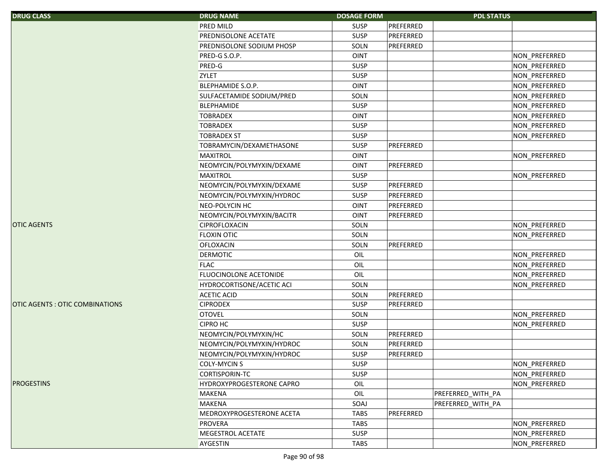| <b>DRUG CLASS</b>                     | <b>DRUG NAME</b>          | <b>DOSAGE FORM</b> |           | <b>PDL STATUS</b> |               |
|---------------------------------------|---------------------------|--------------------|-----------|-------------------|---------------|
|                                       | PRED MILD                 | <b>SUSP</b>        | PREFERRED |                   |               |
|                                       | PREDNISOLONE ACETATE      | <b>SUSP</b>        | PREFERRED |                   |               |
|                                       | PREDNISOLONE SODIUM PHOSP | SOLN               | PREFERRED |                   |               |
|                                       | PRED-G S.O.P.             | <b>OINT</b>        |           |                   | NON_PREFERRED |
|                                       | PRED-G                    | <b>SUSP</b>        |           |                   | NON_PREFERRED |
|                                       | <b>ZYLET</b>              | <b>SUSP</b>        |           |                   | NON_PREFERRED |
|                                       | BLEPHAMIDE S.O.P.         | <b>OINT</b>        |           |                   | NON_PREFERRED |
|                                       | SULFACETAMIDE SODIUM/PRED | SOLN               |           |                   | NON PREFERRED |
|                                       | <b>BLEPHAMIDE</b>         | <b>SUSP</b>        |           |                   | NON_PREFERRED |
|                                       | <b>TOBRADEX</b>           | <b>OINT</b>        |           |                   | NON PREFERRED |
|                                       | <b>TOBRADEX</b>           | <b>SUSP</b>        |           |                   | NON_PREFERRED |
|                                       | <b>TOBRADEX ST</b>        | <b>SUSP</b>        |           |                   | NON_PREFERRED |
|                                       | TOBRAMYCIN/DEXAMETHASONE  | <b>SUSP</b>        | PREFERRED |                   |               |
|                                       | <b>MAXITROL</b>           | <b>OINT</b>        |           |                   | NON_PREFERRED |
|                                       | NEOMYCIN/POLYMYXIN/DEXAME | <b>OINT</b>        | PREFERRED |                   |               |
|                                       | <b>MAXITROL</b>           | <b>SUSP</b>        |           |                   | NON_PREFERRED |
|                                       | NEOMYCIN/POLYMYXIN/DEXAME | <b>SUSP</b>        | PREFERRED |                   |               |
|                                       | NEOMYCIN/POLYMYXIN/HYDROC | <b>SUSP</b>        | PREFERRED |                   |               |
|                                       | NEO-POLYCIN HC            | <b>OINT</b>        | PREFERRED |                   |               |
|                                       | NEOMYCIN/POLYMYXIN/BACITR | <b>OINT</b>        | PREFERRED |                   |               |
| <b>OTIC AGENTS</b>                    | <b>CIPROFLOXACIN</b>      | SOLN               |           |                   | NON PREFERRED |
|                                       | <b>FLOXIN OTIC</b>        | SOLN               |           |                   | NON PREFERRED |
|                                       | <b>OFLOXACIN</b>          | SOLN               | PREFERRED |                   |               |
|                                       | <b>DERMOTIC</b>           | OIL                |           |                   | NON_PREFERRED |
|                                       | <b>FLAC</b>               | OIL                |           |                   | NON_PREFERRED |
|                                       | FLUOCINOLONE ACETONIDE    | OIL                |           |                   | NON_PREFERRED |
|                                       | HYDROCORTISONE/ACETIC ACI | SOLN               |           |                   | NON_PREFERRED |
|                                       | <b>ACETIC ACID</b>        | SOLN               | PREFERRED |                   |               |
| <b>OTIC AGENTS: OTIC COMBINATIONS</b> | <b>CIPRODEX</b>           | <b>SUSP</b>        | PREFERRED |                   |               |
|                                       | <b>OTOVEL</b>             | SOLN               |           |                   | NON PREFERRED |
|                                       | <b>CIPRO HC</b>           | <b>SUSP</b>        |           |                   | NON PREFERRED |
|                                       | NEOMYCIN/POLYMYXIN/HC     | SOLN               | PREFERRED |                   |               |
|                                       | NEOMYCIN/POLYMYXIN/HYDROC | SOLN               | PREFERRED |                   |               |
|                                       | NEOMYCIN/POLYMYXIN/HYDROC | <b>SUSP</b>        | PREFERRED |                   |               |
|                                       | <b>COLY-MYCIN S</b>       | SUSP               |           |                   | NON_PREFERRED |
|                                       | CORTISPORIN-TC            | SUSP               |           |                   | NON PREFERRED |
| <b>PROGESTINS</b>                     | HYDROXYPROGESTERONE CAPRO | OIL                |           |                   | NON PREFERRED |
|                                       | <b>MAKENA</b>             | OIL                |           | PREFERRED_WITH_PA |               |
|                                       | <b>MAKENA</b>             | SOAJ               |           | PREFERRED WITH PA |               |
|                                       | MEDROXYPROGESTERONE ACETA | <b>TABS</b>        | PREFERRED |                   |               |
|                                       | <b>PROVERA</b>            | <b>TABS</b>        |           |                   | NON PREFERRED |
|                                       | MEGESTROL ACETATE         | SUSP               |           |                   | NON_PREFERRED |
|                                       | AYGESTIN                  | <b>TABS</b>        |           |                   | NON_PREFERRED |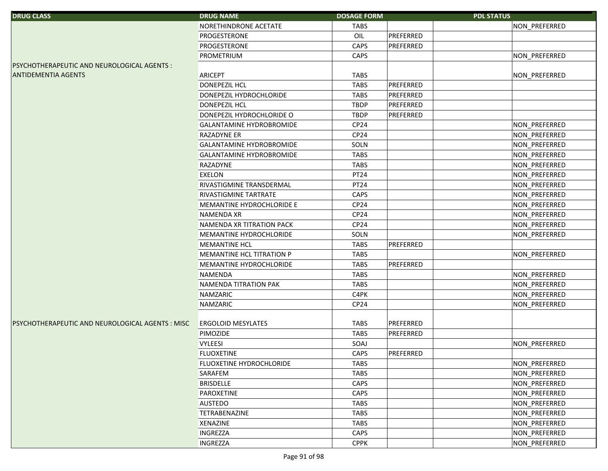| <b>DRUG CLASS</b>                                | <b>DRUG NAME</b>          | <b>DOSAGE FORM</b> |           | <b>PDL STATUS</b> |               |
|--------------------------------------------------|---------------------------|--------------------|-----------|-------------------|---------------|
|                                                  | NORETHINDRONE ACETATE     | <b>TABS</b>        |           |                   | NON_PREFERRED |
|                                                  | PROGESTERONE              | OIL                | PREFERRED |                   |               |
|                                                  | PROGESTERONE              | CAPS               | PREFERRED |                   |               |
|                                                  | PROMETRIUM                | CAPS               |           |                   | NON_PREFERRED |
| PSYCHOTHERAPEUTIC AND NEUROLOGICAL AGENTS :      |                           |                    |           |                   |               |
| <b>ANTIDEMENTIA AGENTS</b>                       | ARICEPT                   | <b>TABS</b>        |           |                   | NON_PREFERRED |
|                                                  | <b>DONEPEZIL HCL</b>      | <b>TABS</b>        | PREFERRED |                   |               |
|                                                  | DONEPEZIL HYDROCHLORIDE   | <b>TABS</b>        | PREFERRED |                   |               |
|                                                  | <b>DONEPEZIL HCL</b>      | <b>TBDP</b>        | PREFERRED |                   |               |
|                                                  | DONEPEZIL HYDROCHLORIDE O | <b>TBDP</b>        | PREFERRED |                   |               |
|                                                  | GALANTAMINE HYDROBROMIDE  | CP24               |           |                   | NON_PREFERRED |
|                                                  | RAZADYNE ER               | CP24               |           |                   | NON_PREFERRED |
|                                                  | GALANTAMINE HYDROBROMIDE  | SOLN               |           |                   | NON_PREFERRED |
|                                                  | GALANTAMINE HYDROBROMIDE  | <b>TABS</b>        |           |                   | NON_PREFERRED |
|                                                  | RAZADYNE                  | <b>TABS</b>        |           |                   | NON_PREFERRED |
|                                                  | <b>EXELON</b>             | PT24               |           |                   | NON_PREFERRED |
|                                                  | RIVASTIGMINE TRANSDERMAL  | PT24               |           |                   | NON_PREFERRED |
|                                                  | RIVASTIGMINE TARTRATE     | CAPS               |           |                   | NON PREFERRED |
|                                                  | MEMANTINE HYDROCHLORIDE E | CP24               |           |                   | NON_PREFERRED |
|                                                  | <b>NAMENDA XR</b>         | CP24               |           |                   | NON_PREFERRED |
|                                                  | NAMENDA XR TITRATION PACK | CP <sub>24</sub>   |           |                   | NON_PREFERRED |
|                                                  | MEMANTINE HYDROCHLORIDE   | SOLN               |           |                   | NON_PREFERRED |
|                                                  | <b>MEMANTINE HCL</b>      | <b>TABS</b>        | PREFERRED |                   |               |
|                                                  | MEMANTINE HCL TITRATION P | <b>TABS</b>        |           |                   | NON_PREFERRED |
|                                                  | MEMANTINE HYDROCHLORIDE   | <b>TABS</b>        | PREFERRED |                   |               |
|                                                  | NAMENDA                   | <b>TABS</b>        |           |                   | NON_PREFERRED |
|                                                  | NAMENDA TITRATION PAK     | TABS               |           |                   | NON_PREFERRED |
|                                                  | NAMZARIC                  | C4PK               |           |                   | NON_PREFERRED |
|                                                  | NAMZARIC                  | CP <sub>24</sub>   |           |                   | NON_PREFERRED |
|                                                  |                           |                    |           |                   |               |
| PSYCHOTHERAPEUTIC AND NEUROLOGICAL AGENTS : MISC | <b>ERGOLOID MESYLATES</b> | <b>TABS</b>        | PREFERRED |                   |               |
|                                                  | PIMOZIDE                  | <b>TABS</b>        | PREFERRED |                   |               |
|                                                  | <b>VYLEESI</b>            | SOAJ               |           |                   | NON PREFERRED |
|                                                  | <b>FLUOXETINE</b>         | CAPS               | PREFERRED |                   |               |
|                                                  | FLUOXETINE HYDROCHLORIDE  | <b>TABS</b>        |           |                   | NON_PREFERRED |
|                                                  | SARAFEM                   | <b>TABS</b>        |           |                   | NON_PREFERRED |
|                                                  | <b>BRISDELLE</b>          | CAPS               |           |                   | NON_PREFERRED |
|                                                  | PAROXETINE                | <b>CAPS</b>        |           |                   | NON_PREFERRED |
|                                                  | <b>AUSTEDO</b>            | <b>TABS</b>        |           |                   | NON PREFERRED |
|                                                  | <b>TETRABENAZINE</b>      | <b>TABS</b>        |           |                   | NON PREFERRED |
|                                                  | <b>XENAZINE</b>           | <b>TABS</b>        |           |                   | NON_PREFERRED |
|                                                  | <b>INGREZZA</b>           | CAPS               |           |                   | NON_PREFERRED |
|                                                  | <b>INGREZZA</b>           | <b>CPPK</b>        |           |                   | NON PREFERRED |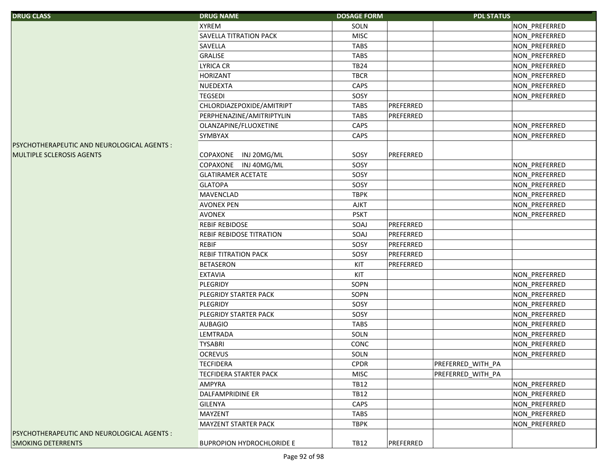| <b>DRUG CLASS</b>                           | <b>DRUG NAME</b>                 | <b>DOSAGE FORM</b> |           | <b>PDL STATUS</b> |               |
|---------------------------------------------|----------------------------------|--------------------|-----------|-------------------|---------------|
|                                             | <b>XYREM</b>                     | SOLN               |           |                   | NON_PREFERRED |
|                                             | SAVELLA TITRATION PACK           | <b>MISC</b>        |           |                   | NON_PREFERRED |
|                                             | SAVELLA                          | <b>TABS</b>        |           |                   | NON_PREFERRED |
|                                             | GRALISE                          | <b>TABS</b>        |           |                   | NON_PREFERRED |
|                                             | <b>LYRICA CR</b>                 | <b>TB24</b>        |           |                   | NON_PREFERRED |
|                                             | <b>HORIZANT</b>                  | <b>TBCR</b>        |           |                   | NON_PREFERRED |
|                                             | NUEDEXTA                         | CAPS               |           |                   | NON_PREFERRED |
|                                             | <b>TEGSEDI</b>                   | SOSY               |           |                   | NON_PREFERRED |
|                                             | CHLORDIAZEPOXIDE/AMITRIPT        | <b>TABS</b>        | PREFERRED |                   |               |
|                                             | PERPHENAZINE/AMITRIPTYLIN        | <b>TABS</b>        | PREFERRED |                   |               |
|                                             | OLANZAPINE/FLUOXETINE            | CAPS               |           |                   | NON_PREFERRED |
|                                             | SYMBYAX                          | CAPS               |           |                   | NON_PREFERRED |
| PSYCHOTHERAPEUTIC AND NEUROLOGICAL AGENTS : |                                  |                    |           |                   |               |
| MULTIPLE SCLEROSIS AGENTS                   | COPAXONE INJ 20MG/ML             | SOSY               | PREFERRED |                   |               |
|                                             | COPAXONE INJ 40MG/ML             | SOSY               |           |                   | NON_PREFERRED |
|                                             | <b>GLATIRAMER ACETATE</b>        | SOSY               |           |                   | NON PREFERRED |
|                                             | <b>GLATOPA</b>                   | SOSY               |           |                   | NON_PREFERRED |
|                                             | <b>MAVENCLAD</b>                 | <b>TBPK</b>        |           |                   | NON PREFERRED |
|                                             | <b>AVONEX PEN</b>                | <b>AJKT</b>        |           |                   | NON_PREFERRED |
|                                             | <b>AVONEX</b>                    | <b>PSKT</b>        |           |                   | NON_PREFERRED |
|                                             | <b>REBIF REBIDOSE</b>            | SOAJ               | PREFERRED |                   |               |
|                                             | <b>REBIF REBIDOSE TITRATION</b>  | SOAJ               | PREFERRED |                   |               |
|                                             | <b>REBIF</b>                     | SOSY               | PREFERRED |                   |               |
|                                             | <b>REBIF TITRATION PACK</b>      | SOSY               | PREFERRED |                   |               |
|                                             | <b>BETASERON</b>                 | KIT                | PREFERRED |                   |               |
|                                             | <b>EXTAVIA</b>                   | KIT                |           |                   | NON_PREFERRED |
|                                             | PLEGRIDY                         | SOPN               |           |                   | NON_PREFERRED |
|                                             | PLEGRIDY STARTER PACK            | SOPN               |           |                   | NON_PREFERRED |
|                                             | PLEGRIDY                         | SOSY               |           |                   | NON_PREFERRED |
|                                             | PLEGRIDY STARTER PACK            | SOSY               |           |                   | NON_PREFERRED |
|                                             | <b>AUBAGIO</b>                   | <b>TABS</b>        |           |                   | NON_PREFERRED |
|                                             | <b>LEMTRADA</b>                  | SOLN               |           |                   | NON_PREFERRED |
|                                             | <b>TYSABRI</b>                   | CONC               |           |                   | NON_PREFERRED |
|                                             | <b>OCREVUS</b>                   | SOLN               |           |                   | NON PREFERRED |
|                                             | <b>TECFIDERA</b>                 | <b>CPDR</b>        |           | PREFERRED_WITH_PA |               |
|                                             | <b>TECFIDERA STARTER PACK</b>    | <b>MISC</b>        |           | PREFERRED WITH PA |               |
|                                             | <b>AMPYRA</b>                    | <b>TB12</b>        |           |                   | NON_PREFERRED |
|                                             | DALFAMPRIDINE ER                 | <b>TB12</b>        |           |                   | NON_PREFERRED |
|                                             | <b>GILENYA</b>                   | CAPS               |           |                   | NON_PREFERRED |
|                                             | <b>MAYZENT</b>                   | <b>TABS</b>        |           |                   | NON_PREFERRED |
|                                             | MAYZENT STARTER PACK             | <b>TBPK</b>        |           |                   | NON PREFERRED |
| PSYCHOTHERAPEUTIC AND NEUROLOGICAL AGENTS : |                                  |                    |           |                   |               |
| <b>SMOKING DETERRENTS</b>                   | <b>BUPROPION HYDROCHLORIDE E</b> | TB12               | PREFERRED |                   |               |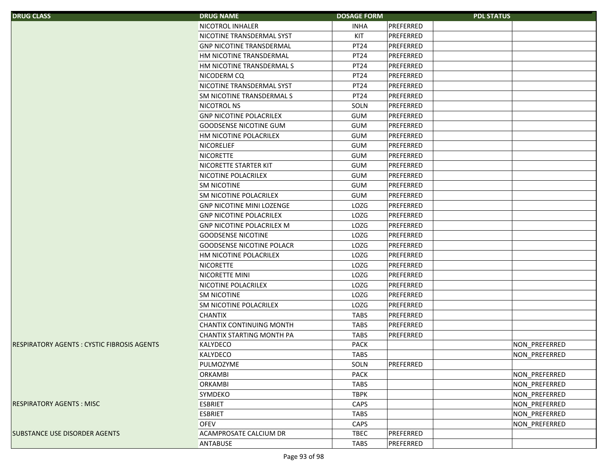| <b>DRUG CLASS</b>                                   | <b>DRUG NAME</b>                 | <b>DOSAGE FORM</b>       | <b>PDL STATUS</b>    |
|-----------------------------------------------------|----------------------------------|--------------------------|----------------------|
|                                                     | NICOTROL INHALER                 | <b>INHA</b><br>PREFERRED |                      |
|                                                     | NICOTINE TRANSDERMAL SYST        | KIT<br>PREFERRED         |                      |
|                                                     | <b>GNP NICOTINE TRANSDERMAL</b>  | PT24<br>PREFERRED        |                      |
|                                                     | HM NICOTINE TRANSDERMAL          | PT24<br>PREFERRED        |                      |
|                                                     | HM NICOTINE TRANSDERMAL S        | PT24<br>PREFERRED        |                      |
|                                                     | NICODERM CQ                      | PT24<br>PREFERRED        |                      |
|                                                     | NICOTINE TRANSDERMAL SYST        | PREFERRED<br>PT24        |                      |
|                                                     | <b>SM NICOTINE TRANSDERMAL S</b> | PREFERRED<br><b>PT24</b> |                      |
|                                                     | NICOTROL NS                      | SOLN<br>PREFERRED        |                      |
|                                                     | <b>GNP NICOTINE POLACRILEX</b>   | <b>GUM</b><br>PREFERRED  |                      |
|                                                     | <b>GOODSENSE NICOTINE GUM</b>    | <b>GUM</b><br>PREFERRED  |                      |
|                                                     | HM NICOTINE POLACRILEX           | PREFERRED<br><b>GUM</b>  |                      |
|                                                     | <b>NICORELIEF</b>                | PREFERRED<br><b>GUM</b>  |                      |
|                                                     | <b>NICORETTE</b>                 | <b>GUM</b><br>PREFERRED  |                      |
|                                                     | <b>NICORETTE STARTER KIT</b>     | <b>GUM</b><br>PREFERRED  |                      |
|                                                     | NICOTINE POLACRILEX              | <b>GUM</b><br>PREFERRED  |                      |
|                                                     | <b>SM NICOTINE</b>               | <b>GUM</b><br>PREFERRED  |                      |
|                                                     | SM NICOTINE POLACRILEX           | PREFERRED<br><b>GUM</b>  |                      |
|                                                     | <b>GNP NICOTINE MINI LOZENGE</b> | LOZG<br>PREFERRED        |                      |
|                                                     | <b>GNP NICOTINE POLACRILEX</b>   | LOZG<br>PREFERRED        |                      |
|                                                     | <b>GNP NICOTINE POLACRILEX M</b> | LOZG<br>PREFERRED        |                      |
|                                                     | <b>GOODSENSE NICOTINE</b>        | LOZG<br>PREFERRED        |                      |
|                                                     | <b>GOODSENSE NICOTINE POLACR</b> | <b>LOZG</b><br>PREFERRED |                      |
|                                                     | HM NICOTINE POLACRILEX           | LOZG<br>PREFERRED        |                      |
|                                                     | <b>NICORETTE</b>                 | LOZG<br>PREFERRED        |                      |
|                                                     | NICORETTE MINI                   | LOZG<br>PREFERRED        |                      |
|                                                     | NICOTINE POLACRILEX              | LOZG<br>PREFERRED        |                      |
|                                                     | <b>SM NICOTINE</b>               | LOZG<br>PREFERRED        |                      |
|                                                     | <b>SM NICOTINE POLACRILEX</b>    | <b>LOZG</b><br>PREFERRED |                      |
|                                                     | <b>CHANTIX</b>                   | PREFERRED<br><b>TABS</b> |                      |
|                                                     | <b>CHANTIX CONTINUING MONTH</b>  | <b>TABS</b><br>PREFERRED |                      |
|                                                     | CHANTIX STARTING MONTH PA        | PREFERRED<br><b>TABS</b> |                      |
| <b>IRESPIRATORY AGENTS : CYSTIC FIBROSIS AGENTS</b> | <b>KALYDECO</b>                  | <b>PACK</b>              | NON PREFERRED        |
|                                                     | <b>KALYDECO</b>                  | <b>TABS</b>              | <b>NON PREFERRED</b> |
|                                                     | PULMOZYME                        | PREFERRED<br>SOLN        |                      |
|                                                     | <b>ORKAMBI</b>                   | <b>PACK</b>              | NON_PREFERRED        |
|                                                     | <b>ORKAMBI</b>                   | <b>TABS</b>              | NON_PREFERRED        |
|                                                     | SYMDEKO                          | <b>TBPK</b>              | NON_PREFERRED        |
| <b>RESPIRATORY AGENTS: MISC</b>                     | <b>ESBRIET</b>                   | CAPS                     | NON_PREFERRED        |
|                                                     | <b>ESBRIET</b>                   | <b>TABS</b>              | NON PREFERRED        |
|                                                     | <b>OFEV</b>                      | CAPS                     | NON PREFERRED        |
| <b>SUBSTANCE USE DISORDER AGENTS</b>                | <b>ACAMPROSATE CALCIUM DR</b>    | <b>TBEC</b><br>PREFERRED |                      |
|                                                     | <b>ANTABUSE</b>                  | TABS<br>PREFERRED        |                      |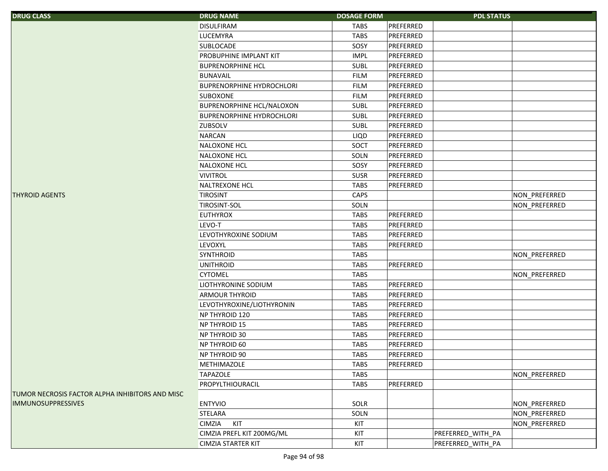| <b>DRUG CLASS</b>                               | <b>DRUG NAME</b>                 | <b>DOSAGE FORM</b> |           | <b>PDL STATUS</b> |               |
|-------------------------------------------------|----------------------------------|--------------------|-----------|-------------------|---------------|
|                                                 | <b>DISULFIRAM</b>                | <b>TABS</b>        | PREFERRED |                   |               |
|                                                 | <b>LUCEMYRA</b>                  | <b>TABS</b>        | PREFERRED |                   |               |
|                                                 | SUBLOCADE                        | SOSY               | PREFERRED |                   |               |
|                                                 | PROBUPHINE IMPLANT KIT           | <b>IMPL</b>        | PREFERRED |                   |               |
|                                                 | <b>BUPRENORPHINE HCL</b>         | <b>SUBL</b>        | PREFERRED |                   |               |
|                                                 | <b>BUNAVAIL</b>                  | <b>FILM</b>        | PREFERRED |                   |               |
|                                                 | <b>BUPRENORPHINE HYDROCHLORI</b> | <b>FILM</b>        | PREFERRED |                   |               |
|                                                 | <b>SUBOXONE</b>                  | <b>FILM</b>        | PREFERRED |                   |               |
|                                                 | <b>BUPRENORPHINE HCL/NALOXON</b> | <b>SUBL</b>        | PREFERRED |                   |               |
|                                                 | <b>BUPRENORPHINE HYDROCHLORI</b> | <b>SUBL</b>        | PREFERRED |                   |               |
|                                                 | ZUBSOLV                          | SUBL               | PREFERRED |                   |               |
|                                                 | <b>NARCAN</b>                    | LIQD               | PREFERRED |                   |               |
|                                                 | <b>NALOXONE HCL</b>              | SOCT               | PREFERRED |                   |               |
|                                                 | <b>NALOXONE HCL</b>              | SOLN               | PREFERRED |                   |               |
|                                                 | <b>NALOXONE HCL</b>              | SOSY               | PREFERRED |                   |               |
|                                                 | <b>VIVITROL</b>                  | <b>SUSR</b>        | PREFERRED |                   |               |
|                                                 | <b>NALTREXONE HCL</b>            | <b>TABS</b>        | PREFERRED |                   |               |
| <b>THYROID AGENTS</b>                           | <b>TIROSINT</b>                  | CAPS               |           |                   | NON_PREFERRED |
|                                                 | <b>TIROSINT-SOL</b>              | SOLN               |           |                   | NON PREFERRED |
|                                                 | <b>EUTHYROX</b>                  | <b>TABS</b>        | PREFERRED |                   |               |
|                                                 | LEVO-T                           | <b>TABS</b>        | PREFERRED |                   |               |
|                                                 | LEVOTHYROXINE SODIUM             | <b>TABS</b>        | PREFERRED |                   |               |
|                                                 | LEVOXYL                          | <b>TABS</b>        | PREFERRED |                   |               |
|                                                 | <b>SYNTHROID</b>                 | <b>TABS</b>        |           |                   | NON_PREFERRED |
|                                                 | <b>UNITHROID</b>                 | <b>TABS</b>        | PREFERRED |                   |               |
|                                                 | <b>CYTOMEL</b>                   | <b>TABS</b>        |           |                   | NON_PREFERRED |
|                                                 | LIOTHYRONINE SODIUM              | <b>TABS</b>        | PREFERRED |                   |               |
|                                                 | <b>ARMOUR THYROID</b>            | <b>TABS</b>        | PREFERRED |                   |               |
|                                                 | LEVOTHYROXINE/LIOTHYRONIN        | <b>TABS</b>        | PREFERRED |                   |               |
|                                                 | NP THYROID 120                   | <b>TABS</b>        | PREFERRED |                   |               |
|                                                 | NP THYROID 15                    | <b>TABS</b>        | PREFERRED |                   |               |
|                                                 | NP THYROID 30                    | <b>TABS</b>        | PREFERRED |                   |               |
|                                                 | NP THYROID 60                    | <b>TABS</b>        | PREFERRED |                   |               |
|                                                 | <b>NP THYROID 90</b>             | <b>TABS</b>        | PREFERRED |                   |               |
|                                                 | METHIMAZOLE                      | <b>TABS</b>        | PREFERRED |                   |               |
|                                                 | <b>TAPAZOLE</b>                  | <b>TABS</b>        |           |                   | NON_PREFERRED |
|                                                 | PROPYLTHIOURACIL                 | <b>TABS</b>        | PREFERRED |                   |               |
| TUMOR NECROSIS FACTOR ALPHA INHIBITORS AND MISC |                                  |                    |           |                   |               |
| <b>IMMUNOSUPPRESSIVES</b>                       | <b>ENTYVIO</b>                   | SOLR               |           |                   | NON_PREFERRED |
|                                                 | STELARA                          | SOLN               |           |                   | NON_PREFERRED |
|                                                 | KIT<br>CIMZIA                    | KIT                |           |                   | NON_PREFERRED |
|                                                 | CIMZIA PREFL KIT 200MG/ML        | KIT                |           | PREFERRED_WITH_PA |               |
|                                                 | CIMZIA STARTER KIT               | KIT                |           | PREFERRED_WITH_PA |               |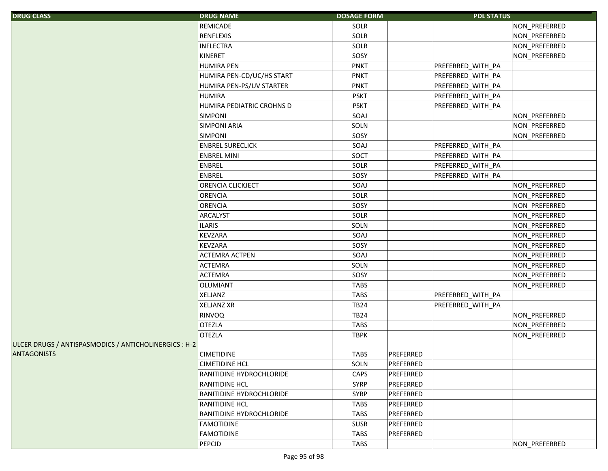| <b>DRUG CLASS</b>                                     | <b>DRUG NAME</b>          | <b>DOSAGE FORM</b> |           | <b>PDL STATUS</b> |               |
|-------------------------------------------------------|---------------------------|--------------------|-----------|-------------------|---------------|
|                                                       | REMICADE                  | SOLR               |           |                   | NON_PREFERRED |
|                                                       | <b>RENFLEXIS</b>          | SOLR               |           |                   | NON_PREFERRED |
|                                                       | <b>INFLECTRA</b>          | SOLR               |           |                   | NON_PREFERRED |
|                                                       | <b>KINERET</b>            | SOSY               |           |                   | NON_PREFERRED |
|                                                       | <b>HUMIRA PEN</b>         | <b>PNKT</b>        |           | PREFERRED_WITH_PA |               |
|                                                       | HUMIRA PEN-CD/UC/HS START | <b>PNKT</b>        |           | PREFERRED_WITH_PA |               |
|                                                       | HUMIRA PEN-PS/UV STARTER  | <b>PNKT</b>        |           | PREFERRED_WITH_PA |               |
|                                                       | <b>HUMIRA</b>             | <b>PSKT</b>        |           | PREFERRED_WITH_PA |               |
|                                                       | HUMIRA PEDIATRIC CROHNS D | <b>PSKT</b>        |           | PREFERRED_WITH_PA |               |
|                                                       | <b>SIMPONI</b>            | SOAJ               |           |                   | NON_PREFERRED |
|                                                       | <b>SIMPONI ARIA</b>       | SOLN               |           |                   | NON_PREFERRED |
|                                                       | <b>SIMPONI</b>            | SOSY               |           |                   | NON_PREFERRED |
|                                                       | <b>ENBREL SURECLICK</b>   | SOAJ               |           | PREFERRED_WITH_PA |               |
|                                                       | <b>ENBREL MINI</b>        | SOCT               |           | PREFERRED_WITH_PA |               |
|                                                       | ENBREL                    | SOLR               |           | PREFERRED_WITH_PA |               |
|                                                       | ENBREL                    | SOSY               |           | PREFERRED_WITH_PA |               |
|                                                       | ORENCIA CLICKJECT         | SOAJ               |           |                   | NON_PREFERRED |
|                                                       | <b>ORENCIA</b>            | SOLR               |           |                   | NON_PREFERRED |
|                                                       | <b>ORENCIA</b>            | SOSY               |           |                   | NON_PREFERRED |
|                                                       | <b>ARCALYST</b>           | SOLR               |           |                   | NON_PREFERRED |
|                                                       | <b>ILARIS</b>             | SOLN               |           |                   | NON_PREFERRED |
|                                                       | KEVZARA                   | SOAJ               |           |                   | NON_PREFERRED |
|                                                       | <b>KEVZARA</b>            | SOSY               |           |                   | NON_PREFERRED |
|                                                       | <b>ACTEMRA ACTPEN</b>     | SOAJ               |           |                   | NON_PREFERRED |
|                                                       | <b>ACTEMRA</b>            | SOLN               |           |                   | NON_PREFERRED |
|                                                       | <b>ACTEMRA</b>            | SOSY               |           |                   | NON_PREFERRED |
|                                                       | <b>OLUMIANT</b>           | <b>TABS</b>        |           |                   | NON_PREFERRED |
|                                                       | <b>XELJANZ</b>            | <b>TABS</b>        |           | PREFERRED_WITH_PA |               |
|                                                       | <b>XELJANZ XR</b>         | <b>TB24</b>        |           | PREFERRED_WITH_PA |               |
|                                                       | RINVOQ                    | <b>TB24</b>        |           |                   | NON_PREFERRED |
|                                                       | <b>OTEZLA</b>             | <b>TABS</b>        |           |                   | NON_PREFERRED |
|                                                       | <b>OTEZLA</b>             | <b>TBPK</b>        |           |                   | NON_PREFERRED |
| ULCER DRUGS / ANTISPASMODICS / ANTICHOLINERGICS : H-2 |                           |                    |           |                   |               |
| <b>ANTAGONISTS</b>                                    | <b>CIMETIDINE</b>         | <b>TABS</b>        | PREFERRED |                   |               |
|                                                       | <b>CIMETIDINE HCL</b>     | SOLN               | PREFERRED |                   |               |
|                                                       | RANITIDINE HYDROCHLORIDE  | CAPS               | PREFERRED |                   |               |
|                                                       | <b>RANITIDINE HCL</b>     | <b>SYRP</b>        | PREFERRED |                   |               |
|                                                       | RANITIDINE HYDROCHLORIDE  | <b>SYRP</b>        | PREFERRED |                   |               |
|                                                       | <b>RANITIDINE HCL</b>     | <b>TABS</b>        | PREFERRED |                   |               |
|                                                       | RANITIDINE HYDROCHLORIDE  | <b>TABS</b>        | PREFERRED |                   |               |
|                                                       | <b>FAMOTIDINE</b>         | <b>SUSR</b>        | PREFERRED |                   |               |
|                                                       | <b>FAMOTIDINE</b>         | <b>TABS</b>        | PREFERRED |                   |               |
|                                                       | PEPCID                    | <b>TABS</b>        |           |                   | NON PREFERRED |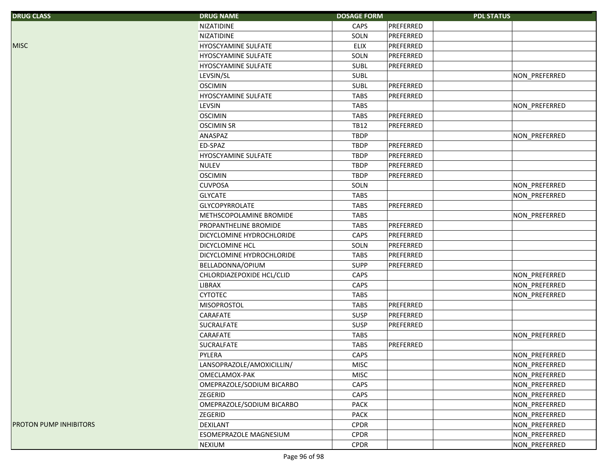| <b>DRUG CLASS</b>      | <b>DRUG NAME</b>           | <b>DOSAGE FORM</b> |           | <b>PDL STATUS</b> |               |
|------------------------|----------------------------|--------------------|-----------|-------------------|---------------|
|                        | <b>NIZATIDINE</b>          | CAPS               | PREFERRED |                   |               |
|                        | NIZATIDINE                 | SOLN               | PREFERRED |                   |               |
| <b>MISC</b>            | HYOSCYAMINE SULFATE        | <b>ELIX</b>        | PREFERRED |                   |               |
|                        | HYOSCYAMINE SULFATE        | SOLN               | PREFERRED |                   |               |
|                        | HYOSCYAMINE SULFATE        | SUBL               | PREFERRED |                   |               |
|                        | LEVSIN/SL                  | SUBL               |           |                   | NON PREFERRED |
|                        | <b>OSCIMIN</b>             | SUBL               | PREFERRED |                   |               |
|                        | <b>HYOSCYAMINE SULFATE</b> | <b>TABS</b>        | PREFERRED |                   |               |
|                        | <b>LEVSIN</b>              | <b>TABS</b>        |           |                   | NON_PREFERRED |
|                        | <b>OSCIMIN</b>             | <b>TABS</b>        | PREFERRED |                   |               |
|                        | <b>OSCIMIN SR</b>          | <b>TB12</b>        | PREFERRED |                   |               |
|                        | ANASPAZ                    | <b>TBDP</b>        |           |                   | NON_PREFERRED |
|                        | ED-SPAZ                    | <b>TBDP</b>        | PREFERRED |                   |               |
|                        | HYOSCYAMINE SULFATE        | <b>TBDP</b>        | PREFERRED |                   |               |
|                        | <b>NULEV</b>               | <b>TBDP</b>        | PREFERRED |                   |               |
|                        | <b>OSCIMIN</b>             | <b>TBDP</b>        | PREFERRED |                   |               |
|                        | <b>CUVPOSA</b>             | SOLN               |           |                   | NON_PREFERRED |
|                        | <b>GLYCATE</b>             | <b>TABS</b>        |           |                   | NON_PREFERRED |
|                        | GLYCOPYRROLATE             | <b>TABS</b>        | PREFERRED |                   |               |
|                        | METHSCOPOLAMINE BROMIDE    | <b>TABS</b>        |           |                   | NON_PREFERRED |
|                        | PROPANTHELINE BROMIDE      | <b>TABS</b>        | PREFERRED |                   |               |
|                        | DICYCLOMINE HYDROCHLORIDE  | CAPS               | PREFERRED |                   |               |
|                        | <b>DICYCLOMINE HCL</b>     | SOLN               | PREFERRED |                   |               |
|                        | DICYCLOMINE HYDROCHLORIDE  | <b>TABS</b>        | PREFERRED |                   |               |
|                        | BELLADONNA/OPIUM           | <b>SUPP</b>        | PREFERRED |                   |               |
|                        | CHLORDIAZEPOXIDE HCL/CLID  | CAPS               |           |                   | NON_PREFERRED |
|                        | <b>LIBRAX</b>              | CAPS               |           |                   | NON_PREFERRED |
|                        | <b>CYTOTEC</b>             | <b>TABS</b>        |           |                   | NON PREFERRED |
|                        | <b>MISOPROSTOL</b>         | <b>TABS</b>        | PREFERRED |                   |               |
|                        | <b>CARAFATE</b>            | <b>SUSP</b>        | PREFERRED |                   |               |
|                        | <b>SUCRALFATE</b>          | <b>SUSP</b>        | PREFERRED |                   |               |
|                        | <b>CARAFATE</b>            | <b>TABS</b>        |           |                   | NON_PREFERRED |
|                        | <b>SUCRALFATE</b>          | <b>TABS</b>        | PREFERRED |                   |               |
|                        | PYLERA                     | CAPS               |           |                   | NON_PREFERRED |
|                        | LANSOPRAZOLE/AMOXICILLIN/  | <b>MISC</b>        |           |                   | NON_PREFERRED |
|                        | OMECLAMOX-PAK              | <b>MISC</b>        |           |                   | NON PREFERRED |
|                        | OMEPRAZOLE/SODIUM BICARBO  | CAPS               |           |                   | NON_PREFERRED |
|                        | <b>ZEGERID</b>             | CAPS               |           |                   | NON PREFERRED |
|                        | OMEPRAZOLE/SODIUM BICARBO  | PACK               |           |                   | NON_PREFERRED |
|                        | ZEGERID                    | <b>PACK</b>        |           |                   | NON PREFERRED |
| PROTON PUMP INHIBITORS | <b>DEXILANT</b>            | <b>CPDR</b>        |           |                   | NON_PREFERRED |
|                        | ESOMEPRAZOLE MAGNESIUM     | <b>CPDR</b>        |           |                   | NON PREFERRED |
|                        | <b>NEXIUM</b>              | CPDR               |           |                   | NON_PREFERRED |
|                        |                            |                    |           |                   |               |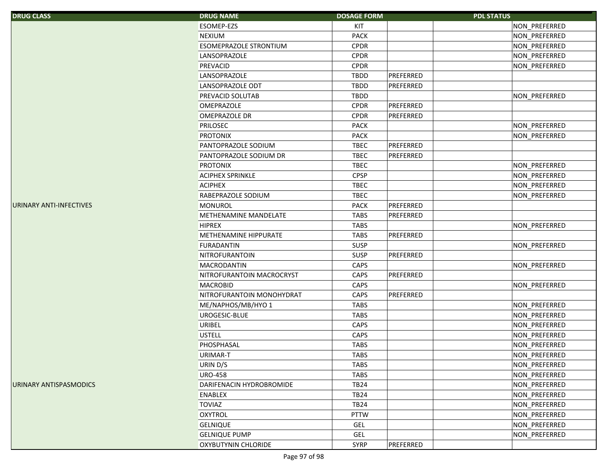| <b>DRUG CLASS</b>       | <b>DRUG NAME</b>           | <b>DOSAGE FORM</b> |           | <b>PDL STATUS</b> |
|-------------------------|----------------------------|--------------------|-----------|-------------------|
|                         | ESOMEP-EZS                 | KIT                |           | NON_PREFERRED     |
|                         | <b>NEXIUM</b>              | PACK               |           | NON_PREFERRED     |
|                         | ESOMEPRAZOLE STRONTIUM     | <b>CPDR</b>        |           | NON_PREFERRED     |
|                         | LANSOPRAZOLE               | <b>CPDR</b>        |           | NON_PREFERRED     |
|                         | PREVACID                   | <b>CPDR</b>        |           | NON_PREFERRED     |
|                         | LANSOPRAZOLE               | <b>TBDD</b>        | PREFERRED |                   |
|                         | LANSOPRAZOLE ODT           | <b>TBDD</b>        | PREFERRED |                   |
|                         | PREVACID SOLUTAB           | <b>TBDD</b>        |           | NON_PREFERRED     |
|                         | <b>OMEPRAZOLE</b>          | <b>CPDR</b>        | PREFERRED |                   |
|                         | <b>OMEPRAZOLE DR</b>       | <b>CPDR</b>        | PREFERRED |                   |
|                         | <b>PRILOSEC</b>            | <b>PACK</b>        |           | NON_PREFERRED     |
|                         | <b>PROTONIX</b>            | <b>PACK</b>        |           | NON_PREFERRED     |
|                         | PANTOPRAZOLE SODIUM        | <b>TBEC</b>        | PREFERRED |                   |
|                         | PANTOPRAZOLE SODIUM DR     | <b>TBEC</b>        | PREFERRED |                   |
|                         | <b>PROTONIX</b>            | <b>TBEC</b>        |           | NON_PREFERRED     |
|                         | <b>ACIPHEX SPRINKLE</b>    | <b>CPSP</b>        |           | NON_PREFERRED     |
|                         | <b>ACIPHEX</b>             | <b>TBEC</b>        |           | NON PREFERRED     |
|                         | RABEPRAZOLE SODIUM         | <b>TBEC</b>        |           | NON_PREFERRED     |
| URINARY ANTI-INFECTIVES | <b>MONUROL</b>             | <b>PACK</b>        | PREFERRED |                   |
|                         | METHENAMINE MANDELATE      | <b>TABS</b>        | PREFERRED |                   |
|                         | <b>HIPREX</b>              | <b>TABS</b>        |           | NON_PREFERRED     |
|                         | METHENAMINE HIPPURATE      | <b>TABS</b>        | PREFERRED |                   |
|                         | <b>FURADANTIN</b>          | SUSP               |           | NON_PREFERRED     |
|                         | NITROFURANTOIN             | <b>SUSP</b>        | PREFERRED |                   |
|                         | <b>MACRODANTIN</b>         | CAPS               |           | NON_PREFERRED     |
|                         | NITROFURANTOIN MACROCRYST  | CAPS               | PREFERRED |                   |
|                         | <b>MACROBID</b>            | CAPS               |           | NON_PREFERRED     |
|                         | NITROFURANTOIN MONOHYDRAT  | CAPS               | PREFERRED |                   |
|                         | ME/NAPHOS/MB/HYO 1         | <b>TABS</b>        |           | NON_PREFERRED     |
|                         | UROGESIC-BLUE              | <b>TABS</b>        |           | NON_PREFERRED     |
|                         | <b>URIBEL</b>              | CAPS               |           | NON_PREFERRED     |
|                         | <b>USTELL</b>              | CAPS               |           | NON_PREFERRED     |
|                         | PHOSPHASAL                 | <b>TABS</b>        |           | NON_PREFERRED     |
|                         | URIMAR-T                   | <b>TABS</b>        |           | NON PREFERRED     |
|                         | URIN D/S                   | <b>TABS</b>        |           | NON_PREFERRED     |
|                         | <b>URO-458</b>             | <b>TABS</b>        |           | NON_PREFERRED     |
| URINARY ANTISPASMODICS  | DARIFENACIN HYDROBROMIDE   | <b>TB24</b>        |           | NON_PREFERRED     |
|                         | <b>ENABLEX</b>             | <b>TB24</b>        |           | NON_PREFERRED     |
|                         | <b>TOVIAZ</b>              | <b>TB24</b>        |           | NON_PREFERRED     |
|                         | <b>OXYTROL</b>             | <b>PTTW</b>        |           | NON_PREFERRED     |
|                         | <b>GELNIQUE</b>            | GEL                |           | NON PREFERRED     |
|                         | <b>GELNIQUE PUMP</b>       | GEL                |           | NON_PREFERRED     |
|                         | <b>OXYBUTYNIN CHLORIDE</b> | <b>SYRP</b>        | PREFERRED |                   |
|                         |                            |                    |           |                   |